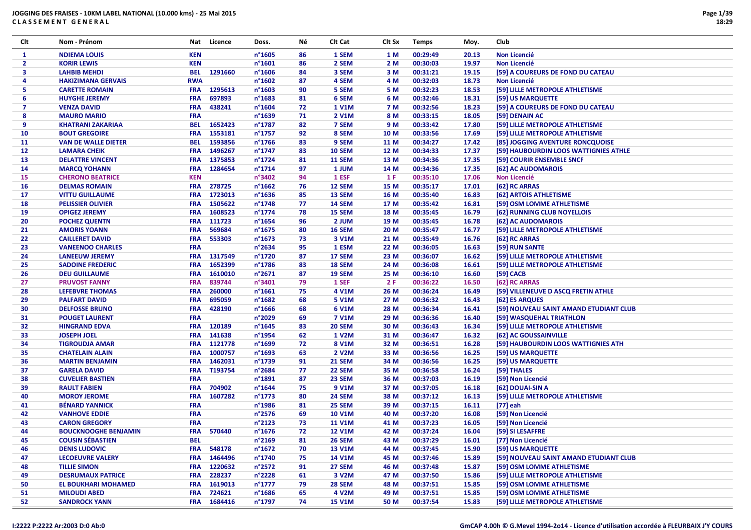| Clt            | Nom - Prénom                | Nat        | Licence     | Doss.            | Νé | Clt Cat       | Clt Sx | <b>Temps</b> | Moy.  | Club                                   |
|----------------|-----------------------------|------------|-------------|------------------|----|---------------|--------|--------------|-------|----------------------------------------|
| 1              | <b>NDIEMA LOUIS</b>         | <b>KEN</b> |             | n°1605           | 86 | 1 SEM         | 1 M    | 00:29:49     | 20.13 | Non Licencié                           |
| $\mathbf{2}$   | <b>KORIR LEWIS</b>          | <b>KEN</b> |             | n°1601           | 86 | 2 SEM         | 2 M    | 00:30:03     | 19.97 | <b>Non Licencié</b>                    |
| 3              | <b>LAHBIB MEHDI</b>         | <b>BEL</b> | 1291660     | n°1606           | 84 | 3 SEM         | 3 M    | 00:31:21     | 19.15 | [59] A COUREURS DE FOND DU CATEAU      |
| 4              | <b>HAKIZIMANA GERVAIS</b>   | <b>RWA</b> |             | n°1602           | 87 | 4 SEM         | 4 M    | 00:32:03     | 18.73 | <b>Non Licencié</b>                    |
| 5.             | <b>CARETTE ROMAIN</b>       | <b>FRA</b> | 1295613     | n°1603           | 90 | 5 SEM         | 5 M    | 00:32:23     | 18.53 | [59] LILLE METROPOLE ATHLETISME        |
| 6              | <b>HUYGHE JEREMY</b>        | <b>FRA</b> | 697893      | n°1683           | 81 | 6 SEM         | 6 M    | 00:32:46     | 18.31 | [59] US MARQUETTE                      |
| $\overline{7}$ | <b>VENZA DAVID</b>          | <b>FRA</b> | 438241      | n°1604           | 72 | <b>1 V1M</b>  | 7 M    | 00:32:56     | 18.23 | [59] A COUREURS DE FOND DU CATEAU      |
| 8              | <b>MAURO MARIO</b>          | <b>FRA</b> |             | n°1639           | 71 | 2 V1M         | 8 M    | 00:33:15     | 18.05 | [59] DENAIN AC                         |
| 9              | <b>KHATRANI ZAKARIAA</b>    | <b>BEL</b> | 1652423     | n°1787           | 82 | 7 SEM         | 9 M    | 00:33:42     | 17.80 | [59] LILLE METROPOLE ATHLETISME        |
| 10             | <b>BOUT GREGOIRE</b>        | <b>FRA</b> | 1553181     | n°1757           | 92 | 8 SEM         | 10 M   | 00:33:56     | 17.69 | [59] LILLE METROPOLE ATHLETISME        |
| 11             | <b>VAN DE WALLE DIETER</b>  | BEL        | 1593856     | n°1766           | 83 | 9 SEM         | 11 M   | 00:34:27     | 17.42 | [85] JOGGING AVENTURE RONCQUOISE       |
| 12             | <b>LAMARA CHEIK</b>         | <b>FRA</b> | 1496267     | n°1747           | 83 | <b>10 SEM</b> | 12 M   | 00:34:33     | 17.37 | [59] HAUBOURDIN LOOS WATTIGNIES ATHLE  |
| 13             | <b>DELATTRE VINCENT</b>     | <b>FRA</b> | 1375853     | n°1724           | 81 | <b>11 SEM</b> | 13 M   | 00:34:36     | 17.35 | [59] COURIR ENSEMBLE SNCF              |
| 14             | <b>MARCQ YOHANN</b>         | <b>FRA</b> | 1284654     | n°1714           | 97 | 1 JUM         | 14 M   | 00:34:36     | 17.35 | [62] AC AUDOMAROIS                     |
| 15             | <b>CHERONO BEATRICE</b>     | <b>KEN</b> |             | n°3402           | 94 | 1 ESF         | 1 F    | 00:35:10     | 17.06 | Non Licencié                           |
| 16             | <b>DELMAS ROMAIN</b>        | <b>FRA</b> | 278725      | $n^{\circ}$ 1662 | 76 | 12 SEM        | 15 M   | 00:35:17     | 17.01 | [62] RC ARRAS                          |
| 17             | <b>VITTU GUILLAUME</b>      | <b>FRA</b> | 1723013     | n°1636           | 85 | 13 SEM        | 16 M   | 00:35:40     | 16.83 | [62] ARTOIS ATHLETISME                 |
| 18             | <b>PELISSIER OLIVIER</b>    | <b>FRA</b> | 1505622     | n°1748           | 77 | <b>14 SEM</b> | 17 M   | 00:35:42     | 16.81 | [59] OSM LOMME ATHLETISME              |
| 19             | <b>OPIGEZ JEREMY</b>        | <b>FRA</b> | 1608523     | n°1774           | 78 | 15 SEM        | 18 M   | 00:35:45     | 16.79 | [62] RUNNING CLUB NOYELLOIS            |
| 20             | <b>POCHEZ QUENTN</b>        | <b>FRA</b> | 111723      | n°1654           | 96 | 2 JUM         | 19 M   | 00:35:45     | 16.78 | [62] AC AUDOMAROIS                     |
| 21             | <b>AMORIS YOANN</b>         | <b>FRA</b> | 569684      | n°1675           | 80 | <b>16 SEM</b> | 20 M   | 00:35:47     | 16.77 | [59] LILLE METROPOLE ATHLETISME        |
| 22             | <b>CAILLERET DAVID</b>      | <b>FRA</b> | 553303      | n°1673           | 73 | 3 V1M         | 21 M   | 00:35:49     | 16.76 | [62] RC ARRAS                          |
| 23             | <b>VANEENOO CHARLES</b>     | <b>FRA</b> |             | n°2634           | 95 | 1 ESM         | 22 M   | 00:36:05     | 16.63 | [59] RUN SANTE                         |
| 24             | <b>LANEEUW JEREMY</b>       | <b>FRA</b> | 1317549     | n°1720           | 87 | 17 SEM        | 23 M   | 00:36:07     | 16.62 | [59] LILLE METROPOLE ATHLETISME        |
| 25             | <b>SADOINE FREDERIC</b>     | <b>FRA</b> | 1652399     | n°1786           | 83 | 18 SEM        | 24 M   | 00:36:08     | 16.61 | [59] LILLE METROPOLE ATHLETISME        |
| 26             | <b>DEU GUILLAUME</b>        | <b>FRA</b> | 1610010     | n°2671           | 87 | 19 SEM        | 25 M   | 00:36:10     | 16.60 | [59] CACB                              |
| 27             | <b>PRUVOST FANNY</b>        | <b>FRA</b> | 839744      | n°3401           | 79 | 1 SEF         | 2F     | 00:36:22     | 16.50 | [62] RC ARRAS                          |
| 28             | <b>LEFEBVRE THOMAS</b>      | <b>FRA</b> | 260000      | $n^{\circ}$ 1661 | 75 | 4 V1M         | 26 M   | 00:36:24     | 16.49 | [59] VILLENEUVE D ASCQ FRETIN ATHLE    |
| 29             | <b>PALFART DAVID</b>        | <b>FRA</b> | 695059      | n°1682           | 68 | 5 V1M         | 27 M   | 00:36:32     | 16.43 | [62] ES ARQUES                         |
| 30             | <b>DELFOSSE BRUNO</b>       | <b>FRA</b> | 428190      | $n^{\circ}$ 1666 | 68 | 6 V1M         | 28 M   | 00:36:34     | 16.41 | [59] NOUVEAU SAINT AMAND ETUDIANT CLUB |
| 31             | <b>POUGET LAURENT</b>       | <b>FRA</b> |             | n°2029           | 69 | <b>7 V1M</b>  | 29 M   | 00:36:36     | 16.40 | [59] WASQUEHAL TRIATHLON               |
| 32             | <b>HINGRAND EDVA</b>        | <b>FRA</b> | 120189      | $n^{\circ}$ 1645 | 83 | <b>20 SEM</b> | 30 M   | 00:36:43     | 16.34 | [59] LILLE METROPOLE ATHLETISME        |
| 33             | <b>JOSEPH JOEL</b>          | <b>FRA</b> | 141638      | n°1954           | 62 | 1 V2M         | 31 M   | 00:36:47     | 16.32 | [62] AC GOUSSAINVILLE                  |
| 34             | <b>TIGROUDJA AMAR</b>       | <b>FRA</b> | 1121778     | n°1699           | 72 | 8 V1M         | 32 M   | 00:36:51     | 16.28 | [59] HAUBOURDIN LOOS WATTIGNIES ATH    |
| 35             | <b>CHATELAIN ALAIN</b>      | <b>FRA</b> | 1000757     | n°1693           | 63 | 2 V2M         | 33 M   | 00:36:56     | 16.25 | [59] US MARQUETTE                      |
| 36             | <b>MARTIN BENJAMIN</b>      | <b>FRA</b> | 1462031     | n°1739           | 91 | <b>21 SEM</b> | 34 M   | 00:36:56     | 16.25 | [59] US MARQUETTE                      |
| 37             | <b>GARELA DAVID</b>         | <b>FRA</b> | T193754     | n°2684           | 77 | 22 SEM        | 35 M   | 00:36:58     | 16.24 | [59] THALES                            |
| 38             | <b>CUVELIER BASTIEN</b>     | <b>FRA</b> |             | n°1891           | 87 | 23 SEM        | 36 M   | 00:37:03     | 16.19 | [59] Non Licencié                      |
| 39             | <b>RAULT FABIEN</b>         | <b>FRA</b> | 704902      | n°1644           | 75 | 9 V1M         | 37 M   | 00:37:05     | 16.18 | [62] DOUAI-SIN A                       |
| 40             | <b>MOROY JEROME</b>         | <b>FRA</b> | 1607282     | n°1773           | 80 | 24 SEM        | 38 M   | 00:37:12     | 16.13 | [59] LILLE METROPOLE ATHLETISME        |
| 41             | <b>BÉNARD YANNICK</b>       | <b>FRA</b> |             | n°1986           | 81 | 25 SEM        | 39 M   | 00:37:15     | 16.11 | $[77]$ eah                             |
| 42             | <b>VANHOVE EDDIE</b>        | <b>FRA</b> |             | n°2576           | 69 | <b>10 V1M</b> | 40 M   | 00:37:20     | 16.08 | [59] Non Licencié                      |
| 43             | <b>CARON GREGORY</b>        | <b>FRA</b> |             | n°2123           | 73 | <b>11 V1M</b> | 41 M   | 00:37:23     | 16.05 | [59] Non Licencié                      |
| 44             | <b>BOUCKNOOGHE BENJAMIN</b> | <b>FRA</b> | 570440      | n°1676           | 72 | <b>12 V1M</b> | 42 M   | 00:37:24     | 16.04 | [59] SI LESAFFRE                       |
| 45             | <b>COUSIN SÉBASTIEN</b>     | <b>BEL</b> |             | $n^{\circ}2169$  | 81 | <b>26 SEM</b> | 43 M   | 00:37:29     | 16.01 | [77] Non Licencié                      |
| 46             | <b>DENIS LUDOVIC</b>        | <b>FRA</b> | 548178      | $n^{\circ}1672$  | 70 | <b>13 V1M</b> | 44 M   | 00:37:45     | 15.90 | [59] US MARQUETTE                      |
| 47             | <b>LECOEUVRE VALERY</b>     | <b>FRA</b> | 1464496     | n°1740           | 75 | <b>14 V1M</b> | 45 M   | 00:37:46     | 15.89 | [59] NOUVEAU SAINT AMAND ETUDIANT CLUB |
| 48             | <b>TILLIE SIMON</b>         | <b>FRA</b> | 1220632     | n°2572           | 91 | <b>27 SEM</b> | 46 M   | 00:37:48     | 15.87 | [59] OSM LOMME ATHLETISME              |
| 49             | <b>DESRUMAUX PATRICE</b>    | <b>FRA</b> | 228237      | n°2228           | 61 | 3 V2M         | 47 M   | 00:37:50     | 15.86 | [59] LILLE METROPOLE ATHLETISME        |
| 50             | <b>EL BOUKHARI MOHAMED</b>  | <b>FRA</b> | 1619013     | $n^{\circ}$ 1777 | 79 | 28 SEM        | 48 M   | 00:37:51     | 15.85 | [59] OSM LOMME ATHLETISME              |
| 51             | <b>MILOUDI ABED</b>         | <b>FRA</b> | 724621      | n°1686           | 65 | 4 V2M         | 49 M   | 00:37:51     | 15.85 | [59] OSM LOMME ATHLETISME              |
| 52             | <b>SANDROCK YANN</b>        |            | FRA 1684416 | n°1797           | 74 | <b>15 V1M</b> | 50 M   | 00:37:54     | 15.83 | [59] LILLE METROPOLE ATHLETISME        |
|                |                             |            |             |                  |    |               |        |              |       |                                        |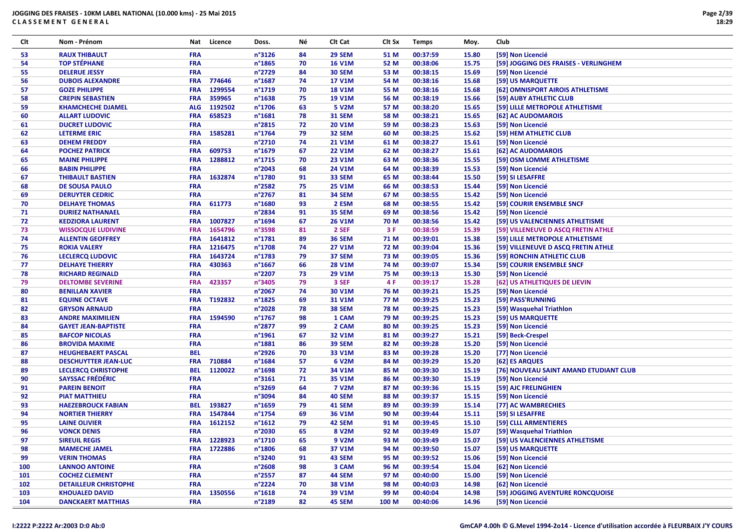| Clt | Nom - Prénom                 | Nat        | Licence     | Doss.            | Νé | Clt Cat            | Clt Sx       | <b>Temps</b> | Moy.  | Club                                   |
|-----|------------------------------|------------|-------------|------------------|----|--------------------|--------------|--------------|-------|----------------------------------------|
| 53  | <b>RAUX THIBAULT</b>         | <b>FRA</b> |             | n°3126           | 84 | 29 SEM             | 51 M         | 00:37:59     | 15.80 | [59] Non Licencié                      |
| 54  | <b>TOP STÉPHANE</b>          | <b>FRA</b> |             | n°1865           | 70 | <b>16 V1M</b>      | 52 M         | 00:38:06     | 15.75 | [59] JOGGING DES FRAISES - VERLINGHEM  |
| 55  | <b>DELERUE JESSY</b>         | <b>FRA</b> |             | n°2729           | 84 | <b>30 SEM</b>      | 53 M         | 00:38:15     | 15.69 | [59] Non Licencié                      |
| 56  | <b>DUBOIS ALEXANDRE</b>      | <b>FRA</b> | 774646      | n°1687           | 74 | <b>17 V1M</b>      | 54 M         | 00:38:16     | 15.68 | [59] US MARQUETTE                      |
| 57  | <b>GOZE PHILIPPE</b>         | <b>FRA</b> | 1299554     | n°1719           | 70 | <b>18 V1M</b>      | 55 M         | 00:38:16     | 15.68 | [62] OMNISPORT AIROIS ATHLETISME       |
| 58  | <b>CREPIN SEBASTIEN</b>      | <b>FRA</b> | 359965      | n°1638           | 75 | <b>19 V1M</b>      | 56 M         | 00:38:19     | 15.66 | [59] AUBY ATHLETIC CLUB                |
| 59  | <b>KHAMCHECHE DJAMEL</b>     | <b>ALG</b> | 1192502     | n°1706           | 63 | 5 V2M              | 57 M         | 00:38:20     | 15.65 | [59] LILLE METROPOLE ATHLETISME        |
| 60  | <b>ALLART LUDOVIC</b>        | <b>FRA</b> | 658523      | n°1681           | 78 | <b>31 SEM</b>      | 58 M         | 00:38:21     | 15.65 | [62] AC AUDOMAROIS                     |
| 61  | <b>DUCRET LUDOVIC</b>        | <b>FRA</b> |             | n°2815           | 72 | <b>20 V1M</b>      | 59 M         | 00:38:23     | 15.63 | [59] Non Licencié                      |
| 62  | <b>LETERME ERIC</b>          | <b>FRA</b> | 1585281     | n°1764           | 79 | 32 SEM             | 60 M         | 00:38:25     | 15.62 | [59] HEM ATHLETIC CLUB                 |
| 63  | <b>DEHEM FREDDY</b>          | <b>FRA</b> |             | n°2710           | 74 | 21 V1M             | 61 M         | 00:38:27     | 15.61 | [59] Non Licencié                      |
| 64  | <b>POCHEZ PATRICK</b>        | <b>FRA</b> | 609753      | n°1679           | 67 | <b>22 V1M</b>      | 62 M         | 00:38:27     | 15.61 | [62] AC AUDOMAROIS                     |
| 65  | <b>MAINE PHILIPPE</b>        | <b>FRA</b> | 1288812     | n°1715           | 70 | 23 V1M             | 63 M         | 00:38:36     | 15.55 | [59] OSM LOMME ATHLETISME              |
| 66  | <b>BABIN PHILIPPE</b>        | FRA        |             | n°2043           | 68 | 24 V1M             | 64 M         | 00:38:39     | 15.53 | [59] Non Licencié                      |
| 67  | <b>THIBAULT BASTIEN</b>      | <b>FRA</b> | 1632874     | n°1780           | 91 | 33 SEM             | 65 M         | 00:38:44     | 15.50 | [59] SI LESAFFRE                       |
| 68  | DE SOUSA PAULO               | <b>FRA</b> |             | n°2582           | 75 | <b>25 V1M</b>      | 66 M         | 00:38:53     | 15.44 | [59] Non Licencié                      |
| 69  | <b>DERUYTER CEDRIC</b>       | <b>FRA</b> |             | n°2767           | 81 | 34 SEM             | 67 M         | 00:38:55     | 15.42 | [59] Non Licencié                      |
| 70  |                              | <b>FRA</b> | 611773      | n°1680           | 93 | 2 ESM              |              | 00:38:55     | 15.42 | [59] COURIR ENSEMBLE SNCF              |
|     | <b>DELHAYE THOMAS</b>        | <b>FRA</b> |             | n°2834           | 91 | 35 SEM             | 68 M<br>69 M | 00:38:56     |       |                                        |
| 71  | <b>DURIEZ NATHANAEL</b>      |            |             |                  |    |                    |              |              | 15.42 | [59] Non Licencié                      |
| 72  | <b>KEDZIORA LAURENT</b>      | <b>FRA</b> | 1007827     | n°1694           | 67 | <b>26 V1M</b>      | 70 M         | 00:38:56     | 15.42 | [59] US VALENCIENNES ATHLETISME        |
| 73  | <b>WISSOCQUE LUDIVINE</b>    | <b>FRA</b> | 1654796     | n°3598           | 81 | 2 SEF              | 3 F          | 00:38:59     | 15.39 | [59] VILLENEUVE D ASCQ FRETIN ATHLE    |
| 74  | <b>ALLENTIN GEOFFREY</b>     | <b>FRA</b> | 1641812     | n°1781           | 89 | <b>36 SEM</b>      | 71 M         | 00:39:01     | 15.38 | [59] LILLE METROPOLE ATHLETISME        |
| 75  | <b>ROKIA VALERY</b>          | <b>FRA</b> | 1216475     | n°1708           | 74 | <b>27 V1M</b>      | 72 M         | 00:39:04     | 15.36 | [59] VILLENEUVE D ASCQ FRETIN ATHLE    |
| 76  | <b>LECLERCQ LUDOVIC</b>      | <b>FRA</b> | 1643724     | n°1783           | 79 | 37 SEM             | 73 M         | 00:39:05     | 15.36 | [59] RONCHIN ATHLETIC CLUB             |
| 77  | <b>DELHAYE THIERRY</b>       | <b>FRA</b> | 430363      | n°1667           | 66 | <b>28 V1M</b>      | 74 M         | 00:39:07     | 15.34 | [59] COURIR ENSEMBLE SNCF              |
| 78  | <b>RICHARD REGINALD</b>      | <b>FRA</b> |             | n°2207           | 73 | <b>29 V1M</b>      | 75 M         | 00:39:13     | 15.30 | [59] Non Licencié                      |
| 79  | <b>DELTOMBE SEVERINE</b>     | <b>FRA</b> | 423357      | n°3405           | 79 | 3 SEF              | 4 F          | 00:39:17     | 15.28 | [62] US ATHLETIQUES DE LIEVIN          |
| 80  | <b>BENILLAN XAVIER</b>       | <b>FRA</b> |             | n°2067           | 74 | 30 V1M             | 76 M         | 00:39:21     | 15.25 | [59] Non Licencié                      |
| 81  | <b>EQUINE OCTAVE</b>         | <b>FRA</b> | T192832     | n°1825           | 69 | 31 V1M             | 77 M         | 00:39:25     | 15.23 | [59] PASS'RUNNING                      |
| 82  | <b>GRYSON ARNAUD</b>         | <b>FRA</b> |             | n°2028           | 78 | 38 SEM             | 78 M         | 00:39:25     | 15.23 | [59] Wasquehal Triathlon               |
| 83  | <b>ANDRE MAXIMILIEN</b>      | <b>FRA</b> | 1594590     | n°1767           | 98 | 1 CAM              | 79 M         | 00:39:25     | 15.23 | [59] US MARQUETTE                      |
| 84  | <b>GAYET JEAN-BAPTISTE</b>   | <b>FRA</b> |             | n°2877           | 99 | 2 CAM              | 80 M         | 00:39:25     | 15.23 | [59] Non Licencié                      |
| 85  | <b>BAFCOP NICOLAS</b>        | <b>FRA</b> |             | n°1961           | 67 | 32 V1M             | 81 M         | 00:39:27     | 15.21 | [59] Beck-Crespel                      |
| 86  | <b>BROVIDA MAXIME</b>        | <b>FRA</b> |             | n°1881           | 86 | 39 SEM             | 82 M         | 00:39:28     | 15.20 | [59] Non Licencié                      |
| 87  | <b>HEUGHEBAERT PASCAL</b>    | <b>BEL</b> |             | n°2926           | 70 | 33 V1M             | 83 M         | 00:39:28     | 15.20 | [77] Non Licencié                      |
| 88  | <b>DESCHUYTTER JEAN-LUC</b>  | <b>FRA</b> | 710884      | n°1684           | 57 | 6 V2M              | 84 M         | 00:39:29     | 15.20 | [62] ES ARQUES                         |
| 89  | <b>LECLERCQ CHRISTOPHE</b>   | <b>BEL</b> | 1120022     | n°1698           | 72 | 34 V1M             | 85 M         | 00:39:30     | 15.19 | [76] NOUVEAU SAINT AMAND ETUDIANT CLUB |
| 90  | <b>SAYSSAC FRÉDÉRIC</b>      | <b>FRA</b> |             | n°3161           | 71 | 35 V1M             | 86 M         | 00:39:30     | 15.19 | [59] Non Licencié                      |
| 91  | <b>PAREIN BENOIT</b>         | <b>FRA</b> |             | n°3269           | 64 | <b>7 V2M</b>       | 87 M         | 00:39:36     | 15.15 | [59] AJC FRELINGHIEN                   |
| 92  | <b>PIAT MATTHIEU</b>         | <b>FRA</b> |             | n°3094           | 84 | <b>40 SEM</b>      | 88 M         | 00:39:37     | 15.15 | [59] Non Licencié                      |
| 93  | <b>HAEZEBROUCK FABIAN</b>    |            | BEL 193827  | n°1659           | 79 | 41 SEM             | 89 M         | 00:39:39     | 15.14 | [77] AC WAMBRECHIES                    |
| 94  | <b>NORTIER THIERRY</b>       | <b>FRA</b> | 1547844     | n°1754           | 69 | 36 V1M             | 90 M         | 00:39:44     | 15.11 | [59] SI LESAFFRE                       |
| 95  | <b>LAINE OLIVIER</b>         | <b>FRA</b> | 1612152     | $n^{\circ}1612$  | 79 | 42 SEM             | 91 M         | 00:39:45     | 15.10 | [59] CLLL ARMENTIERES                  |
| 96  | <b>VONCK DENIS</b>           | <b>FRA</b> |             | n°2030           | 65 | 8 V2M              | 92 M         | 00:39:49     | 15.07 | [59] Wasquehal Triathlon               |
| 97  | <b>SIREUIL REGIS</b>         |            | FRA 1228923 | n°1710           | 65 | 9 V <sub>2</sub> M | 93 M         | 00:39:49     | 15.07 | [59] US VALENCIENNES ATHLETISME        |
| 98  | <b>MAMECHE JAMEL</b>         |            | FRA 1722886 | n°1806           | 68 | 37 V1M             | 94 M         | 00:39:50     | 15.07 | [59] US MARQUETTE                      |
| 99  | <b>VERIN THOMAS</b>          | <b>FRA</b> |             | n°3240           | 91 | 43 SEM             | 95 M         | 00:39:52     | 15.06 | [59] Non Licencié                      |
| 100 | <b>LANNOO ANTOINE</b>        | <b>FRA</b> |             | n°2608           | 98 | 3 CAM              | 96 M         | 00:39:54     | 15.04 | [62] Non Licencié                      |
| 101 | <b>COCHEZ CLEMENT</b>        | <b>FRA</b> |             | n°2557           | 87 | <b>44 SEM</b>      | 97 M         | 00:40:00     | 15.00 | [59] Non Licencié                      |
| 102 | <b>DETAILLEUR CHRISTOPHE</b> | <b>FRA</b> |             | n°2224           | 70 | 38 V1M             | 98 M         | 00:40:03     | 14.98 | [62] Non Licencié                      |
| 103 | <b>KHOUALED DAVID</b>        | <b>FRA</b> | 1350556     | $n^{\circ}$ 1618 | 74 | 39 V1M             | 99 M         | 00:40:04     | 14.98 | [59] JOGGING AVENTURE RONCQUOISE       |
| 104 | <b>DANCKAERT MATTHIAS</b>    | <b>FRA</b> |             | n°2189           | 82 | 45 SEM             | 100 M        | 00:40:06     | 14.96 | [59] Non Licencié                      |
|     |                              |            |             |                  |    |                    |              |              |       |                                        |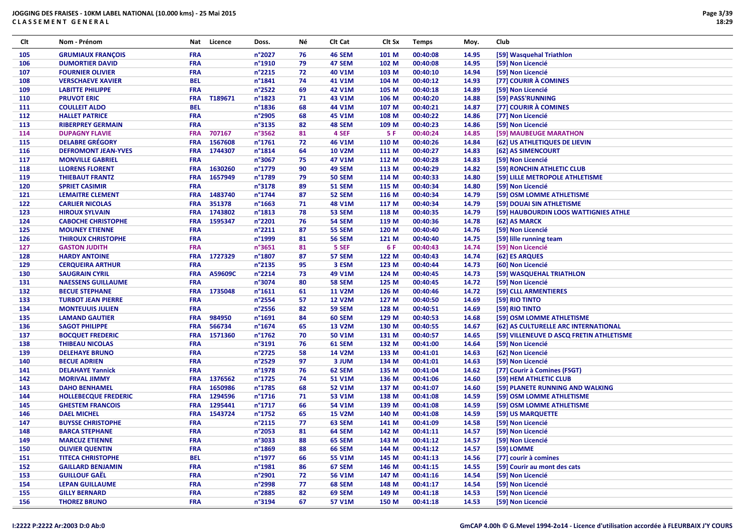| Clt | Nom - Prénom                | Nat        | Licence     | Doss.            | Νé | Clt Cat       | CIt Sx    | <b>Temps</b> | Moy.  | Club                                     |
|-----|-----------------------------|------------|-------------|------------------|----|---------------|-----------|--------------|-------|------------------------------------------|
| 105 | <b>GRUMIAUX FRANÇOIS</b>    | <b>FRA</b> |             | n°2027           | 76 | 46 SEM        | 101 M     | 00:40:08     | 14.95 | [59] Wasquehal Triathlon                 |
| 106 | <b>DUMORTIER DAVID</b>      | <b>FRA</b> |             | n°1910           | 79 | 47 SEM        | 102 M     | 00:40:08     | 14.95 | [59] Non Licencié                        |
| 107 | <b>FOURNIER OLIVIER</b>     | <b>FRA</b> |             | n°2215           | 72 | 40 V1M        | 103 M     | 00:40:10     | 14.94 | [59] Non Licencié                        |
| 108 | <b>VERSCHAEVE XAVIER</b>    | <b>BEL</b> |             | n°1841           | 74 | 41 V1M        | 104 M     | 00:40:12     | 14.93 | [77] COURIR À COMINES                    |
| 109 | <b>LABITTE PHILIPPE</b>     | <b>FRA</b> |             | n°2522           | 69 | 42 V1M        | 105 M     | 00:40:18     | 14.89 | [59] Non Licencié                        |
| 110 | <b>PRUVOT ERIC</b>          | <b>FRA</b> | T189671     | n°1823           | 71 | 43 V1M        | 106 M     | 00:40:20     | 14.88 | [59] PASS'RUNNING                        |
| 111 | <b>COULLEIT ALDO</b>        | <b>BEL</b> |             | n°1836           | 68 | 44 V1M        | 107 M     | 00:40:21     | 14.87 | [77] COURIR À COMINES                    |
| 112 | <b>HALLET PATRICE</b>       | <b>FRA</b> |             | n°2905           | 68 | 45 V1M        | 108 M     | 00:40:22     | 14.86 | [77] Non Licencié                        |
| 113 | <b>RIBERPREY GERMAIN</b>    | <b>FRA</b> |             | n°3135           | 82 | 48 SEM        | 109 M     | 00:40:23     | 14.86 | [59] Non Licencié                        |
| 114 | <b>DUPAGNY FLAVIE</b>       | <b>FRA</b> | 707167      | n°3562           | 81 | 4 SEF         | <b>5F</b> | 00:40:24     | 14.85 | [59] MAUBEUGE MARATHON                   |
| 115 | <b>DELABRE GRÉGORY</b>      |            | FRA 1567608 | n°1761           | 72 | 46 V1M        | 110 M     | 00:40:26     | 14.84 | [62] US ATHLETIQUES DE LIEVIN            |
| 116 | <b>DEFROMONT JEAN-YVES</b>  |            | FRA 1744307 | n°1814           | 64 | <b>10 V2M</b> | 111 M     | 00:40:27     | 14.83 | [62] AS SIMENCOURT                       |
| 117 | <b>MONVILLE GABRIEL</b>     | <b>FRA</b> |             | n°3067           | 75 | 47 V1M        | 112 M     | 00:40:28     | 14.83 | [59] Non Licencié                        |
| 118 | <b>LLORENS FLORENT</b>      | <b>FRA</b> | 1630260     | n°1779           | 90 | 49 SEM        | 113 M     | 00:40:29     | 14.82 | [59] RONCHIN ATHLETIC CLUB               |
| 119 | <b>THIEBAUT FRANTZ</b>      | <b>FRA</b> | 1657949     | n°1789           | 79 | <b>50 SEM</b> | 114 M     | 00:40:33     | 14.80 | [59] LILLE METROPOLE ATHLETISME          |
| 120 | <b>SPRIET CASIMIR</b>       | <b>FRA</b> |             | n°3178           | 89 | <b>51 SEM</b> | 115 M     | 00:40:34     | 14.80 | [59] Non Licencié                        |
| 121 | <b>LEMAITRE CLEMENT</b>     | <b>FRA</b> | 1483740     | n°1744           | 87 | 52 SEM        | 116 M     | 00:40:34     | 14.79 | [59] OSM LOMME ATHLETISME                |
| 122 | <b>CARLIER NICOLAS</b>      |            | FRA 351378  | $n^{\circ}$ 1663 | 71 | 48 V1M        | 117 M     | 00:40:34     | 14.79 | [59] DOUAI SIN ATHLETISME                |
| 123 |                             |            | FRA 1743802 | $n^{\circ}$ 1813 | 78 | 53 SEM        |           |              |       | [59] HAUBOURDIN LOOS WATTIGNIES ATHLE    |
|     | <b>HIROUX SYLVAIN</b>       |            |             |                  |    |               | 118 M     | 00:40:35     | 14.79 |                                          |
| 124 | <b>CABOCHE CHRISTOPHE</b>   | <b>FRA</b> | 1595347     | n°2201           | 76 | 54 SEM        | 119 M     | 00:40:36     | 14.78 | [62] AS MARCK                            |
| 125 | <b>MOUNEY ETIENNE</b>       | <b>FRA</b> |             | $n^{\circ}2211$  | 87 | <b>55 SEM</b> | 120 M     | 00:40:40     | 14.76 | [59] Non Licencié                        |
| 126 | <b>THIROUX CHRISTOPHE</b>   | <b>FRA</b> |             | n°1999           | 81 | <b>56 SEM</b> | 121 M     | 00:40:40     | 14.75 | [59] lille running team                  |
| 127 | <b>GASTON JUDITH</b>        | <b>FRA</b> |             | n°3651           | 81 | 5 SEF         | 6 F       | 00:40:43     | 14.74 | [59] Non Licencié                        |
| 128 | <b>HARDY ANTOINE</b>        |            | FRA 1727329 | n°1807           | 87 | 57 SEM        | 122 M     | 00:40:43     | 14.74 | [62] ES ARQUES                           |
| 129 | <b>CERQUEIRA ARTHUR</b>     | <b>FRA</b> |             | n°2135           | 95 | 3 ESM         | 123 M     | 00:40:44     | 14.73 | [60] Non Licencié                        |
| 130 | <b>SAUGRAIN CYRIL</b>       | <b>FRA</b> | A59609C     | n°2214           | 73 | 49 V1M        | 124 M     | 00:40:45     | 14.73 | [59] WASQUEHAL TRIATHLON                 |
| 131 | <b>NAESSENS GUILLAUME</b>   | <b>FRA</b> |             | n°3074           | 80 | <b>58 SEM</b> | 125 M     | 00:40:45     | 14.72 | [59] Non Licencié                        |
| 132 | <b>BECUE STEPHANE</b>       | <b>FRA</b> | 1735048     | $n^{\circ}1611$  | 61 | <b>11 V2M</b> | 126 M     | 00:40:46     | 14.72 | [59] CLLL ARMENTIERES                    |
| 133 | <b>TURBOT JEAN PIERRE</b>   | <b>FRA</b> |             | n°2554           | 57 | <b>12 V2M</b> | 127 M     | 00:40:50     | 14.69 | [59] RIO TINTO                           |
| 134 | <b>MONTEUUIS JULIEN</b>     | <b>FRA</b> |             | n°2556           | 82 | <b>59 SEM</b> | 128 M     | 00:40:51     | 14.69 | [59] RIO TINTO                           |
| 135 | <b>LAMAND GAUTIER</b>       | <b>FRA</b> | 984950      | $n^{\circ}$ 1691 | 84 | 60 SEM        | 129 M     | 00:40:53     | 14.68 | [59] OSM LOMME ATHLETISME                |
| 136 | <b>SAGOT PHILIPPE</b>       | <b>FRA</b> | 566734      | n°1674           | 65 | <b>13 V2M</b> | 130 M     | 00:40:55     | 14.67 | [62] AS CULTURELLE ARC INTERNATIONAL     |
| 137 | <b>BOCQUET FREDERIC</b>     | <b>FRA</b> | 1571360     | n°1762           | 70 | 50 V1M        | 131 M     | 00:40:57     | 14.65 | [59] VILLENEUVE D ASCQ FRETIN ATHLETISME |
| 138 | <b>THIBEAU NICOLAS</b>      | <b>FRA</b> |             | n°3191           | 76 | 61 SEM        | 132 M     | 00:41:00     | 14.64 | [59] Non Licencié                        |
| 139 | <b>DELEHAYE BRUNO</b>       | <b>FRA</b> |             | n°2725           | 58 | <b>14 V2M</b> | 133 M     | 00:41:01     | 14.63 | [62] Non Licencié                        |
| 140 | <b>BECUE ADRIEN</b>         | <b>FRA</b> |             | n°2529           | 97 | 3 JUM         | 134 M     | 00:41:01     | 14.63 | [59] Non Licencié                        |
| 141 | <b>DELAHAYE Yannick</b>     | <b>FRA</b> |             | n°1978           | 76 | 62 SEM        | 135 M     | 00:41:04     | 14.62 | [77] Courir à Comines (FSGT)             |
| 142 | <b>MORIVAL JIMMY</b>        | <b>FRA</b> | 1376562     | $n^{\circ}$ 1725 | 74 | 51 V1M        | 136 M     | 00:41:06     | 14.60 | [59] HEM ATHLETIC CLUB                   |
| 143 | <b>DAHO BENHAMEL</b>        | <b>FRA</b> | 1650986     | n°1785           | 68 | <b>52 V1M</b> | 137 M     | 00:41:07     | 14.60 | [59] PLANETE RUNNING AND WALKING         |
| 144 | <b>HOLLEBECQUE FREDERIC</b> | <b>FRA</b> | 1294596     | $n^{\circ}$ 1716 | 71 | 53 V1M        | 138 M     | 00:41:08     | 14.59 | [59] OSM LOMME ATHLETISME                |
| 145 | <b>GHESTEM FRANCOIS</b>     | <b>FRA</b> | 1295441     | n°1717           | 66 | 54 V1M        | 139 M     | 00:41:08     | 14.59 | [59] OSM LOMME ATHLETISME                |
| 146 | <b>DAEL MICHEL</b>          | <b>FRA</b> | 1543724     | $n^{\circ}$ 1752 | 65 | <b>15 V2M</b> | 140 M     | 00:41:08     | 14.59 | [59] US MARQUETTE                        |
| 147 | <b>BUYSSE CHRISTOPHE</b>    | <b>FRA</b> |             | $n^{\circ}2115$  | 77 | 63 SEM        | 141 M     | 00:41:09     | 14.58 | [59] Non Licencié                        |
| 148 | <b>BARCA STEPHANE</b>       | <b>FRA</b> |             | n°2053           | 81 | 64 SEM        | 142 M     | 00:41:11     | 14.57 | [59] Non Licencié                        |
| 149 | <b>MARCUZ ETIENNE</b>       | <b>FRA</b> |             | n°3033           | 88 | 65 SEM        | 143 M     | 00:41:12     | 14.57 | [59] Non Licencié                        |
| 150 | <b>OLIVIER QUENTIN</b>      | <b>FRA</b> |             | n°1869           | 88 | 66 SEM        | 144 M     | 00:41:12     | 14.57 | [59] LOMME                               |
| 151 | <b>TITECA CHRISTOPHE</b>    | <b>BEL</b> |             | n°1977           | 66 | 55 V1M        | 145 M     | 00:41:13     | 14.56 | [77] courir à comines                    |
| 152 | <b>GAILLARD BENJAMIN</b>    | <b>FRA</b> |             | n°1981           | 86 | 67 SEM        | 146 M     | 00:41:15     | 14.55 | [59] Courir au mont des cats             |
| 153 | <b>GUILLOUF GAËL</b>        | <b>FRA</b> |             | n°2901           | 72 | 56 V1M        | 147 M     | 00:41:16     | 14.54 | [59] Non Licencié                        |
| 154 | <b>LEPAN GUILLAUME</b>      | <b>FRA</b> |             | n°2998           | 77 | 68 SEM        | 148 M     | 00:41:17     | 14.54 | [59] Non Licencié                        |
| 155 | <b>GILLY BERNARD</b>        | <b>FRA</b> |             | n°2885           | 82 | 69 SEM        | 149 M     | 00:41:18     | 14.53 | [59] Non Licencié                        |
| 156 | <b>THOREZ BRUNO</b>         | <b>FRA</b> |             | n°3194           | 67 | 57 V1M        | 150 M     | 00:41:18     | 14.53 | [59] Non Licencié                        |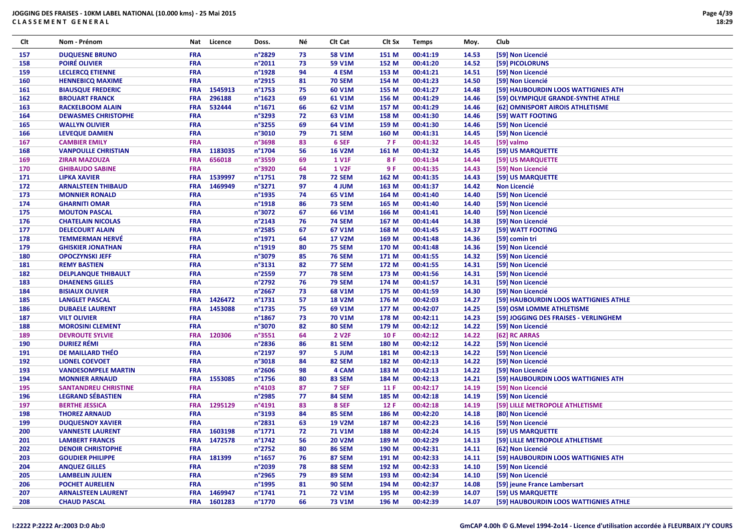| Clt        | Nom - Prénom                                        | Nat                      | Licence     | Doss.           | Νé       | Clt Cat                        | CIt Sx         | <b>Temps</b>         | Moy.           | Club                                                 |
|------------|-----------------------------------------------------|--------------------------|-------------|-----------------|----------|--------------------------------|----------------|----------------------|----------------|------------------------------------------------------|
| 157        | <b>DUQUESNE BRUNO</b>                               | <b>FRA</b>               |             | n°2829          | 73       | <b>58 V1M</b>                  | 151 M          | 00:41:19             | 14.53          | [59] Non Licencié                                    |
| 158        | <b>POIRÉ OLIVIER</b>                                | FRA                      |             | n°2011          | 73       | 59 V1M                         | 152 M          | 00:41:20             | 14.52          | [59] PICOLORUNS                                      |
| 159        | <b>LECLERCQ ETIENNE</b>                             | FRA                      |             | n°1928          | 94       | 4 ESM                          | 153 M          | 00:41:21             | 14.51          | [59] Non Licencié                                    |
| 160        | <b>HENNEBICQ MAXIME</b>                             | <b>FRA</b>               |             | n°2915          | 81       | <b>70 SEM</b>                  | 154 M          | 00:41:23             | 14.50          | [59] Non Licencié                                    |
| 161        | <b>BIAUSQUE FREDERIC</b>                            |                          | FRA 1545913 | n°1753          | 75       | 60 V1M                         | 155 M          | 00:41:27             | 14.48          | [59] HAUBOURDIN LOOS WATTIGNIES ATH                  |
| 162        | <b>BROUART FRANCK</b>                               | <b>FRA</b>               | 296188      | n°1623          | 69       | 61 V1M                         | 156 M          | 00:41:29             | 14.46          | [59] OLYMPIQUE GRANDE-SYNTHE ATHLE                   |
| 163        | <b>RACKELBOOM ALAIN</b>                             | <b>FRA</b>               | 532444      | n°1671          | 66       | 62 V1M                         | 157 M          | 00:41:29             | 14.46          | [62] OMNISPORT AIROIS ATHLETISME                     |
| 164        | <b>DEWASMES CHRISTOPHE</b>                          | <b>FRA</b>               |             | n°3293          | 72       | 63 V1M                         | 158 M          | 00:41:30             | 14.46          | [59] WATT FOOTING                                    |
| 165        | <b>WALLYN OLIVIER</b>                               | <b>FRA</b>               |             | n°3255          | 69       | 64 V1M                         | 159 M          | 00:41:30             | 14.46          | [59] Non Licencié                                    |
| 166        | <b>LEVEQUE DAMIEN</b>                               | <b>FRA</b>               |             | n°3010          | 79       | <b>71 SEM</b>                  | 160 M          | 00:41:31             | 14.45          | [59] Non Licencié                                    |
| 167        | <b>CAMBIER EMILY</b>                                | <b>FRA</b>               |             | n°3698          | 83       | 6 SEF                          | 7 F            | 00:41:32             | 14.45          | [59] valmo                                           |
| 168        | <b>VANPOULLE CHRISTIAN</b>                          | <b>FRA</b>               | 1183035     | n°1704          | 56       | <b>16 V2M</b>                  | 161 M          | 00:41:32             | 14.45          | [59] US MARQUETTE                                    |
| 169        | <b>ZIRAR MAZOUZA</b>                                | <b>FRA</b>               | 656018      | n°3559          | 69       | <b>1 V1F</b>                   | 8 F            | 00:41:34             | 14.44          | [59] US MARQUETTE                                    |
| 170        | <b>GHIBAUDO SABINE</b>                              | <b>FRA</b>               |             | n°3920          | 64       | <b>1 V2F</b>                   | 9 F            | 00:41:35             | 14.43          | [59] Non Licencié                                    |
| 171        | <b>LIPKA XAVIER</b>                                 | <b>FRA</b>               | 1539997     | n°1751          | 78       | <b>72 SEM</b>                  | 162 M          | 00:41:35             | 14.43          | [59] US MARQUETTE                                    |
| 172        | <b>ARNALSTEEN THIBAUD</b>                           | <b>FRA</b>               | 1469949     | n°3271          | 97       | 4 JUM                          | 163 M          | 00:41:37             | 14.42          | <b>Non Licencié</b>                                  |
| 173        | <b>MONNIER RONALD</b>                               | FRA                      |             | n°1935          | 74       | 65 V1M                         | 164 M          | 00:41:40             | 14.40          | [59] Non Licencié                                    |
| 174        | <b>GHARNITI OMAR</b>                                | <b>FRA</b>               |             | n°1918          | 86       | <b>73 SEM</b>                  | 165 M          | 00:41:40             | 14.40          | [59] Non Licencié                                    |
| 175        | <b>MOUTON PASCAL</b>                                | <b>FRA</b>               |             | n°3072          | 67       | 66 V1M                         | 166 M          | 00:41:41             | 14.40          | [59] Non Licencié                                    |
| 176        | <b>CHATELAIN NICOLAS</b>                            | FRA                      |             | n°2143          | 76       | <b>74 SEM</b>                  | 167 M          | 00:41:44             | 14.38          | [59] Non Licencié                                    |
| 177        | <b>DELECOURT ALAIN</b>                              | <b>FRA</b>               |             | n°2585          | 67       | 67 V1M                         | 168 M          | 00:41:45             | 14.37          | [59] WATT FOOTING                                    |
| 178        | <b>TEMMERMAN HERVÉ</b>                              | <b>FRA</b>               |             | n°1971          | 64       | <b>17 V2M</b>                  | 169 M          | 00:41:48             | 14.36          | [59] comin tri                                       |
| 179        | <b>GHISKIER JONATHAN</b>                            | <b>FRA</b>               |             | n°1919          | 80       | <b>75 SEM</b>                  | 170 M          | 00:41:48             | 14.36          | [59] Non Licencié                                    |
| 180        | <b>OPOCZYNSKI JEFF</b>                              | <b>FRA</b>               |             | n°3079          | 85       | <b>76 SEM</b>                  | 171 M          | 00:41:55             | 14.32          | [59] Non Licencié                                    |
| 181        | <b>REMY BASTIEN</b>                                 | <b>FRA</b>               |             | n°3131          | 82       | <b>77 SEM</b>                  | 172 M          | 00:41:55             | 14.31          | [59] Non Licencié                                    |
| 182        | <b>DELPLANQUE THIBAULT</b>                          | <b>FRA</b>               |             | n°2559          | 77       | <b>78 SEM</b>                  | 173 M          | 00:41:56             | 14.31          | [59] Non Licencié                                    |
| 183        | <b>DHAENENS GILLES</b>                              | <b>FRA</b>               |             | n°2792          | 76       | <b>79 SEM</b>                  | 174 M          | 00:41:57             | 14.31          | [59] Non Licencié                                    |
| 184        | <b>BISIAUX OLIVIER</b>                              | <b>FRA</b>               |             | n°2667          | 73       | 68 V1M                         | 175 M          | 00:41:59             | 14.30          | [59] Non Licencié                                    |
| 185        | <b>LANGLET PASCAL</b>                               | <b>FRA</b>               | 1426472     | n°1731          | 57       | <b>18 V2M</b>                  | 176 M          | 00:42:03             | 14.27          | [59] HAUBOURDIN LOOS WATTIGNIES ATHLE                |
| 186        | <b>DUBAELE LAURENT</b>                              | <b>FRA</b>               | 1453088     | n°1735          | 75       | 69 V1M                         | 177 M          | 00:42:07             | 14.25          | [59] OSM LOMME ATHLETISME                            |
| 187        | <b>VILT OLIVIER</b>                                 | FRA                      |             | n°1867          | 73       | <b>70 V1M</b>                  | 178 M          | 00:42:11             | 14.23          | [59] JOGGING DES FRAISES - VERLINGHEM                |
| 188        | <b>MOROSINI CLEMENT</b>                             | <b>FRA</b>               |             | n°3070          | 82       | <b>80 SEM</b>                  | 179 M          | 00:42:12             | 14.22          | [59] Non Licencié                                    |
| 189        | <b>DEVROUTE SYLVIE</b>                              | <b>FRA</b>               | 120306      | n°3551          | 64       | 2 V <sub>2</sub> F             | 10 F           | 00:42:12             | 14.22          | [62] RC ARRAS                                        |
| 190        | <b>DURIEZ RÉMI</b>                                  | <b>FRA</b>               |             | n°2836          | 86       | <b>81 SEM</b>                  | 180 M          | 00:42:12             | 14.22          | [59] Non Licencié                                    |
| 191        | DE MAILLARD THÉO                                    | <b>FRA</b>               |             | n°2197          | 97       | 5 JUM                          | 181 M          | 00:42:13             | 14.22          | [59] Non Licencié                                    |
| 192        | <b>LIONEL COEVOET</b>                               | FRA                      |             | n°3018          | 84       | 82 SEM                         | 182 M          | 00:42:13             | 14.22          | [59] Non Licencié                                    |
| 193        | <b>VANDESOMPELE MARTIN</b>                          | <b>FRA</b>               |             | n°2606          | 98       | 4 CAM                          | 183 M          | 00:42:13             | 14.22          | [59] Non Licencié                                    |
| 194        | <b>MONNIER ARNAUD</b>                               | <b>FRA</b>               | 1553085     | n°1756          | 80       | 83 SEM                         | 184 M          | 00:42:13             | 14.21          | [59] HAUBOURDIN LOOS WATTIGNIES ATH                  |
| 195        | <b>SANTANDREU CHRISTINE</b>                         | <b>FRA</b>               |             | n°4103          | 87       | 7 SEF                          | 11 F           | 00:42:17             | 14.19          | [59] Non Licencié                                    |
| 196        | <b>LEGRAND SÉBASTIEN</b>                            | <b>FRA</b>               |             | n°2985          | 77       | 84 SEM                         | 185 M          | 00:42:18             | 14.19          | [59] Non Licencié                                    |
| 197        | <b>BERTHE JESSICA</b>                               | <b>FRA</b>               | 1295129     | n°4191          | 83       | 8 SEF                          | 12 F           | 00:42:18             | 14.19          | [59] LILLE METROPOLE ATHLETISME                      |
| 198        | <b>THOREZ ARNAUD</b>                                | FRA                      |             | n°3193          | 84       | 85 SEM                         | 186 M          | 00:42:20             | 14.18          | [80] Non Licencié                                    |
| 199        | <b>DUQUESNOY XAVIER</b>                             | <b>FRA</b>               |             | n°2831          | 63       | <b>19 V2M</b>                  | 187 M          | 00:42:23             | 14.16          | [59] Non Licencié                                    |
| 200        | <b>VANNESTE LAURENT</b>                             | <b>FRA</b>               | 1603198     | n°1771          | 72       | <b>71 V1M</b>                  | 188 M          | 00:42:24             | 14.15          | [59] US MARQUETTE                                    |
|            |                                                     |                          | FRA 1472578 | $n^{\circ}1742$ | 56       | <b>20 V2M</b>                  | 189 M          | 00:42:29             | 14.13          |                                                      |
| 201        | <b>LAMBERT FRANCIS</b>                              | <b>FRA</b>               |             | n°2752          | 80       | <b>86 SEM</b>                  |                | 00:42:31             |                | [59] LILLE METROPOLE ATHLETISME<br>[62] Non Licencié |
| 202<br>203 | <b>DENOIR CHRISTOPHE</b><br><b>GOUDIER PHILIPPE</b> |                          | FRA 181399  | n°1657          | 76       | <b>87 SEM</b>                  | 190 M<br>191 M | 00:42:33             | 14.11<br>14.11 | [59] HAUBOURDIN LOOS WATTIGNIES ATH                  |
| 204        | <b>ANQUEZ GILLES</b>                                | <b>FRA</b>               |             | n°2039          |          | <b>88 SEM</b>                  | 192 M          | 00:42:33             | 14.10          | [59] Non Licencié                                    |
|            | <b>LAMBELIN JULIEN</b>                              |                          |             | n°2965          | 78       |                                |                |                      |                | [59] Non Licencié                                    |
| 205<br>206 | <b>POCHET AURELIEN</b>                              | <b>FRA</b><br><b>FRA</b> |             | n°1995          | 79<br>81 | <b>89 SEM</b><br><b>90 SEM</b> | 193 M          | 00:42:34<br>00:42:37 | 14.10          |                                                      |
|            | <b>ARNALSTEEN LAURENT</b>                           |                          | 1469947     | n°1741          |          |                                | 194 M          | 00:42:39             | 14.08          | [59] jeune France Lambersart                         |
| 207        | <b>CHAUD PASCAL</b>                                 | <b>FRA</b>               |             |                 | 71       | 72 V1M                         | 195 M          |                      | 14.07          | [59] US MARQUETTE                                    |
| 208        |                                                     |                          | FRA 1601283 | n°1770          | 66       | <b>73 V1M</b>                  | 196 M          | 00:42:39             | 14.07          | [59] HAUBOURDIN LOOS WATTIGNIES ATHLE                |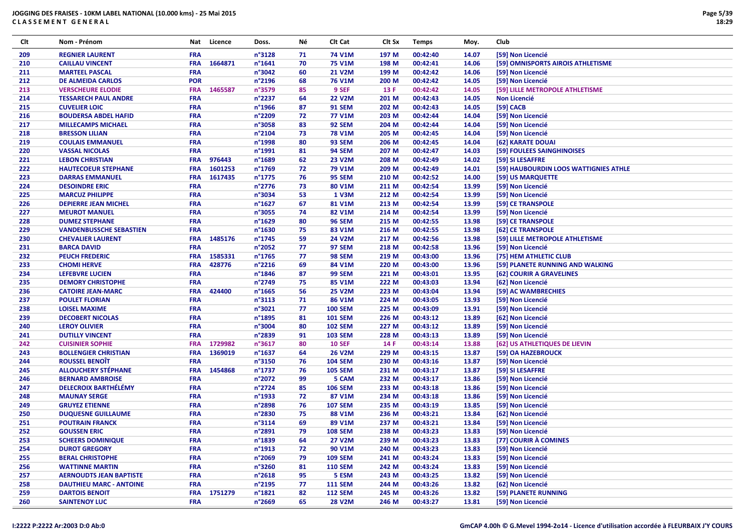| Clt | Nom - Prénom                   |            | Nat Licence | Doss.            | Νé | Clt Cat        | Clt Sx | <b>Temps</b> | Moy.  | Club                                  |
|-----|--------------------------------|------------|-------------|------------------|----|----------------|--------|--------------|-------|---------------------------------------|
| 209 | <b>REGNIER LAURENT</b>         | <b>FRA</b> |             | n°3128           | 71 | <b>74 V1M</b>  | 197 M  | 00:42:40     | 14.07 | [59] Non Licencié                     |
| 210 | <b>CAILLAU VINCENT</b>         | <b>FRA</b> | 1664871     | $n^{\circ}1641$  | 70 | <b>75 V1M</b>  | 198 M  | 00:42:41     | 14.06 | [59] OMNISPORTS AIROIS ATHLETISME     |
| 211 | <b>MARTEEL PASCAL</b>          | <b>FRA</b> |             | n°3042           | 60 | <b>21 V2M</b>  | 199 M  | 00:42:42     | 14.06 | [59] Non Licencié                     |
| 212 | <b>DE ALMEIDA CARLOS</b>       | <b>POR</b> |             | n°2196           | 68 | <b>76 V1M</b>  | 200 M  | 00:42:42     | 14.05 | [59] Non Licencié                     |
| 213 | <b>VERSCHEURE ELODIE</b>       | <b>FRA</b> | 1465587     | n°3579           | 85 | 9 SEF          | 13 F   | 00:42:42     | 14.05 | [59] LILLE METROPOLE ATHLETISME       |
| 214 | <b>TESSARECH PAUL ANDRE</b>    | <b>FRA</b> |             | n°2237           | 64 | <b>22 V2M</b>  | 201 M  | 00:42:43     | 14.05 | Non Licencié                          |
| 215 | <b>CUVELIER LOIC</b>           | <b>FRA</b> |             | $n^{\circ}$ 1966 | 87 | <b>91 SEM</b>  | 202 M  | 00:42:43     | 14.05 | [59] CACB                             |
| 216 | <b>BOUDERSA ABDEL HAFID</b>    | <b>FRA</b> |             | n°2209           | 72 | <b>77 V1M</b>  | 203 M  | 00:42:44     | 14.04 | [59] Non Licencié                     |
| 217 | <b>MILLECAMPS MICHAEL</b>      | <b>FRA</b> |             | n°3058           | 83 | <b>92 SEM</b>  | 204 M  | 00:42:44     | 14.04 | [59] Non Licencié                     |
| 218 | <b>BRESSON LILIAN</b>          | <b>FRA</b> |             | n°2104           | 73 | <b>78 V1M</b>  | 205 M  | 00:42:45     | 14.04 | [59] Non Licencié                     |
| 219 | <b>COULAIS EMMANUEL</b>        | <b>FRA</b> |             | n°1998           | 80 | <b>93 SEM</b>  | 206 M  | 00:42:45     | 14.04 | [62] KARATE DOUAI                     |
| 220 | <b>VASSAL NICOLAS</b>          | <b>FRA</b> |             | n°1991           | 81 | <b>94 SEM</b>  | 207 M  | 00:42:47     | 14.03 | [59] FOULEES SAINGHINOISES            |
| 221 | <b>LEBON CHRISTIAN</b>         | <b>FRA</b> | 976443      | $n^{\circ}$ 1689 | 62 | <b>23 V2M</b>  | 208 M  | 00:42:49     | 14.02 | [59] SI LESAFFRE                      |
| 222 | <b>HAUTECOEUR STEPHANE</b>     | <b>FRA</b> | 1601253     | n°1769           | 72 | <b>79 V1M</b>  | 209 M  | 00:42:49     | 14.01 | [59] HAUBOURDIN LOOS WATTIGNIES ATHLE |
| 223 | <b>DARRAS EMMANUEL</b>         | <b>FRA</b> | 1617435     | $n^{\circ}$ 1775 | 76 | <b>95 SEM</b>  | 210 M  | 00:42:52     | 14.00 | [59] US MARQUETTE                     |
| 224 | <b>DESOINDRE ERIC</b>          | <b>FRA</b> |             | $n^{\circ}$ 2776 | 73 | 80 V1M         | 211 M  | 00:42:54     | 13.99 | [59] Non Licencié                     |
| 225 | <b>MARCUZ PHILIPPE</b>         | <b>FRA</b> |             | n°3034           | 53 | 1 V3M          | 212 M  | 00:42:54     | 13.99 | [59] Non Licencié                     |
| 226 | <b>DEPIERRE JEAN MICHEL</b>    | <b>FRA</b> |             | $n^{\circ}$ 1627 | 67 | 81 V1M         | 213 M  | 00:42:54     | 13.99 | [59] CE TRANSPOLE                     |
| 227 | <b>MEUROT MANUEL</b>           | <b>FRA</b> |             | n°3055           | 74 | 82 V1M         | 214 M  | 00:42:54     | 13.99 | [59] Non Licencié                     |
| 228 | <b>DUMEZ STEPHANE</b>          | <b>FRA</b> |             | n°1629           | 80 | <b>96 SEM</b>  | 215 M  | 00:42:55     | 13.98 | [59] CE TRANSPOLE                     |
| 229 | <b>VANDENBUSSCHE SEBASTIEN</b> | <b>FRA</b> |             | $n^{\circ}$ 1630 | 75 | 83 V1M         | 216 M  | 00:42:55     | 13.98 | [62] CE TRANSPOLE                     |
| 230 | <b>CHEVALIER LAURENT</b>       | <b>FRA</b> | 1485176     | $n^{\circ}$ 1745 | 59 | <b>24 V2M</b>  | 217 M  | 00:42:56     | 13.98 | [59] LILLE METROPOLE ATHLETISME       |
| 231 | <b>BARCA DAVID</b>             | <b>FRA</b> |             | n°2052           | 77 | <b>97 SEM</b>  | 218 M  | 00:42:58     | 13.96 | [59] Non Licencié                     |
| 232 | <b>PEUCH FREDERIC</b>          | <b>FRA</b> | 1585331     | n°1765           | 77 | <b>98 SEM</b>  | 219 M  | 00:43:00     | 13.96 | [75] HEM ATHLETIC CLUB                |
| 233 | <b>CHOMI HERVE</b>             | <b>FRA</b> | 428776      | $n^{\circ}$ 2216 | 69 | 84 V1M         | 220 M  | 00:43:00     | 13.96 | [59] PLANETE RUNNING AND WALKING      |
| 234 | <b>LEFEBVRE LUCIEN</b>         | <b>FRA</b> |             | $n^{\circ}$ 1846 | 87 | <b>99 SEM</b>  | 221 M  | 00:43:01     | 13.95 | [62] COURIR A GRAVELINES              |
| 235 | <b>DEMORY CHRISTOPHE</b>       | <b>FRA</b> |             | n°2749           | 75 | 85 V1M         | 222 M  | 00:43:03     | 13.94 | [62] Non Licencié                     |
| 236 | <b>CATOIRE JEAN-MARC</b>       | <b>FRA</b> | 424400      | $n^{\circ}$ 1665 | 56 | <b>25 V2M</b>  | 223 M  | 00:43:04     | 13.94 | [59] AC WAMBRECHIES                   |
| 237 | <b>POULET FLORIAN</b>          | <b>FRA</b> |             | $n^{\circ}3113$  | 71 | 86 V1M         | 224 M  | 00:43:05     | 13.93 | [59] Non Licencié                     |
| 238 | <b>LOISEL MAXIME</b>           | <b>FRA</b> |             | n°3021           | 77 | <b>100 SEM</b> | 225 M  | 00:43:09     | 13.91 | [59] Non Licencié                     |
| 239 | <b>DECOBERT NICOLAS</b>        | <b>FRA</b> |             | n°1895           | 81 | <b>101 SEM</b> | 226 M  | 00:43:12     | 13.89 | [62] Non Licencié                     |
| 240 | <b>LEROY OLIVIER</b>           | <b>FRA</b> |             | n°3004           | 80 | <b>102 SEM</b> | 227 M  | 00:43:12     | 13.89 | [59] Non Licencié                     |
| 241 | <b>DUTILLY VINCENT</b>         | <b>FRA</b> |             | n°2839           | 91 | <b>103 SEM</b> | 228 M  | 00:43:13     | 13.89 | [59] Non Licencié                     |
| 242 | <b>CUISINIER SOPHIE</b>        | <b>FRA</b> | 1729982     | $n^{\circ}3617$  | 80 | <b>10 SEF</b>  | 14 F   | 00:43:14     | 13.88 | [62] US ATHLETIQUES DE LIEVIN         |
| 243 | <b>BOLLENGIER CHRISTIAN</b>    | <b>FRA</b> | 1369019     | $n^{\circ}$ 1637 | 64 | <b>26 V2M</b>  | 229 M  | 00:43:15     | 13.87 | [59] OA HAZEBROUCK                    |
| 244 | <b>ROUSSEL BENOIT</b>          | <b>FRA</b> |             | n°3150           | 76 | <b>104 SEM</b> | 230 M  | 00:43:16     | 13.87 | [59] Non Licencié                     |
| 245 | <b>ALLOUCHERY STÉPHANE</b>     | <b>FRA</b> | 1454868     | n°1737           | 76 | <b>105 SEM</b> | 231 M  | 00:43:17     | 13.87 | [59] SI LESAFFRE                      |
| 246 | <b>BERNARD AMBROISE</b>        | <b>FRA</b> |             | n°2072           | 99 | 5 CAM          | 232 M  | 00:43:17     | 13.86 | [59] Non Licencié                     |
| 247 | <b>DELECROIX BARTHÉLÉMY</b>    | <b>FRA</b> |             | n°2724           | 85 | <b>106 SEM</b> | 233 M  | 00:43:18     | 13.86 | [59] Non Licencié                     |
| 248 | <b>MAUNAY SERGE</b>            | <b>FRA</b> |             | $n^{\circ}$ 1933 | 72 | 87 V1M         | 234 M  | 00:43:18     | 13.86 | [59] Non Licencié                     |
| 249 | <b>GRUYEZ ETIENNE</b>          | <b>FRA</b> |             | n°2898           | 76 | <b>107 SEM</b> | 235 M  | 00:43:19     | 13.85 | [59] Non Licencié                     |
| 250 | <b>DUQUESNE GUILLAUME</b>      | <b>FRA</b> |             | n°2830           | 75 | 88 V1M         | 236 M  | 00:43:21     | 13.84 | [62] Non Licencié                     |
| 251 | <b>POUTRAIN FRANCK</b>         | <b>FRA</b> |             | $n^{\circ}3114$  | 69 | 89 V1M         | 237 M  | 00:43:21     | 13.84 | [59] Non Licencié                     |
| 252 | <b>GOUSSEN ERIC</b>            | <b>FRA</b> |             | n°2891           | 79 | <b>108 SEM</b> | 238 M  | 00:43:23     | 13.83 | [59] Non Licencié                     |
| 253 | <b>SCHEERS DOMINIQUE</b>       | <b>FRA</b> |             | n°1839           | 64 | 27 V2M         | 239 M  | 00:43:23     | 13.83 | [77] COURIR À COMINES                 |
| 254 | <b>DUROT GREGORY</b>           | <b>FRA</b> |             | n°1913           | 72 | 90 V1M         | 240 M  | 00:43:23     | 13.83 | [59] Non Licencié                     |
| 255 | <b>BERAL CHRISTOPHE</b>        | <b>FRA</b> |             | n°2069           | 79 | <b>109 SEM</b> | 241 M  | 00:43:24     | 13.83 | [59] Non Licencié                     |
| 256 | <b>WATTINNE MARTIN</b>         | <b>FRA</b> |             | $n^{\circ}$ 3260 | 81 | <b>110 SEM</b> | 242 M  | 00:43:24     | 13.83 | [59] Non Licencié                     |
| 257 | <b>AERNOUDTS JEAN BAPTISTE</b> | <b>FRA</b> |             | $n^{\circ}2618$  | 95 | 5 ESM          | 243 M  | 00:43:25     | 13.82 | [59] Non Licencié                     |
| 258 | <b>DAUTHIEU MARC - ANTOINE</b> | <b>FRA</b> |             | n°2195           | 77 | <b>111 SEM</b> | 244 M  | 00:43:26     | 13.82 | [62] Non Licencié                     |
| 259 | <b>DARTOIS BENOIT</b>          | <b>FRA</b> | 1751279     | n°1821           | 82 | <b>112 SEM</b> | 245 M  | 00:43:26     | 13.82 | [59] PLANETE RUNNING                  |
| 260 | <b>SAINTENOY LUC</b>           | <b>FRA</b> |             | $n^{\circ}$ 2669 | 65 | <b>28 V2M</b>  | 246 M  | 00:43:27     | 13.81 | [59] Non Licencié                     |
|     |                                |            |             |                  |    |                |        |              |       |                                       |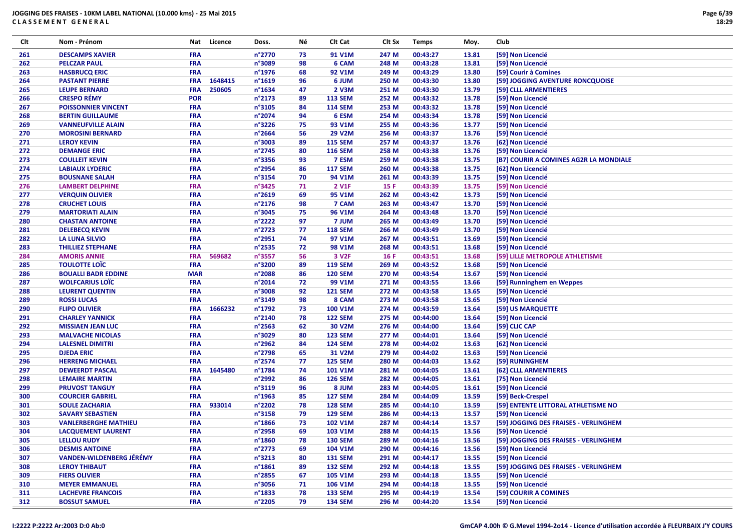| Clt | Nom - Prénom                                             | Nat        | Licence | Doss.            | Νé       | Clt Cat           | CIt Sx | <b>Temps</b>         | Moy.           | Club                                   |
|-----|----------------------------------------------------------|------------|---------|------------------|----------|-------------------|--------|----------------------|----------------|----------------------------------------|
| 261 | <b>DESCAMPS XAVIER</b>                                   | <b>FRA</b> |         | n°2770           | 73       | 91 V1M            | 247 M  | 00:43:27             | 13.81          | [59] Non Licencié                      |
| 262 | <b>PELCZAR PAUL</b>                                      | <b>FRA</b> |         | n°3089           | 98       | 6 CAM             | 248 M  | 00:43:28             | 13.81          | [59] Non Licencié                      |
| 263 | <b>HASBRUCQ ERIC</b>                                     | <b>FRA</b> |         | n°1976           | 68       | 92 V1M            | 249 M  | 00:43:29             | 13.80          | [59] Courir à Comines                  |
| 264 | <b>PASTANT PIERRE</b>                                    | <b>FRA</b> | 1648415 | n°1619           | 96       | 6 JUM             | 250 M  | 00:43:30             | 13.80          | [59] JOGGING AVENTURE RONCQUOISE       |
| 265 | <b>LEUPE BERNARD</b>                                     | <b>FRA</b> | 250605  | n°1634           | 47       | 2 V3M             | 251 M  | 00:43:30             | 13.79          | [59] CLLL ARMENTIERES                  |
| 266 | <b>CRESPO RÉMY</b>                                       | <b>POR</b> |         | n°2173           | 89       | <b>113 SEM</b>    | 252 M  | 00:43:32             | 13.78          | [59] Non Licencié                      |
| 267 | <b>POISSONNIER VINCENT</b>                               | <b>FRA</b> |         | n°3105           | 84       | <b>114 SEM</b>    | 253 M  | 00:43:32             | 13.78          | [59] Non Licencié                      |
| 268 | <b>BERTIN GUILLAUME</b>                                  | <b>FRA</b> |         | n°2074           | 94       | 6 ESM             | 254 M  | 00:43:34             | 13.78          | [59] Non Licencié                      |
| 269 | <b>VANNEUFVILLE ALAIN</b>                                | <b>FRA</b> |         | n°3226           | 75       | 93 V1M            | 255 M  | 00:43:36             | 13.77          | [59] Non Licencié                      |
| 270 | <b>MOROSINI BERNARD</b>                                  | <b>FRA</b> |         | n°2664           | 56       | <b>29 V2M</b>     | 256 M  | 00:43:37             | 13.76          | [59] Non Licencié                      |
| 271 | <b>LEROY KEVIN</b>                                       | <b>FRA</b> |         | n°3003           | 89       | <b>115 SEM</b>    | 257 M  | 00:43:37             | 13.76          | [62] Non Licencié                      |
| 272 | <b>DEMANGE ERIC</b>                                      | <b>FRA</b> |         | n°2745           | 80       | <b>116 SEM</b>    | 258 M  | 00:43:38             | 13.76          | [59] Non Licencié                      |
| 273 | <b>COULLEIT KEVIN</b>                                    | <b>FRA</b> |         | n°3356           | 93       | 7 ESM             | 259 M  | 00:43:38             | 13.75          | [B7] COURIR A COMINES AG2R LA MONDIALE |
| 274 | <b>LABIAUX LYDERIC</b>                                   | <b>FRA</b> |         | n°2954           | 86       | <b>117 SEM</b>    | 260 M  | 00:43:38             | 13.75          | [62] Non Licencié                      |
| 275 | <b>BOUSNANE SALAH</b>                                    | <b>FRA</b> |         | n°3154           | 70       | 94 V1M            | 261 M  | 00:43:39             | 13.75          | [59] Non Licencié                      |
| 276 | <b>LAMBERT DELPHINE</b>                                  | <b>FRA</b> |         | n°3425           | 71       | 2 V1F             | 15 F   | 00:43:39             | 13.75          | [59] Non Licencié                      |
| 277 | <b>VERQUIN OLIVIER</b>                                   | <b>FRA</b> |         | n°2619           | 69       | 95 V1M            | 262 M  | 00:43:42             | 13.73          | [59] Non Licencié                      |
| 278 | <b>CRUCHET LOUIS</b>                                     | <b>FRA</b> |         | $n^{\circ}$ 2176 | 98       | 7 CAM             | 263 M  | 00:43:47             | 13.70          | [59] Non Licencié                      |
| 279 | <b>MARTORIATI ALAIN</b>                                  | <b>FRA</b> |         | n°3045           | 75       | 96 V1M            | 264 M  | 00:43:48             | 13.70          | [59] Non Licencié                      |
| 280 | <b>CHASTAN ANTOINE</b>                                   | <b>FRA</b> |         | n°2222           | 97       | 7 JUM             | 265 M  | 00:43:49             | 13.70          | [59] Non Licencié                      |
| 281 | <b>DELEBECQ KEVIN</b>                                    | <b>FRA</b> |         | $n^{\circ}$ 2723 | 77       | <b>118 SEM</b>    | 266 M  | 00:43:49             | 13.70          | [59] Non Licencié                      |
| 282 | <b>LA LUNA SILVIO</b>                                    | <b>FRA</b> |         | n°2951           | 74       | 97 V1M            | 267 M  | 00:43:51             | 13.69          | [59] Non Licencié                      |
| 283 | <b>THILLIEZ STEPHANE</b>                                 | <b>FRA</b> |         | n°2535           | 72       | 98 V1M            | 268 M  | 00:43:51             | 13.68          | [59] Non Licencié                      |
| 284 | <b>AMORIS ANNIE</b>                                      | <b>FRA</b> | 569682  | n°3557           | 56       | 3 V <sub>2F</sub> | 16 F   | 00:43:51             | 13.68          | [59] LILLE METROPOLE ATHLETISME        |
| 285 | <b>TOULOTTE LOÏC</b>                                     | <b>FRA</b> |         | n°3200           | 89       | <b>119 SEM</b>    | 269 M  | 00:43:52             | 13.68          | [59] Non Licencié                      |
| 286 | <b>BOUALLI BADR EDDINE</b>                               | <b>MAR</b> |         | n°2088           | 86       | <b>120 SEM</b>    | 270 M  | 00:43:54             | 13.67          | [59] Non Licencié                      |
| 287 | <b>WOLFCARIUS LOTE</b>                                   | <b>FRA</b> |         | $n^{\circ}2014$  | 72       | 99 V1M            | 271 M  | 00:43:55             | 13.66          | [59] Runninghem en Weppes              |
| 288 | <b>LEURENT QUENTIN</b>                                   | <b>FRA</b> |         | n°3008           | 92       | <b>121 SEM</b>    | 272 M  | 00:43:58             | 13.65          | [59] Non Licencié                      |
| 289 | <b>ROSSI LUCAS</b>                                       | <b>FRA</b> |         | n°3149           | 98       | 8 CAM             | 273 M  | 00:43:58             | 13.65          | [59] Non Licencié                      |
| 290 | <b>FLIPO OLIVIER</b>                                     | <b>FRA</b> | 1666232 | n°1792           | 73       | 100 V1M           | 274 M  | 00:43:59             | 13.64          | [59] US MARQUETTE                      |
| 291 | <b>CHARLEY YANNICK</b>                                   | <b>FRA</b> |         | n°2140           | 78       | <b>122 SEM</b>    | 275 M  | 00:44:00             | 13.64          | [59] Non Licencié                      |
| 292 | <b>MISSIAEN JEAN LUC</b>                                 | <b>FRA</b> |         | $n^{\circ}$ 2563 | 62       | 30 V2M            | 276 M  | 00:44:00             | 13.64          | [59] CLIC CAP                          |
| 293 | <b>MALVACHE NICOLAS</b>                                  | <b>FRA</b> |         | n°3029           | 80       | <b>123 SEM</b>    | 277 M  | 00:44:01             | 13.64          | [59] Non Licencié                      |
| 294 | <b>LALESNEL DIMITRI</b>                                  | <b>FRA</b> |         | n°2962           | 84       | <b>124 SEM</b>    | 278 M  | 00:44:02             | 13.63          | [62] Non Licencié                      |
| 295 | <b>DJEDA ERIC</b>                                        | <b>FRA</b> |         | n°2798           | 65       | 31 V2M            | 279 M  | 00:44:02             | 13.63          | [59] Non Licencié                      |
| 296 | <b>HERRENG MICHAEL</b>                                   | <b>FRA</b> |         | n°2574           | 77       | <b>125 SEM</b>    | 280 M  | 00:44:03             | 13.62          | [59] RUNINGHEM                         |
| 297 | <b>DEWEERDT PASCAL</b>                                   | <b>FRA</b> | 1645480 | n°1784           | 74       | <b>101 V1M</b>    | 281 M  | 00:44:05             | 13.61          | [62] CLLL ARMENTIERES                  |
| 298 | <b>LEMAIRE MARTIN</b>                                    | <b>FRA</b> |         | n°2992           | 86       | <b>126 SEM</b>    | 282 M  | 00:44:05             | 13.61          | [75] Non Licencié                      |
| 299 | <b>PRUVOST TANGUY</b>                                    | <b>FRA</b> |         | n°3119           | 96       | 8 JUM             | 283 M  | 00:44:05             | 13.61          | [59] Non Licencié                      |
| 300 | <b>COURCIER GABRIEL</b>                                  | <b>FRA</b> |         | $n^{\circ}$ 1963 | 85       | <b>127 SEM</b>    | 284 M  | 00:44:09             | 13.59          | [59] Beck-Crespel                      |
| 301 | <b>SOULE ZACHARIA</b>                                    | <b>FRA</b> | 933014  | n°2202           | 78       | <b>128 SEM</b>    | 285 M  | 00:44:10             | 13.59          | [59] ENTENTE LITTORAL ATHLETISME NO    |
| 302 | <b>SAVARY SEBASTIEN</b>                                  | <b>FRA</b> |         | n°3158           | 79       | <b>129 SEM</b>    | 286 M  | 00:44:13             | 13.57          | [59] Non Licencié                      |
| 303 | <b>VANLERBERGHE MATHIEU</b>                              | <b>FRA</b> |         | $n^{\circ}$ 1866 | 73       | 102 V1M           | 287 M  | 00:44:14             | 13.57          | [59] JOGGING DES FRAISES - VERLINGHEM  |
| 304 | <b>LACQUEMENT LAURENT</b>                                | <b>FRA</b> |         | n°2958           | 69       | 103 V1M           | 288 M  | 00:44:15             | 13.56          | [59] Non Licencié                      |
|     |                                                          |            |         |                  |          |                   |        |                      |                |                                        |
| 305 | <b>LELLOU RUDY</b>                                       | <b>FRA</b> |         | $n^{\circ}$ 1860 | 78       | <b>130 SEM</b>    | 289 M  | 00:44:16             | 13.56          | [59] JOGGING DES FRAISES - VERLINGHEM  |
| 306 | <b>DESMIS ANTOINE</b><br><b>VANDEN-WILDENBERG JÉRÉMY</b> | <b>FRA</b> |         | n°2773<br>n°3213 | 69       | 104 V1M           | 290 M  | 00:44:16             | 13.56<br>13.55 | [59] Non Licencié<br>[59] Non Licencié |
| 307 |                                                          | <b>FRA</b> |         | $n^{\circ}$ 1861 | 80<br>89 | <b>131 SEM</b>    | 291 M  | 00:44:17<br>00:44:18 |                |                                        |
| 308 | <b>LEROY THIBAUT</b>                                     | <b>FRA</b> |         |                  |          | <b>132 SEM</b>    | 292 M  |                      | 13.55          | [59] JOGGING DES FRAISES - VERLINGHEM  |
| 309 | <b>FIERS OLIVIER</b>                                     | <b>FRA</b> |         | n°2855           | 67       | <b>105 V1M</b>    | 293 M  | 00:44:18             | 13.55          | [59] Non Licencié                      |
| 310 | <b>MEYER EMMANUEL</b>                                    | <b>FRA</b> |         | n°3056           | 71       | 106 V1M           | 294 M  | 00:44:18             | 13.55          | [59] Non Licencié                      |
| 311 | <b>LACHEVRE FRANCOIS</b>                                 | <b>FRA</b> |         | n°1833           | 78       | <b>133 SEM</b>    | 295 M  | 00:44:19             | 13.54          | [59] COURIR A COMINES                  |
| 312 | <b>BOSSUT SAMUEL</b>                                     | <b>FRA</b> |         | n°2205           | 79       | <b>134 SEM</b>    | 296 M  | 00:44:20             | 13.54          | [59] Non Licencié                      |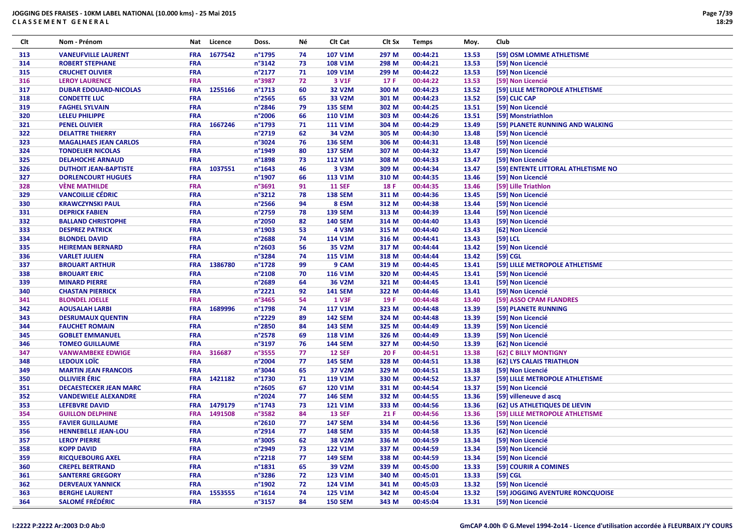| Clt<br>Nom - Prénom<br>Licence<br>Νé<br>Clt Cat<br>Club<br>Nat<br>Doss.<br>CIt Sx<br><b>Temps</b><br>Moy.                                                          |  |
|--------------------------------------------------------------------------------------------------------------------------------------------------------------------|--|
| 1677542<br>n°1795<br>74<br>107 V1M<br>297 M<br>00:44:21<br>13.53<br>313<br><b>VANEUFVILLE LAURENT</b><br><b>FRA</b><br>[59] OSM LOMME ATHLETISME                   |  |
| n°3142<br>73<br><b>ROBERT STEPHANE</b><br><b>FRA</b><br><b>108 V1M</b><br>298 M<br>00:44:21<br>13.53<br>314<br>[59] Non Licencié                                   |  |
| 315<br><b>FRA</b><br>n°2177<br>71<br>109 V1M<br>299 M<br>00:44:22<br>13.53<br>[59] Non Licencié<br><b>CRUCHET OLIVIER</b>                                          |  |
| <b>FRA</b><br>n°3987<br>72<br>3 V1F<br>17 F<br>13.53<br>316<br><b>LEROY LAURENCE</b><br>00:44:22<br>[59] Non Licencié                                              |  |
| 1255166<br><b>FRA</b><br>n°1713<br>60<br><b>32 V2M</b><br>300 M<br>00:44:23<br>13.52<br>[59] LILLE METROPOLE ATHLETISME<br>317<br><b>DUBAR EDOUARD-NICOLAS</b>     |  |
| 318<br><b>FRA</b><br>n°2565<br>65<br>33 V2M<br>00:44:23<br>13.52<br><b>CONDETTE LUC</b><br>301 M<br>[59] CLIC CAP                                                  |  |
| 319<br><b>FRA</b><br>n°2846<br>79<br><b>135 SEM</b><br>00:44:25<br>13.51<br>[59] Non Licencié<br><b>FAGHEL SYLVAIN</b><br>302 M                                    |  |
| <b>FRA</b><br>n°2006<br><b>LELEU PHILIPPE</b><br>66<br><b>110 V1M</b><br>303 M<br>00:44:26<br>13.51<br>[59] Monstriathlon<br>320                                   |  |
| 1667246<br>321<br><b>FRA</b><br>n°1793<br>71<br>13.49<br>[59] PLANETE RUNNING AND WALKING<br><b>PENEL OLIVIER</b><br><b>111 V1M</b><br>304 M<br>00:44:29           |  |
| 322<br><b>FRA</b><br>n°2719<br>62<br>34 V2M<br>305 M<br>00:44:30<br>13.48<br>[59] Non Licencié<br><b>DELATTRE THIERRY</b>                                          |  |
| 323<br><b>FRA</b><br>n°3024<br>76<br><b>136 SEM</b><br>306 M<br>13.48<br><b>MAGALHAES JEAN CARLOS</b><br>00:44:31<br>[59] Non Licencié                             |  |
| 324<br><b>TONDELIER NICOLAS</b><br><b>FRA</b><br>n°1949<br>80<br><b>137 SEM</b><br>00:44:32<br>13.47<br>[59] Non Licencié<br>307 M                                 |  |
| 73<br><b>FRA</b><br>n°1898<br><b>112 V1M</b><br>308 M<br>00:44:33<br>13.47<br>[59] Non Licencié<br>325<br><b>DELAHOCHE ARNAUD</b>                                  |  |
| 326<br><b>FRA</b><br>1037551<br>n°1643<br>46<br>3 V3M<br>309 M<br>00:44:34<br>13.47<br>[59] ENTENTE LITTORAL ATHLETISME NO<br><b>DUTHOIT JEAN-BAPTISTE</b>         |  |
| <b>FRA</b><br>n°1907<br>66<br>13.46<br>327<br><b>DORLENCOURT HUGUES</b><br><b>113 V1M</b><br>310 M<br>00:44:35<br>[59] Non Licencié                                |  |
| 328<br><b>VÈNE MATHILDE</b><br><b>FRA</b><br>n°3691<br>91<br><b>11 SEF</b><br>13.46<br>[59] Lille Triathlon<br>18 F                                                |  |
| 00:44:35<br>329<br><b>VANCOILLIE CÉDRIC</b><br>n°3212<br>78<br><b>138 SEM</b><br>311 M<br>00:44:36<br>13.45                                                        |  |
| <b>FRA</b><br>[59] Non Licencié<br>FRA<br>n°2566                                                                                                                   |  |
| 94<br>8 ESM<br>13.44<br>330<br><b>KRAWCZYNSKI PAUL</b><br>312 M<br>00:44:38<br>[59] Non Licencié                                                                   |  |
| FRA<br>n°2759<br>78<br><b>139 SEM</b><br>313 M<br>00:44:39<br>13.44<br>331<br><b>DEPRICK FABIEN</b><br>[59] Non Licencié                                           |  |
| 332<br><b>FRA</b><br>n°2050<br>82<br><b>140 SEM</b><br>13.43<br>[59] Non Licencié<br><b>BALLAND CHRISTOPHE</b><br>314 M<br>00:44:40                                |  |
| 333<br><b>DESPREZ PATRICK</b><br><b>FRA</b><br>n°1903<br>53<br>4 V3M<br>315 M<br>13.43<br>[62] Non Licencié<br>00:44:40                                            |  |
| <b>FRA</b><br>n°2688<br>74<br>114 V1M<br>316 M<br>13.43<br>$[59]$ LCL<br>334<br><b>BLONDEL DAVID</b><br>00:44:41                                                   |  |
| 335<br><b>FRA</b><br>n°2603<br>56<br>35 V2M<br>13.42<br>[59] Non Licencié<br><b>HEIREMAN BERNARD</b><br>317 M<br>00:44:44                                          |  |
| n°3284<br>336<br><b>VARLET JULIEN</b><br><b>FRA</b><br>74<br><b>115 V1M</b><br>318 M<br>00:44:44<br>13.42<br>$[59]$ CGL                                            |  |
| 1386780<br>n°1728<br>337<br><b>FRA</b><br>99<br>9 CAM<br>319 M<br>13.41<br>[59] LILLE METROPOLE ATHLETISME<br><b>BROUART ARTHUR</b><br>00:44:45                    |  |
| 338<br><b>FRA</b><br>n°2108<br>70<br>00:44:45<br>13.41<br>[59] Non Licencié<br><b>BROUART ERIC</b><br><b>116 V1M</b><br>320 M                                      |  |
| 339<br><b>FRA</b><br>n°2689<br>64<br>36 V2M<br>13.41<br><b>MINARD PIERRE</b><br>321 M<br>00:44:45<br>[59] Non Licencié                                             |  |
| n°2221<br>340<br><b>CHASTAN PIERRICK</b><br><b>FRA</b><br>92<br><b>141 SEM</b><br>322 M<br>00:44:46<br>13.41<br>[59] Non Licencié                                  |  |
| <b>FRA</b><br>n°3465<br>54<br><b>1 V3F</b><br>19 F<br>00:44:48<br>13.40<br>341<br><b>BLONDEL JOELLE</b><br>[59] ASSO CPAM FLANDRES                                 |  |
| n°1798<br><b>FRA</b><br>1689996<br>74<br><b>117 V1M</b><br>323 M<br>00:44:48<br>13.39<br>[59] PLANETE RUNNING<br>342<br><b>AOUSALAH LARBI</b>                      |  |
| 343<br><b>FRA</b><br>n°2229<br>89<br><b>142 SEM</b><br>324 M<br>13.39<br><b>DESRUMAUX QUENTIN</b><br>00:44:48<br>[59] Non Licencié                                 |  |
| FRA<br>n°2850<br><b>143 SEM</b><br>13.39<br>344<br><b>FAUCHET ROMAIN</b><br>84<br>325 M<br>00:44:49<br>[59] Non Licencié                                           |  |
| FRA<br>n°2578<br>345<br>69<br><b>118 V1M</b><br>326 M<br>00:44:49<br>13.39<br>[59] Non Licencié<br><b>GOBLET EMMANUEL</b>                                          |  |
| 346<br><b>FRA</b><br>n°3197<br>76<br>13.39<br><b>TOMEO GUILLAUME</b><br><b>144 SEM</b><br>327 M<br>00:44:50<br>[62] Non Licencié                                   |  |
| <b>FRA</b><br>316687<br>n°3555<br>77<br><b>12 SEF</b><br>20F<br>00:44:51<br>13.38<br>[62] C BILLY MONTIGNY<br>347<br><b>VANWAMBEKE EDWIGE</b>                      |  |
| FRA<br>LEDOUX LOIC<br>n°2004<br>77<br><b>145 SEM</b><br>328 M<br>13.38<br>348<br>00:44:51<br>[62] LYS CALAIS TRIATHLON                                             |  |
| 349<br><b>MARTIN JEAN FRANCOIS</b><br><b>FRA</b><br>n°3044<br>65<br>37 V2M<br>329 M<br>00:44:51<br>13.38<br>[59] Non Licencié                                      |  |
| <b>OLLIVIER ÉRIC</b><br><b>FRA</b><br>1421182<br>n°1730<br>71<br>13.37<br>350<br><b>119 V1M</b><br>330 M<br>00:44:52<br>[59] LILLE METROPOLE ATHLETISME            |  |
| <b>FRA</b><br>351<br>n°2605<br>67<br><b>120 V1M</b><br>00:44:54<br>13.37<br><b>DECAESTECKER JEAN MARC</b><br>331 M<br>[59] Non Licencié                            |  |
| <b>FRA</b><br>n°2024<br>77<br>13.36<br>352<br><b>VANDEWIELE ALEXANDRE</b><br><b>146 SEM</b><br>332 M<br>00:44:55<br>[59] villeneuve d ascq                         |  |
| n°1743<br>73<br><b>LEFEBVRE DAVID</b><br><b>FRA</b><br>1479179<br><b>121 V1M</b><br>13.36<br>353<br>333 M<br>00:44:56<br>[62] US ATHLETIQUES DE LIEVIN             |  |
| 354<br><b>FRA</b><br>1491508<br>n°3582<br>84<br><b>13 SEF</b><br>00:44:56<br>13.36<br><b>GUILLON DELPHINE</b><br>21 F<br>[59] LILLE METROPOLE ATHLETISME           |  |
| 355<br><b>FRA</b><br>n°2610<br>77<br><b>147 SEM</b><br>334 M<br>13.36<br>00:44:56<br>[59] Non Licencié<br><b>FAVIER GUILLAUME</b>                                  |  |
| 77<br>356<br><b>FRA</b><br>n°2914<br><b>148 SEM</b><br>335 M<br>00:44:58<br>13.35<br><b>HENNEBELLE JEAN-LOU</b><br>[62] Non Licencié                               |  |
| <b>FRA</b><br>n°3005<br>38 V2M<br>00:44:59<br>13.34<br>[59] Non Licencié<br>357<br><b>LEROY PIERRE</b><br>62<br>336 M                                              |  |
| 358<br><b>KOPP DAVID</b><br><b>FRA</b><br>n°2949<br>73<br><b>122 V1M</b><br>337 M<br>00:44:59<br>13.34<br>[59] Non Licencié                                        |  |
| <b>FRA</b><br>$n^{\circ}$ 2218<br>77<br>00:44:59<br>[59] Non Licencié<br>359<br><b>RICQUEBOURG AXEL</b><br><b>149 SEM</b><br>338 M<br>13.34                        |  |
| <b>CREPEL BERTRAND</b><br><b>FRA</b><br>n°1831<br>65<br>39 V2M<br>00:45:00<br>13.33<br>[59] COURIR A COMINES<br>360<br>339 M                                       |  |
| 72<br>[59] CGL<br><b>SANTERRE GREGORY</b><br><b>FRA</b><br>n°3286<br>123 V1M<br>340 M<br>00:45:01<br>13.33<br>361                                                  |  |
| <b>FRA</b><br>n°1902<br>72<br>13.32<br>[59] Non Licencié<br>362<br><b>DERVEAUX YANNICK</b><br>124 V1M<br>341 M<br>00:45:03                                         |  |
| <b>BERGHE LAURENT</b><br><b>FRA</b><br>1553555<br>$n^{\circ}1614$<br>74<br><b>125 V1M</b><br>00:45:04<br>13.32<br>[59] JOGGING AVENTURE RONCQUOISE<br>363<br>342 M |  |
| <b>SALOMÉ FRÉDÉRIC</b><br>84<br>364<br><b>FRA</b><br>n°3157<br><b>150 SEM</b><br>343 M<br>00:45:04<br>13.31<br>[59] Non Licencié                                   |  |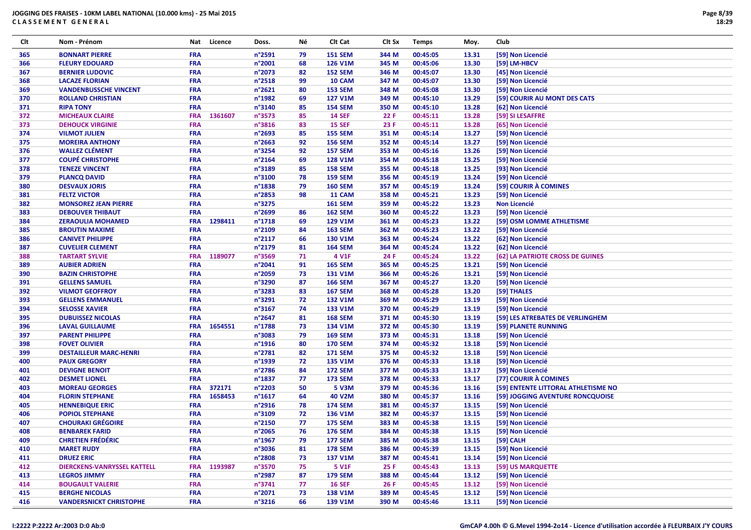| Clt | Nom - Prénom                       | Nat        | Licence | Doss.            | Νé | Clt Cat        | Clt Sx | <b>Temps</b> | Moy.  | Club                                |
|-----|------------------------------------|------------|---------|------------------|----|----------------|--------|--------------|-------|-------------------------------------|
| 365 | <b>BONNART PIERRE</b>              | <b>FRA</b> |         | n°2591           | 79 | <b>151 SEM</b> | 344 M  | 00:45:05     | 13.31 | [59] Non Licencié                   |
| 366 | <b>FLEURY EDOUARD</b>              | <b>FRA</b> |         | n°2001           | 68 | 126 V1M        | 345 M  | 00:45:06     | 13.30 | [59] LM-HBCV                        |
| 367 | <b>BERNIER LUDOVIC</b>             | <b>FRA</b> |         | n°2073           | 82 | <b>152 SEM</b> | 346 M  | 00:45:07     | 13.30 | [45] Non Licencié                   |
| 368 | <b>LACAZE FLORIAN</b>              | FRA        |         | $n^{\circ}2518$  | 99 | 10 CAM         | 347 M  | 00:45:07     | 13.30 | [59] Non Licencié                   |
| 369 | <b>VANDENBUSSCHE VINCENT</b>       | <b>FRA</b> |         | n°2621           | 80 | <b>153 SEM</b> | 348 M  | 00:45:08     | 13.30 | [59] Non Licencié                   |
| 370 | <b>ROLLAND CHRISTIAN</b>           | <b>FRA</b> |         | n°1982           | 69 | <b>127 V1M</b> | 349 M  | 00:45:10     | 13.29 | [59] COURIR AU MONT DES CATS        |
| 371 | <b>RIPA TONY</b>                   | <b>FRA</b> |         | n°3140           | 85 | <b>154 SEM</b> | 350 M  | 00:45:10     | 13.28 | [62] Non Licencié                   |
| 372 | <b>MICHEAUX CLAIRE</b>             | <b>FRA</b> | 1361607 | n°3573           | 85 | <b>14 SEF</b>  | 22 F   | 00:45:11     | 13.28 | [59] SI LESAFFRE                    |
| 373 | <b>DEHOUCK VIRGINIE</b>            | <b>FRA</b> |         | n°3816           | 83 | <b>15 SEF</b>  | 23 F   | 00:45:11     | 13.28 | [65] Non Licencié                   |
| 374 | <b>VILMOT JULIEN</b>               | <b>FRA</b> |         | n°2693           | 85 | <b>155 SEM</b> | 351 M  | 00:45:14     | 13.27 | [59] Non Licencié                   |
| 375 | <b>MOREIRA ANTHONY</b>             | <b>FRA</b> |         | n°2663           | 92 | <b>156 SEM</b> | 352 M  | 00:45:14     | 13.27 | [59] Non Licencié                   |
| 376 | <b>WALLEZ CLÉMENT</b>              | <b>FRA</b> |         | n°3254           | 92 | <b>157 SEM</b> | 353 M  | 00:45:16     | 13.26 | [59] Non Licencié                   |
| 377 | <b>COUPÉ CHRISTOPHE</b>            | <b>FRA</b> |         | n°2164           | 69 | <b>128 V1M</b> | 354 M  | 00:45:18     | 13.25 | [59] Non Licencié                   |
| 378 | <b>TENEZE VINCENT</b>              | FRA        |         | n°3189           | 85 | <b>158 SEM</b> | 355 M  | 00:45:18     | 13.25 | [93] Non Licencié                   |
| 379 | <b>PLANCQ DAVID</b>                | FRA        |         | n°3100           | 78 | <b>159 SEM</b> | 356 M  | 00:45:19     | 13.24 | [59] Non Licencié                   |
| 380 | <b>DESVAUX JORIS</b>               | <b>FRA</b> |         | n°1838           | 79 | <b>160 SEM</b> | 357 M  | 00:45:19     | 13.24 | [59] COURIR À COMINES               |
| 381 | <b>FELTZ VICTOR</b>                | <b>FRA</b> |         | n°2853           | 98 | 11 CAM         | 358 M  | 00:45:21     | 13.23 | [59] Non Licencié                   |
| 382 | <b>MONSOREZ JEAN PIERRE</b>        | <b>FRA</b> |         | n°3275           |    | <b>161 SEM</b> | 359 M  | 00:45:22     | 13.23 | <b>Non Licencié</b>                 |
| 383 | <b>DEBOUVER THIBAUT</b>            | <b>FRA</b> |         | n°2699           | 86 | <b>162 SEM</b> | 360 M  | 00:45:22     | 13.23 | [59] Non Licencié                   |
| 384 | <b>ZERAOULIA MOHAMED</b>           | <b>FRA</b> | 1298411 | n°1718           | 69 | 129 V1M        | 361 M  | 00:45:23     | 13.22 | [59] OSM LOMME ATHLETISME           |
| 385 | <b>BROUTIN MAXIME</b>              | <b>FRA</b> |         | n°2109           | 84 | <b>163 SEM</b> | 362 M  | 00:45:23     | 13.22 | [59] Non Licencié                   |
| 386 | <b>CANIVET PHILIPPE</b>            | <b>FRA</b> |         | $n^{\circ}2117$  | 66 | <b>130 V1M</b> | 363 M  | 00:45:24     | 13.22 | [62] Non Licencié                   |
| 387 | <b>CUVELIER CLEMENT</b>            | <b>FRA</b> |         | n°2179           | 81 | <b>164 SEM</b> | 364 M  | 00:45:24     | 13.22 | [62] Non Licencié                   |
| 388 | <b>TARTART SYLVIE</b>              | <b>FRA</b> | 1189077 | n°3569           | 71 | 4 V1F          | 24 F   | 00:45:24     | 13.22 | [62] LA PATRIOTE CROSS DE GUINES    |
| 389 | <b>AUBIER ADRIEN</b>               | <b>FRA</b> |         | n°2041           | 91 | <b>165 SEM</b> | 365 M  | 00:45:25     | 13.21 | [59] Non Licencié                   |
| 390 | <b>BAZIN CHRISTOPHE</b>            | <b>FRA</b> |         | n°2059           | 73 | <b>131 V1M</b> | 366 M  | 00:45:26     | 13.21 | [59] Non Licencié                   |
| 391 | <b>GELLENS SAMUEL</b>              | <b>FRA</b> |         | n°3290           | 87 | <b>166 SEM</b> | 367 M  | 00:45:27     | 13.20 | [59] Non Licencié                   |
| 392 | <b>VILMOT GEOFFROY</b>             | FRA        |         | n°3283           | 83 | <b>167 SEM</b> | 368 M  | 00:45:28     | 13.20 | [59] THALES                         |
| 393 | <b>GELLENS EMMANUEL</b>            | <b>FRA</b> |         | n°3291           | 72 | 132 V1M        | 369 M  | 00:45:29     | 13.19 | [59] Non Licencié                   |
| 394 | <b>SELOSSE XAVIER</b>              | <b>FRA</b> |         | n°3167           | 74 | 133 V1M        | 370 M  | 00:45:29     | 13.19 | [59] Non Licencié                   |
| 395 | <b>DUBUISSEZ NICOLAS</b>           | <b>FRA</b> |         | n°2647           | 81 | <b>168 SEM</b> | 371 M  | 00:45:30     | 13.19 | [59] LES ATREBATES DE VERLINGHEM    |
| 396 | <b>LAVAL GUILLAUME</b>             | <b>FRA</b> | 1654551 | n°1788           | 73 | 134 V1M        | 372 M  | 00:45:30     | 13.19 | [59] PLANETE RUNNING                |
| 397 | <b>PARENT PHILIPPE</b>             | <b>FRA</b> |         | n°3083           | 79 | <b>169 SEM</b> | 373 M  | 00:45:31     | 13.18 | [59] Non Licencié                   |
| 398 | <b>FOVET OLIVIER</b>               | <b>FRA</b> |         | $n^{\circ}$ 1916 | 80 | <b>170 SEM</b> | 374 M  | 00:45:32     | 13.18 | [59] Non Licencié                   |
| 399 | <b>DESTAILLEUR MARC-HENRI</b>      | <b>FRA</b> |         | n°2781           | 82 | <b>171 SEM</b> | 375 M  | 00:45:32     | 13.18 | [59] Non Licencié                   |
| 400 | <b>PAUX GREGORY</b>                | <b>FRA</b> |         | n°1939           | 72 | <b>135 V1M</b> | 376 M  | 00:45:33     | 13.18 | [59] Non Licencié                   |
| 401 | <b>DEVIGNE BENOIT</b>              | <b>FRA</b> |         | n°2786           | 84 | <b>172 SEM</b> | 377 M  | 00:45:33     | 13.17 | [59] Non Licencié                   |
| 402 | <b>DESMET LIONEL</b>               | <b>FRA</b> |         | n°1837           | 77 | <b>173 SEM</b> | 378 M  | 00:45:33     | 13.17 | [77] COURIR À COMINES               |
| 403 | <b>MOREAU GEORGES</b>              | <b>FRA</b> | 372171  | n°2203           | 50 | 5 V3M          | 379 M  | 00:45:36     | 13.16 | [59] ENTENTE LITTORAL ATHLETISME NO |
| 404 | <b>FLORIN STEPHANE</b>             | <b>FRA</b> | 1658453 | $n^{\circ}$ 1617 | 64 | 40 V2M         | 380 M  | 00:45:37     | 13.16 | [59] JOGGING AVENTURE RONCQUOISE    |
| 405 | <b>HENNEBIQUE ERIC</b>             | <b>FRA</b> |         | n°2916           | 78 | <b>174 SEM</b> | 381 M  | 00:45:37     | 13.15 | [59] Non Licencié                   |
| 406 | <b>POPIOL STEPHANE</b>             | FRA        |         | n°3109           | 72 | 136 V1M        | 382 M  | 00:45:37     | 13.15 | [59] Non Licencié                   |
| 407 | <b>CHOURAKI GRÉGOIRE</b>           | <b>FRA</b> |         | n°2150           | 77 | <b>175 SEM</b> | 383 M  | 00:45:38     | 13.15 | [59] Non Licencié                   |
| 408 | <b>BENBAREK FARID</b>              | <b>FRA</b> |         | n°2065           | 76 | <b>176 SEM</b> | 384 M  | 00:45:38     | 13.15 | [59] Non Licencié                   |
| 409 | <b>CHRETIEN FRÉDÉRIC</b>           | <b>FRA</b> |         | n°1967           | 79 | <b>177 SEM</b> | 385 M  | 00:45:38     | 13.15 | [59] CALH                           |
| 410 | <b>MARET RUDY</b>                  | <b>FRA</b> |         | n°3036           | 81 | <b>178 SEM</b> | 386 M  | 00:45:39     | 13.15 | [59] Non Licencié                   |
| 411 | <b>DRUEZ ERIC</b>                  | <b>FRA</b> |         | n°2808           | 73 | <b>137 V1M</b> | 387 M  | 00:45:41     | 13.14 | [59] Non Licencié                   |
| 412 | <b>DIERCKENS-VANRYSSEL KATTELL</b> | <b>FRA</b> | 1193987 | n°3570           | 75 | 5 V1F          | 25 F   | 00:45:43     | 13.13 | [59] US MARQUETTE                   |
| 413 | <b>LEGROS JIMMY</b>                | <b>FRA</b> |         | n°2987           | 87 | <b>179 SEM</b> | 388 M  | 00:45:44     | 13.12 | [59] Non Licencié                   |
| 414 | <b>BOUGAULT VALERIE</b>            | <b>FRA</b> |         | $n^{\circ}3741$  | 77 | <b>16 SEF</b>  | 26 F   | 00:45:45     | 13.12 | [59] Non Licencié                   |
| 415 | <b>BERGHE NICOLAS</b>              | <b>FRA</b> |         | n°2071           | 73 | 138 V1M        | 389 M  | 00:45:45     | 13.12 | [59] Non Licencié                   |
| 416 | <b>VANDERSNICKT CHRISTOPHE</b>     | <b>FRA</b> |         | $n^{\circ}3216$  | 66 | 139 V1M        | 390 M  | 00:45:46     | 13.11 | [59] Non Licencié                   |
|     |                                    |            |         |                  |    |                |        |              |       |                                     |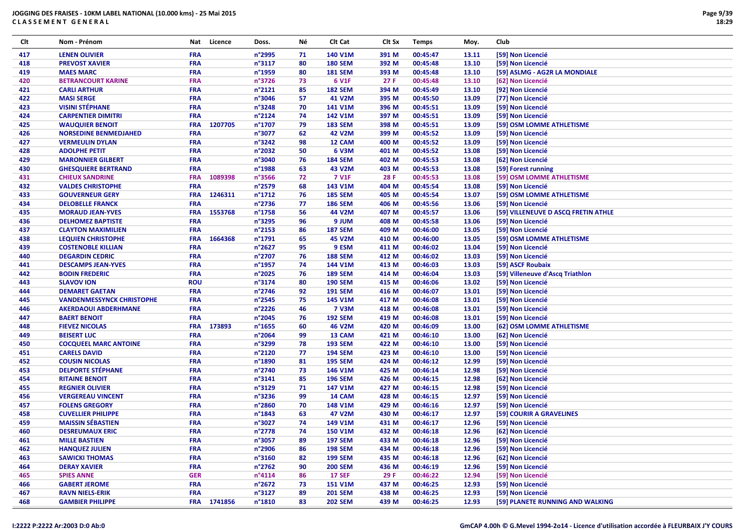| Clt        | Nom - Prénom                                                    | Nat                      | Licence     | Doss.                      | Νé       | Clt Cat                 | Clt Sx         | <b>Temps</b>         | Moy.           | Club                                   |
|------------|-----------------------------------------------------------------|--------------------------|-------------|----------------------------|----------|-------------------------|----------------|----------------------|----------------|----------------------------------------|
| 417        | <b>LENEN OLIVIER</b>                                            | <b>FRA</b>               |             | n°2995                     | 71       | 140 V1M                 | 391 M          | 00:45:47             | 13.11          | [59] Non Licencié                      |
| 418        | <b>PREVOST XAVIER</b>                                           | <b>FRA</b>               |             | n°3117                     | 80       | <b>180 SEM</b>          | 392 M          | 00:45:48             | 13.10          | [59] Non Licencié                      |
| 419        | <b>MAES MARC</b>                                                | <b>FRA</b>               |             | n°1959                     | 80       | <b>181 SEM</b>          | 393 M          | 00:45:48             | 13.10          | [59] ASLMG - AG2R LA MONDIALE          |
| 420        | <b>BETRANCOURT KARINE</b>                                       | <b>FRA</b>               |             | n°3726                     | 73       | 6 V1F                   | 27F            | 00:45:48             | 13.10          | [62] Non Licencié                      |
| 421        | <b>CARLI ARTHUR</b>                                             | <b>FRA</b>               |             | n°2121                     | 85       | <b>182 SEM</b>          | 394 M          | 00:45:49             | 13.10          | [92] Non Licencié                      |
| 422        | <b>MASI SERGE</b>                                               | <b>FRA</b>               |             | n°3046                     | 57       | 41 V2M                  | 395 M          | 00:45:50             | 13.09          | [77] Non Licencié                      |
| 423        | <b>VISINI STÉPHANE</b>                                          | <b>FRA</b>               |             | n°3248                     | 70       | 141 V1M                 | 396 M          | 00:45:51             | 13.09          | [59] Non Licencié                      |
| 424        | <b>CARPENTIER DIMITRI</b>                                       | <b>FRA</b>               |             | n°2124                     | 74       | 142 V1M                 | 397 M          | 00:45:51             | 13.09          | [59] Non Licencié                      |
| 425        | <b>WAUQUIER BENOIT</b>                                          | <b>FRA</b>               | 1207705     | n°1707                     | 79       | <b>183 SEM</b>          | 398 M          | 00:45:51             | 13.09          | [59] OSM LOMME ATHLETISME              |
| 426        | <b>NORSEDINE BENMEDJAHED</b>                                    | <b>FRA</b>               |             | n°3077                     | 62       | 42 V2M                  | 399 M          | 00:45:52             | 13.09          | [59] Non Licencié                      |
| 427        | <b>VERMEULIN DYLAN</b>                                          | <b>FRA</b>               |             | n°3242                     | 98       | 12 CAM                  | 400 M          | 00:45:52             | 13.09          | [59] Non Licencié                      |
| 428        | <b>ADOLPHE PETIT</b>                                            | <b>FRA</b>               |             | n°2032                     | 50       | 6 V3M                   | 401 M          | 00:45:52             | 13.08          | [59] Non Licencié                      |
| 429        | <b>MARONNIER GILBERT</b>                                        | <b>FRA</b>               |             | n°3040                     | 76       | <b>184 SEM</b>          | 402 M          | 00:45:53             | 13.08          | [62] Non Licencié                      |
| 430        | <b>GHESQUIERE BERTRAND</b>                                      | <b>FRA</b>               |             | n°1988                     | 63       | 43 V2M                  | 403 M          | 00:45:53             | 13.08          | [59] Forest running                    |
| 431        | <b>CHIEUX SANDRINE</b>                                          | <b>FRA</b>               | 1089398     | n°3566                     | 72       | <b>7 V1F</b>            | 28 F           | 00:45:53             | 13.08          | [59] OSM LOMME ATHLETISME              |
| 432        | <b>VALDES CHRISTOPHE</b>                                        | <b>FRA</b>               |             | n°2579                     | 68       | 143 V1M                 | 404 M          | 00:45:54             | 13.08          | [59] Non Licencié                      |
| 433        | <b>GOUVERNEUR GERY</b>                                          | <b>FRA</b>               | 1246311     | n°1712                     | 76       | <b>185 SEM</b>          | 405 M          | 00:45:54             | 13.07          | [59] OSM LOMME ATHLETISME              |
| 434        | <b>DELOBELLE FRANCK</b>                                         | <b>FRA</b>               |             | n°2736                     | 77       | <b>186 SEM</b>          | 406 M          | 00:45:56             | 13.06          | [59] Non Licencié                      |
| 435        | <b>MORAUD JEAN-YVES</b>                                         | <b>FRA</b>               | 1553768     | n°1758                     | 56       | 44 V2M                  | 407 M          | 00:45:57             | 13.06          | [59] VILLENEUVE D ASCQ FRETIN ATHLE    |
| 436        | <b>DELHOMEZ BAPTISTE</b>                                        | <b>FRA</b>               |             | n°3295                     | 96       | 9 JUM                   | 408 M          | 00:45:58             | 13.06          | [59] Non Licencié                      |
| 437        | <b>CLAYTON MAXIMILIEN</b>                                       | <b>FRA</b>               |             | n°2153                     | 86       | <b>187 SEM</b>          | 409 M          | 00:46:00             | 13.05          | [59] Non Licencié                      |
| 438        | <b>LEQUIEN CHRISTOPHE</b>                                       | <b>FRA</b>               | 1664368     | n°1791                     | 65       | 45 V2M                  | 410 M          | 00:46:00             | 13.05          | [59] OSM LOMME ATHLETISME              |
| 439        | <b>COSTENOBLE KILLIAN</b>                                       | <b>FRA</b>               |             | n°2627                     | 95       | 9 ESM                   | 411 M          | 00:46:02             | 13.04          | [59] Non Licencié                      |
| 440        | <b>DEGARDIN CEDRIC</b>                                          | <b>FRA</b>               |             | n°2707                     | 76       | <b>188 SEM</b>          | 412 M          | 00:46:02             | 13.03          | [59] Non Licencié                      |
|            |                                                                 |                          |             | n°1957                     | 74       | 144 V1M                 | 413 M          |                      |                | [59] ASCF Roubaix                      |
| 441        | <b>DESCAMPS JEAN-YVES</b><br><b>BODIN FREDERIC</b>              | <b>FRA</b>               |             | n°2025                     | 76       | <b>189 SEM</b>          | 414 M          | 00:46:03             | 13.03          |                                        |
| 442        |                                                                 | <b>FRA</b>               |             |                            |          |                         | 415 M          | 00:46:04             | 13.03          | [59] Villeneuve d'Ascq Triathlon       |
| 443        | <b>SLAVOV ION</b>                                               | <b>ROU</b>               |             | n°3174                     | 80       | <b>190 SEM</b>          |                | 00:46:06             | 13.02          | [59] Non Licencié                      |
| 444        | <b>DEMARET GAETAN</b>                                           | <b>FRA</b>               |             | n°2746                     | 92       | <b>191 SEM</b>          | 416 M          | 00:46:07             | 13.01          | [59] Non Licencié                      |
| 445<br>446 | <b>VANDENMESSYNCK CHRISTOPHE</b><br><b>AKERDAOUI ABDERHMANE</b> | <b>FRA</b><br><b>FRA</b> |             | $n^{\circ}$ 2545<br>n°2226 | 75<br>46 | 145 V1M<br><b>7 V3M</b> | 417 M<br>418 M | 00:46:08<br>00:46:08 | 13.01<br>13.01 | [59] Non Licencié<br>[59] Non Licencié |
| 447        | <b>BAERT BENOIT</b>                                             | <b>FRA</b>               |             | n°2045                     | 76       | <b>192 SEM</b>          | 419 M          | 00:46:08             | 13.01          | [59] Non Licencié                      |
|            | <b>FIEVEZ NICOLAS</b>                                           |                          |             |                            |          | 46 V2M                  |                |                      |                |                                        |
| 448        | <b>BEISERT LUC</b>                                              | <b>FRA</b>               | FRA 173893  | $n^{\circ}$ 1655<br>n°2064 | 60<br>99 | 13 CAM                  | 420 M<br>421 M | 00:46:09<br>00:46:10 | 13.00<br>13.00 | [62] OSM LOMME ATHLETISME              |
| 449        |                                                                 |                          |             | n°3299                     | 78       | <b>193 SEM</b>          | 422 M          |                      | 13.00          | [62] Non Licencié                      |
| 450        | <b>COCQUEEL MARC ANTOINE</b><br><b>CARELS DAVID</b>             | <b>FRA</b>               |             |                            |          |                         |                | 00:46:10             |                | [59] Non Licencié                      |
| 451        |                                                                 | <b>FRA</b><br><b>FRA</b> |             | n°2120                     | 77       | <b>194 SEM</b>          | 423 M          | 00:46:10             | 13.00          | [59] Non Licencié                      |
| 452        | <b>COUSIN NICOLAS</b><br><b>DELPORTE STÉPHANE</b>               |                          |             | n°1890<br>n°2740           | 81       | <b>195 SEM</b>          | 424 M          | 00:46:12             | 12.99          | [59] Non Licencié                      |
| 453        |                                                                 | <b>FRA</b>               |             |                            | 73<br>85 | 146 V1M                 | 425 M          | 00:46:14             | 12.98          | [59] Non Licencié                      |
| 454        | <b>RITAINE BENOIT</b>                                           | <b>FRA</b>               |             | $n^{\circ}3141$<br>n°3129  |          | <b>196 SEM</b>          | 426 M          | 00:46:15             | 12.98          | [62] Non Licencié<br>[59] Non Licencié |
| 455        | <b>REGNIER OLIVIER</b><br><b>VERGEREAU VINCENT</b>              | <b>FRA</b>               |             |                            | 71<br>99 | 147 V1M                 | 427 M          | 00:46:15             | 12.98          | [59] Non Licencié                      |
| 456        |                                                                 | <b>FRA</b>               |             | n°3236                     |          | 14 CAM                  | 428 M          | 00:46:15             | 12.97          |                                        |
| 457        | <b>FOLENS GREGORY</b>                                           | <b>FRA</b>               |             | n°2860                     | 70       | 148 V1M                 | 429 M          | 00:46:16             | 12.97          | [59] Non Licencié                      |
| 458        | <b>CUVELLIER PHILIPPE</b>                                       | <b>FRA</b>               |             | $n^{\circ}$ 1843           | 63       | 47 V2M                  | 430 M          | 00:46:17             | 12.97          | [59] COURIR A GRAVELINES               |
| 459        | <b>MAISSIN SÉBASTIEN</b>                                        | <b>FRA</b>               |             | n°3027                     | 74       | 149 V1M                 | 431 M          | 00:46:17             | 12.96          | [59] Non Licencié                      |
| 460        | <b>DESREUMAUX ERIC</b>                                          | <b>FRA</b>               |             | n°2778                     | 74       | <b>150 V1M</b>          | 432 M          | 00:46:18             | 12.96          | [62] Non Licencié                      |
| 461        | <b>MILLE BASTIEN</b>                                            | <b>FRA</b>               |             | n°3057                     | 89       | <b>197 SEM</b>          | 433 M          | 00:46:18             | 12.96          | [59] Non Licencié                      |
| 462        | <b>HANQUEZ JULIEN</b>                                           | <b>FRA</b>               |             | n°2906                     | 86       | <b>198 SEM</b>          | 434 M          | 00:46:18             | 12.96          | [59] Non Licencié                      |
| 463        | <b>SAWICKI THOMAS</b>                                           | <b>FRA</b>               |             | n°3160                     | 82       | <b>199 SEM</b>          | 435 M          | 00:46:18             | 12.96          | [62] Non Licencié                      |
| 464        | <b>DERAY XAVIER</b>                                             | <b>FRA</b>               |             | n°2762                     | 90       | <b>200 SEM</b>          | 436 M          | 00:46:19             | 12.96          | [59] Non Licencié                      |
| 465        | <b>SPIES ANNE</b>                                               | <b>GER</b>               |             | $n^{\circ}4114$            | 86       | <b>17 SEF</b>           | 29 F           | 00:46:22             | 12.94          | [59] Non Licencié                      |
| 466        | <b>GABERT JEROME</b>                                            | <b>FRA</b>               |             | n°2672                     | 73       | <b>151 V1M</b>          | 437 M          | 00:46:25             | 12.93          | [59] Non Licencié                      |
| 467        | <b>RAVN NIELS-ERIK</b>                                          | <b>FRA</b>               |             | n°3127                     | 89       | <b>201 SEM</b>          | 438 M          | 00:46:25             | 12.93          | [59] Non Licencié                      |
| 468        | <b>GAMBIER PHILIPPE</b>                                         |                          | FRA 1741856 | n°1810                     | 83       | <b>202 SEM</b>          | 439 M          | 00:46:25             | 12.93          | [59] PLANETE RUNNING AND WALKING       |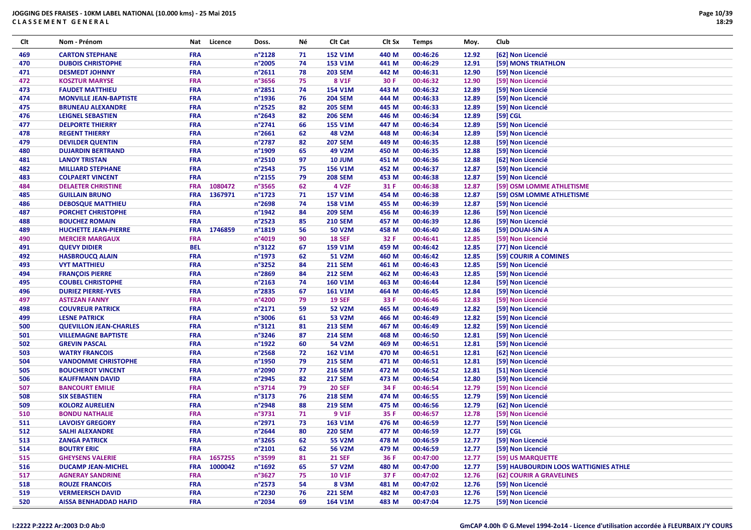| Clt | Nom - Prénom                  | Nat        | Licence | Doss.            | Νé | Clt Cat           | Clt Sx | <b>Temps</b> | Moy.  | Club                                  |
|-----|-------------------------------|------------|---------|------------------|----|-------------------|--------|--------------|-------|---------------------------------------|
| 469 | <b>CARTON STEPHANE</b>        | <b>FRA</b> |         | n°2128           | 71 | <b>152 V1M</b>    | 440 M  | 00:46:26     | 12.92 | [62] Non Licencié                     |
| 470 | <b>DUBOIS CHRISTOPHE</b>      | <b>FRA</b> |         | n°2005           | 74 | 153 V1M           | 441 M  | 00:46:29     | 12.91 | [59] MONS TRIATHLON                   |
| 471 | <b>DESMEDT JOHNNY</b>         | <b>FRA</b> |         | n°2611           | 78 | <b>203 SEM</b>    | 442 M  | 00:46:31     | 12.90 | [59] Non Licencié                     |
| 472 | <b>KOSZTUR MARYSE</b>         | <b>FRA</b> |         | n°3656           | 75 | 8 V1F             | 30 F   | 00:46:32     | 12.90 | [59] Non Licencié                     |
| 473 | <b>FAUDET MATTHIEU</b>        | <b>FRA</b> |         | n°2851           | 74 | 154 V1M           | 443 M  | 00:46:32     | 12.89 | [59] Non Licencié                     |
| 474 | <b>MONVILLE JEAN-BAPTISTE</b> | <b>FRA</b> |         | n°1936           | 76 | <b>204 SEM</b>    | 444 M  | 00:46:33     | 12.89 | [59] Non Licencié                     |
| 475 | <b>BRUNEAU ALEXANDRE</b>      | <b>FRA</b> |         | n°2525           | 82 | <b>205 SEM</b>    | 445 M  | 00:46:33     | 12.89 | [59] Non Licencié                     |
| 476 | <b>LEIGNEL SEBASTIEN</b>      | <b>FRA</b> |         | n°2643           | 82 | <b>206 SEM</b>    | 446 M  | 00:46:34     | 12.89 | [59] CGL                              |
| 477 | <b>DELPORTE THIERRY</b>       | <b>FRA</b> |         | n°2741           | 66 | <b>155 V1M</b>    | 447 M  | 00:46:34     | 12.89 | [59] Non Licencié                     |
| 478 | <b>REGENT THIERRY</b>         | <b>FRA</b> |         | n°2661           | 62 | <b>48 V2M</b>     | 448 M  | 00:46:34     | 12.89 | [59] Non Licencié                     |
| 479 | <b>DEVILDER QUENTIN</b>       | <b>FRA</b> |         | n°2787           | 82 | <b>207 SEM</b>    | 449 M  | 00:46:35     | 12.88 | [59] Non Licencié                     |
| 480 | <b>DUJARDIN BERTRAND</b>      | <b>FRA</b> |         | n°1909           | 65 | 49 V2M            | 450 M  | 00:46:35     | 12.88 | [59] Non Licencié                     |
| 481 | <b>LANOY TRISTAN</b>          | <b>FRA</b> |         | n°2510           | 97 | <b>10 JUM</b>     | 451 M  | 00:46:36     | 12.88 | [62] Non Licencié                     |
| 482 | <b>MILLIARD STEPHANE</b>      | <b>FRA</b> |         | n°2543           | 75 | 156 V1M           | 452 M  | 00:46:37     | 12.87 | [59] Non Licencié                     |
| 483 | <b>COLPAERT VINCENT</b>       | <b>FRA</b> |         | n°2155           | 79 | <b>208 SEM</b>    | 453 M  | 00:46:38     | 12.87 | [59] Non Licencié                     |
| 484 | <b>DELAETER CHRISTINE</b>     | <b>FRA</b> | 1080472 | n°3565           | 62 | 4 V <sub>2F</sub> | 31 F   | 00:46:38     | 12.87 | [59] OSM LOMME ATHLETISME             |
| 485 | <b>GUILLAIN BRUNO</b>         | <b>FRA</b> | 1367971 | n°1723           | 71 | 157 V1M           | 454 M  | 00:46:38     | 12.87 | [59] OSM LOMME ATHLETISME             |
| 486 | <b>DEBOSQUE MATTHIEU</b>      | <b>FRA</b> |         | n°2698           | 74 | <b>158 V1M</b>    | 455 M  | 00:46:39     | 12.87 | [59] Non Licencié                     |
| 487 | PORCHET CHRISTOPHE            | FRA        |         | $n^{\circ}$ 1942 | 84 | <b>209 SEM</b>    | 456 M  | 00:46:39     | 12.86 | [59] Non Licencié                     |
| 488 | <b>BOUCHEZ ROMAIN</b>         | <b>FRA</b> |         | n°2523           | 85 | <b>210 SEM</b>    | 457 M  | 00:46:39     | 12.86 | [59] Non Licencié                     |
| 489 | <b>HUCHETTE JEAN-PIERRE</b>   | <b>FRA</b> | 1746859 | n°1819           | 56 | 50 V2M            | 458 M  | 00:46:40     | 12.86 | [59] DOUAI-SIN A                      |
| 490 | <b>MERCIER MARGAUX</b>        | <b>FRA</b> |         | n°4019           | 90 | <b>18 SEF</b>     | 32 F   | 00:46:41     | 12.85 | [59] Non Licencié                     |
| 491 | <b>QUEVY DIDIER</b>           | <b>BEL</b> |         | n°3122           | 67 | 159 V1M           | 459 M  | 00:46:42     | 12.85 | [77] Non Licencié                     |
| 492 | <b>HASBROUCQ ALAIN</b>        | <b>FRA</b> |         | n°1973           | 62 | <b>51 V2M</b>     | 460 M  | 00:46:42     | 12.85 | [59] COURIR A COMINES                 |
| 493 | <b>VYT MATTHIEU</b>           | FRA        |         | n°3252           | 84 | <b>211 SEM</b>    | 461 M  | 00:46:43     | 12.85 | [59] Non Licencié                     |
| 494 | <b>FRANÇOIS PIERRE</b>        | FRA        |         | n°2869           | 84 | <b>212 SEM</b>    | 462 M  | 00:46:43     | 12.85 | [59] Non Licencié                     |
| 495 | <b>COUBEL CHRISTOPHE</b>      | <b>FRA</b> |         | n°2163           | 74 | <b>160 V1M</b>    | 463 M  | 00:46:44     | 12.84 | [59] Non Licencié                     |
| 496 | <b>DURIEZ PIERRE-YVES</b>     | <b>FRA</b> |         | n°2835           | 67 | <b>161 V1M</b>    | 464 M  | 00:46:45     | 12.84 | [59] Non Licencié                     |
| 497 | <b>ASTEZAN FANNY</b>          | <b>FRA</b> |         | n°4200           | 79 | <b>19 SEF</b>     | 33 F   | 00:46:46     | 12.83 | [59] Non Licencié                     |
| 498 | <b>COUVREUR PATRICK</b>       | <b>FRA</b> |         | n°2171           | 59 | <b>52 V2M</b>     | 465 M  | 00:46:49     | 12.82 | [59] Non Licencié                     |
| 499 | <b>LESNE PATRICK</b>          | <b>FRA</b> |         | n°3006           | 61 | 53 V2M            | 466 M  | 00:46:49     | 12.82 | [59] Non Licencié                     |
| 500 | <b>QUEVILLON JEAN-CHARLES</b> | <b>FRA</b> |         | n°3121           | 81 | <b>213 SEM</b>    | 467 M  | 00:46:49     | 12.82 | [59] Non Licencié                     |
| 501 | <b>VILLEMAGNE BAPTISTE</b>    | <b>FRA</b> |         | n°3246           | 87 | <b>214 SEM</b>    | 468 M  | 00:46:50     | 12.81 | [59] Non Licencié                     |
| 502 | <b>GREVIN PASCAL</b>          | <b>FRA</b> |         | n°1922           | 60 | 54 V2M            | 469 M  | 00:46:51     | 12.81 | [59] Non Licencié                     |
| 503 | <b>WATRY FRANCOIS</b>         | <b>FRA</b> |         | n°2568           | 72 | <b>162 V1M</b>    | 470 M  | 00:46:51     | 12.81 | [62] Non Licencié                     |
| 504 | <b>VANDOMME CHRISTOPHE</b>    | <b>FRA</b> |         | n°1950           | 79 | <b>215 SEM</b>    | 471 M  | 00:46:51     | 12.81 | [59] Non Licencié                     |
| 505 | <b>BOUCHEROT VINCENT</b>      | <b>FRA</b> |         | n°2090           | 77 | <b>216 SEM</b>    | 472 M  | 00:46:52     | 12.81 | [51] Non Licencié                     |
| 506 | <b>KAUFFMANN DAVID</b>        | <b>FRA</b> |         | n°2945           | 82 | <b>217 SEM</b>    | 473 M  | 00:46:54     | 12.80 | [59] Non Licencié                     |
| 507 | <b>BANCOURT EMILIE</b>        | <b>FRA</b> |         | n°3714           | 79 | <b>20 SEF</b>     | 34 F   | 00:46:54     | 12.79 | [59] Non Licencié                     |
| 508 | <b>SIX SEBASTIEN</b>          | <b>FRA</b> |         | n°3173           | 76 | <b>218 SEM</b>    | 474 M  | 00:46:55     | 12.79 | [59] Non Licencié                     |
| 509 | <b>KOLORZ AURELIEN</b>        | <b>FRA</b> |         | n°2948           | 88 | <b>219 SEM</b>    | 475 M  | 00:46:56     | 12.79 | [62] Non Licencié                     |
| 510 | <b>BONDU NATHALIE</b>         | <b>FRA</b> |         | n°3731           | 71 | 9 V1F             | 35 F   | 00:46:57     | 12.78 | [59] Non Licencié                     |
| 511 | <b>LAVOISY GREGORY</b>        | <b>FRA</b> |         | n°2971           | 73 | 163 V1M           | 476 M  | 00:46:59     | 12.77 | [59] Non Licencié                     |
| 512 | <b>SALHI ALEXANDRE</b>        | <b>FRA</b> |         | $n^{\circ}$ 2644 | 80 | <b>220 SEM</b>    | 477 M  | 00:46:59     | 12.77 | [59] CGL                              |
| 513 | <b>ZANGA PATRICK</b>          | <b>FRA</b> |         | n°3265           | 62 | 55 V2M            | 478 M  | 00:46:59     | 12.77 | [59] Non Licencié                     |
| 514 | <b>BOUTRY ERIC</b>            | <b>FRA</b> |         | n°2101           | 62 | 56 V2M            | 479 M  | 00:46:59     | 12.77 | [59] Non Licencié                     |
| 515 | <b>GHEYSENS VALERIE</b>       | <b>FRA</b> | 1657255 | n°3599           | 81 | <b>21 SEF</b>     | 36 F   | 00:47:00     | 12.77 | [59] US MARQUETTE                     |
| 516 | <b>DUCAMP JEAN-MICHEL</b>     | <b>FRA</b> | 1000042 | n°1692           | 65 | 57 V2M            | 480 M  | 00:47:00     | 12.77 | [59] HAUBOURDIN LOOS WATTIGNIES ATHLE |
| 517 | <b>AGNERAY SANDRINE</b>       | <b>FRA</b> |         | n°3627           | 75 | <b>10 V1F</b>     | 37 F   | 00:47:02     | 12.76 | [62] COURIR A GRAVELINES              |
| 518 | <b>ROUZE FRANCOIS</b>         | <b>FRA</b> |         | n°2573           | 54 | 8 V3M             | 481 M  | 00:47:02     | 12.76 | [59] Non Licencié                     |
| 519 | <b>VERMEERSCH DAVID</b>       | <b>FRA</b> |         | n°2230           | 76 | <b>221 SEM</b>    | 482 M  | 00:47:03     | 12.76 | [59] Non Licencié                     |
| 520 | <b>AISSA BENHADDAD HAFID</b>  | <b>FRA</b> |         | n°2034           | 69 | 164 V1M           | 483 M  | 00:47:04     | 12.75 | [59] Non Licencié                     |
|     |                               |            |         |                  |    |                   |        |              |       |                                       |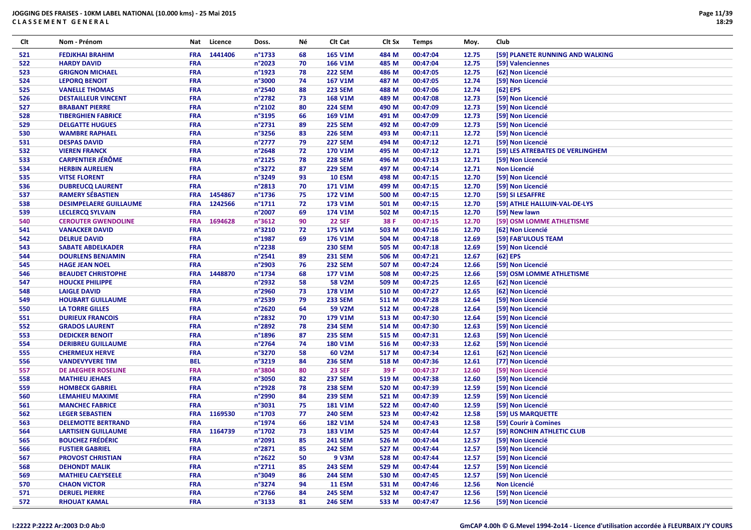| Clt | Nom - Prénom                  | Nat        | Licence     | Doss.            | Νé | CIt Cat        | CIt Sx | <b>Temps</b> | Moy.  | Club                             |
|-----|-------------------------------|------------|-------------|------------------|----|----------------|--------|--------------|-------|----------------------------------|
| 521 | <b>FEDJKHAI BRAHIM</b>        | <b>FRA</b> | 1441406     | n°1733           | 68 | <b>165 V1M</b> | 484 M  | 00:47:04     | 12.75 | [59] PLANETE RUNNING AND WALKING |
| 522 | <b>HARDY DAVID</b>            | <b>FRA</b> |             | n°2023           | 70 | <b>166 V1M</b> | 485 M  | 00:47:04     | 12.75 | [59] Valenciennes                |
| 523 | <b>GRIGNON MICHAEL</b>        | <b>FRA</b> |             | n°1923           | 78 | <b>222 SEM</b> | 486 M  | 00:47:05     | 12.75 | [62] Non Licencié                |
| 524 | <b>LEPORQ BENOIT</b>          | <b>FRA</b> |             | n°3000           | 74 | <b>167 V1M</b> | 487 M  | 00:47:05     | 12.74 | [59] Non Licencié                |
| 525 | <b>VANELLE THOMAS</b>         | <b>FRA</b> |             | n°2540           | 88 | <b>223 SEM</b> | 488 M  | 00:47:06     | 12.74 | $[62]$ EPS                       |
| 526 | <b>DESTAILLEUR VINCENT</b>    | <b>FRA</b> |             | n°2782           | 73 | <b>168 V1M</b> | 489 M  | 00:47:08     | 12.73 | [59] Non Licencié                |
| 527 | <b>BRABANT PIERRE</b>         | <b>FRA</b> |             | n°2102           | 80 | <b>224 SEM</b> | 490 M  | 00:47:09     | 12.73 | [59] Non Licencié                |
| 528 | <b>TIBERGHIEN FABRICE</b>     | <b>FRA</b> |             | n°3195           | 66 | 169 V1M        | 491 M  | 00:47:09     | 12.73 | [59] Non Licencié                |
| 529 | <b>DELGATTE HUGUES</b>        | <b>FRA</b> |             | n°2731           | 89 | <b>225 SEM</b> | 492 M  | 00:47:09     | 12.73 | [59] Non Licencié                |
| 530 | <b>WAMBRE RAPHAEL</b>         | <b>FRA</b> |             | n°3256           | 83 | <b>226 SEM</b> | 493 M  | 00:47:11     | 12.72 | [59] Non Licencié                |
| 531 | <b>DESPAS DAVID</b>           | <b>FRA</b> |             | $n^{\circ}$ 2777 | 79 | <b>227 SEM</b> | 494 M  | 00:47:12     | 12.71 | [59] Non Licencié                |
| 532 | <b>VIEREN FRANCK</b>          | <b>FRA</b> |             | $n^{\circ}$ 2648 | 72 | <b>170 V1M</b> | 495 M  | 00:47:12     | 12.71 | [59] LES ATREBATES DE VERLINGHEM |
| 533 | <b>CARPENTIER JÉRÔME</b>      | <b>FRA</b> |             | $n^{\circ}2125$  | 78 | <b>228 SEM</b> | 496 M  | 00:47:13     | 12.71 | [59] Non Licencié                |
| 534 | <b>HERBIN AURELIEN</b>        | <b>FRA</b> |             | n°3272           | 87 | <b>229 SEM</b> | 497 M  | 00:47:14     | 12.71 | <b>Non Licencié</b>              |
| 535 | <b>VITSE FLORENT</b>          | <b>FRA</b> |             | n°3249           | 93 | <b>10 ESM</b>  | 498 M  | 00:47:15     | 12.70 | [59] Non Licencié                |
| 536 | <b>DUBREUCQ LAURENT</b>       | <b>FRA</b> |             | n°2813           | 70 | 171 V1M        | 499 M  | 00:47:15     | 12.70 | [59] Non Licencié                |
| 537 | <b>RAMERY SÉBASTIEN</b>       | <b>FRA</b> | 1454867     | $n^{\circ}$ 1736 | 75 | 172 V1M        | 500 M  | 00:47:15     | 12.70 | [59] SI LESAFFRE                 |
| 538 | <b>DESIMPELAERE GUILLAUME</b> | <b>FRA</b> | 1242566     | n°1711           | 72 | 173 V1M        | 501 M  | 00:47:15     | 12.70 | [59] ATHLE HALLUIN-VAL-DE-LYS    |
| 539 | <b>LECLERCQ SYLVAIN</b>       | <b>FRA</b> |             | n°2007           | 69 | 174 V1M        | 502 M  | 00:47:15     | 12.70 | [59] New lawn                    |
| 540 | <b>CEROUTER GWENDOLINE</b>    | <b>FRA</b> | 1694628     | n°3612           | 90 | <b>22 SEF</b>  | 38 F   | 00:47:15     | 12.70 | [59] OSM LOMME ATHLETISME        |
| 541 | <b>VANACKER DAVID</b>         | <b>FRA</b> |             | n°3210           | 72 | <b>175 V1M</b> | 503 M  | 00:47:16     | 12.70 | [62] Non Licencié                |
| 542 | <b>DELRUE DAVID</b>           | <b>FRA</b> |             | n°1987           | 69 | 176 V1M        | 504 M  | 00:47:18     | 12.69 | [59] FAB'ULOUS TEAM              |
| 543 | <b>SABATE ABDELKADER</b>      | <b>FRA</b> |             | n°2238           |    | <b>230 SEM</b> | 505 M  | 00:47:18     | 12.69 | [59] Non Licencié                |
| 544 | <b>DOURLENS BENJAMIN</b>      | <b>FRA</b> |             | n°2541           | 89 | <b>231 SEM</b> | 506 M  | 00:47:21     | 12.67 | $[62]$ EPS                       |
| 545 | <b>HAGE JEAN NOEL</b>         | <b>FRA</b> |             | n°2903           | 76 | <b>232 SEM</b> | 507 M  | 00:47:24     | 12.66 | [59] Non Licencié                |
| 546 | <b>BEAUDET CHRISTOPHE</b>     | <b>FRA</b> | 1448870     | n°1734           | 68 | <b>177 V1M</b> | 508 M  | 00:47:25     | 12.66 | [59] OSM LOMME ATHLETISME        |
| 547 | <b>HOUCKE PHILIPPE</b>        | <b>FRA</b> |             | n°2932           | 58 | <b>58 V2M</b>  | 509 M  | 00:47:25     | 12.65 | [62] Non Licencié                |
| 548 | <b>LAIGLE DAVID</b>           | <b>FRA</b> |             | n°2960           | 73 | <b>178 V1M</b> | 510 M  | 00:47:27     | 12.65 | [62] Non Licencié                |
| 549 | <b>HOUBART GUILLAUME</b>      | <b>FRA</b> |             | n°2539           | 79 | <b>233 SEM</b> | 511 M  | 00:47:28     | 12.64 | [59] Non Licencié                |
| 550 | <b>LA TORRE GILLES</b>        | <b>FRA</b> |             | n°2620           | 64 | 59 V2M         | 512 M  | 00:47:28     | 12.64 | [59] Non Licencié                |
| 551 | <b>DURIEUX FRANCOIS</b>       | <b>FRA</b> |             | n°2832           | 70 | 179 V1M        | 513 M  | 00:47:30     | 12.64 | [59] Non Licencié                |
| 552 | <b>GRADOS LAURENT</b>         | <b>FRA</b> |             | n°2892           | 78 | <b>234 SEM</b> | 514 M  | 00:47:30     | 12.63 | [59] Non Licencié                |
| 553 | <b>DEDICKER BENOIT</b>        | <b>FRA</b> |             | $n^{\circ}$ 1896 | 87 | <b>235 SEM</b> | 515 M  | 00:47:31     | 12.63 | [59] Non Licencié                |
| 554 | <b>DERIBREU GUILLAUME</b>     | <b>FRA</b> |             | n°2764           | 74 | <b>180 V1M</b> | 516 M  | 00:47:33     | 12.62 | [59] Non Licencié                |
| 555 | <b>CHERMEUX HERVE</b>         | <b>FRA</b> |             | n°3270           | 58 | 60 V2M         | 517 M  | 00:47:34     | 12.61 | [62] Non Licencié                |
| 556 | <b>VANDEVYVERE TIM</b>        | <b>BEL</b> |             | n°3219           | 84 | <b>236 SEM</b> | 518 M  | 00:47:36     | 12.61 | [77] Non Licencié                |
| 557 | DE JAEGHER ROSELINE           | <b>FRA</b> |             | n°3804           | 80 | <b>23 SEF</b>  | 39 F   | 00:47:37     | 12.60 | [59] Non Licencié                |
| 558 | <b>MATHIEU JEHAES</b>         | <b>FRA</b> |             | n°3050           | 82 | <b>237 SEM</b> | 519 M  | 00:47:38     | 12.60 | [59] Non Licencié                |
| 559 | <b>HOMBECK GABRIEL</b>        | <b>FRA</b> |             | n°2928           | 78 | <b>238 SEM</b> | 520 M  | 00:47:39     | 12.59 | [59] Non Licencié                |
| 560 | LEMAHIEU MAXIME               | <b>FRA</b> |             | n°2990           | 84 | <b>239 SEM</b> | 521 M  | 00:47:39     | 12.59 | [59] Non Licencié                |
| 561 | <b>MANCHEC FABRICE</b>        | <b>FRA</b> |             | n°3031           | 75 | <b>181 V1M</b> | 522 M  | 00:47:40     | 12.59 | [59] Non Licencié                |
| 562 | <b>LEGER SEBASTIEN</b>        | <b>FRA</b> | 1169530     | n°1703           | 77 | <b>240 SEM</b> | 523 M  | 00:47:42     | 12.58 | [59] US MARQUETTE                |
| 563 | <b>DELEMOTTE BERTRAND</b>     | <b>FRA</b> |             | n°1974           | 66 | <b>182 V1M</b> | 524 M  | 00:47:43     | 12.58 | [59] Courir à Comines            |
| 564 | <b>LARTISIEN GUILLAUME</b>    |            | FRA 1164739 | n°1702           | 73 | <b>183 V1M</b> | 525 M  | 00:47:44     | 12.57 | [59] RONCHIN ATHLETIC CLUB       |
| 565 | <b>BOUCHEZ FRÉDÉRIC</b>       | <b>FRA</b> |             | n°2091           | 85 | <b>241 SEM</b> | 526 M  | 00:47:44     | 12.57 | [59] Non Licencié                |
| 566 | <b>FUSTIER GABRIEL</b>        | <b>FRA</b> |             | n°2871           | 85 | <b>242 SEM</b> | 527 M  | 00:47:44     | 12.57 | [59] Non Licencié                |
| 567 | <b>PROVOST CHRISTIAN</b>      | <b>FRA</b> |             | n°2622           | 50 | 9 V3M          | 528 M  | 00:47:44     | 12.57 | [59] Non Licencié                |
| 568 | <b>DEHONDT MALIK</b>          | <b>FRA</b> |             | $n^{\circ}2711$  | 85 | <b>243 SEM</b> | 529 M  | 00:47:44     | 12.57 | [59] Non Licencié                |
| 569 | <b>MATHIEU CAEYSEELE</b>      | <b>FRA</b> |             | n°3049           | 86 | <b>244 SEM</b> | 530 M  | 00:47:45     | 12.57 | [59] Non Licencié                |
| 570 | <b>CHAON VICTOR</b>           | <b>FRA</b> |             | n°3274           | 94 | <b>11 ESM</b>  | 531 M  | 00:47:46     | 12.56 | <b>Non Licencié</b>              |
| 571 | <b>DERUEL PIERRE</b>          | <b>FRA</b> |             | n°2766           | 84 | <b>245 SEM</b> | 532 M  | 00:47:47     | 12.56 | [59] Non Licencié                |
| 572 | <b>RHOUAT KAMAL</b>           | <b>FRA</b> |             | n°3133           | 81 | <b>246 SEM</b> | 533 M  | 00:47:47     | 12.56 | [59] Non Licencié                |
|     |                               |            |             |                  |    |                |        |              |       |                                  |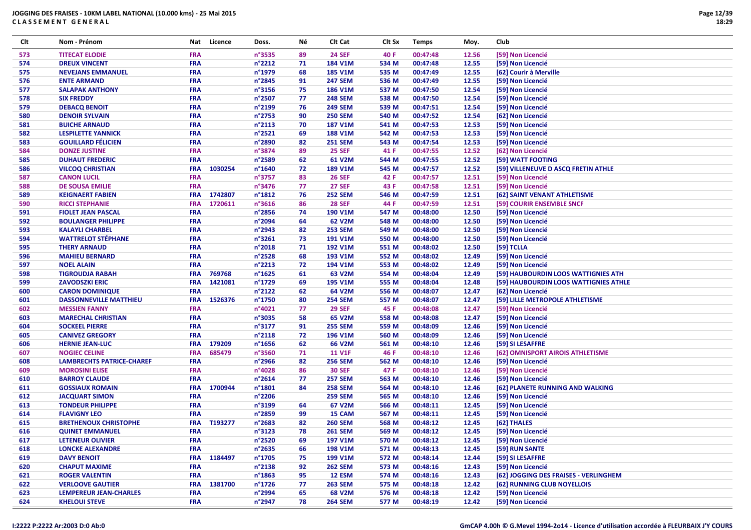| Clt | Nom - Prénom                     | Nat        | Licence     | Doss.            | Νé | Clt Cat        | Clt Sx | <b>Temps</b> | Moy.  | Club                                  |
|-----|----------------------------------|------------|-------------|------------------|----|----------------|--------|--------------|-------|---------------------------------------|
| 573 | <b>TITECAT ELODIE</b>            | <b>FRA</b> |             | n°3535           | 89 | <b>24 SEF</b>  | 40 F   | 00:47:48     | 12.56 | [59] Non Licencié                     |
| 574 | <b>DREUX VINCENT</b>             | <b>FRA</b> |             | n°2212           | 71 | 184 V1M        | 534 M  | 00:47:48     | 12.55 | [59] Non Licencié                     |
| 575 | <b>NEVEJANS EMMANUEL</b>         | FRA        |             | n°1979           | 68 | <b>185 V1M</b> | 535 M  | 00:47:49     | 12.55 | [62] Courir à Merville                |
| 576 | <b>ENTE ARMAND</b>               | <b>FRA</b> |             | n°2845           | 91 | <b>247 SEM</b> | 536 M  | 00:47:49     | 12.55 | [59] Non Licencié                     |
| 577 | <b>SALAPAK ANTHONY</b>           | <b>FRA</b> |             | n°3156           | 75 | <b>186 V1M</b> | 537 M  | 00:47:50     | 12.54 | [59] Non Licencié                     |
| 578 | <b>SIX FREDDY</b>                | <b>FRA</b> |             | n°2507           | 77 | <b>248 SEM</b> | 538 M  | 00:47:50     | 12.54 | [59] Non Licencié                     |
| 579 | <b>DEBACQ BENOIT</b>             | <b>FRA</b> |             | n°2199           | 76 | <b>249 SEM</b> | 539 M  | 00:47:51     | 12.54 | [59] Non Licencié                     |
| 580 | <b>DENOIR SYLVAIN</b>            | <b>FRA</b> |             | n°2753           | 90 | <b>250 SEM</b> | 540 M  | 00:47:52     | 12.54 | [62] Non Licencié                     |
| 581 | <b>BUICHE ARNAUD</b>             | <b>FRA</b> |             | n°2113           | 70 | <b>187 V1M</b> | 541 M  | 00:47:53     | 12.53 | [59] Non Licencié                     |
| 582 | <b>LESPILETTE YANNICK</b>        | <b>FRA</b> |             | n°2521           | 69 | <b>188 V1M</b> | 542 M  | 00:47:53     | 12.53 | [59] Non Licencié                     |
| 583 | <b>GOUILLARD FÉLICIEN</b>        | FRA        |             | n°2890           | 82 | <b>251 SEM</b> | 543 M  | 00:47:54     | 12.53 | [59] Non Licencié                     |
| 584 | <b>DONZE JUSTINE</b>             | <b>FRA</b> |             | n°3874           | 89 | <b>25 SEF</b>  | 41 F   | 00:47:55     | 12.52 | [62] Non Licencié                     |
| 585 | <b>DUHAUT FREDERIC</b>           | <b>FRA</b> |             | n°2589           | 62 | 61 V2M         | 544 M  | 00:47:55     | 12.52 | [59] WATT FOOTING                     |
| 586 | <b>VILCOQ CHRISTIAN</b>          | <b>FRA</b> | 1030254     | n°1640           | 72 | 189 V1M        | 545 M  | 00:47:57     | 12.52 | [59] VILLENEUVE D ASCQ FRETIN ATHLE   |
| 587 | <b>CANON LUCIL</b>               | FRA        |             | n°3757           | 83 | <b>26 SEF</b>  | 42 F   | 00:47:57     | 12.51 | [59] Non Licencié                     |
| 588 | <b>DE SOUSA EMILIE</b>           | <b>FRA</b> |             | n°3476           | 77 | <b>27 SEF</b>  | 43 F   | 00:47:58     | 12.51 | [59] Non Licencié                     |
| 589 | <b>KEIGNAERT FABIEN</b>          | <b>FRA</b> | 1742807     | $n^{\circ}$ 1812 | 76 | <b>252 SEM</b> | 546 M  | 00:47:59     | 12.51 | [62] SAINT VENANT ATHLETISME          |
| 590 | <b>RICCI STEPHANIE</b>           | <b>FRA</b> | 1720611     | n°3616           | 86 | <b>28 SEF</b>  | 44 F   | 00:47:59     | 12.51 | [59] COURIR ENSEMBLE SNCF             |
| 591 |                                  | <b>FRA</b> |             | n°2856           | 74 | 190 V1M        | 547 M  | 00:48:00     | 12.50 | [59] Non Licencié                     |
|     | <b>FIOLET JEAN PASCAL</b>        |            |             |                  |    |                |        |              |       |                                       |
| 592 | <b>BOULANGER PHILIPPE</b>        | <b>FRA</b> |             | n°2094           | 64 | 62 V2M         | 548 M  | 00:48:00     | 12.50 | [59] Non Licencié                     |
| 593 | <b>KALAYLI CHARBEL</b>           | FRA        |             | n°2943           | 82 | <b>253 SEM</b> | 549 M  | 00:48:00     | 12.50 | [59] Non Licencié                     |
| 594 | <b>WATTRELOT STÉPHANE</b>        | FRA        |             | n°3261           | 73 | <b>191 V1M</b> | 550 M  | 00:48:00     | 12.50 | [59] Non Licencié                     |
| 595 | <b>THERY ARNAUD</b>              | <b>FRA</b> |             | n°2018           | 71 | 192 V1M        | 551 M  | 00:48:02     | 12.50 | [59] TCLLA                            |
| 596 | <b>MAHIEU BERNARD</b>            | <b>FRA</b> |             | n°2528           | 68 | 193 V1M        | 552 M  | 00:48:02     | 12.49 | [59] Non Licencié                     |
| 597 | <b>NOEL ALAIN</b>                | <b>FRA</b> |             | n°2213           | 72 | 194 V1M        | 553 M  | 00:48:02     | 12.49 | [59] Non Licencié                     |
| 598 | <b>TIGROUDJA RABAH</b>           | <b>FRA</b> | 769768      | n°1625           | 61 | 63 V2M         | 554 M  | 00:48:04     | 12.49 | [59] HAUBOURDIN LOOS WATTIGNIES ATH   |
| 599 | <b>ZAVODSZKI ERIC</b>            | <b>FRA</b> | 1421081     | n°1729           | 69 | 195 V1M        | 555 M  | 00:48:04     | 12.48 | [59] HAUBOURDIN LOOS WATTIGNIES ATHLE |
| 600 | <b>CARON DOMINIQUE</b>           | <b>FRA</b> |             | n°2122           | 62 | 64 V2M         | 556 M  | 00:48:07     | 12.47 | [62] Non Licencié                     |
| 601 | <b>DASSONNEVILLE MATTHIEU</b>    | <b>FRA</b> | 1526376     | n°1750           | 80 | <b>254 SEM</b> | 557 M  | 00:48:07     | 12.47 | [59] LILLE METROPOLE ATHLETISME       |
| 602 | <b>MESSIEN FANNY</b>             | <b>FRA</b> |             | n°4021           | 77 | <b>29 SEF</b>  | 45 F   | 00:48:08     | 12.47 | [59] Non Licencié                     |
| 603 | <b>MARECHAL CHRISTIAN</b>        | <b>FRA</b> |             | n°3035           | 58 | 65 V2M         | 558 M  | 00:48:08     | 12.47 | [59] Non Licencié                     |
| 604 | <b>SOCKEEL PIERRE</b>            | <b>FRA</b> |             | n°3177           | 91 | <b>255 SEM</b> | 559 M  | 00:48:09     | 12.46 | [59] Non Licencié                     |
| 605 | <b>CANIVEZ GREGORY</b>           | <b>FRA</b> |             | n°2118           | 72 | 196 V1M        | 560 M  | 00:48:09     | 12.46 | [59] Non Licencié                     |
| 606 | <b>HERNIE JEAN-LUC</b>           | <b>FRA</b> | 179209      | $n^{\circ}$ 1656 | 62 | 66 V2M         | 561 M  | 00:48:10     | 12.46 | [59] SI LESAFFRE                      |
| 607 | <b>NOGIEC CELINE</b>             | <b>FRA</b> | 685479      | n°3560           | 71 | <b>11 V1F</b>  | 46 F   | 00:48:10     | 12.46 | [62] OMNISPORT AIROIS ATHLETISME      |
| 608 | <b>LAMBRECHTS PATRICE-CHAREF</b> | FRA        |             | n°2966           | 82 | <b>256 SEM</b> | 562 M  | 00:48:10     | 12.46 | [59] Non Licencié                     |
| 609 | <b>MOROSINI ELISE</b>            | <b>FRA</b> |             | n°4028           | 86 | <b>30 SEF</b>  | 47 F   | 00:48:10     | 12.46 | [59] Non Licencié                     |
| 610 | <b>BARROY CLAUDE</b>             | <b>FRA</b> |             | n°2614           | 77 | <b>257 SEM</b> | 563 M  | 00:48:10     | 12.46 | [59] Non Licencié                     |
| 611 | <b>GOSSIAUX ROMAIN</b>           | <b>FRA</b> | 1700944     | n°1801           | 84 | <b>258 SEM</b> | 564 M  | 00:48:10     | 12.46 | [62] PLANETE RUNNING AND WALKING      |
| 612 | <b>JACQUART SIMON</b>            | <b>FRA</b> |             | n°2206           |    | <b>259 SEM</b> | 565 M  | 00:48:10     | 12.46 | [59] Non Licencié                     |
| 613 | <b>TONDEUR PHILIPPE</b>          | <b>FRA</b> |             | n°3199           | 64 | 67 V2M         | 566 M  | 00:48:11     | 12.45 | [59] Non Licencié                     |
| 614 | <b>FLAVIGNY LEO</b>              | <b>FRA</b> |             | n°2859           | 99 | 15 CAM         | 567 M  | 00:48:11     | 12.45 | [59] Non Licencié                     |
| 615 | <b>BRETHENOUX CHRISTOPHE</b>     | <b>FRA</b> | T193277     | n°2683           | 82 | <b>260 SEM</b> | 568 M  | 00:48:12     | 12.45 | [62] THALES                           |
| 616 | <b>QUINET EMMANUEL</b>           | <b>FRA</b> |             | n°3123           | 78 | <b>261 SEM</b> | 569 M  | 00:48:12     | 12.45 | [59] Non Licencié                     |
| 617 | LETENEUR OLIVIER                 | <b>FRA</b> |             | n°2520           | 69 | 197 V1M        | 570 M  | 00:48:12     | 12.45 | [59] Non Licencié                     |
| 618 | <b>LONCKE ALEXANDRE</b>          | <b>FRA</b> |             | $n^{\circ}$ 2635 | 66 | 198 V1M        | 571 M  | 00:48:13     | 12.45 | [59] RUN SANTE                        |
| 619 | <b>DAVY BENOIT</b>               |            | FRA 1184497 | n°1705           | 75 | 199 V1M        | 572 M  | 00:48:14     | 12.44 | [59] SI LESAFFRE                      |
| 620 | <b>CHAPUT MAXIME</b>             | <b>FRA</b> |             | n°2138           | 92 | <b>262 SEM</b> | 573 M  | 00:48:16     | 12.43 | [59] Non Licencié                     |
| 621 | <b>ROGER VALENTIN</b>            | <b>FRA</b> |             | $n^{\circ}$ 1863 | 95 | 12 ESM         | 574 M  | 00:48:16     | 12.43 | [62] JOGGING DES FRAISES - VERLINGHEM |
| 622 | <b>VERLOOVE GAUTIER</b>          | <b>FRA</b> | 1381700     | $n^{\circ}$ 1726 | 77 | <b>263 SEM</b> | 575 M  | 00:48:18     | 12.42 | [62] RUNNING CLUB NOYELLOIS           |
| 623 | <b>LEMPEREUR JEAN-CHARLES</b>    | <b>FRA</b> |             | n°2994           | 65 | 68 V2M         | 576 M  | 00:48:18     | 12.42 | [59] Non Licencié                     |
| 624 | <b>KHELOUI STEVE</b>             | <b>FRA</b> |             | n°2947           | 78 | <b>264 SEM</b> | 577 M  | 00:48:19     | 12.42 | [59] Non Licencié                     |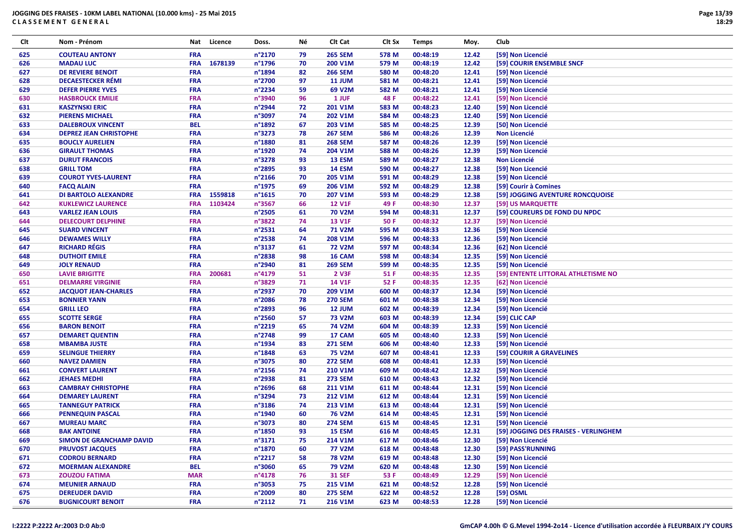| Clt | Nom - Prénom                  | Nat        | Licence | Doss.                     | Νé       | Clt Cat        | Clt Sx | <b>Temps</b> | Moy.  | Club                                  |
|-----|-------------------------------|------------|---------|---------------------------|----------|----------------|--------|--------------|-------|---------------------------------------|
| 625 | <b>COUTEAU ANTONY</b>         | <b>FRA</b> |         | n°2170                    | 79       | <b>265 SEM</b> | 578 M  | 00:48:19     | 12.42 | [59] Non Licencié                     |
| 626 | <b>MADAU LUC</b>              | <b>FRA</b> | 1678139 | n°1796                    | 70       | 200 V1M        | 579 M  | 00:48:19     | 12.42 | [59] COURIR ENSEMBLE SNCF             |
| 627 | <b>DE REVIERE BENOIT</b>      | <b>FRA</b> |         | n°1894                    | 82       | <b>266 SEM</b> | 580 M  | 00:48:20     | 12.41 | [59] Non Licencié                     |
| 628 | <b>DECAESTECKER RÉMI</b>      | <b>FRA</b> |         | n°2700                    | 97       | <b>11 JUM</b>  | 581 M  | 00:48:21     | 12.41 | [59] Non Licencié                     |
| 629 | <b>DEFER PIERRE YVES</b>      | <b>FRA</b> |         | n°2234                    | 59       | 69 V2M         | 582 M  | 00:48:21     | 12.41 | [59] Non Licencié                     |
| 630 | <b>HASBROUCK EMILIE</b>       | <b>FRA</b> |         | n°3940                    | 96       | 1 JUF          | 48 F   | 00:48:22     | 12.41 | [59] Non Licencié                     |
| 631 | <b>KASZYNSKI ERIC</b>         | <b>FRA</b> |         | n°2944                    | 72       | 201 V1M        | 583 M  | 00:48:23     | 12.40 | [59] Non Licencié                     |
| 632 | <b>PIERENS MICHAEL</b>        | <b>FRA</b> |         | n°3097                    | 74       | 202 V1M        | 584 M  | 00:48:23     | 12.40 | [59] Non Licencié                     |
| 633 | <b>DALEBROUX VINCENT</b>      | <b>BEL</b> |         | n°1892                    | 67       | 203 V1M        | 585 M  | 00:48:25     | 12.39 | [50] Non Licencié                     |
| 634 | <b>DEPREZ JEAN CHRISTOPHE</b> | <b>FRA</b> |         | n°3273                    | 78       | <b>267 SEM</b> | 586 M  | 00:48:26     | 12.39 | <b>Non Licencié</b>                   |
| 635 | <b>BOUCLY AURELIEN</b>        | <b>FRA</b> |         | n°1880                    | 81       | <b>268 SEM</b> | 587 M  | 00:48:26     | 12.39 | [59] Non Licencié                     |
| 636 | <b>GIRAULT THOMAS</b>         | <b>FRA</b> |         | n°1920                    | 74       | 204 V1M        | 588 M  | 00:48:26     | 12.39 | [59] Non Licencié                     |
| 637 | <b>DURUT FRANCOIS</b>         | <b>FRA</b> |         | n°3278                    | 93       | 13 ESM         | 589 M  | 00:48:27     | 12.38 | <b>Non Licencié</b>                   |
| 638 | <b>GRILL TOM</b>              | <b>FRA</b> |         | n°2895                    | 93       | <b>14 ESM</b>  | 590 M  | 00:48:27     | 12.38 | [59] Non Licencié                     |
| 639 | <b>COUROT YVES-LAURENT</b>    | <b>FRA</b> |         | n°2166                    | 70       | 205 V1M        | 591 M  | 00:48:29     | 12.38 | [59] Non Licencié                     |
| 640 |                               | <b>FRA</b> |         | n°1975                    | 69       | 206 V1M        | 592 M  | 00:48:29     | 12.38 |                                       |
|     | <b>FACQ ALAIN</b>             |            | 1559818 |                           |          |                |        |              |       | [59] Courir à Comines                 |
| 641 | <b>DI BARTOLO ALEXANDRE</b>   | <b>FRA</b> | 1103424 | $n^{\circ}1615$<br>n°3567 | 70<br>66 | <b>207 V1M</b> | 593 M  | 00:48:29     | 12.38 | [59] JOGGING AVENTURE RONCQUOISE      |
| 642 | <b>KUKLEWICZ LAURENCE</b>     | <b>FRA</b> |         |                           |          | <b>12 V1F</b>  | 49 F   | 00:48:30     | 12.37 | [59] US MARQUETTE                     |
| 643 | <b>VARLEZ JEAN LOUIS</b>      | <b>FRA</b> |         | n°2505                    | 61       | <b>70 V2M</b>  | 594 M  | 00:48:31     | 12.37 | [59] COUREURS DE FOND DU NPDC         |
| 644 | <b>DELECOURT DELPHINE</b>     | <b>FRA</b> |         | n°3822                    | 74       | <b>13 V1F</b>  | 50 F   | 00:48:32     | 12.37 | [59] Non Licencié                     |
| 645 | <b>SUARD VINCENT</b>          | <b>FRA</b> |         | n°2531                    | 64       | <b>71 V2M</b>  | 595 M  | 00:48:33     | 12.36 | [59] Non Licencié                     |
| 646 | <b>DEWAMES WILLY</b>          | <b>FRA</b> |         | n°2538                    | 74       | 208 V1M        | 596 M  | 00:48:33     | 12.36 | [59] Non Licencié                     |
| 647 | <b>RICHARD RÉGIS</b>          | <b>FRA</b> |         | n°3137                    | 61       | <b>72 V2M</b>  | 597 M  | 00:48:34     | 12.36 | [62] Non Licencié                     |
| 648 | <b>DUTHOIT EMILE</b>          | <b>FRA</b> |         | n°2838                    | 98       | 16 CAM         | 598 M  | 00:48:34     | 12.35 | [59] Non Licencié                     |
| 649 | <b>JOLY RENAUD</b>            | <b>FRA</b> |         | n°2940                    | 81       | <b>269 SEM</b> | 599 M  | 00:48:35     | 12.35 | [59] Non Licencié                     |
| 650 | <b>LAVIE BRIGITTE</b>         | <b>FRA</b> | 200681  | n°4179                    | 51       | 2 V3F          | 51 F   | 00:48:35     | 12.35 | [59] ENTENTE LITTORAL ATHLETISME NO   |
| 651 | <b>DELMARRE VIRGINIE</b>      | <b>FRA</b> |         | n°3829                    | 71       | <b>14 V1F</b>  | 52 F   | 00:48:35     | 12.35 | [62] Non Licencié                     |
| 652 | <b>JACQUOT JEAN-CHARLES</b>   | <b>FRA</b> |         | n°2937                    | 70       | 209 V1M        | 600 M  | 00:48:37     | 12.34 | [59] Non Licencié                     |
| 653 | <b>BONNIER YANN</b>           | <b>FRA</b> |         | n°2086                    | 78       | <b>270 SEM</b> | 601 M  | 00:48:38     | 12.34 | [59] Non Licencié                     |
| 654 | <b>GRILL LEO</b>              | <b>FRA</b> |         | n°2893                    | 96       | 12 JUM         | 602 M  | 00:48:39     | 12.34 | [59] Non Licencié                     |
| 655 | <b>SCOTTE SERGE</b>           | <b>FRA</b> |         | n°2560                    | 57       | <b>73 V2M</b>  | 603 M  | 00:48:39     | 12.34 | [59] CLIC CAP                         |
| 656 | <b>BARON BENOIT</b>           | <b>FRA</b> |         | n°2219                    | 65       | <b>74 V2M</b>  | 604 M  | 00:48:39     | 12.33 | [59] Non Licencié                     |
| 657 | <b>DEMARET QUENTIN</b>        | <b>FRA</b> |         | n°2748                    | 99       | 17 CAM         | 605 M  | 00:48:40     | 12.33 | [59] Non Licencié                     |
| 658 | <b>MBAMBA JUSTE</b>           | <b>FRA</b> |         | n°1934                    | 83       | <b>271 SEM</b> | 606 M  | 00:48:40     | 12.33 | [59] Non Licencié                     |
| 659 | <b>SELINGUE THIERRY</b>       | <b>FRA</b> |         | n°1848                    | 63       | <b>75 V2M</b>  | 607 M  | 00:48:41     | 12.33 | [59] COURIR A GRAVELINES              |
| 660 | <b>NAVEZ DAMIEN</b>           | <b>FRA</b> |         | n°3075                    | 80       | <b>272 SEM</b> | 608 M  | 00:48:41     | 12.33 | [59] Non Licencié                     |
| 661 | <b>CONVERT LAURENT</b>        | <b>FRA</b> |         | $n^{\circ}$ 2156          | 74       | 210 V1M        | 609 M  | 00:48:42     | 12.32 | [59] Non Licencié                     |
| 662 | <b>JEHAES MEDHI</b>           | <b>FRA</b> |         | n°2938                    | 81       | <b>273 SEM</b> | 610 M  | 00:48:43     | 12.32 | [59] Non Licencié                     |
| 663 | <b>CAMBRAY CHRISTOPHE</b>     | <b>FRA</b> |         | n°2696                    | 68       | 211 V1M        | 611 M  | 00:48:44     | 12.31 | [59] Non Licencié                     |
| 664 | <b>DEMAREY LAURENT</b>        | <b>FRA</b> |         | n°3294                    | 73       | 212 V1M        | 612 M  | 00:48:44     | 12.31 | [59] Non Licencié                     |
| 665 | <b>TANNEGUY PATRICK</b>       | <b>FRA</b> |         | n°3186                    | 74       | 213 V1M        | 613 M  | 00:48:44     | 12.31 | [59] Non Licencié                     |
| 666 | <b>PENNEQUIN PASCAL</b>       | <b>FRA</b> |         | n°1940                    | 60       | <b>76 V2M</b>  | 614 M  | 00:48:45     | 12.31 | [59] Non Licencié                     |
| 667 | <b>MUREAU MARC</b>            | <b>FRA</b> |         | n°3073                    | 80       | <b>274 SEM</b> | 615 M  | 00:48:45     | 12.31 | [59] Non Licencié                     |
| 668 | <b>BAK ANTOINE</b>            | <b>FRA</b> |         | n°1850                    | 93       | 15 ESM         | 616 M  | 00:48:45     | 12.31 | [59] JOGGING DES FRAISES - VERLINGHEM |
| 669 | SIMON DE GRANCHAMP DAVID      | <b>FRA</b> |         | n°3171                    | 75       | 214 V1M        | 617 M  | 00:48:46     | 12.30 | [59] Non Licencié                     |
| 670 | <b>PRUVOST JACQUES</b>        | <b>FRA</b> |         | n°1870                    | 60       | <b>77 V2M</b>  | 618 M  | 00:48:48     | 12.30 | [59] PASS'RUNNING                     |
| 671 | <b>CODROU BERNARD</b>         | <b>FRA</b> |         | $n^{\circ}2217$           | 58       | <b>78 V2M</b>  | 619 M  | 00:48:48     | 12.30 | [59] Non Licencié                     |
| 672 | <b>MOERMAN ALEXANDRE</b>      | <b>BEL</b> |         | n°3060                    | 65       | <b>79 V2M</b>  | 620 M  | 00:48:48     | 12.30 | [59] Non Licencié                     |
| 673 | <b>ZOUZOU FATIMA</b>          | <b>MAR</b> |         | $n^{\circ}4178$           | 76       | <b>31 SEF</b>  | 53 F   | 00:48:49     | 12.29 | [59] Non Licencié                     |
| 674 | <b>MEUNIER ARNAUD</b>         | <b>FRA</b> |         | n°3053                    | 75       | 215 V1M        | 621 M  | 00:48:52     | 12.28 | [59] Non Licencié                     |
| 675 | <b>DEREUDER DAVID</b>         | <b>FRA</b> |         | n°2009                    | 80       | <b>275 SEM</b> | 622 M  | 00:48:52     | 12.28 | [59] OSML                             |
| 676 | <b>BUGNICOURT BENOIT</b>      | <b>FRA</b> |         | $n^{\circ}2112$           | 71       | 216 V1M        | 623 M  | 00:48:53     | 12.28 | [59] Non Licencié                     |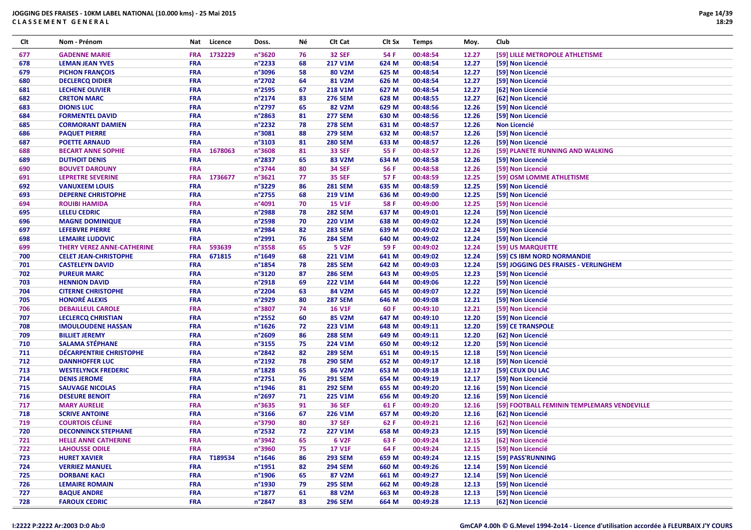| Clt | Nom - Prénom                   | Nat        | Licence | Doss.            | Νé | Clt Cat            | Clt Sx | <b>Temps</b> | Moy.  | Club                                        |
|-----|--------------------------------|------------|---------|------------------|----|--------------------|--------|--------------|-------|---------------------------------------------|
| 677 | <b>GADENNE MARIE</b>           | <b>FRA</b> | 1732229 | n°3620           | 76 | <b>32 SEF</b>      | 54 F   | 00:48:54     | 12.27 | [59] LILLE METROPOLE ATHLETISME             |
| 678 | <b>LEMAN JEAN YVES</b>         | <b>FRA</b> |         | n°2233           | 68 | 217 V1M            | 624 M  | 00:48:54     | 12.27 | [59] Non Licencié                           |
| 679 | <b>PICHON FRANÇOIS</b>         | <b>FRA</b> |         | n°3096           | 58 | 80 V2M             | 625 M  | 00:48:54     | 12.27 | [59] Non Licencié                           |
| 680 | <b>DECLERCQ DIDIER</b>         | <b>FRA</b> |         | n°2702           | 64 | 81 V2M             | 626 M  | 00:48:54     | 12.27 | [59] Non Licencié                           |
| 681 | <b>LECHENE OLIVIER</b>         | <b>FRA</b> |         | n°2595           | 67 | 218 V1M            | 627 M  | 00:48:54     | 12.27 | [62] Non Licencié                           |
| 682 | <b>CRETON MARC</b>             | <b>FRA</b> |         | n°2174           | 83 | <b>276 SEM</b>     | 628 M  | 00:48:55     | 12.27 | [62] Non Licencié                           |
| 683 | <b>DIONIS LUC</b>              | <b>FRA</b> |         | n°2797           | 65 | 82 V2M             | 629 M  | 00:48:56     | 12.26 | [59] Non Licencié                           |
| 684 | <b>FORMENTEL DAVID</b>         | <b>FRA</b> |         | $n^{\circ}$ 2863 | 81 | <b>277 SEM</b>     | 630 M  | 00:48:56     | 12.26 | [59] Non Licencié                           |
| 685 | <b>CORMORANT DAMIEN</b>        | <b>FRA</b> |         | n°2232           | 78 | <b>278 SEM</b>     | 631 M  | 00:48:57     | 12.26 | <b>Non Licencié</b>                         |
| 686 | <b>PAQUET PIERRE</b>           | <b>FRA</b> |         | n°3081           | 88 | <b>279 SEM</b>     | 632 M  | 00:48:57     | 12.26 | [59] Non Licencié                           |
| 687 | <b>POETTE ARNAUD</b>           | <b>FRA</b> |         | n°3103           | 81 | <b>280 SEM</b>     | 633 M  | 00:48:57     | 12.26 | [59] Non Licencié                           |
| 688 | <b>BECART ANNE SOPHIE</b>      | <b>FRA</b> | 1678063 | n°3608           | 81 | <b>33 SEF</b>      | 55 F   | 00:48:57     | 12.26 | [59] PLANETE RUNNING AND WALKING            |
| 689 | <b>DUTHOIT DENIS</b>           | <b>FRA</b> |         | n°2837           | 65 | 83 V2M             | 634 M  | 00:48:58     | 12.26 | [59] Non Licencié                           |
| 690 | <b>BOUVET DAROUNY</b>          | <b>FRA</b> |         | n°3744           | 80 | <b>34 SEF</b>      | 56 F   | 00:48:58     | 12.26 | [59] Non Licencié                           |
| 691 | <b>LEPRETRE SEVERINE</b>       | <b>FRA</b> | 1736677 | n°3621           | 77 | <b>35 SEF</b>      | 57 F   | 00:48:59     | 12.25 | [59] OSM LOMME ATHLETISME                   |
| 692 | <b>VANUXEEM LOUIS</b>          | <b>FRA</b> |         | n°3229           | 86 | <b>281 SEM</b>     | 635 M  | 00:48:59     | 12.25 | [59] Non Licencié                           |
| 693 | <b>DEPERNE CHRISTOPHE</b>      | <b>FRA</b> |         | n°2755           | 68 | 219 V1M            | 636 M  | 00:49:00     | 12.25 | [59] Non Licencié                           |
| 694 | <b>ROUIBI HAMIDA</b>           | <b>FRA</b> |         | n°4091           | 70 | <b>15 V1F</b>      | 58 F   | 00:49:00     | 12.25 | [59] Non Licencié                           |
| 695 | <b>LELEU CEDRIC</b>            | <b>FRA</b> |         | n°2988           | 78 | <b>282 SEM</b>     | 637 M  | 00:49:01     | 12.24 | [59] Non Licencié                           |
| 696 | <b>MAGNE DOMINIQUE</b>         | <b>FRA</b> |         | n°2598           | 70 | 220 V1M            | 638 M  | 00:49:02     | 12.24 | [59] Non Licencié                           |
| 697 | <b>LEFEBVRE PIERRE</b>         | <b>FRA</b> |         | n°2984           | 82 | <b>283 SEM</b>     | 639 M  | 00:49:02     | 12.24 | [59] Non Licencié                           |
| 698 | <b>LEMAIRE LUDOVIC</b>         | <b>FRA</b> |         | n°2991           | 76 | <b>284 SEM</b>     | 640 M  | 00:49:02     | 12.24 | [59] Non Licencié                           |
| 699 | THERY VEREZ ANNE-CATHERINE     | <b>FRA</b> | 593639  | n°3558           | 65 | <b>5 V2F</b>       | 59 F   | 00:49:02     | 12.24 | [59] US MARQUETTE                           |
| 700 | <b>CELET JEAN-CHRISTOPHE</b>   | <b>FRA</b> | 671815  | n°1649           | 68 | 221 V1M            | 641 M  | 00:49:02     | 12.24 | [59] CS IBM NORD NORMANDIE                  |
| 701 | <b>CASTELEYN DAVID</b>         | <b>FRA</b> |         | n°1854           | 78 | <b>285 SEM</b>     | 642 M  | 00:49:03     | 12.24 | [59] JOGGING DES FRAISES - VERLINGHEM       |
| 702 | <b>PUREUR MARC</b>             | <b>FRA</b> |         | n°3120           | 87 | <b>286 SEM</b>     | 643 M  | 00:49:05     | 12.23 | [59] Non Licencié                           |
| 703 | <b>HENNION DAVID</b>           | <b>FRA</b> |         | n°2918           | 69 | 222 V1M            | 644 M  | 00:49:06     | 12.22 | [59] Non Licencié                           |
| 704 | <b>CITERNE CHRISTOPHE</b>      | <b>FRA</b> |         | n°2204           | 63 | 84 V2M             | 645 M  | 00:49:07     | 12.22 | [59] Non Licencié                           |
| 705 | <b>HONORÉ ALEXIS</b>           | <b>FRA</b> |         | n°2929           | 80 | <b>287 SEM</b>     | 646 M  | 00:49:08     | 12.21 | [59] Non Licencié                           |
| 706 | <b>DEBAILLEUL CAROLE</b>       | <b>FRA</b> |         | n°3807           | 74 | <b>16 V1F</b>      | 60 F   | 00:49:10     | 12.21 | [59] Non Licencié                           |
| 707 | <b>LECLERCQ CHRISTIAN</b>      | <b>FRA</b> |         | n°2552           | 60 | 85 V2M             | 647 M  | 00:49:10     | 12.20 | [59] Non Licencié                           |
| 708 | <b>IMOULOUDENE HASSAN</b>      | <b>FRA</b> |         | $n^{\circ}$ 1626 | 72 | 223 V1M            | 648 M  | 00:49:11     | 12.20 | [59] CE TRANSPOLE                           |
| 709 | <b>BILLIET JEREMY</b>          | <b>FRA</b> |         | n°2609           | 86 | <b>288 SEM</b>     | 649 M  | 00:49:11     | 12.20 | [62] Non Licencié                           |
| 710 | <b>SALAMA STÉPHANE</b>         | <b>FRA</b> |         | n°3155           | 75 | 224 V1M            | 650 M  | 00:49:12     | 12.20 | [59] Non Licencié                           |
| 711 | <b>DÉCARPENTRIE CHRISTOPHE</b> | <b>FRA</b> |         | n°2842           | 82 | <b>289 SEM</b>     | 651 M  | 00:49:15     | 12.18 | [59] Non Licencié                           |
| 712 | <b>DANNHOFFER LUC</b>          | <b>FRA</b> |         | n°2192           | 78 | <b>290 SEM</b>     | 652 M  | 00:49:17     | 12.18 | [59] Non Licencié                           |
| 713 | <b>WESTELYNCK FREDERIC</b>     | <b>FRA</b> |         | n°1828           | 65 | 86 V2M             | 653 M  | 00:49:18     | 12.17 | [59] CEUX DU LAC                            |
| 714 | <b>DENIS JEROME</b>            | <b>FRA</b> |         | n°2751           | 76 | <b>291 SEM</b>     | 654 M  | 00:49:19     | 12.17 | [59] Non Licencié                           |
| 715 | <b>SAUVAGE NICOLAS</b>         | <b>FRA</b> |         | $n^{\circ}$ 1946 | 81 | <b>292 SEM</b>     | 655 M  | 00:49:20     | 12.16 | [59] Non Licencié                           |
| 716 | <b>DESEURE BENOIT</b>          | <b>FRA</b> |         | n°2697           | 71 | 225 V1M            | 656 M  | 00:49:20     | 12.16 | [59] Non Licencié                           |
| 717 | <b>MARY AURELIE</b>            | <b>FRA</b> |         | n°3635           | 91 | <b>36 SEF</b>      | 61 F   | 00:49:20     | 12.16 | [59] FOOTBALL FEMININ TEMPLEMARS VENDEVILLE |
| 718 | <b>SCRIVE ANTOINE</b>          | <b>FRA</b> |         | n°3166           | 67 | 226 V1M            | 657 M  | 00:49:20     | 12.16 | [62] Non Licencié                           |
| 719 | <b>COURTOIS CÉLINE</b>         | <b>FRA</b> |         | n°3790           | 80 | <b>37 SEF</b>      | 62 F   | 00:49:21     | 12.16 | [62] Non Licencié                           |
| 720 | <b>DECONNINCK STEPHANE</b>     | <b>FRA</b> |         | $n^{\circ}$ 2532 | 72 | <b>227 V1M</b>     | 658 M  | 00:49:23     | 12.15 | [59] Non Licencié                           |
| 721 | <b>HELLE ANNE CATHERINE</b>    | <b>FRA</b> |         | n°3942           | 65 | 6 V <sub>2</sub> F | 63 F   | 00:49:24     | 12.15 | [62] Non Licencié                           |
| 722 | <b>LAHOUSSE ODILE</b>          | <b>FRA</b> |         | n°3960           | 75 | <b>17 V1F</b>      | 64 F   | 00:49:24     | 12.15 | [59] Non Licencié                           |
| 723 | <b>HURET XAVIER</b>            | <b>FRA</b> | T189534 | $n^{\circ}$ 1646 | 86 | <b>293 SEM</b>     | 659 M  | 00:49:24     | 12.15 | [59] PASS'RUNNING                           |
| 724 | <b>VERRIEZ MANUEL</b>          | <b>FRA</b> |         | $n^{\circ}$ 1951 | 82 | <b>294 SEM</b>     | 660 M  | 00:49:26     | 12.14 | [59] Non Licencié                           |
| 725 | <b>DORBANE KACI</b>            | <b>FRA</b> |         | n°1906           | 65 | 87 V2M             | 661 M  | 00:49:27     | 12.14 | [59] Non Licencié                           |
| 726 | <b>LEMAIRE ROMAIN</b>          | <b>FRA</b> |         | n°1930           | 79 | <b>295 SEM</b>     | 662 M  | 00:49:28     | 12.13 | [59] Non Licencié                           |
| 727 | <b>BAQUE ANDRE</b>             | <b>FRA</b> |         | $n^{\circ}$ 1877 | 61 | 88 V2M             | 663 M  | 00:49:28     | 12.13 | [59] Non Licencié                           |
| 728 | <b>FAROUX CEDRIC</b>           | <b>FRA</b> |         | n°2847           | 83 | <b>296 SEM</b>     | 664 M  | 00:49:28     | 12.13 | [62] Non Licencié                           |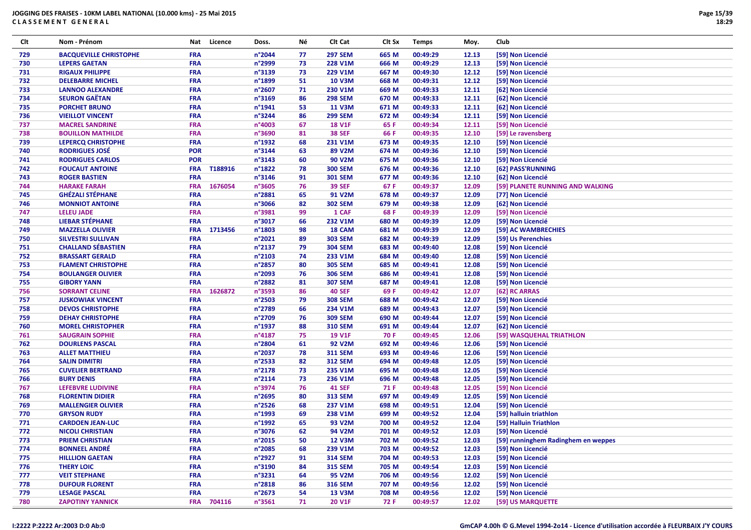| Clt | Nom - Prénom                  |            | Nat Licence | Doss.           | Νé | CIt Cat        | Clt Sx | <b>Temps</b> | Moy.  | Club                                |
|-----|-------------------------------|------------|-------------|-----------------|----|----------------|--------|--------------|-------|-------------------------------------|
| 729 | <b>BACQUEVILLE CHRISTOPHE</b> | <b>FRA</b> |             | n°2044          | 77 | <b>297 SEM</b> | 665 M  | 00:49:29     | 12.13 | [59] Non Licencié                   |
| 730 | <b>LEPERS GAETAN</b>          | <b>FRA</b> |             | n°2999          | 73 | 228 V1M        | 666 M  | 00:49:29     | 12.13 | [59] Non Licencié                   |
| 731 | <b>RIGAUX PHILIPPE</b>        | <b>FRA</b> |             | n°3139          | 73 | 229 V1M        | 667 M  | 00:49:30     | 12.12 | [59] Non Licencié                   |
| 732 | <b>DELEBARRE MICHEL</b>       | <b>FRA</b> |             | n°1899          | 51 | <b>10 V3M</b>  | 668 M  | 00:49:31     | 12.12 | [59] Non Licencié                   |
| 733 | <b>LANNOO ALEXANDRE</b>       | <b>FRA</b> |             | n°2607          | 71 | 230 V1M        | 669 M  | 00:49:33     | 12.11 | [62] Non Licencié                   |
| 734 | <b>SEURON GAËTAN</b>          | <b>FRA</b> |             | n°3169          | 86 | <b>298 SEM</b> | 670 M  | 00:49:33     | 12.11 | [62] Non Licencié                   |
| 735 | <b>PORCHET BRUNO</b>          | <b>FRA</b> |             | n°1941          | 53 | <b>11 V3M</b>  | 671 M  | 00:49:33     | 12.11 | [62] Non Licencié                   |
| 736 | <b>VIEILLOT VINCENT</b>       | <b>FRA</b> |             | n°3244          | 86 | <b>299 SEM</b> | 672 M  | 00:49:34     | 12.11 | [59] Non Licencié                   |
| 737 | <b>MACREL SANDRINE</b>        | <b>FRA</b> |             | n°4003          | 67 | <b>18 V1F</b>  | 65 F   | 00:49:34     | 12.11 | [59] Non Licencié                   |
| 738 | <b>BOUILLON MATHILDE</b>      | <b>FRA</b> |             | n°3690          | 81 | <b>38 SEF</b>  | 66 F   | 00:49:35     | 12.10 | [59] Le ravensberg                  |
| 739 | <b>LEPERCQ CHRISTOPHE</b>     | <b>FRA</b> |             | n°1932          | 68 | 231 V1M        | 673 M  | 00:49:35     | 12.10 | [59] Non Licencié                   |
| 740 | <b>RODRIGUES JOSÉ</b>         | <b>POR</b> |             | n°3144          | 63 | 89 V2M         | 674 M  | 00:49:36     | 12.10 | [59] Non Licencié                   |
| 741 | <b>RODRIGUES CARLOS</b>       | <b>POR</b> |             | n°3143          | 60 | 90 V2M         | 675 M  | 00:49:36     | 12.10 | [59] Non Licencié                   |
| 742 | <b>FOUCAUT ANTOINE</b>        | <b>FRA</b> | T188916     | n°1822          | 78 | <b>300 SEM</b> | 676 M  | 00:49:36     | 12.10 | [62] PASS'RUNNING                   |
| 743 | <b>ROGER BASTIEN</b>          | <b>FRA</b> |             | n°3146          | 91 | <b>301 SEM</b> | 677 M  | 00:49:36     | 12.10 | [62] Non Licencié                   |
| 744 | <b>HARAKE FARAH</b>           | <b>FRA</b> | 1676054     | n°3605          | 76 | <b>39 SEF</b>  | 67 F   | 00:49:37     | 12.09 | [59] PLANETE RUNNING AND WALKING    |
| 745 | <b>GHÉZALI STÉPHANE</b>       | <b>FRA</b> |             | n°2881          | 65 | 91 V2M         | 678 M  | 00:49:37     | 12.09 | [77] Non Licencié                   |
| 746 | <b>MONNIOT ANTOINE</b>        | <b>FRA</b> |             | n°3066          | 82 | <b>302 SEM</b> | 679 M  | 00:49:38     | 12.09 | [62] Non Licencié                   |
| 747 | <b>LELEU JADE</b>             | <b>FRA</b> |             | n°3981          | 99 | 1 CAF          | 68 F   | 00:49:39     | 12.09 | [59] Non Licencié                   |
| 748 | <b>LIEBAR STÉPHANE</b>        | <b>FRA</b> |             | n°3017          | 66 | 232 V1M        | 680 M  | 00:49:39     | 12.09 | [59] Non Licencié                   |
| 749 | <b>MAZZELLA OLIVIER</b>       | <b>FRA</b> | 1713456     | n°1803          | 98 | 18 CAM         | 681 M  | 00:49:39     | 12.09 | [59] AC WAMBRECHIES                 |
| 750 | <b>SILVESTRI SULLIVAN</b>     | <b>FRA</b> |             | n°2021          | 89 | <b>303 SEM</b> | 682 M  | 00:49:39     | 12.09 | [59] Us Perenchies                  |
|     | <b>CHALLAND SÉBASTIEN</b>     | <b>FRA</b> |             | n°2137          | 79 | <b>304 SEM</b> | 683 M  | 00:49:40     | 12.08 | [59] Non Licencié                   |
| 751 |                               |            |             |                 |    |                |        | 00:49:40     |       |                                     |
| 752 | <b>BRASSART GERALD</b>        | <b>FRA</b> |             | n°2103          | 74 | 233 V1M        | 684 M  |              | 12.08 | [59] Non Licencié                   |
| 753 | <b>FLAMENT CHRISTOPHE</b>     | <b>FRA</b> |             | n°2857          | 80 | <b>305 SEM</b> | 685 M  | 00:49:41     | 12.08 | [59] Non Licencié                   |
| 754 | <b>BOULANGER OLIVIER</b>      | <b>FRA</b> |             | n°2093          | 76 | <b>306 SEM</b> | 686 M  | 00:49:41     | 12.08 | [59] Non Licencié                   |
| 755 | <b>GIBORY YANN</b>            | <b>FRA</b> |             | n°2882          | 81 | <b>307 SEM</b> | 687 M  | 00:49:41     | 12.08 | [59] Non Licencié                   |
| 756 | <b>SORRANT CELINE</b>         | <b>FRA</b> | 1626872     | n°3593          | 86 | <b>40 SEF</b>  | 69 F   | 00:49:42     | 12.07 | [62] RC ARRAS                       |
| 757 | <b>JUSKOWIAK VINCENT</b>      | <b>FRA</b> |             | n°2503          | 79 | <b>308 SEM</b> | 688 M  | 00:49:42     | 12.07 | [59] Non Licencié                   |
| 758 | <b>DEVOS CHRISTOPHE</b>       | <b>FRA</b> |             | n°2789          | 66 | 234 V1M        | 689 M  | 00:49:43     | 12.07 | [59] Non Licencié                   |
| 759 | <b>DEHAY CHRISTOPHE</b>       | <b>FRA</b> |             | n°2709          | 76 | <b>309 SEM</b> | 690 M  | 00:49:44     | 12.07 | [59] Non Licencié                   |
| 760 | <b>MOREL CHRISTOPHER</b>      | <b>FRA</b> |             | n°1937          | 88 | <b>310 SEM</b> | 691 M  | 00:49:44     | 12.07 | [62] Non Licencié                   |
| 761 | <b>SAUGRAIN SOPHIE</b>        | <b>FRA</b> |             | n°4187          | 75 | <b>19 V1F</b>  | 70 F   | 00:49:45     | 12.06 | [59] WASQUEHAL TRIATHLON            |
| 762 | <b>DOURLENS PASCAL</b>        | <b>FRA</b> |             | n°2804          | 61 | <b>92 V2M</b>  | 692 M  | 00:49:46     | 12.06 | [59] Non Licencié                   |
| 763 | <b>ALLET MATTHIEU</b>         | <b>FRA</b> |             | n°2037          | 78 | <b>311 SEM</b> | 693 M  | 00:49:46     | 12.06 | [59] Non Licencié                   |
| 764 | <b>SALIN DIMITRI</b>          | <b>FRA</b> |             | n°2533          | 82 | <b>312 SEM</b> | 694 M  | 00:49:48     | 12.05 | [59] Non Licencié                   |
| 765 | <b>CUVELIER BERTRAND</b>      | <b>FRA</b> |             | n°2178          | 73 | 235 V1M        | 695 M  | 00:49:48     | 12.05 | [59] Non Licencié                   |
| 766 | <b>BURY DENIS</b>             | <b>FRA</b> |             | n°2114          | 73 | 236 V1M        | 696 M  | 00:49:48     | 12.05 | [59] Non Licencié                   |
| 767 | <b>LEFEBVRE LUDIVINE</b>      | <b>FRA</b> |             | n°3974          | 76 | <b>41 SEF</b>  | 71 F   | 00:49:48     | 12.05 | [59] Non Licencié                   |
| 768 | <b>FLORENTIN DIDIER</b>       | <b>FRA</b> |             | n°2695          | 80 | <b>313 SEM</b> | 697 M  | 00:49:49     | 12.05 | [59] Non Licencié                   |
| 769 | <b>MALLENGIER OLIVIER</b>     | <b>FRA</b> |             | n°2526          | 68 | 237 V1M        | 698 M  | 00:49:51     | 12.04 | [59] Non Licencié                   |
| 770 | <b>GRYSON RUDY</b>            | <b>FRA</b> |             | n°1993          | 69 | 238 V1M        | 699 M  | 00:49:52     | 12.04 | [59] halluin triathlon              |
| 771 | <b>CARDOEN JEAN-LUC</b>       | <b>FRA</b> |             | n°1992          | 65 | 93 V2M         | 700 M  | 00:49:52     | 12.04 | [59] Halluin Triathlon              |
| 772 | <b>NICOLI CHRISTIAN</b>       | <b>FRA</b> |             | n°3076          | 62 | 94 V2M         | 701 M  | 00:49:52     | 12.03 | [59] Non Licencié                   |
| 773 | <b>PRIEM CHRISTIAN</b>        | <b>FRA</b> |             | n°2015          | 50 | <b>12 V3M</b>  | 702 M  | 00:49:52     | 12.03 | [59] runninghem Radinghem en weppes |
| 774 | <b>BONNEEL ANDRÉ</b>          | <b>FRA</b> |             | n°2085          | 68 | 239 V1M        | 703 M  | 00:49:52     | 12.03 | [59] Non Licencié                   |
| 775 | <b>HILLLION GAETAN</b>        | <b>FRA</b> |             | n°2927          | 91 | <b>314 SEM</b> | 704 M  | 00:49:53     | 12.03 | [59] Non Licencié                   |
| 776 | <b>THERY LOIC</b>             | <b>FRA</b> |             | n°3190          | 84 | <b>315 SEM</b> | 705 M  | 00:49:54     | 12.03 | [59] Non Licencié                   |
| 777 | <b>VEIT STEPHANE</b>          | <b>FRA</b> |             | n°3231          | 64 | 95 V2M         | 706 M  | 00:49:56     | 12.02 | [59] Non Licencié                   |
| 778 | <b>DUFOUR FLORENT</b>         | <b>FRA</b> |             | n°2818          | 86 | <b>316 SEM</b> | 707 M  | 00:49:56     | 12.02 | [59] Non Licencié                   |
| 779 | <b>LESAGE PASCAL</b>          | <b>FRA</b> |             | $n^{\circ}2673$ | 54 | <b>13 V3M</b>  | 708 M  | 00:49:56     | 12.02 | [59] Non Licencié                   |
| 780 | <b>ZAPOTINY YANNICK</b>       |            | FRA 704116  | n°3561          | 71 | 20 V1F         | 72 F   | 00:49:57     | 12.02 | [59] US MARQUETTE                   |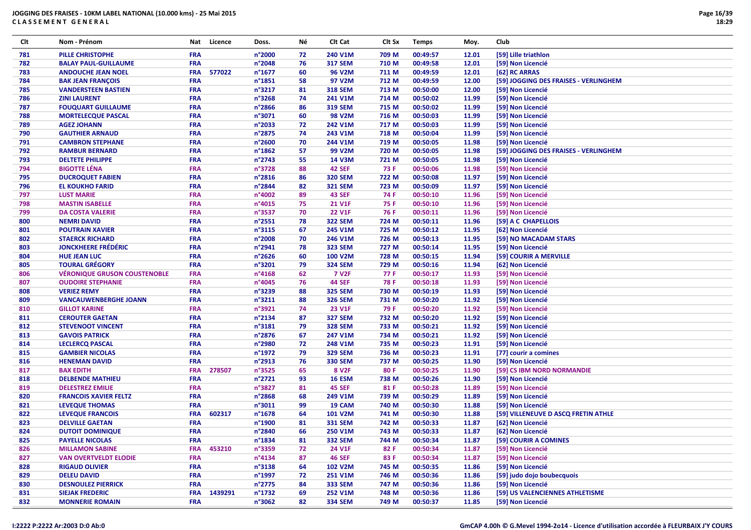| Clt | Nom - Prénom                        | Nat        | Licence | Doss.            | Νé | CIt Cat           | Clt Sx | <b>Temps</b> | Moy.  | Club                                  |
|-----|-------------------------------------|------------|---------|------------------|----|-------------------|--------|--------------|-------|---------------------------------------|
| 781 | <b>PILLE CHRISTOPHE</b>             | <b>FRA</b> |         | n°2000           | 72 | 240 V1M           | 709 M  | 00:49:57     | 12.01 | [59] Lille triathlon                  |
| 782 | <b>BALAY PAUL-GUILLAUME</b>         | <b>FRA</b> |         | n°2048           | 76 | <b>317 SEM</b>    | 710 M  | 00:49:58     | 12.01 | [59] Non Licencié                     |
| 783 | <b>ANDOUCHE JEAN NOEL</b>           | <b>FRA</b> | 577022  | n°1677           | 60 | 96 V2M            | 711 M  | 00:49:59     | 12.01 | [62] RC ARRAS                         |
| 784 | <b>BAK JEAN FRANÇOIS</b>            | FRA        |         | n°1851           | 58 | 97 V2M            | 712 M  | 00:49:59     | 12.00 | [59] JOGGING DES FRAISES - VERLINGHEM |
| 785 | <b>VANDERSTEEN BASTIEN</b>          | FRA        |         | n°3217           | 81 | <b>318 SEM</b>    | 713 M  | 00:50:00     | 12.00 | [59] Non Licencié                     |
| 786 | <b>ZINI LAURENT</b>                 | <b>FRA</b> |         | n°3268           | 74 | 241 V1M           | 714 M  | 00:50:02     | 11.99 | [59] Non Licencié                     |
| 787 | <b>FOUQUART GUILLAUME</b>           | <b>FRA</b> |         | n°2866           | 86 | <b>319 SEM</b>    | 715 M  | 00:50:02     | 11.99 | [59] Non Licencié                     |
| 788 | <b>MORTELECQUE PASCAL</b>           | FRA        |         | n°3071           | 60 | <b>98 V2M</b>     | 716 M  | 00:50:03     | 11.99 | [59] Non Licencié                     |
| 789 | <b>AGEZ JOHANN</b>                  | <b>FRA</b> |         | n°2033           | 72 | 242 V1M           | 717 M  | 00:50:03     | 11.99 | [59] Non Licencié                     |
| 790 | <b>GAUTHIER ARNAUD</b>              | <b>FRA</b> |         | n°2875           | 74 | 243 V1M           | 718 M  | 00:50:04     | 11.99 | [59] Non Licencié                     |
| 791 | <b>CAMBRON STEPHANE</b>             | FRA        |         | n°2600           | 70 | 244 V1M           | 719 M  | 00:50:05     | 11.98 | [59] Non Licencié                     |
| 792 | <b>RAMBUR BERNARD</b>               | <b>FRA</b> |         | $n^{\circ}$ 1862 | 57 | 99 V2M            | 720 M  | 00:50:05     | 11.98 | [59] JOGGING DES FRAISES - VERLINGHEM |
| 793 | <b>DELTETE PHILIPPE</b>             | <b>FRA</b> |         | n°2743           | 55 | <b>14 V3M</b>     | 721 M  | 00:50:05     | 11.98 | [59] Non Licencié                     |
| 794 | <b>BIGOTTE LÉNA</b>                 | <b>FRA</b> |         | n°3728           | 88 | <b>42 SEF</b>     | 73 F   | 00:50:06     | 11.98 | [59] Non Licencié                     |
| 795 | <b>DUCROQUET FABIEN</b>             | <b>FRA</b> |         | n°2816           | 86 | <b>320 SEM</b>    | 722 M  | 00:50:08     | 11.97 | [59] Non Licencié                     |
| 796 | <b>EL KOUKHO FARID</b>              | FRA        |         | n°2844           | 82 | <b>321 SEM</b>    | 723 M  | 00:50:09     | 11.97 | [59] Non Licencié                     |
| 797 | <b>LUST MARIE</b>                   | <b>FRA</b> |         | n°4002           | 89 | <b>43 SEF</b>     | 74 F   | 00:50:10     | 11.96 | [59] Non Licencié                     |
| 798 | <b>MASTIN ISABELLE</b>              | FRA        |         | n°4015           | 75 | 21 V1F            | 75 F   | 00:50:10     | 11.96 | [59] Non Licencié                     |
| 799 | <b>DA COSTA VALERIE</b>             | FRA        |         | n°3537           | 70 | <b>22 V1F</b>     | 76 F   | 00:50:11     | 11.96 | [59] Non Licencié                     |
| 800 | <b>NEMRI DAVID</b>                  | <b>FRA</b> |         | n°2551           | 78 | <b>322 SEM</b>    | 724 M  | 00:50:11     | 11.96 | [59] A C CHAPELLOIS                   |
| 801 | <b>POUTRAIN XAVIER</b>              | <b>FRA</b> |         | n°3115           | 67 | 245 V1M           | 725 M  | 00:50:12     | 11.95 | [62] Non Licencié                     |
| 802 | <b>STAERCK RICHARD</b>              | <b>FRA</b> |         | n°2008           | 70 | 246 V1M           | 726 M  | 00:50:13     | 11.95 | [59] NO MACADAM STARS                 |
| 803 | <b>JONCKHEERE FRÉDÉRIC</b>          | <b>FRA</b> |         | n°2941           | 78 | <b>323 SEM</b>    | 727 M  | 00:50:14     | 11.95 | [59] Non Licencié                     |
| 804 | <b>HUE JEAN LUC</b>                 | <b>FRA</b> |         | n°2626           | 60 | <b>100 V2M</b>    | 728 M  | 00:50:15     | 11.94 | [59] COURIR A MERVILLE                |
| 805 | <b>TOURAL GRÉGORY</b>               | FRA        |         | n°3201           | 79 | <b>324 SEM</b>    | 729 M  | 00:50:16     | 11.94 | [62] Non Licencié                     |
| 806 | <b>VÉRONIQUE GRUSON COUSTENOBLE</b> | FRA        |         | n°4168           | 62 | <b>7 V2F</b>      | 77 F   | 00:50:17     | 11.93 | [59] Non Licencié                     |
| 807 | <b>OUDOIRE STEPHANIE</b>            | FRA        |         | n°4045           | 76 | <b>44 SEF</b>     | 78 F   | 00:50:18     | 11.93 | [59] Non Licencié                     |
| 808 | <b>VERIEZ REMY</b>                  | <b>FRA</b> |         | n°3239           | 88 | <b>325 SEM</b>    | 730 M  | 00:50:19     | 11.93 | [59] Non Licencié                     |
| 809 | <b>VANCAUWENBERGHE JOANN</b>        | FRA        |         | n°3211           | 88 | <b>326 SEM</b>    | 731 M  | 00:50:20     | 11.92 | [59] Non Licencié                     |
| 810 | <b>GILLOT KARINE</b>                | FRA        |         | n°3921           | 74 | <b>23 V1F</b>     | 79 F   | 00:50:20     | 11.92 | [59] Non Licencié                     |
| 811 | <b>CEROUTER GAETAN</b>              | <b>FRA</b> |         | n°2134           | 87 | <b>327 SEM</b>    | 732 M  | 00:50:20     | 11.92 | [59] Non Licencié                     |
| 812 | <b>STEVENOOT VINCENT</b>            | <b>FRA</b> |         | n°3181           | 79 | <b>328 SEM</b>    | 733 M  | 00:50:21     | 11.92 | [59] Non Licencié                     |
| 813 | <b>GAVOIS PATRICK</b>               | FRA        |         | n°2876           | 67 | 247 V1M           | 734 M  | 00:50:21     | 11.92 | [59] Non Licencié                     |
| 814 | <b>LECLERCQ PASCAL</b>              | <b>FRA</b> |         | n°2980           | 72 | 248 V1M           | 735 M  | 00:50:23     | 11.91 | [59] Non Licencié                     |
| 815 | <b>GAMBIER NICOLAS</b>              | <b>FRA</b> |         | n°1972           | 79 | <b>329 SEM</b>    | 736 M  | 00:50:23     | 11.91 | [77] courir a comines                 |
| 816 | <b>HENEMAN DAVID</b>                | <b>FRA</b> |         | n°2913           | 76 | <b>330 SEM</b>    | 737 M  | 00:50:25     | 11.90 | [59] Non Licencié                     |
| 817 | <b>BAX EDITH</b>                    | <b>FRA</b> | 278507  | n°3525           | 65 | 8 V <sub>2F</sub> | 80 F   | 00:50:25     | 11.90 | [59] CS IBM NORD NORMANDIE            |
| 818 | <b>DELBENDE MATHIEU</b>             | <b>FRA</b> |         | n°2721           | 93 | <b>16 ESM</b>     | 738 M  | 00:50:26     | 11.90 | [59] Non Licencié                     |
| 819 | <b>DELESTREZ EMILIE</b>             | <b>FRA</b> |         | n°3827           | 81 | <b>45 SEF</b>     | 81 F   | 00:50:28     | 11.89 | [59] Non Licencié                     |
| 820 | <b>FRANCOIS XAVIER FELTZ</b>        | <b>FRA</b> |         | n°2868           | 68 | 249 V1M           | 739 M  | 00:50:29     | 11.89 | [59] Non Licencié                     |
| 821 | <b>LEVEQUE THOMAS</b>               | <b>FRA</b> |         | n°3011           | 99 | 19 CAM            | 740 M  | 00:50:30     | 11.88 | [59] Non Licencié                     |
| 822 | LEVEQUE FRANCOIS                    | <b>FRA</b> | 602317  | n°1678           | 64 | 101 V2M           | 741 M  | 00:50:30     | 11.88 | [59] VILLENEUVE D ASCQ FRETIN ATHLE   |
| 823 | <b>DELVILLE GAETAN</b>              | <b>FRA</b> |         | n°1900           | 81 | <b>331 SEM</b>    | 742 M  | 00:50:33     | 11.87 | [62] Non Licencié                     |
| 824 | <b>DUTOIT DOMINIQUE</b>             | <b>FRA</b> |         | n°2840           | 66 | 250 V1M           | 743 M  | 00:50:33     | 11.87 | [62] Non Licencié                     |
| 825 | <b>PAYELLE NICOLAS</b>              | <b>FRA</b> |         | n°1834           | 81 | <b>332 SEM</b>    | 744 M  | 00:50:34     | 11.87 | [59] COURIR A COMINES                 |
| 826 | <b>MILLAMON SABINE</b>              | <b>FRA</b> | 453210  | n°3359           | 72 | 24 V1F            | 82 F   | 00:50:34     | 11.87 | [59] Non Licencié                     |
| 827 | <b>VAN OVERTVELDT ELODIE</b>        | <b>FRA</b> |         | n°4134           | 87 | <b>46 SEF</b>     | 83 F   | 00:50:34     | 11.87 | [59] Non Licencié                     |
| 828 | <b>RIGAUD OLIVIER</b>               | <b>FRA</b> |         | $n^{\circ}3138$  | 64 | 102 V2M           | 745 M  | 00:50:35     | 11.86 | [59] Non Licencié                     |
| 829 | <b>DELEU DAVID</b>                  | <b>FRA</b> |         | n°1997           | 72 | 251 V1M           | 746 M  | 00:50:36     | 11.86 | [59] judo dojo boubecquois            |
| 830 | <b>DESNOULEZ PIERRICK</b>           | <b>FRA</b> |         | n°2775           | 84 | <b>333 SEM</b>    | 747 M  | 00:50:36     | 11.86 | [59] Non Licencié                     |
| 831 | <b>SIEJAK FREDERIC</b>              | <b>FRA</b> | 1439291 | n°1732           | 69 | 252 V1M           | 748 M  | 00:50:36     | 11.86 | [59] US VALENCIENNES ATHLETISME       |
| 832 | <b>MONNERIE ROMAIN</b>              | <b>FRA</b> |         | n°3062           | 82 | <b>334 SEM</b>    | 749 M  | 00:50:37     | 11.85 | [59] Non Licencié                     |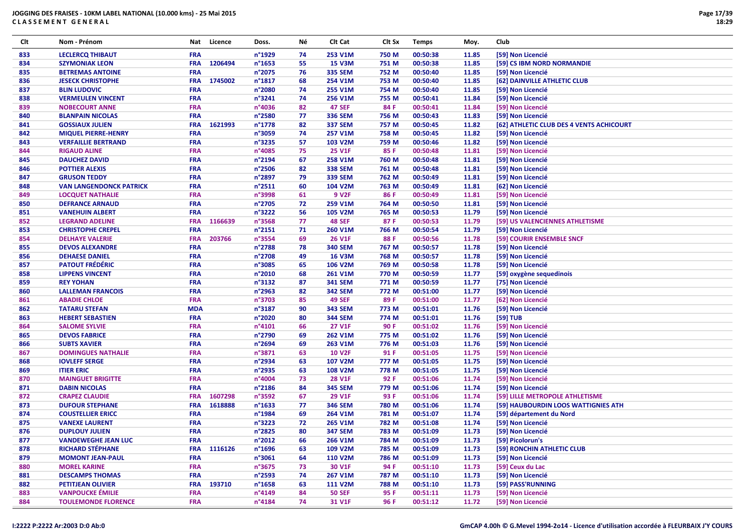| Clt | Nom - Prénom                                | Nat        | Licence     | Doss.            | Νé | Clt Cat                   | Clt Sx | <b>Temps</b> | Moy.  | Club                                     |
|-----|---------------------------------------------|------------|-------------|------------------|----|---------------------------|--------|--------------|-------|------------------------------------------|
| 833 | <b>LECLERCQ THIBAUT</b>                     | <b>FRA</b> |             | n°1929           | 74 | 253 V1M                   | 750 M  | 00:50:38     | 11.85 | [59] Non Licencié                        |
| 834 | <b>SZYMONIAK LEON</b>                       | <b>FRA</b> | 1206494     | n°1653           | 55 | <b>15 V3M</b>             | 751 M  | 00:50:38     | 11.85 | <b>[59] CS IBM NORD NORMANDIE</b>        |
| 835 | <b>BETREMAS ANTOINE</b>                     | <b>FRA</b> |             | n°2075           | 76 | <b>335 SEM</b>            | 752 M  | 00:50:40     | 11.85 | [59] Non Licencié                        |
| 836 | <b>JESECK CHRISTOPHE</b>                    | <b>FRA</b> | 1745002     | n°1817           | 68 | 254 V1M                   | 753 M  | 00:50:40     | 11.85 | [62] DAINVILLE ATHLETIC CLUB             |
| 837 | <b>BLIN LUDOVIC</b>                         | <b>FRA</b> |             | n°2080           | 74 | 255 V1M                   | 754 M  | 00:50:40     | 11.85 | [59] Non Licencié                        |
| 838 | <b>VERMEULEN VINCENT</b>                    | <b>FRA</b> |             | n°3241           | 74 | 256 V1M                   | 755 M  | 00:50:41     | 11.84 | [59] Non Licencié                        |
| 839 | <b>NOBECOURT ANNE</b>                       | <b>FRA</b> |             | n°4036           | 82 | <b>47 SEF</b>             | 84 F   | 00:50:41     | 11.84 | [59] Non Licencié                        |
| 840 | <b>BLANPAIN NICOLAS</b>                     | <b>FRA</b> |             | n°2580           | 77 | <b>336 SEM</b>            | 756 M  | 00:50:43     | 11.83 | [59] Non Licencié                        |
| 841 | <b>GOSSIAUX JULIEN</b>                      | <b>FRA</b> | 1621993     | n°1778           | 82 | <b>337 SEM</b>            | 757 M  | 00:50:45     | 11.82 | [62] ATHLETIC CLUB DES 4 VENTS ACHICOURT |
| 842 | <b>MIQUEL PIERRE-HENRY</b>                  | <b>FRA</b> |             | n°3059           | 74 | 257 V1M                   | 758 M  | 00:50:45     | 11.82 | [59] Non Licencié                        |
| 843 | <b>VERFAILLIE BERTRAND</b>                  | <b>FRA</b> |             | n°3235           | 57 | 103 V2M                   | 759 M  | 00:50:46     | 11.82 | [59] Non Licencié                        |
| 844 | <b>RIGAUD ALINE</b>                         | <b>FRA</b> |             | n°4085           | 75 | <b>25 V1F</b>             | 85 F   | 00:50:48     | 11.81 | [59] Non Licencié                        |
| 845 | <b>DAUCHEZ DAVID</b>                        | <b>FRA</b> |             | n°2194           | 67 | 258 V1M                   | 760 M  | 00:50:48     | 11.81 | [59] Non Licencié                        |
| 846 | <b>POTTIER ALEXIS</b>                       | <b>FRA</b> |             | n°2506           | 82 | <b>338 SEM</b>            | 761 M  | 00:50:48     | 11.81 | [59] Non Licencié                        |
| 847 | <b>GRUSON TEDDY</b>                         | <b>FRA</b> |             | n°2897           | 79 | <b>339 SEM</b>            | 762 M  | 00:50:49     | 11.81 | [59] Non Licencié                        |
| 848 | <b>VAN LANGENDONCK PATRICK</b>              | <b>FRA</b> |             | n°2511           | 60 | 104 V2M                   | 763 M  | 00:50:49     | 11.81 | [62] Non Licencié                        |
| 849 | <b>LOCQUET NATHALIE</b>                     | <b>FRA</b> |             | n°3998           | 61 | 9 V <sub>2F</sub>         | 86 F   | 00:50:49     | 11.81 | [59] Non Licencié                        |
| 850 | <b>DEFRANCE ARNAUD</b>                      | <b>FRA</b> |             | n°2705           | 72 | 259 V1M                   | 764 M  | 00:50:50     | 11.81 | [59] Non Licencié                        |
| 851 | <b>VANEHUIN ALBERT</b>                      | <b>FRA</b> |             | n°3222           | 56 | 105 V2M                   | 765 M  | 00:50:53     | 11.79 | [59] Non Licencié                        |
| 852 | <b>LEGRAND ADELINE</b>                      | <b>FRA</b> | 1166639     | n°3568           | 77 | <b>48 SEF</b>             | 87 F   | 00:50:53     | 11.79 | [59] US VALENCIENNES ATHLETISME          |
| 853 | <b>CHRISTOPHE CREPEL</b>                    | <b>FRA</b> |             | n°2151           | 71 | 260 V1M                   | 766 M  | 00:50:54     | 11.79 | [59] Non Licencié                        |
| 854 | <b>DELHAYE VALERIE</b>                      | <b>FRA</b> | 203766      | n°3554           | 69 | <b>26 V1F</b>             | 88 F   | 00:50:56     | 11.78 | [59] COURIR ENSEMBLE SNCF                |
| 855 | <b>DEVOS ALEXANDRE</b>                      | <b>FRA</b> |             | n°2788           | 78 | 340 SEM                   | 767 M  | 00:50:57     | 11.78 | [59] Non Licencié                        |
| 856 | <b>DEHAESE DANIEL</b>                       | <b>FRA</b> |             | n°2708           | 49 | <b>16 V3M</b>             | 768 M  | 00:50:57     | 11.78 | [59] Non Licencié                        |
| 857 | <b>PATOUT FRÉDÉRIC</b>                      | <b>FRA</b> |             | n°3085           | 65 | 106 V2M                   | 769 M  | 00:50:58     | 11.78 | [59] Non Licencié                        |
| 858 | <b>LIPPENS VINCENT</b>                      | <b>FRA</b> |             | n°2010           | 68 | 261 V1M                   | 770 M  | 00:50:59     | 11.77 | [59] oxygène sequedinois                 |
| 859 | <b>REY YOHAN</b>                            | <b>FRA</b> |             | n°3132           | 87 | <b>341 SEM</b>            | 771 M  | 00:50:59     | 11.77 | [75] Non Licencié                        |
| 860 | <b>LALLEMAN FRANCOIS</b>                    | <b>FRA</b> |             | n°2963           | 82 | <b>342 SEM</b>            | 772 M  | 00:51:00     | 11.77 | [59] Non Licencié                        |
| 861 | <b>ABADIE CHLOE</b>                         | <b>FRA</b> |             | n°3703           | 85 | <b>49 SEF</b>             | 89 F   | 00:51:00     | 11.77 | [62] Non Licencié                        |
| 862 | <b>TATARU STEFAN</b>                        | <b>MDA</b> |             | n°3187           | 90 | <b>343 SEM</b>            | 773 M  | 00:51:01     | 11.76 | [59] Non Licencié                        |
| 863 | <b>HEBERT SEBASTIEN</b>                     | <b>FRA</b> |             | n°2020           | 80 | <b>344 SEM</b>            | 774 M  | 00:51:01     | 11.76 | [59] TUB                                 |
| 864 | <b>SALOME SYLVIE</b>                        | <b>FRA</b> |             | n°4101           | 66 | 27 V1F                    | 90 F   | 00:51:02     | 11.76 | [59] Non Licencié                        |
| 865 | <b>DEVOS FABRICE</b>                        | <b>FRA</b> |             | n°2790           | 69 | 262 V1M                   | 775 M  | 00:51:02     | 11.76 | [59] Non Licencié                        |
| 866 | <b>SUBTS XAVIER</b>                         | <b>FRA</b> |             | n°2694           | 69 | 263 V1M                   | 776 M  | 00:51:03     | 11.76 | [59] Non Licencié                        |
| 867 | <b>DOMINGUES NATHALIE</b>                   | <b>FRA</b> |             | n°3871           | 63 | <b>10 V2F</b>             | 91 F   | 00:51:05     | 11.75 | [59] Non Licencié                        |
| 868 | <b>IOVLEFF SERGE</b>                        | <b>FRA</b> |             | n°2934           | 63 | <b>107 V2M</b>            | 777 M  | 00:51:05     | 11.75 | [59] Non Licencié                        |
| 869 | <b>ITIER ERIC</b>                           | <b>FRA</b> |             | n°2935           | 63 | 108 V2M                   | 778 M  | 00:51:05     | 11.75 | [59] Non Licencié                        |
| 870 | <b>MAINGUET BRIGITTE</b>                    | <b>FRA</b> |             | n°4004           | 73 | <b>28 V1F</b>             | 92 F   | 00:51:06     | 11.74 | [59] Non Licencié                        |
| 871 | <b>DABIN NICOLAS</b>                        | <b>FRA</b> |             | n°2186           | 84 | <b>345 SEM</b>            | 779 M  | 00:51:06     | 11.74 | [59] Non Licencié                        |
| 872 | <b>CRAPEZ CLAUDIE</b>                       | <b>FRA</b> | 1607298     | n°3592           | 67 | <b>29 V1F</b>             | 93 F   | 00:51:06     | 11.74 | [59] LILLE METROPOLE ATHLETISME          |
| 873 | <b>DUFOUR STEPHANE</b>                      | <b>FRA</b> | 1618888     | $n^{\circ}$ 1633 | 77 | <b>346 SEM</b>            | 780 M  | 00:51:06     | 11.74 | [59] HAUBOURDIN LOOS WATTIGNIES ATH      |
| 874 | <b>COUSTELLIER ERICC</b>                    | <b>FRA</b> |             | n°1984           | 69 | 264 V1M                   | 781 M  | 00:51:07     | 11.74 | [59] département du Nord                 |
| 875 | <b>VANEXE LAURENT</b>                       | <b>FRA</b> |             | n°3223           | 72 | 265 V1M                   | 782 M  | 00:51:08     | 11.74 | [59] Non Licencié                        |
| 876 | <b>DUPLOUY JULIEN</b>                       | <b>FRA</b> |             | n°2825           | 80 | <b>347 SEM</b>            | 783 M  | 00:51:09     | 11.73 | [59] Non Licencié                        |
| 877 | <b>VANDEWEGHE JEAN LUC</b>                  | <b>FRA</b> |             | n°2012           | 66 | 266 V1M                   | 784 M  | 00:51:09     | 11.73 | [59] Picolorun's                         |
| 878 | <b>RICHARD STÉPHANE</b>                     |            | FRA 1116126 | n°1696           | 63 | 109 V2M                   | 785 M  | 00:51:09     | 11.73 | [59] RONCHIN ATHLETIC CLUB               |
|     | <b>MOMONT JEAN-PAUL</b>                     | <b>FRA</b> |             | n°3061           | 64 | 110 V2M                   | 786 M  | 00:51:09     | 11.73 | [59] Non Licencié                        |
| 879 |                                             |            |             |                  |    |                           |        |              |       |                                          |
| 880 | <b>MOREL KARINE</b>                         | <b>FRA</b> |             | n°3675           | 73 | 30 V1F                    | 94 F   | 00:51:10     | 11.73 | [59] Ceux du Lac                         |
| 881 | <b>DESCAMPS THOMAS</b><br>PETITJEAN OLIVIER | <b>FRA</b> |             | n°2593           | 74 | 267 V1M<br><b>111 V2M</b> | 787 M  | 00:51:10     | 11.73 | [59] Non Licencié                        |
| 882 |                                             | <b>FRA</b> | 193710      | $n^{\circ}$ 1658 | 63 |                           | 788 M  | 00:51:10     | 11.73 | [59] PASS'RUNNING                        |
| 883 | <b>VANPOUCKE ÉMILIE</b>                     | <b>FRA</b> |             | n°4149           | 84 | <b>50 SEF</b>             | 95 F   | 00:51:11     | 11.73 | [59] Non Licencié                        |
| 884 | <b>TOULEMONDE FLORENCE</b>                  | <b>FRA</b> |             | n°4184           | 74 | 31 V1F                    | 96 F   | 00:51:12     | 11.72 | [59] Non Licencié                        |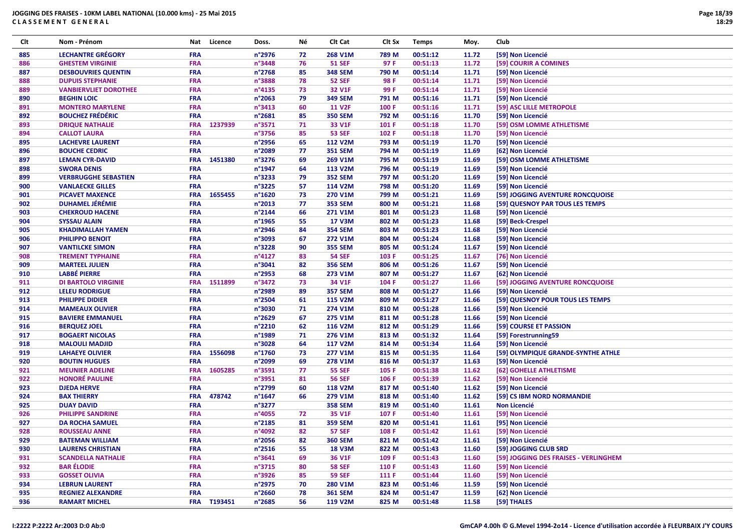| Clt        | Nom - Prénom                                  | Nat                      | Licence     | Doss.            | Νé       | Clt Cat                         | Clt Sx | <b>Temps</b>         | Moy.           | Club                                  |
|------------|-----------------------------------------------|--------------------------|-------------|------------------|----------|---------------------------------|--------|----------------------|----------------|---------------------------------------|
| 885        | <b>LECHANTRE GRÉGORY</b>                      | <b>FRA</b>               |             | n°2976           | 72       | 268 V1M                         | 789 M  | 00:51:12             | 11.72          | [59] Non Licencié                     |
| 886        | <b>GHESTEM VIRGINIE</b>                       | <b>FRA</b>               |             | n°3448           | 76       | <b>51 SEF</b>                   | 97 F   | 00:51:13             | 11.72          | [59] COURIR A COMINES                 |
| 887        | <b>DESBOUVRIES QUENTIN</b>                    | <b>FRA</b>               |             | n°2768           | 85       | <b>348 SEM</b>                  | 790 M  | 00:51:14             | 11.71          | [59] Non Licencié                     |
| 888        | <b>DUPUIS STEPHANIE</b>                       | <b>FRA</b>               |             | n°3888           | 78       | <b>52 SEF</b>                   | 98 F   | 00:51:14             | 11.71          | [59] Non Licencié                     |
| 889        | <b>VANBIERVLIET DOROTHEE</b>                  | <b>FRA</b>               |             | n°4135           | 73       | 32 V1F                          | 99 F   | 00:51:14             | 11.71          | [59] Non Licencié                     |
| 890        | <b>BEGHIN LOIC</b>                            | <b>FRA</b>               |             | $n^{\circ}$ 2063 | 79       | <b>349 SEM</b>                  | 791 M  | 00:51:16             | 11.71          | [59] Non Licencié                     |
| 891        | <b>MONTERO MARYLENE</b>                       | <b>FRA</b>               |             | n°3413           | 60       | <b>11 V2F</b>                   | 100 F  | 00:51:16             | 11.71          | [59] ASC LILLE METROPOLE              |
| 892        | <b>BOUCHEZ FRÉDÉRIC</b>                       | <b>FRA</b>               |             | n°2681           | 85       | <b>350 SEM</b>                  | 792 M  | 00:51:16             | 11.70          | [59] Non Licencié                     |
| 893        | <b>DRIQUE NATHALIE</b>                        | <b>FRA</b>               | 1237939     | n°3571           | 71       | 33 V1F                          | 101 F  | 00:51:18             | 11.70          | [59] OSM LOMME ATHLETISME             |
| 894        | <b>CALLOT LAURA</b>                           | <b>FRA</b>               |             | n°3756           | 85       | <b>53 SEF</b>                   | 102 F  | 00:51:18             | 11.70          | [59] Non Licencié                     |
| 895        | <b>LACHEVRE LAURENT</b>                       | <b>FRA</b>               |             | n°2956           | 65       | <b>112 V2M</b>                  | 793 M  | 00:51:19             | 11.70          | [59] Non Licencié                     |
| 896        | <b>BOUCHE CEDRIC</b>                          | <b>FRA</b>               |             | n°2089           | 77       | <b>351 SEM</b>                  | 794 M  | 00:51:19             | 11.69          | [62] Non Licencié                     |
| 897        | <b>LEMAN CYR-DAVID</b>                        | <b>FRA</b>               | 1451380     | n°3276           | 69       | 269 V1M                         | 795 M  | 00:51:19             | 11.69          | [59] OSM LOMME ATHLETISME             |
| 898        | <b>SWORA DENIS</b>                            | <b>FRA</b>               |             | n°1947           | 64       | 113 V2M                         | 796 M  | 00:51:19             | 11.69          | [59] Non Licencié                     |
| 899        | <b>VERBRUGGHE SEBASTIEN</b>                   | <b>FRA</b>               |             | n°3233           | 79       | <b>352 SEM</b>                  | 797 M  | 00:51:20             | 11.69          | [59] Non Licencié                     |
| 900        | <b>VANLAECKE GILLES</b>                       | <b>FRA</b>               |             | n°3225           | 57       | 114 V2M                         | 798 M  | 00:51:20             | 11.69          | [59] Non Licencié                     |
| 901        | <b>PICAVET MAXENCE</b>                        | <b>FRA</b>               | 1655455     | n°1620           | 73       | 270 V1M                         | 799 M  | 00:51:21             | 11.69          | [59] JOGGING AVENTURE RONCQUOISE      |
| 902        | <b>DUHAMEL JÉRÉMIE</b>                        | <b>FRA</b>               |             | n°2013           | 77       | <b>353 SEM</b>                  | 800 M  | 00:51:21             | 11.68          | [59] QUESNOY PAR TOUS LES TEMPS       |
| 903        | <b>CHEKROUD HACENE</b>                        | <b>FRA</b>               |             | $n^{\circ}$ 2144 | 66       | 271 V1M                         | 801 M  | 00:51:23             | 11.68          | [59] Non Licencié                     |
| 904        | <b>SYSSAU ALAIN</b>                           | <b>FRA</b>               |             | $n^{\circ}$ 1965 | 55       | <b>17 V3M</b>                   | 802 M  | 00:51:23             | 11.68          | [59] Beck-Crespel                     |
| 905        | <b>KHADIMALLAH YAMEN</b>                      | <b>FRA</b>               |             | n°2946           | 84       | <b>354 SEM</b>                  | 803 M  | 00:51:23             | 11.68          | [59] Non Licencié                     |
| 906        | <b>PHILIPPO BENOIT</b>                        | <b>FRA</b>               |             | n°3093           | 67       | <b>272 V1M</b>                  | 804 M  | 00:51:24             | 11.68          | [59] Non Licencié                     |
| 907        | <b>VANTILCKE SIMON</b>                        | <b>FRA</b>               |             | n°3228           | 90       | <b>355 SEM</b>                  | 805 M  | 00:51:24             | 11.67          | [59] Non Licencié                     |
| 908        | <b>TREMENT TYPHAINE</b>                       | <b>FRA</b>               |             | n°4127           | 83       | <b>54 SEF</b>                   | 103 F  | 00:51:25             | 11.67          | [76] Non Licencié                     |
| 909        | <b>MARTEEL JULIEN</b>                         | <b>FRA</b>               |             | n°3041           | 82       | <b>356 SEM</b>                  | 806 M  | 00:51:26             | 11.67          | [59] Non Licencié                     |
| 910        | <b>LABBÉ PIERRE</b>                           | <b>FRA</b>               |             | n°2953           | 68       | 273 V1M                         | 807 M  | 00:51:27             | 11.67          | [62] Non Licencié                     |
| 911        | <b>DI BARTOLO VIRGINIE</b>                    | <b>FRA</b>               | 1511899     | n°3472           | 73       | 34 V1F                          | 104 F  | 00:51:27             | 11.66          | [59] JOGGING AVENTURE RONCQUOISE      |
| 912        | <b>LELEU RODRIGUE</b>                         | <b>FRA</b>               |             | n°2989           | 89       | <b>357 SEM</b>                  | 808 M  | 00:51:27             | 11.66          | [59] Non Licencié                     |
| 913        | <b>PHILIPPE DIDIER</b>                        | <b>FRA</b>               |             | n°2504           | 61       | <b>115 V2M</b>                  | 809 M  | 00:51:27             | 11.66          | [59] QUESNOY POUR TOUS LES TEMPS      |
| 914        | <b>MAMEAUX OLIVIER</b>                        | <b>FRA</b>               |             | n°3030           | 71       | 274 V1M                         | 810 M  | 00:51:28             | 11.66          | [59] Non Licencié                     |
| 915        | <b>BAVIERE EMMANUEL</b>                       | <b>FRA</b>               |             | n°2629           | 67       | 275 V1M                         | 811 M  | 00:51:28             | 11.66          | [59] Non Licencié                     |
|            |                                               | <b>FRA</b>               |             | n°2210           | 62       |                                 |        |                      |                |                                       |
| 916        | <b>BERQUEZ JOEL</b><br><b>BOGAERT NICOLAS</b> | <b>FRA</b>               |             |                  | 71       | 116 V2M                         | 812 M  | 00:51:29<br>00:51:32 | 11.66<br>11.64 | [59] COURSE ET PASSION                |
| 917<br>918 |                                               | <b>FRA</b>               |             | n°1989           | 64       | 276 V1M                         | 813 M  |                      |                | [59] Forestrunning59                  |
|            | <b>MALOULI MADJID</b>                         |                          | 1556098     | n°3028           |          | <b>117 V2M</b>                  | 814 M  | 00:51:34             | 11.64          | [59] Non Licencié                     |
| 919        | <b>LAHAEYE OLIVIER</b>                        | <b>FRA</b><br><b>FRA</b> |             | n°1760           | 73<br>69 | <b>277 V1M</b>                  | 815 M  | 00:51:35             | 11.64          | [59] OLYMPIQUE GRANDE-SYNTHE ATHLE    |
| 920        | <b>BOUTIN HUGUES</b>                          |                          | 1605285     | n°2099<br>n°3591 |          | 278 V1M                         | 816 M  | 00:51:37             | 11.63          | [59] Non Licencié                     |
| 921        | <b>MEUNIER ADELINE</b>                        | <b>FRA</b>               |             |                  | 77       | <b>55 SEF</b>                   | 105 F  | 00:51:38             | 11.62          | [62] GOHELLE ATHLETISME               |
| 922        | <b>HONORÉ PAULINE</b>                         | <b>FRA</b>               |             | n°3951<br>n°2799 | 81       | <b>56 SEF</b><br><b>118 V2M</b> | 106 F  | 00:51:39             | 11.62<br>11.62 | [59] Non Licencié                     |
| 923        | <b>DJEDA HERVE</b>                            | <b>FRA</b>               |             |                  | 60<br>66 |                                 | 817 M  | 00:51:40<br>00:51:40 |                | [59] Non Licencié                     |
| 924        | <b>BAX THIERRY</b>                            | <b>FRA</b>               | 478742      | $n^{\circ}$ 1647 |          | 279 V1M                         | 818 M  |                      | 11.62          | [59] CS IBM NORD NORMANDIE            |
| 925        | <b>DUAY DAVID</b>                             | <b>FRA</b>               |             | n°3277           |          | <b>358 SEM</b>                  | 819 M  | 00:51:40             | 11.61          | Non Licencié                          |
| 926        | <b>PHILIPPE SANDRINE</b>                      | <b>FRA</b>               |             | n°4055           | 72       | 35 V1F                          | 107 F  | 00:51:40             | 11.61          | [59] Non Licencié                     |
| 927        | <b>DA ROCHA SAMUEL</b>                        | <b>FRA</b>               |             | n°2185           | 81       | <b>359 SEM</b>                  | 820 M  | 00:51:41             | 11.61          | [95] Non Licencié                     |
| 928        | <b>ROUSSEAU ANNE</b>                          | <b>FRA</b>               |             | n°4092           | 82       | <b>57 SEF</b>                   | 108 F  | 00:51:42             | 11.61          | [59] Non Licencié                     |
| 929        | <b>BATEMAN WILLIAM</b>                        | <b>FRA</b>               |             | n°2056           | 82       | <b>360 SEM</b>                  | 821 M  | 00:51:42             | 11.61          | [59] Non Licencié                     |
| 930        | <b>LAURENS CHRISTIAN</b>                      | <b>FRA</b>               |             | $n^{\circ}2516$  | 55       | <b>18 V3M</b>                   | 822 M  | 00:51:43             | 11.60          | [59] JOGGING CLUB SRD                 |
| 931        | <b>SCANDELLA NATHALIE</b>                     | <b>FRA</b>               |             | n°3641           | 69       | 36 V1F                          | 109 F  | 00:51:43             | 11.60          | [59] JOGGING DES FRAISES - VERLINGHEM |
| 932        | <b>BAR ÉLODIE</b>                             | <b>FRA</b>               |             | n°3715           | 80       | <b>58 SEF</b>                   | 110 F  | 00:51:43             | 11.60          | [59] Non Licencié                     |
| 933        | <b>GOSSET OLIVIA</b>                          | <b>FRA</b>               |             | n°3926           | 85       | <b>59 SEF</b>                   | 111 F  | 00:51:44             | 11.60          | [59] Non Licencié                     |
| 934        | <b>LEBRUN LAURENT</b>                         | <b>FRA</b>               |             | n°2975           | 70       | 280 V1M                         | 823 M  | 00:51:46             | 11.59          | [59] Non Licencié                     |
| 935        | <b>REGNIEZ ALEXANDRE</b>                      | <b>FRA</b>               |             | n°2660           | 78       | <b>361 SEM</b>                  | 824 M  | 00:51:47             | 11.59          | [62] Non Licencié                     |
| 936        | <b>RAMART MICHEL</b>                          |                          | FRA T193451 | n°2685           | 56       | 119 V2M                         | 825 M  | 00:51:48             | 11.58          | [59] THALES                           |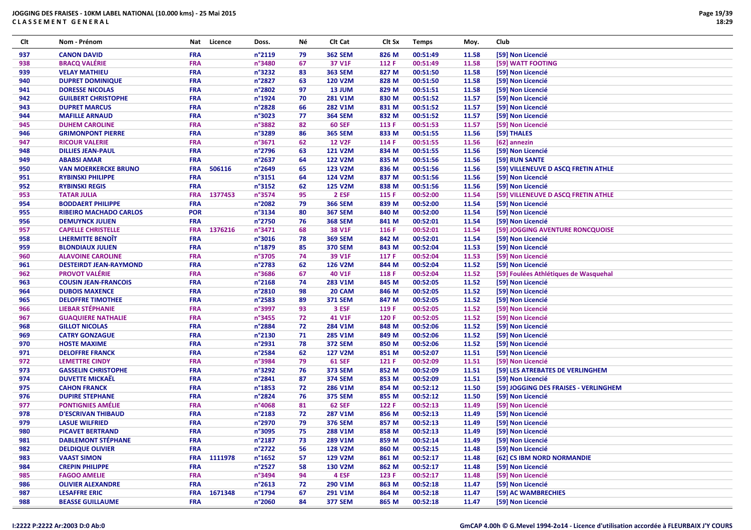| Clt | Nom - Prénom                  | Nat        | Licence     | Doss.            | Νé | Clt Cat        | Clt Sx | <b>Temps</b> | Moy.  | Club                                  |
|-----|-------------------------------|------------|-------------|------------------|----|----------------|--------|--------------|-------|---------------------------------------|
| 937 | <b>CANON DAVID</b>            | FRA        |             | n°2119           | 79 | <b>362 SEM</b> | 826 M  | 00:51:49     | 11.58 | [59] Non Licencié                     |
| 938 | <b>BRACQ VALÉRIE</b>          | FRA        |             | n°3480           | 67 | 37 V1F         | 112 F  | 00:51:49     | 11.58 | [59] WATT FOOTING                     |
| 939 | <b>VELAY MATHIEU</b>          | <b>FRA</b> |             | n°3232           | 83 | <b>363 SEM</b> | 827 M  | 00:51:50     | 11.58 | [59] Non Licencié                     |
| 940 | <b>DUPRET DOMINIQUE</b>       | <b>FRA</b> |             | n°2827           | 63 | <b>120 V2M</b> | 828 M  | 00:51:50     | 11.58 | [59] Non Licencié                     |
| 941 | <b>DORESSE NICOLAS</b>        | FRA        |             | n°2802           | 97 | 13 JUM         | 829 M  | 00:51:51     | 11.58 | [59] Non Licencié                     |
| 942 | <b>GUILBERT CHRISTOPHE</b>    | <b>FRA</b> |             | n°1924           | 70 | <b>281 V1M</b> | 830 M  | 00:51:52     | 11.57 | [59] Non Licencié                     |
| 943 | <b>DUPRET MARCUS</b>          | <b>FRA</b> |             | n°2828           | 66 | 282 V1M        | 831 M  | 00:51:52     | 11.57 | [59] Non Licencié                     |
| 944 | <b>MAFILLE ARNAUD</b>         | FRA        |             | n°3023           | 77 | <b>364 SEM</b> | 832 M  | 00:51:52     | 11.57 | [59] Non Licencié                     |
| 945 | <b>DUHEM CAROLINE</b>         | FRA        |             | n°3882           | 82 | <b>60 SEF</b>  | 113 F  | 00:51:53     | 11.57 | [59] Non Licencié                     |
| 946 | <b>GRIMONPONT PIERRE</b>      | <b>FRA</b> |             | n°3289           | 86 | <b>365 SEM</b> | 833 M  | 00:51:55     | 11.56 | [59] THALES                           |
| 947 | <b>RICOUR VALERIE</b>         | <b>FRA</b> |             | n°3671           | 62 | <b>12 V2F</b>  | 114 F  | 00:51:55     | 11.56 | [62] annezin                          |
| 948 | <b>DILLIES JEAN-PAUL</b>      | <b>FRA</b> |             | n°2796           | 63 | <b>121 V2M</b> | 834 M  | 00:51:55     | 11.56 | [59] Non Licencié                     |
| 949 | <b>ABABSI AMAR</b>            | <b>FRA</b> |             | n°2637           | 64 | <b>122 V2M</b> | 835 M  | 00:51:56     | 11.56 | [59] RUN SANTE                        |
| 950 | <b>VAN MOERKERCKE BRUNO</b>   | <b>FRA</b> | 506116      | n°2649           | 65 | 123 V2M        | 836 M  | 00:51:56     | 11.56 | [59] VILLENEUVE D ASCQ FRETIN ATHLE   |
| 951 | <b>RYBINSKI PHILIPPE</b>      | <b>FRA</b> |             | n°3151           | 64 | 124 V2M        | 837 M  | 00:51:56     | 11.56 | [59] Non Licencié                     |
| 952 | <b>RYBINSKI REGIS</b>         | <b>FRA</b> |             | n°3152           | 62 | <b>125 V2M</b> | 838 M  | 00:51:56     | 11.56 | [59] Non Licencié                     |
| 953 | <b>TATAR JULIA</b>            | <b>FRA</b> | 1377453     | n°3574           | 95 | 2 ESF          | 115 F  | 00:52:00     | 11.54 | [59] VILLENEUVE D ASCQ FRETIN ATHLE   |
| 954 | <b>BODDAERT PHILIPPE</b>      | <b>FRA</b> |             | n°2082           | 79 | <b>366 SEM</b> | 839 M  | 00:52:00     | 11.54 | [59] Non Licencié                     |
| 955 | <b>RIBEIRO MACHADO CARLOS</b> | <b>POR</b> |             | n°3134           | 80 | <b>367 SEM</b> | 840 M  | 00:52:00     | 11.54 | [59] Non Licencié                     |
| 956 | <b>DEMUYNCK JULIEN</b>        | <b>FRA</b> |             | n°2750           | 76 | <b>368 SEM</b> | 841 M  | 00:52:01     | 11.54 | [59] Non Licencié                     |
| 957 | <b>CAPELLE CHRISTELLE</b>     | <b>FRA</b> | 1376216     | n°3471           | 68 | 38 V1F         | 116 F  | 00:52:01     | 11.54 | [59] JOGGING AVENTURE RONCQUOISE      |
| 958 | <b>LHERMITTE BENOIT</b>       | <b>FRA</b> |             | n°3016           | 78 | <b>369 SEM</b> | 842 M  | 00:52:01     | 11.54 | [59] Non Licencié                     |
| 959 | <b>BLONDIAUX JULIEN</b>       | FRA        |             | n°1879           | 85 | <b>370 SEM</b> | 843 M  | 00:52:04     | 11.53 | [59] Non Licencié                     |
| 960 | <b>ALAVOINE CAROLINE</b>      | <b>FRA</b> |             | n°3705           | 74 | 39 V1F         | 117 F  | 00:52:04     | 11.53 | [59] Non Licencié                     |
| 961 | <b>DESTEIRDT JEAN-RAYMOND</b> | <b>FRA</b> |             | n°2783           | 62 | 126 V2M        | 844 M  | 00:52:04     | 11.52 | [59] Non Licencié                     |
| 962 | <b>PROVOT VALÉRIE</b>         | FRA        |             | n°3686           | 67 | 40 V1F         | 118 F  | 00:52:04     | 11.52 | [59] Foulées Athlétiques de Wasquehal |
| 963 | <b>COUSIN JEAN-FRANCOIS</b>   | FRA        |             | n°2168           | 74 | 283 V1M        | 845 M  | 00:52:05     | 11.52 | [59] Non Licencié                     |
| 964 | <b>DUBOIS MAXENCE</b>         | <b>FRA</b> |             | n°2810           | 98 | 20 CAM         | 846 M  | 00:52:05     | 11.52 | [59] Non Licencié                     |
| 965 | <b>DELOFFRE TIMOTHEE</b>      | <b>FRA</b> |             | n°2583           | 89 | <b>371 SEM</b> | 847 M  | 00:52:05     | 11.52 | [59] Non Licencié                     |
| 966 | <b>LIEBAR STÉPHANIE</b>       | FRA        |             | n°3997           | 93 | 3 ESF          | 119 F  | 00:52:05     | 11.52 | [59] Non Licencié                     |
| 967 | <b>GUAQUIERE NATHALIE</b>     | FRA        |             | n°3455           | 72 | 41 V1F         | 120 F  | 00:52:05     | 11.52 | [59] Non Licencié                     |
| 968 | <b>GILLOT NICOLAS</b>         | <b>FRA</b> |             | n°2884           | 72 | 284 V1M        | 848 M  | 00:52:06     | 11.52 | [59] Non Licencié                     |
| 969 | <b>CATRY GONZAGUE</b>         | FRA        |             | n°2130           | 71 | 285 V1M        | 849 M  | 00:52:06     | 11.52 | [59] Non Licencié                     |
| 970 | <b>HOSTE MAXIME</b>           | <b>FRA</b> |             | n°2931           | 78 | <b>372 SEM</b> | 850 M  | 00:52:06     | 11.52 | [59] Non Licencié                     |
| 971 | <b>DELOFFRE FRANCK</b>        | <b>FRA</b> |             | n°2584           | 62 | <b>127 V2M</b> | 851 M  | 00:52:07     | 11.51 | [59] Non Licencié                     |
| 972 | <b>LEMETTRE CINDY</b>         | FRA        |             | n°3984           | 79 | <b>61 SEF</b>  | 121 F  | 00:52:09     | 11.51 | [59] Non Licencié                     |
| 973 | <b>GASSELIN CHRISTOPHE</b>    | FRA        |             | n°3292           | 76 | <b>373 SEM</b> | 852 M  | 00:52:09     | 11.51 | [59] LES ATREBATES DE VERLINGHEM      |
| 974 | <b>DUVETTE MICKAËL</b>        | <b>FRA</b> |             | n°2841           | 87 | <b>374 SEM</b> | 853 M  | 00:52:09     | 11.51 | [59] Non Licencié                     |
| 975 | <b>CAHON FRANCK</b>           | <b>FRA</b> |             | n°1853           | 72 | 286 V1M        | 854 M  | 00:52:12     | 11.50 | [59] JOGGING DES FRAISES - VERLINGHEM |
| 976 | <b>DUPIRE STEPHANE</b>        | <b>FRA</b> |             | n°2824           | 76 | <b>375 SEM</b> | 855 M  | 00:52:12     | 11.50 | [59] Non Licencié                     |
| 977 | <b>PONTIGNIES AMÉLIE</b>      | FRA        |             | n°4068           | 81 | <b>62 SEF</b>  | 122 F  | 00:52:13     | 11.49 | [59] Non Licencié                     |
| 978 | <b>D'ESCRIVAN THIBAUD</b>     | <b>FRA</b> |             | n°2183           | 72 | <b>287 V1M</b> | 856 M  | 00:52:13     | 11.49 | [59] Non Licencié                     |
| 979 | <b>LASUE WILFRIED</b>         | <b>FRA</b> |             | n°2970           | 79 | <b>376 SEM</b> | 857 M  | 00:52:13     | 11.49 | [59] Non Licencié                     |
| 980 | <b>PICAVET BERTRAND</b>       | <b>FRA</b> |             | n°3095           | 75 | 288 V1M        | 858 M  | 00:52:13     | 11.49 | [59] Non Licencié                     |
| 981 | <b>DABLEMONT STÉPHANE</b>     | <b>FRA</b> |             | n°2187           | 73 | 289 V1M        | 859 M  | 00:52:14     | 11.49 | [59] Non Licencié                     |
| 982 | <b>DELDIQUE OLIVIER</b>       | <b>FRA</b> |             | n°2722           | 56 | <b>128 V2M</b> | 860 M  | 00:52:15     | 11.48 | [59] Non Licencié                     |
| 983 | <b>VAAST SIMON</b>            | <b>FRA</b> | 1111978     | $n^{\circ}$ 1652 | 57 | 129 V2M        | 861 M  | 00:52:17     | 11.48 | [62] CS IBM NORD NORMANDIE            |
| 984 | <b>CREPIN PHILIPPE</b>        | <b>FRA</b> |             | n°2527           | 58 | <b>130 V2M</b> | 862 M  | 00:52:17     | 11.48 | [59] Non Licencié                     |
| 985 | <b>FAGOO AMELIE</b>           | <b>FRA</b> |             | n°3494           | 94 | 4 ESF          | 123 F  | 00:52:17     | 11.48 | [59] Non Licencié                     |
| 986 | <b>OLIVIER ALEXANDRE</b>      | <b>FRA</b> |             | n°2613           | 72 | 290 V1M        | 863 M  | 00:52:18     | 11.47 | [59] Non Licencié                     |
| 987 | <b>LESAFFRE ERIC</b>          |            | FRA 1671348 | n°1794           | 67 | 291 V1M        | 864 M  | 00:52:18     | 11.47 | [59] AC WAMBRECHIES                   |
| 988 | <b>BEASSE GUILLAUME</b>       | <b>FRA</b> |             | n°2060           | 84 | <b>377 SEM</b> | 865 M  | 00:52:18     | 11.47 | [59] Non Licencié                     |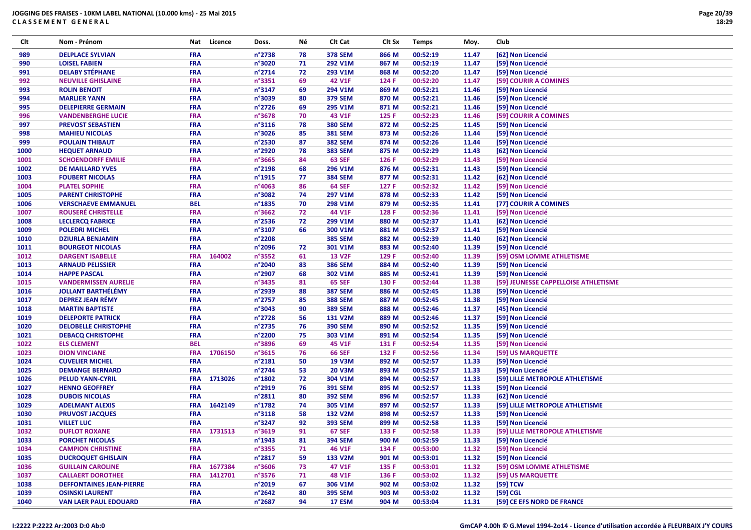| Clt  | Nom - Prénom                    | Nat        | Licence | Doss.            | Νé | Clt Cat              | Clt Sx | <b>Temps</b> | Moy.  | Club                                 |
|------|---------------------------------|------------|---------|------------------|----|----------------------|--------|--------------|-------|--------------------------------------|
| 989  | <b>DELPLACE SYLVIAN</b>         | <b>FRA</b> |         | n°2738           | 78 | <b>378 SEM</b>       | 866 M  | 00:52:19     | 11.47 | [62] Non Licencié                    |
| 990  | <b>LOISEL FABIEN</b>            | <b>FRA</b> |         | n°3020           | 71 | 292 V1M              | 867 M  | 00:52:19     | 11.47 | [59] Non Licencié                    |
| 991  | <b>DELABY STÉPHANE</b>          | <b>FRA</b> |         | n°2714           | 72 | 293 V1M              | 868 M  | 00:52:20     | 11.47 | [59] Non Licencié                    |
| 992  | <b>NEUVILLE GHISLAINE</b>       | <b>FRA</b> |         | n°3351           | 69 | 42 V1F               | 124 F  | 00:52:20     | 11.47 | [59] COURIR A COMINES                |
| 993  | <b>ROLIN BENOIT</b>             | <b>FRA</b> |         | n°3147           | 69 | 294 V1M              | 869 M  | 00:52:21     | 11.46 | [59] Non Licencié                    |
| 994  | <b>MARLIER YANN</b>             | <b>FRA</b> |         | n°3039           | 80 | <b>379 SEM</b>       | 870 M  | 00:52:21     | 11.46 | [59] Non Licencié                    |
| 995  | <b>DELEPIERRE GERMAIN</b>       | <b>FRA</b> |         | n°2726           | 69 | 295 V1M              | 871 M  | 00:52:21     | 11.46 | [59] Non Licencié                    |
| 996  | <b>VANDENBERGHE LUCIE</b>       | <b>FRA</b> |         | n°3678           | 70 | 43 V1F               | 125 F  | 00:52:23     | 11.46 | [59] COURIR A COMINES                |
| 997  | <b>PREVOST SEBASTIEN</b>        | <b>FRA</b> |         | n°3116           | 78 | <b>380 SEM</b>       | 872 M  | 00:52:25     | 11.45 | [59] Non Licencié                    |
| 998  | <b>MAHIEU NICOLAS</b>           | <b>FRA</b> |         | n°3026           | 85 | <b>381 SEM</b>       | 873 M  | 00:52:26     | 11.44 | [59] Non Licencié                    |
| 999  | <b>POULAIN THIBAUT</b>          | <b>FRA</b> |         | n°2530           | 87 | <b>382 SEM</b>       | 874 M  | 00:52:26     | 11.44 | [59] Non Licencié                    |
| 1000 | <b>HEQUET ARNAUD</b>            | <b>FRA</b> |         | n°2920           | 78 | <b>383 SEM</b>       | 875 M  | 00:52:29     | 11.43 | [62] Non Licencié                    |
| 1001 | <b>SCHOENDORFF EMILIE</b>       | <b>FRA</b> |         | n°3665           | 84 | <b>63 SEF</b>        | 126 F  | 00:52:29     | 11.43 | [59] Non Licencié                    |
| 1002 | <b>DE MAILLARD YVES</b>         | <b>FRA</b> |         | n°2198           | 68 | 296 V1M              | 876 M  | 00:52:31     | 11.43 | [59] Non Licencié                    |
| 1003 | <b>FOUBERT NICOLAS</b>          | <b>FRA</b> |         | n°1915           | 77 | <b>384 SEM</b>       | 877 M  | 00:52:31     | 11.42 | [62] Non Licencié                    |
| 1004 | <b>PLATEL SOPHIE</b>            | <b>FRA</b> |         | n°4063           | 86 | <b>64 SEF</b>        | 127 F  | 00:52:32     | 11.42 | [59] Non Licencié                    |
| 1005 | <b>PARENT CHRISTOPHE</b>        | <b>FRA</b> |         | n°3082           | 74 | 297 V1M              | 878 M  | 00:52:33     | 11.42 | [59] Non Licencié                    |
|      |                                 | <b>BEL</b> |         | n°1835           |    |                      |        |              |       |                                      |
| 1006 | <b>VERSCHAEVE EMMANUEL</b>      | <b>FRA</b> |         | n°3662           | 70 | 298 V1M              | 879 M  | 00:52:35     | 11.41 | [77] COURIR A COMINES                |
| 1007 | <b>ROUSERÉ CHRISTELLE</b>       |            |         |                  | 72 | 44 V1F               | 128 F  | 00:52:36     | 11.41 | [59] Non Licencié                    |
| 1008 | <b>LECLERCQ FABRICE</b>         | <b>FRA</b> |         | n°2536           | 72 | 299 V1M              | 880 M  | 00:52:37     | 11.41 | [62] Non Licencié                    |
| 1009 | <b>POLEDRI MICHEL</b>           | <b>FRA</b> |         | n°3107           | 66 | 300 V1M              | 881 M  | 00:52:37     | 11.41 | [59] Non Licencié                    |
| 1010 | <b>DZIURLA BENJAMIN</b>         | <b>FRA</b> |         | n°2208           |    | <b>385 SEM</b>       | 882 M  | 00:52:39     | 11.40 | [62] Non Licencié                    |
| 1011 | <b>BOURGEOT NICOLAS</b>         | <b>FRA</b> |         | n°2096           | 72 | 301 V1M              | 883 M  | 00:52:40     | 11.39 | [59] Non Licencié                    |
| 1012 | <b>DARGENT ISABELLE</b>         | <b>FRA</b> | 164002  | n°3552           | 61 | <b>13 V2F</b>        | 129 F  | 00:52:40     | 11.39 | [59] OSM LOMME ATHLETISME            |
| 1013 | <b>ARNAUD PELISSIER</b>         | <b>FRA</b> |         | n°2040           | 83 | <b>386 SEM</b>       | 884 M  | 00:52:40     | 11.39 | [59] Non Licencié                    |
| 1014 | <b>HAPPE PASCAL</b>             | <b>FRA</b> |         | n°2907           | 68 | 302 V1M              | 885 M  | 00:52:41     | 11.39 | [59] Non Licencié                    |
| 1015 | <b>VANDERMISSEN AURELIE</b>     | <b>FRA</b> |         | n°3435           | 81 | <b>65 SEF</b>        | 130 F  | 00:52:44     | 11.38 | [59] JEUNESSE CAPPELLOISE ATHLETISME |
| 1016 | <b>JOLLANT BARTHÉLÉMY</b>       | <b>FRA</b> |         | n°2939           | 88 | <b>387 SEM</b>       | 886 M  | 00:52:45     | 11.38 | [59] Non Licencié                    |
| 1017 | <b>DEPREZ JEAN RÉMY</b>         | <b>FRA</b> |         | n°2757           | 85 | <b>388 SEM</b>       | 887 M  | 00:52:45     | 11.38 | [59] Non Licencié                    |
| 1018 | <b>MARTIN BAPTISTE</b>          | <b>FRA</b> |         | n°3043           | 90 | <b>389 SEM</b>       | 888 M  | 00:52:46     | 11.37 | [45] Non Licencié                    |
| 1019 | <b>DELEPORTE PATRICK</b>        | <b>FRA</b> |         | n°2728           | 56 | <b>131 V2M</b>       | 889 M  | 00:52:46     | 11.37 | [59] Non Licencié                    |
| 1020 | <b>DELOBELLE CHRISTOPHE</b>     | <b>FRA</b> |         | n°2735           | 76 | <b>390 SEM</b>       | 890 M  | 00:52:52     | 11.35 | [59] Non Licencié                    |
| 1021 | <b>DEBACQ CHRISTOPHE</b>        | <b>FRA</b> |         | n°2200           | 75 | 303 V1M              | 891 M  | 00:52:54     | 11.35 | [59] Non Licencié                    |
| 1022 | <b>ELS CLEMENT</b>              | <b>BEL</b> |         | n°3896           | 69 | 45 V1F               | 131 F  | 00:52:54     | 11.35 | [59] Non Licencié                    |
| 1023 | <b>DION VINCIANE</b>            | <b>FRA</b> | 1706150 | n°3615           | 76 | <b>66 SEF</b>        | 132 F  | 00:52:56     | 11.34 | [59] US MARQUETTE                    |
| 1024 | <b>CUVELIER MICHEL</b>          | <b>FRA</b> |         | n°2181           | 50 | <b>19 V3M</b>        | 892 M  | 00:52:57     | 11.33 | [59] Non Licencié                    |
| 1025 | <b>DEMANGE BERNARD</b>          | <b>FRA</b> |         | n°2744           | 53 | <b>20 V3M</b>        | 893 M  | 00:52:57     | 11.33 | [59] Non Licencié                    |
| 1026 | <b>PELUD YANN-CYRIL</b>         | <b>FRA</b> | 1713026 | n°1802           | 72 | 304 V1M              | 894 M  | 00:52:57     | 11.33 | [59] LILLE METROPOLE ATHLETISME      |
| 1027 | <b>HENNO GEOFFREY</b>           | <b>FRA</b> |         | n°2919           | 76 | <b>391 SEM</b>       | 895 M  | 00:52:57     | 11.33 | [59] Non Licencié                    |
| 1028 | <b>DUBOIS NICOLAS</b>           | <b>FRA</b> |         | n°2811           | 80 | <b>392 SEM</b>       | 896 M  | 00:52:57     | 11.33 | [62] Non Licencié                    |
| 1029 | <b>ADELMANT ALEXIS</b>          | <b>FRA</b> | 1642149 | n°1782           | 74 | 305 V1M              | 897 M  | 00:52:57     | 11.33 | [59] LILLE METROPOLE ATHLETISME      |
| 1030 | <b>PRUVOST JACQUES</b>          | <b>FRA</b> |         | n°3118           | 58 | <b>132 V2M</b>       | 898 M  | 00:52:57     | 11.33 | [59] Non Licencié                    |
| 1031 | <b>VILLET LUC</b>               | <b>FRA</b> |         | n°3247           | 92 | <b>393 SEM</b>       | 899 M  | 00:52:58     | 11.33 | [59] Non Licencié                    |
| 1032 | <b>DUFLOT ROXANE</b>            | <b>FRA</b> | 1731513 | n°3619           | 91 | <b>67 SEF</b>        | 133 F  | 00:52:58     | 11.33 | [59] LILLE METROPOLE ATHLETISME      |
| 1033 | <b>PORCHET NICOLAS</b>          | <b>FRA</b> |         | $n^{\circ}$ 1943 | 81 | <b>394 SEM</b>       | 900 M  | 00:52:59     | 11.33 | [59] Non Licencié                    |
| 1034 | <b>CAMPION CHRISTINE</b>        | <b>FRA</b> |         | n°3355           | 71 | 46 V1F               | 134 F  | 00:53:00     | 11.32 | [59] Non Licencié                    |
| 1035 | <b>DUCROQUET GHISLAIN</b>       | <b>FRA</b> |         | n°2817           | 59 | 133 V <sub>2</sub> M | 901 M  | 00:53:01     | 11.32 | [59] Non Licencié                    |
| 1036 | <b>GUILLAIN CAROLINE</b>        | <b>FRA</b> | 1677384 | $n^{\circ}3606$  | 73 | 47 V1F               | 135 F  | 00:53:01     | 11.32 | [59] OSM LOMME ATHLETISME            |
| 1037 | <b>CALLAERT DOROTHEE</b>        | <b>FRA</b> | 1412701 | n°3576           | 71 | 48 V1F               | 136 F  | 00:53:02     | 11.32 | [59] US MARQUETTE                    |
| 1038 | <b>DEFFONTAINES JEAN-PIERRE</b> | <b>FRA</b> |         | n°2019           | 67 | 306 V1M              | 902 M  | 00:53:02     | 11.32 | [59] TCW                             |
| 1039 | <b>OSINSKI LAURENT</b>          | <b>FRA</b> |         | $n^{\circ}$ 2642 | 80 | <b>395 SEM</b>       | 903 M  | 00:53:02     | 11.32 | [59] CGL                             |
| 1040 | <b>VAN LAER PAUL EDOUARD</b>    | <b>FRA</b> |         | n°2687           | 94 | <b>17 ESM</b>        | 904 M  | 00:53:04     | 11.31 | [59] CE EFS NORD DE FRANCE           |
|      |                                 |            |         |                  |    |                      |        |              |       |                                      |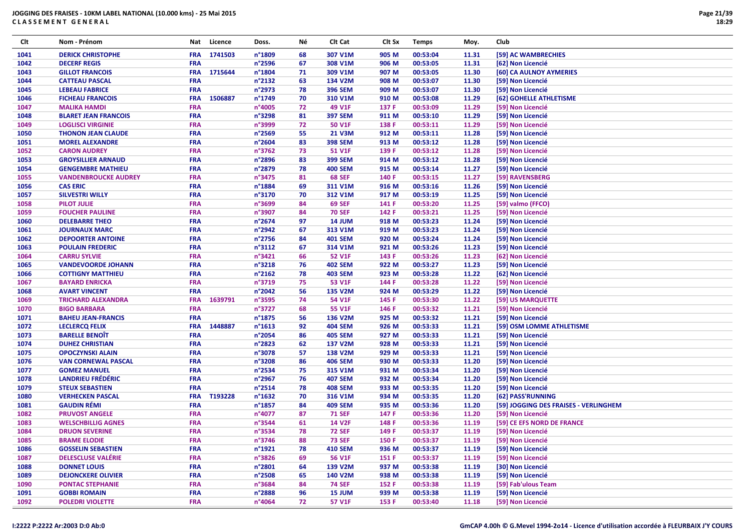| Clt  | Nom - Prénom                | Nat        | Licence | Doss.            | Νé | Clt Cat        | Clt Sx | <b>Temps</b> | Moy.  | Club                                  |
|------|-----------------------------|------------|---------|------------------|----|----------------|--------|--------------|-------|---------------------------------------|
| 1041 | <b>DERICK CHRISTOPHE</b>    | <b>FRA</b> | 1741503 | n°1809           | 68 | 307 V1M        | 905 M  | 00:53:04     | 11.31 | [59] AC WAMBRECHIES                   |
| 1042 | <b>DECERF REGIS</b>         | <b>FRA</b> |         | n°2596           | 67 | 308 V1M        | 906 M  | 00:53:05     | 11.31 | [62] Non Licencié                     |
| 1043 | <b>GILLOT FRANCOIS</b>      | <b>FRA</b> | 1715644 | n°1804           | 71 | 309 V1M        | 907 M  | 00:53:05     | 11.30 | [60] CA AULNOY AYMERIES               |
| 1044 | <b>CATTEAU PASCAL</b>       | <b>FRA</b> |         | n°2132           | 63 | 134 V2M        | 908 M  | 00:53:07     | 11.30 | [59] Non Licencié                     |
| 1045 | <b>LEBEAU FABRICE</b>       | <b>FRA</b> |         | n°2973           | 78 | <b>396 SEM</b> | 909 M  | 00:53:07     | 11.30 | [59] Non Licencié                     |
| 1046 | <b>FICHEAU FRANCOIS</b>     | <b>FRA</b> | 1506887 | n°1749           | 70 | 310 V1M        | 910 M  | 00:53:08     | 11.29 | [62] GOHELLE ATHLETISME               |
| 1047 | <b>MALIKA HAMDI</b>         | FRA        |         | n°4005           | 72 | 49 V1F         | 137 F  | 00:53:09     | 11.29 | [59] Non Licencié                     |
| 1048 | <b>BLARET JEAN FRANCOIS</b> | <b>FRA</b> |         | n°3298           | 81 | <b>397 SEM</b> | 911 M  | 00:53:10     | 11.29 | [59] Non Licencié                     |
| 1049 | <b>LOGLISCI VIRGINIE</b>    | <b>FRA</b> |         | n°3999           | 72 | <b>50 V1F</b>  | 138 F  | 00:53:11     | 11.29 | [59] Non Licencié                     |
| 1050 | <b>THONON JEAN CLAUDE</b>   | <b>FRA</b> |         | n°2569           | 55 | <b>21 V3M</b>  | 912 M  | 00:53:11     | 11.28 | [59] Non Licencié                     |
| 1051 | <b>MOREL ALEXANDRE</b>      | <b>FRA</b> |         | n°2604           | 83 | <b>398 SEM</b> | 913 M  | 00:53:12     | 11.28 | [59] Non Licencié                     |
| 1052 | <b>CARON AUDREY</b>         | <b>FRA</b> |         | n°3762           | 73 | <b>51 V1F</b>  | 139 F  | 00:53:12     | 11.28 | [59] Non Licencié                     |
| 1053 | <b>GROYSILLIER ARNAUD</b>   | <b>FRA</b> |         | n°2896           | 83 | <b>399 SEM</b> | 914 M  | 00:53:12     | 11.28 | [59] Non Licencié                     |
| 1054 | <b>GENGEMBRE MATHIEU</b>    | FRA        |         | n°2879           | 78 | <b>400 SEM</b> | 915 M  | 00:53:14     | 11.27 | [59] Non Licencié                     |
| 1055 | <b>VANDENBROUCKE AUDREY</b> | <b>FRA</b> |         | n°3475           | 81 | <b>68 SEF</b>  | 140 F  | 00:53:15     | 11.27 | [59] RAVENSBERG                       |
| 1056 | <b>CAS ERIC</b>             | <b>FRA</b> |         | n°1884           | 69 | 311 V1M        | 916 M  | 00:53:16     | 11.26 | [59] Non Licencié                     |
| 1057 | <b>SILVESTRI WILLY</b>      | <b>FRA</b> |         | n°3170           | 70 | 312 V1M        | 917 M  | 00:53:19     | 11.25 | [59] Non Licencié                     |
| 1058 | <b>PILOT JULIE</b>          | <b>FRA</b> |         | n°3699           | 84 | <b>69 SEF</b>  | 141 F  | 00:53:20     | 11.25 | [59] valmo (FFCO)                     |
| 1059 | <b>FOUCHER PAULINE</b>      | <b>FRA</b> |         | n°3907           | 84 | <b>70 SEF</b>  | 142 F  | 00:53:21     | 11.25 | [59] Non Licencié                     |
| 1060 | <b>DELEBARRE THEO</b>       | <b>FRA</b> |         | n°2674           | 97 | <b>14 JUM</b>  | 918 M  | 00:53:23     | 11.24 | [59] Non Licencié                     |
| 1061 | <b>JOURNAUX MARC</b>        | <b>FRA</b> |         | n°2942           | 67 | 313 V1M        | 919 M  | 00:53:23     | 11.24 | [59] Non Licencié                     |
| 1062 | <b>DEPOORTER ANTOINE</b>    | <b>FRA</b> |         | n°2756           | 84 | <b>401 SEM</b> | 920 M  | 00:53:24     | 11.24 | [59] Non Licencié                     |
| 1063 | <b>POULAIN FREDERIC</b>     | <b>FRA</b> |         | n°3112           | 67 | 314 V1M        | 921 M  | 00:53:26     | 11.23 | [59] Non Licencié                     |
| 1064 | <b>CARRU SYLVIE</b>         | <b>FRA</b> |         | n°3421           | 66 | 52 V1F         | 143 F  | 00:53:26     | 11.23 | [62] Non Licencié                     |
| 1065 | <b>VANDEVOORDE JOHANN</b>   | FRA        |         | n°3218           | 76 | <b>402 SEM</b> | 922 M  | 00:53:27     | 11.23 | [59] Non Licencié                     |
| 1066 | <b>COTTIGNY MATTHIEU</b>    | <b>FRA</b> |         | $n^{\circ}$ 2162 | 78 | <b>403 SEM</b> | 923 M  | 00:53:28     | 11.22 | [62] Non Licencié                     |
| 1067 | <b>BAYARD ENRICKA</b>       | <b>FRA</b> |         | n°3719           | 75 | 53 V1F         | 144 F  | 00:53:28     | 11.22 | [59] Non Licencié                     |
| 1068 | <b>AVART VINCENT</b>        | <b>FRA</b> |         | n°2042           | 56 | 135 V2M        | 924 M  | 00:53:29     | 11.22 | [59] Non Licencié                     |
| 1069 | <b>TRICHARD ALEXANDRA</b>   | <b>FRA</b> | 1639791 | n°3595           | 74 | 54 V1F         | 145 F  | 00:53:30     | 11.22 | [59] US MARQUETTE                     |
| 1070 | <b>BIGO BARBARA</b>         | <b>FRA</b> |         | n°3727           | 68 | 55 V1F         | 146 F  | 00:53:32     | 11.21 | [59] Non Licencié                     |
| 1071 | <b>BAHEU JEAN-FRANCIS</b>   | <b>FRA</b> |         | n°1875           | 56 | 136 V2M        | 925 M  | 00:53:32     | 11.21 | [59] Non Licencié                     |
| 1072 | <b>LECLERCQ FELIX</b>       | <b>FRA</b> | 1448887 | n°1613           | 92 | <b>404 SEM</b> | 926 M  | 00:53:33     | 11.21 | [59] OSM LOMME ATHLETISME             |
| 1073 | <b>BARELLE BENOIT</b>       | <b>FRA</b> |         | n°2054           | 86 | <b>405 SEM</b> | 927 M  | 00:53:33     | 11.21 | [59] Non Licencié                     |
| 1074 | <b>DUHEZ CHRISTIAN</b>      | <b>FRA</b> |         | n°2823           | 62 | <b>137 V2M</b> | 928 M  | 00:53:33     | 11.21 | [59] Non Licencié                     |
| 1075 | <b>OPOCZYNSKI ALAIN</b>     | <b>FRA</b> |         | n°3078           | 57 | <b>138 V2M</b> | 929 M  | 00:53:33     | 11.21 | [59] Non Licencié                     |
| 1076 | <b>VAN CORNEWAL PASCAL</b>  | <b>FRA</b> |         | n°3208           | 86 | <b>406 SEM</b> | 930 M  | 00:53:33     | 11.20 | [59] Non Licencié                     |
| 1077 | <b>GOMEZ MANUEL</b>         | <b>FRA</b> |         | n°2534           | 75 | 315 V1M        | 931 M  | 00:53:34     | 11.20 | [59] Non Licencié                     |
| 1078 | <b>LANDRIEU FRÉDÉRIC</b>    | <b>FRA</b> |         | n°2967           | 76 | <b>407 SEM</b> | 932 M  | 00:53:34     | 11.20 | [59] Non Licencié                     |
| 1079 | <b>STEUX SEBASTIEN</b>      | <b>FRA</b> |         | n°2514           | 78 | <b>408 SEM</b> | 933 M  | 00:53:35     | 11.20 | [59] Non Licencié                     |
| 1080 | <b>VERHECKEN PASCAL</b>     | <b>FRA</b> | T193228 | $n^{\circ}$ 1632 | 70 | 316 V1M        | 934 M  | 00:53:35     | 11.20 | [62] PASS'RUNNING                     |
| 1081 | <b>GAUDIN RÉMI</b>          | <b>FRA</b> |         | n°1857           | 84 | <b>409 SEM</b> | 935 M  | 00:53:36     | 11.20 | [59] JOGGING DES FRAISES - VERLINGHEM |
| 1082 | <b>PRUVOST ANGELE</b>       | <b>FRA</b> |         | n°4077           | 87 | <b>71 SEF</b>  | 147 F  | 00:53:36     | 11.20 | [59] Non Licencié                     |
| 1083 | <b>WELSCHBILLIG AGNES</b>   | <b>FRA</b> |         | n°3544           | 61 | <b>14 V2F</b>  | 148 F  | 00:53:36     | 11.19 | [59] CE EFS NORD DE FRANCE            |
| 1084 | <b>DRUON SEVERINE</b>       | <b>FRA</b> |         | n°3534           | 78 | <b>72 SEF</b>  | 149 F  | 00:53:37     | 11.19 | [59] Non Licencié                     |
| 1085 | <b>BRAME ELODIE</b>         | <b>FRA</b> |         | n°3746           | 88 | <b>73 SEF</b>  | 150 F  | 00:53:37     | 11.19 | [59] Non Licencié                     |
| 1086 | <b>GOSSELIN SEBASTIEN</b>   | <b>FRA</b> |         | n°1921           | 78 | <b>410 SEM</b> | 936 M  | 00:53:37     | 11.19 | [59] Non Licencié                     |
| 1087 | <b>DELESCLUSE VALÉRIE</b>   | <b>FRA</b> |         | n°3826           | 69 | 56 V1F         | 151 F  | 00:53:37     | 11.19 | [59] Non Licencié                     |
| 1088 | <b>DONNET LOUIS</b>         | <b>FRA</b> |         | n°2801           | 64 | 139 V2M        | 937 M  | 00:53:38     | 11.19 | [30] Non Licencié                     |
| 1089 | <b>DEJONCKERE OLIVIER</b>   | <b>FRA</b> |         | n°2508           | 65 | 140 V2M        | 938 M  | 00:53:38     | 11.19 | [59] Non Licencié                     |
| 1090 | <b>PONTAC STEPHANIE</b>     | <b>FRA</b> |         | n°3684           | 84 | <b>74 SEF</b>  | 152 F  | 00:53:38     | 11.19 | [59] Fab'ulous Team                   |
| 1091 | <b>GOBBI ROMAIN</b>         | <b>FRA</b> |         | n°2888           | 96 | <b>15 JUM</b>  | 939 M  | 00:53:38     | 11.19 | [59] Non Licencié                     |
| 1092 | <b>POLEDRI VIOLETTE</b>     | <b>FRA</b> |         | n°4064           | 72 | 57 V1F         | 153 F  | 00:53:40     | 11.18 | [59] Non Licencié                     |
|      |                             |            |         |                  |    |                |        |              |       |                                       |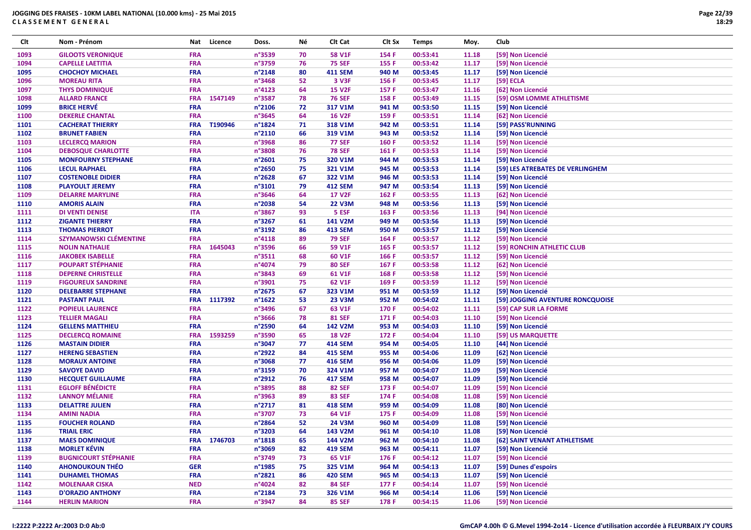| Clt  | Nom - Prénom                | Nat        | Licence     | Doss.                      | Νé | Clt Cat                 | Clt Sx | <b>Temps</b> | Moy.  | Club                             |
|------|-----------------------------|------------|-------------|----------------------------|----|-------------------------|--------|--------------|-------|----------------------------------|
| 1093 | <b>GILOOTS VERONIQUE</b>    | <b>FRA</b> |             | n°3539                     | 70 | <b>58 V1F</b>           | 154 F  | 00:53:41     | 11.18 | [59] Non Licencié                |
| 1094 | <b>CAPELLE LAETITIA</b>     | <b>FRA</b> |             | n°3759                     | 76 | <b>75 SEF</b>           | 155 F  | 00:53:42     | 11.17 | [59] Non Licencié                |
| 1095 | <b>CHOCHOY MICHAEL</b>      | <b>FRA</b> |             | n°2148                     | 80 | <b>411 SEM</b>          | 940 M  | 00:53:45     | 11.17 | [59] Non Licencié                |
| 1096 | <b>MOREAU RITA</b>          | <b>FRA</b> |             | n°3468                     | 52 | 3 V3F                   | 156 F  | 00:53:45     | 11.17 | [59] ECLA                        |
| 1097 | <b>THYS DOMINIQUE</b>       | <b>FRA</b> |             | n°4123                     | 64 | <b>15 V2F</b>           | 157 F  | 00:53:47     | 11.16 | [62] Non Licencié                |
| 1098 | <b>ALLARD FRANCE</b>        | <b>FRA</b> | 1547149     | n°3587                     | 78 | <b>76 SEF</b>           | 158 F  | 00:53:49     | 11.15 | [59] OSM LOMME ATHLETISME        |
| 1099 | <b>BRICE HERVÉ</b>          | <b>FRA</b> |             | n°2106                     | 72 | 317 V1M                 | 941 M  | 00:53:50     | 11.15 | [59] Non Licencié                |
| 1100 | <b>DEKERLE CHANTAL</b>      | <b>FRA</b> |             | n°3645                     | 64 | <b>16 V2F</b>           | 159 F  | 00:53:51     | 11.14 | [62] Non Licencié                |
| 1101 | <b>CACHERAT THIERRY</b>     | <b>FRA</b> | T190946     | n°1824                     | 71 | 318 V1M                 | 942 M  | 00:53:51     | 11.14 | [59] PASS'RUNNING                |
| 1102 | <b>BRUNET FABIEN</b>        | <b>FRA</b> |             | n°2110                     | 66 | 319 V1M                 | 943 M  | 00:53:52     | 11.14 | [59] Non Licencié                |
| 1103 | <b>LECLERCQ MARION</b>      | <b>FRA</b> |             | n°3968                     | 86 | <b>77 SEF</b>           | 160 F  | 00:53:52     | 11.14 | [59] Non Licencié                |
| 1104 | <b>DEBOSQUE CHARLOTTE</b>   | <b>FRA</b> |             | n°3808                     | 76 | <b>78 SEF</b>           | 161 F  | 00:53:53     | 11.14 | [59] Non Licencié                |
| 1105 | <b>MONFOURNY STEPHANE</b>   | <b>FRA</b> |             | n°2601                     | 75 | 320 V1M                 | 944 M  | 00:53:53     | 11.14 | [59] Non Licencié                |
| 1106 | <b>LECUL RAPHAEL</b>        | <b>FRA</b> |             | n°2650                     | 75 | 321 V1M                 | 945 M  | 00:53:53     | 11.14 | [59] LES ATREBATES DE VERLINGHEM |
| 1107 | <b>COSTENOBLE DIDIER</b>    | <b>FRA</b> |             | n°2628                     | 67 | 322 V1M                 | 946 M  | 00:53:53     | 11.14 | [59] Non Licencié                |
| 1108 | <b>PLAYOULT JEREMY</b>      | <b>FRA</b> |             | n°3101                     | 79 | <b>412 SEM</b>          | 947 M  | 00:53:54     | 11.13 | [59] Non Licencié                |
| 1109 | <b>DELARRE MARYLINE</b>     | <b>FRA</b> |             | n°3646                     | 64 | <b>17 V2F</b>           | 162 F  | 00:53:55     | 11.13 | [62] Non Licencié                |
| 1110 | <b>AMORIS ALAIN</b>         | <b>FRA</b> |             | n°2038                     | 54 | <b>22 V3M</b>           | 948 M  | 00:53:56     | 11.13 | [59] Non Licencié                |
| 1111 | <b>DI VENTI DENISE</b>      | <b>ITA</b> |             | n°3867                     | 93 | 5 ESF                   | 163 F  | 00:53:56     | 11.13 | [94] Non Licencié                |
| 1112 | <b>ZIGANTE THIERRY</b>      | <b>FRA</b> |             | n°3267                     | 61 | 141 V2M                 | 949 M  | 00:53:56     | 11.13 | [59] Non Licencié                |
| 1113 | <b>THOMAS PIERROT</b>       | <b>FRA</b> |             | n°3192                     | 86 | <b>413 SEM</b>          | 950 M  | 00:53:57     | 11.12 | [59] Non Licencié                |
| 1114 | SZYMANOWSKI CLÉMENTINE      | <b>FRA</b> |             | n°4118                     | 89 | <b>79 SEF</b>           | 164 F  | 00:53:57     | 11.12 | [59] Non Licencié                |
| 1115 | <b>NOLIN NATHALIE</b>       | <b>FRA</b> | 1645043     | n°3596                     | 66 | 59 V1F                  | 165 F  | 00:53:57     | 11.12 | [59] RONCHIN ATHLETIC CLUB       |
| 1116 | <b>JAKOBEK ISABELLE</b>     | FRA        |             | n°3511                     | 68 | 60 V1F                  | 166 F  | 00:53:57     | 11.12 | [59] Non Licencié                |
| 1117 | <b>POUPART STÉPHANIE</b>    | <b>FRA</b> |             | n°4074                     | 79 |                         |        | 00:53:58     | 11.12 |                                  |
|      |                             | <b>FRA</b> |             | n°3843                     |    | <b>80 SEF</b><br>61 V1F | 167 F  |              | 11.12 | [62] Non Licencié                |
| 1118 | <b>DEPERNE CHRISTELLE</b>   | <b>FRA</b> |             | n°3901                     | 69 |                         | 168 F  | 00:53:58     |       | [59] Non Licencié                |
| 1119 | <b>FIGOUREUX SANDRINE</b>   |            |             |                            | 75 | 62 V1F                  | 169 F  | 00:53:59     | 11.12 | [59] Non Licencié                |
| 1120 | <b>DELEBARRE STEPHANE</b>   | <b>FRA</b> | FRA 1117392 | n°2675                     | 67 | 323 V1M                 | 951 M  | 00:53:59     | 11.12 | [59] Non Licencié                |
| 1121 | <b>PASTANT PAUL</b>         | <b>FRA</b> |             | $n^{\circ}$ 1622<br>n°3496 | 53 | <b>23 V3M</b>           | 952 M  | 00:54:02     | 11.11 | [59] JOGGING AVENTURE RONCQUOISE |
| 1122 | <b>POPIEUL LAURENCE</b>     | <b>FRA</b> |             |                            | 67 | 63 V1F                  | 170 F  | 00:54:02     | 11.11 | [59] CAP SUR LA FORME            |
| 1123 | <b>TELLIER MAGALI</b>       |            |             | n°3666                     | 78 | <b>81 SEF</b>           | 171 F  | 00:54:03     | 11.10 | [59] Non Licencié                |
| 1124 | <b>GELLENS MATTHIEU</b>     | <b>FRA</b> |             | n°2590                     | 64 | 142 V2M                 | 953 M  | 00:54:03     | 11.10 | [59] Non Licencié                |
| 1125 | <b>DECLERCQ ROMAINE</b>     | <b>FRA</b> | 1593259     | n°3590                     | 65 | <b>18 V2F</b>           | 172 F  | 00:54:04     | 11.10 | [59] US MARQUETTE                |
| 1126 | <b>MASTAIN DIDIER</b>       | <b>FRA</b> |             | n°3047                     | 77 | <b>414 SEM</b>          | 954 M  | 00:54:05     | 11.10 | [44] Non Licencié                |
| 1127 | <b>HERENG SEBASTIEN</b>     | <b>FRA</b> |             | n°2922                     | 84 | <b>415 SEM</b>          | 955 M  | 00:54:06     | 11.09 | [62] Non Licencié                |
| 1128 | <b>MORAUX ANTOINE</b>       | <b>FRA</b> |             | n°3068                     | 77 | <b>416 SEM</b>          | 956 M  | 00:54:06     | 11.09 | [59] Non Licencié                |
| 1129 | <b>SAVOYE DAVID</b>         | <b>FRA</b> |             | n°3159                     | 70 | 324 V1M                 | 957 M  | 00:54:07     | 11.09 | [59] Non Licencié                |
| 1130 | <b>HECQUET GUILLAUME</b>    | <b>FRA</b> |             | n°2912                     | 76 | <b>417 SEM</b>          | 958 M  | 00:54:07     | 11.09 | [59] Non Licencié                |
| 1131 | <b>EGLOFF BÉNÉDICTE</b>     | <b>FRA</b> |             | n°3895                     | 88 | <b>82 SEF</b>           | 173 F  | 00:54:07     | 11.09 | [59] Non Licencié                |
| 1132 | <b>LANNOY MÉLANIE</b>       | <b>FRA</b> |             | n°3963                     | 89 | <b>83 SEF</b>           | 174 F  | 00:54:08     | 11.08 | [59] Non Licencié                |
| 1133 | <b>DELATTRE JULIEN</b>      | <b>FRA</b> |             | n°2717                     | 81 | <b>418 SEM</b>          | 959 M  | 00:54:09     | 11.08 | [80] Non Licencié                |
| 1134 | <b>AMINI NADIA</b>          | <b>FRA</b> |             | n°3707                     | 73 | 64 V1F                  | 175 F  | 00:54:09     | 11.08 | [59] Non Licencié                |
| 1135 | <b>FOUCHER ROLAND</b>       | <b>FRA</b> |             | n°2864                     | 52 | <b>24 V3M</b>           | 960 M  | 00:54:09     | 11.08 | [59] Non Licencié                |
| 1136 | <b>TRIAIL ERIC</b>          | <b>FRA</b> |             | n°3203                     | 64 | 143 V2M                 | 961 M  | 00:54:10     | 11.08 | [59] Non Licencié                |
| 1137 | <b>MAES DOMINIQUE</b>       |            | FRA 1746703 | $n^{\circ}$ 1818           | 65 | 144 V2M                 | 962 M  | 00:54:10     | 11.08 | [62] SAINT VENANT ATHLETISME     |
| 1138 | <b>MORLET KÉVIN</b>         | <b>FRA</b> |             | n°3069                     | 82 | <b>419 SEM</b>          | 963 M  | 00:54:11     | 11.07 | [59] Non Licencié                |
| 1139 | <b>BUGNICOURT STÉPHANIE</b> | <b>FRA</b> |             | n°3749                     | 73 | 65 V1F                  | 176 F  | 00:54:12     | 11.07 | [59] Non Licencié                |
| 1140 | <b>AHONOUKOUN THÉO</b>      | <b>GER</b> |             | n°1985                     | 75 | 325 V1M                 | 964 M  | 00:54:13     | 11.07 | [59] Dunes d'espoirs             |
| 1141 | <b>DUHAMEL THOMAS</b>       | <b>FRA</b> |             | n°2821                     | 86 | <b>420 SEM</b>          | 965 M  | 00:54:13     | 11.07 | [59] Non Licencié                |
| 1142 | <b>MOLENAAR CISKA</b>       | <b>NED</b> |             | n°4024                     | 82 | <b>84 SEF</b>           | 177 F  | 00:54:14     | 11.07 | [59] Non Licencié                |
| 1143 | <b>D'ORAZIO ANTHONY</b>     | <b>FRA</b> |             | n°2184                     | 73 | 326 V1M                 | 966 M  | 00:54:14     | 11.06 | [59] Non Licencié                |
| 1144 | <b>HERLIN MARION</b>        | <b>FRA</b> |             | n°3947                     | 84 | <b>85 SEF</b>           | 178 F  | 00:54:15     | 11.06 | [59] Non Licencié                |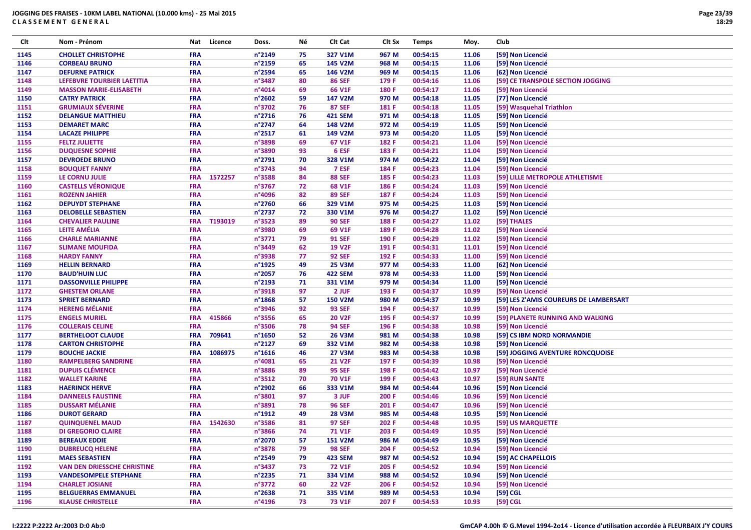| Clt  | Nom - Prénom                       | Nat        | Licence | Doss.            | Νé | CIt Cat        | Clt Sx | <b>Temps</b> | Moy.  | Club                                   |
|------|------------------------------------|------------|---------|------------------|----|----------------|--------|--------------|-------|----------------------------------------|
| 1145 | <b>CHOLLET CHRISTOPHE</b>          | <b>FRA</b> |         | n°2149           | 75 | 327 V1M        | 967 M  | 00:54:15     | 11.06 | [59] Non Licencié                      |
| 1146 | <b>CORBEAU BRUNO</b>               | <b>FRA</b> |         | n°2159           | 65 | 145 V2M        | 968 M  | 00:54:15     | 11.06 | [59] Non Licencié                      |
| 1147 | <b>DEFURNE PATRICK</b>             | <b>FRA</b> |         | n°2594           | 65 | 146 V2M        | 969 M  | 00:54:15     | 11.06 | [62] Non Licencié                      |
| 1148 | LEFEBVRE TOURBIER LAETITIA         | FRA        |         | n°3487           | 80 | <b>86 SEF</b>  | 179 F  | 00:54:16     | 11.06 | [59] CE TRANSPOLE SECTION JOGGING      |
| 1149 | <b>MASSON MARIE-ELISABETH</b>      | FRA        |         | n°4014           | 69 | 66 V1F         | 180 F  | 00:54:17     | 11.06 | [59] Non Licencié                      |
| 1150 | <b>CATRY PATRICK</b>               | <b>FRA</b> |         | n°2602           | 59 | 147 V2M        | 970 M  | 00:54:18     | 11.05 | [77] Non Licencié                      |
| 1151 | <b>GRUMIAUX SÉVERINE</b>           | FRA        |         | n°3702           | 76 | <b>87 SEF</b>  | 181 F  | 00:54:18     | 11.05 | [59] Wasquehal Triathlon               |
| 1152 | <b>DELANGUE MATTHIEU</b>           | FRA        |         | n°2716           | 76 | <b>421 SEM</b> | 971 M  | 00:54:18     | 11.05 | [59] Non Licencié                      |
| 1153 | <b>DEMARET MARC</b>                | <b>FRA</b> |         | n°2747           | 64 | 148 V2M        | 972 M  | 00:54:19     | 11.05 | [59] Non Licencié                      |
| 1154 | <b>LACAZE PHILIPPE</b>             | <b>FRA</b> |         | n°2517           | 61 | 149 V2M        | 973 M  | 00:54:20     | 11.05 | [59] Non Licencié                      |
| 1155 | <b>FELTZ JULIETTE</b>              | <b>FRA</b> |         | n°3898           | 69 | 67 V1F         | 182 F  | 00:54:21     | 11.04 | [59] Non Licencié                      |
| 1156 | <b>DUQUESNE SOPHIE</b>             | FRA        |         | n°3890           | 93 | 6 ESF          | 183 F  | 00:54:21     | 11.04 | [59] Non Licencié                      |
| 1157 | <b>DEVROEDE BRUNO</b>              | <b>FRA</b> |         | n°2791           | 70 | 328 V1M        | 974 M  | 00:54:22     | 11.04 | [59] Non Licencié                      |
| 1158 | <b>BOUQUET FANNY</b>               | <b>FRA</b> |         | n°3743           | 94 | 7 ESF          | 184 F  | 00:54:23     | 11.04 | [59] Non Licencié                      |
| 1159 | LE CORNU JULIE                     | <b>FRA</b> | 1572257 | n°3588           | 84 | <b>88 SEF</b>  | 185 F  | 00:54:23     | 11.03 | [59] LILLE METROPOLE ATHLETISME        |
| 1160 | <b>CASTELLS VÉRONIQUE</b>          | <b>FRA</b> |         | n°3767           | 72 | 68 V1F         | 186 F  | 00:54:24     | 11.03 | [59] Non Licencié                      |
| 1161 | <b>ROZENN JAHIER</b>               | <b>FRA</b> |         | n°4096           | 82 | <b>89 SEF</b>  | 187 F  | 00:54:24     | 11.03 | [59] Non Licencié                      |
| 1162 | <b>DEPUYDT STEPHANE</b>            | FRA        |         | n°2760           | 66 | 329 V1M        | 975 M  | 00:54:25     | 11.03 | [59] Non Licencié                      |
| 1163 | <b>DELOBELLE SEBASTIEN</b>         | FRA        |         | n°2737           | 72 | 330 V1M        | 976 M  | 00:54:27     | 11.02 | [59] Non Licencié                      |
| 1164 | <b>CHEVALIER PAULINE</b>           | <b>FRA</b> | T193019 | n°3523           | 89 | <b>90 SEF</b>  | 188 F  | 00:54:27     | 11.02 | [59] THALES                            |
| 1165 | <b>LEITE AMÉLIA</b>                | <b>FRA</b> |         | n°3980           | 69 | 69 V1F         | 189 F  | 00:54:28     | 11.02 | [59] Non Licencié                      |
| 1166 | <b>CHARLE MARIANNE</b>             | FRA        |         | n°3771           | 79 | <b>91 SEF</b>  | 190 F  | 00:54:29     | 11.02 | [59] Non Licencié                      |
| 1167 | <b>SLIMANE MOUFIDA</b>             | <b>FRA</b> |         | n°3449           | 62 | <b>19 V2F</b>  | 191 F  | 00:54:31     | 11.01 | [59] Non Licencié                      |
| 1168 | <b>HARDY FANNY</b>                 | FRA        |         | n°3938           | 77 | <b>92 SEF</b>  | 192 F  | 00:54:33     | 11.00 | [59] Non Licencié                      |
| 1169 | <b>HELLIN BERNARD</b>              | <b>FRA</b> |         | n°1925           | 49 | <b>25 V3M</b>  | 977 M  | 00:54:33     | 11.00 | [62] Non Licencié                      |
| 1170 | <b>BAUD'HUIN LUC</b>               | <b>FRA</b> |         | n°2057           | 76 | <b>422 SEM</b> | 978 M  | 00:54:33     | 11.00 | [59] Non Licencié                      |
| 1171 | <b>DASSONVILLE PHILIPPE</b>        | FRA        |         | n°2193           | 71 | 331 V1M        | 979 M  | 00:54:34     | 11.00 | [59] Non Licencié                      |
| 1172 | <b>GHESTEM ORLANE</b>              | <b>FRA</b> |         | n°3918           | 97 | 2 JUF          | 193 F  | 00:54:37     | 10.99 | [59] Non Licencié                      |
| 1173 | <b>SPRIET BERNARD</b>              | <b>FRA</b> |         | n°1868           | 57 | <b>150 V2M</b> | 980 M  | 00:54:37     | 10.99 | [59] LES Z'AMIS COUREURS DE LAMBERSART |
| 1174 | <b>HERENG MÉLANIE</b>              | FRA        |         | n°3946           | 92 | <b>93 SEF</b>  | 194 F  | 00:54:37     | 10.99 | [59] Non Licencié                      |
| 1175 | <b>ENGELS MURIEL</b>               | <b>FRA</b> | 415866  | n°3556           | 65 | <b>20 V2F</b>  | 195 F  | 00:54:37     | 10.99 | [59] PLANETE RUNNING AND WALKING       |
| 1176 | <b>COLLERAIS CELINE</b>            | FRA        |         | n°3506           | 78 | <b>94 SEF</b>  | 196 F  | 00:54:38     | 10.98 | [59] Non Licencié                      |
| 1177 | <b>BERTHELOOT CLAUDE</b>           | <b>FRA</b> | 709641  | n°1650           | 52 | <b>26 V3M</b>  | 981 M  | 00:54:38     | 10.98 | [59] CS IBM NORD NORMANDIE             |
| 1178 | <b>CARTON CHRISTOPHE</b>           | <b>FRA</b> |         | n°2127           | 69 | 332 V1M        | 982 M  | 00:54:38     | 10.98 | [59] Non Licencié                      |
| 1179 | <b>BOUCHE JACKIE</b>               | <b>FRA</b> | 1086975 | n°1616           | 46 | <b>27 V3M</b>  | 983 M  | 00:54:38     | 10.98 | [59] JOGGING AVENTURE RONCQUOISE       |
| 1180 | <b>RAMPELBERG SANDRINE</b>         | FRA        |         | n°4081           | 65 | <b>21 V2F</b>  | 197 F  | 00:54:39     | 10.98 | [59] Non Licencié                      |
| 1181 | <b>DUPUIS CLÉMENCE</b>             | <b>FRA</b> |         | n°3886           | 89 | <b>95 SEF</b>  | 198 F  | 00:54:42     | 10.97 | [59] Non Licencié                      |
| 1182 | <b>WALLET KARINE</b>               | <b>FRA</b> |         | n°3512           | 70 | <b>70 V1F</b>  | 199 F  | 00:54:43     | 10.97 | [59] RUN SANTE                         |
| 1183 | <b>HAERINCK HERVE</b>              | <b>FRA</b> |         | n°2902           | 66 | 333 V1M        | 984 M  | 00:54:44     | 10.96 | [59] Non Licencié                      |
| 1184 | <b>DANNEELS FAUSTINE</b>           | FRA        |         | n°3801           | 97 | 3 JUF          | 200 F  | 00:54:46     | 10.96 | [59] Non Licencié                      |
| 1185 | <b>DUSSART MÉLANIE</b>             | <b>FRA</b> |         | n°3891           | 78 | <b>96 SEF</b>  | 201 F  | 00:54:47     | 10.96 | [59] Non Licencié                      |
| 1186 | <b>DUROT GERARD</b>                | <b>FRA</b> |         | n°1912           | 49 | <b>28 V3M</b>  | 985 M  | 00:54:48     | 10.95 | [59] Non Licencié                      |
| 1187 | <b>QUINQUENEL MAUD</b>             | <b>FRA</b> | 1542630 | n°3586           | 81 | <b>97 SEF</b>  | 202 F  | 00:54:48     | 10.95 | [59] US MARQUETTE                      |
| 1188 | <b>DI GREGORIO CLAIRE</b>          | <b>FRA</b> |         | n°3866           | 74 | <b>71 V1F</b>  | 203 F  | 00:54:49     | 10.95 | [59] Non Licencié                      |
| 1189 | <b>BEREAUX EDDIE</b>               | <b>FRA</b> |         | n°2070           | 57 | <b>151 V2M</b> | 986 M  | 00:54:49     | 10.95 | [59] Non Licencié                      |
| 1190 | <b>DUBREUCQ HELENE</b>             | <b>FRA</b> |         | n°3878           | 79 | <b>98 SEF</b>  | 204 F  | 00:54:52     | 10.94 | [59] Non Licencié                      |
| 1191 | <b>MAES SEBASTIEN</b>              | <b>FRA</b> |         | n°2549           | 79 | <b>423 SEM</b> | 987 M  | 00:54:52     | 10.94 | [59] AC CHAPELLOIS                     |
| 1192 | <b>VAN DEN DRIESSCHE CHRISTINE</b> | <b>FRA</b> |         | n°3437           | 73 | <b>72 V1F</b>  | 205 F  | 00:54:52     | 10.94 | [59] Non Licencié                      |
| 1193 | <b>VANDESOMPELE STEPHANE</b>       | <b>FRA</b> |         | n°2235           | 71 | 334 V1M        | 988 M  | 00:54:52     | 10.94 | [59] Non Licencié                      |
| 1194 | <b>CHARLET JOSIANE</b>             | <b>FRA</b> |         | n°3772           | 60 | <b>22 V2F</b>  | 206 F  | 00:54:52     | 10.94 | [59] Non Licencié                      |
| 1195 | <b>BELGUERRAS EMMANUEL</b>         | <b>FRA</b> |         | $n^{\circ}$ 2638 | 71 | 335 V1M        | 989 M  | 00:54:53     | 10.94 | [59] CGL                               |
| 1196 | <b>KLAUSE CHRISTELLE</b>           | <b>FRA</b> |         | n°4196           | 73 | <b>73 V1F</b>  | 207 F  | 00:54:53     | 10.93 | [59] CGL                               |
|      |                                    |            |         |                  |    |                |        |              |       |                                        |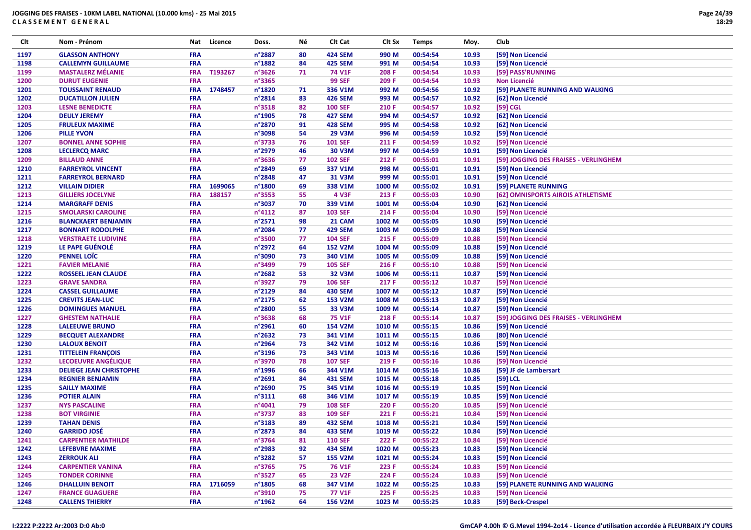| Clt  | Nom - Prénom                   | Nat        | Licence | Doss.           | Νé | Clt Cat        | Clt Sx | <b>Temps</b> | Moy.  | Club                                  |
|------|--------------------------------|------------|---------|-----------------|----|----------------|--------|--------------|-------|---------------------------------------|
| 1197 | <b>GLASSON ANTHONY</b>         | <b>FRA</b> |         | n°2887          | 80 | <b>424 SEM</b> | 990 M  | 00:54:54     | 10.93 | [59] Non Licencié                     |
| 1198 | <b>CALLEMYN GUILLAUME</b>      | <b>FRA</b> |         | n°1882          | 84 | <b>425 SEM</b> | 991 M  | 00:54:54     | 10.93 | [59] Non Licencié                     |
| 1199 | <b>MASTALERZ MÉLANIE</b>       | <b>FRA</b> | T193267 | n°3626          | 71 | <b>74 V1F</b>  | 208 F  | 00:54:54     | 10.93 | [59] PASS'RUNNING                     |
| 1200 | <b>DURUT EUGENIE</b>           | <b>FRA</b> |         | n°3365          |    | <b>99 SEF</b>  | 209 F  | 00:54:54     | 10.93 | Non Licencié                          |
| 1201 | <b>TOUSSAINT RENAUD</b>        | <b>FRA</b> | 1748457 | n°1820          | 71 | 336 V1M        | 992 M  | 00:54:56     | 10.92 | [59] PLANETE RUNNING AND WALKING      |
| 1202 | <b>DUCATILLON JULIEN</b>       | <b>FRA</b> |         | n°2814          | 83 | <b>426 SEM</b> | 993 M  | 00:54:57     | 10.92 | [62] Non Licencié                     |
| 1203 | <b>LESNE BENEDICTE</b>         | <b>FRA</b> |         | n°3518          | 82 | <b>100 SEF</b> | 210 F  | 00:54:57     | 10.92 | [59] CGL                              |
| 1204 | <b>DEULY JEREMY</b>            | <b>FRA</b> |         | n°1905          | 78 | <b>427 SEM</b> | 994 M  | 00:54:57     | 10.92 | [62] Non Licencié                     |
| 1205 | <b>FRULEUX MAXIME</b>          | <b>FRA</b> |         | n°2870          | 91 | <b>428 SEM</b> | 995 M  | 00:54:58     | 10.92 | [62] Non Licencié                     |
| 1206 | <b>PILLE YVON</b>              | <b>FRA</b> |         | n°3098          | 54 | <b>29 V3M</b>  | 996 M  | 00:54:59     | 10.92 | [59] Non Licencié                     |
| 1207 | <b>BONNEL ANNE SOPHIE</b>      | <b>FRA</b> |         | n°3733          | 76 | <b>101 SEF</b> | 211 F  | 00:54:59     | 10.92 | [59] Non Licencié                     |
| 1208 | <b>LECLERCQ MARC</b>           | <b>FRA</b> |         | n°2979          | 46 | 30 V3M         | 997 M  | 00:54:59     | 10.91 | [59] Non Licencié                     |
| 1209 | <b>BILLAUD ANNE</b>            | <b>FRA</b> |         | n°3636          | 77 | <b>102 SEF</b> | 212 F  | 00:55:01     | 10.91 | [59] JOGGING DES FRAISES - VERLINGHEM |
| 1210 | <b>FARREYROL VINCENT</b>       | <b>FRA</b> |         | n°2849          | 69 | 337 V1M        | 998 M  | 00:55:01     | 10.91 | [59] Non Licencié                     |
| 1211 | <b>FARREYROL BERNARD</b>       | <b>FRA</b> |         | n°2848          | 47 | 31 V3M         | 999 M  | 00:55:01     | 10.91 | [59] Non Licencié                     |
| 1212 | <b>VILLAIN DIDIER</b>          | <b>FRA</b> | 1699065 | n°1800          | 69 | 338 V1M        | 1000 M | 00:55:02     | 10.91 | [59] PLANETE RUNNING                  |
| 1213 | <b>GILLIERS JOCELYNE</b>       | <b>FRA</b> | 188157  | n°3553          | 55 | 4 V3F          | 213 F  | 00:55:03     | 10.90 | [62] OMNISPORTS AIROIS ATHLETISME     |
| 1214 | <b>MARGRAFF DENIS</b>          | <b>FRA</b> |         | n°3037          | 70 | 339 V1M        | 1001 M | 00:55:04     | 10.90 | [62] Non Licencié                     |
| 1215 | <b>SMOLARSKI CAROLINE</b>      | <b>FRA</b> |         | $n^{\circ}4112$ | 87 | <b>103 SEF</b> | 214 F  | 00:55:04     | 10.90 | [59] Non Licencié                     |
| 1216 | <b>BLANCKAERT BENJAMIN</b>     | <b>FRA</b> |         | n°2571          | 98 | 21 CAM         | 1002 M | 00:55:05     | 10.90 | [59] Non Licencié                     |
| 1217 | <b>BONNART RODOLPHE</b>        | <b>FRA</b> |         | n°2084          | 77 | <b>429 SEM</b> | 1003 M | 00:55:09     | 10.88 | [59] Non Licencié                     |
| 1218 | <b>VERSTRAETE LUDIVINE</b>     | <b>FRA</b> |         | n°3500          | 77 | <b>104 SEF</b> | 215 F  | 00:55:09     | 10.88 | [59] Non Licencié                     |
| 1219 | LE PAPE GUÉNOLÉ                | <b>FRA</b> |         | n°2972          | 64 | <b>152 V2M</b> | 1004 M | 00:55:09     | 10.88 | [59] Non Licencié                     |
| 1220 | <b>PENNEL LOÏC</b>             | <b>FRA</b> |         | n°3090          | 73 | 340 V1M        | 1005 M | 00:55:09     | 10.88 | [59] Non Licencié                     |
| 1221 | <b>FAVIER MELANIE</b>          | <b>FRA</b> |         | n°3499          | 79 | <b>105 SEF</b> | 216 F  | 00:55:10     | 10.88 | [59] Non Licencié                     |
| 1222 | <b>ROSSEEL JEAN CLAUDE</b>     | <b>FRA</b> |         | n°2682          | 53 | 32 V3M         | 1006 M | 00:55:11     | 10.87 | [59] Non Licencié                     |
| 1223 | <b>GRAVE SANDRA</b>            | <b>FRA</b> |         | n°3927          | 79 | <b>106 SEF</b> | 217 F  | 00:55:12     | 10.87 | [59] Non Licencié                     |
| 1224 | <b>CASSEL GUILLAUME</b>        | <b>FRA</b> |         | n°2129          | 84 | <b>430 SEM</b> | 1007 M | 00:55:12     | 10.87 | [59] Non Licencié                     |
| 1225 | <b>CREVITS JEAN-LUC</b>        | <b>FRA</b> |         | n°2175          | 62 | 153 V2M        | 1008 M | 00:55:13     | 10.87 | [59] Non Licencié                     |
| 1226 | <b>DOMINGUES MANUEL</b>        | <b>FRA</b> |         | n°2800          | 55 | 33 V3M         | 1009 M | 00:55:14     | 10.87 | [59] Non Licencié                     |
| 1227 | <b>GHESTEM NATHALIE</b>        | <b>FRA</b> |         | n°3638          | 68 | <b>75 V1F</b>  | 218 F  | 00:55:14     | 10.87 | [59] JOGGING DES FRAISES - VERLINGHEM |
| 1228 | <b>LALEEUWE BRUNO</b>          | <b>FRA</b> |         | n°2961          | 60 | 154 V2M        | 1010 M | 00:55:15     | 10.86 | [59] Non Licencié                     |
| 1229 | <b>BECQUET ALEXANDRE</b>       | <b>FRA</b> |         | n°2632          | 73 | 341 V1M        | 1011 M | 00:55:15     | 10.86 | [80] Non Licencié                     |
| 1230 | <b>LALOUX BENOIT</b>           | <b>FRA</b> |         | n°2964          | 73 | 342 V1M        | 1012 M | 00:55:16     | 10.86 | [59] Non Licencié                     |
| 1231 | <b>TITTELEIN FRANÇOIS</b>      | <b>FRA</b> |         | n°3196          | 73 | 343 V1M        | 1013 M | 00:55:16     | 10.86 | [59] Non Licencié                     |
| 1232 | LECOEUVRE ANGÉLIQUE            | <b>FRA</b> |         | n°3970          | 78 | <b>107 SEF</b> | 219 F  | 00:55:16     | 10.86 | [59] Non Licencié                     |
| 1233 | <b>DELIEGE JEAN CHRISTOPHE</b> | <b>FRA</b> |         | n°1996          | 66 | 344 V1M        | 1014 M | 00:55:16     | 10.86 | [59] JF de Lambersart                 |
| 1234 | <b>REGNIER BENJAMIN</b>        | <b>FRA</b> |         | n°2691          | 84 | <b>431 SEM</b> | 1015 M | 00:55:18     | 10.85 | [59] LCL                              |
| 1235 | <b>SAILLY MAXIME</b>           | <b>FRA</b> |         | n°2690          | 75 | 345 V1M        | 1016 M | 00:55:19     | 10.85 | [59] Non Licencié                     |
| 1236 | <b>POTIER ALAIN</b>            | <b>FRA</b> |         | n°3111          | 68 | 346 V1M        | 1017 M | 00:55:19     | 10.85 | [59] Non Licencié                     |
| 1237 | <b>NYS PASCALINE</b>           | <b>FRA</b> |         | n°4041          | 79 | <b>108 SEF</b> | 220 F  | 00:55:20     | 10.85 | [59] Non Licencié                     |
| 1238 | <b>BOT VIRGINIE</b>            | <b>FRA</b> |         | n°3737          | 83 | <b>109 SEF</b> | 221 F  | 00:55:21     | 10.84 | [59] Non Licencié                     |
| 1239 | <b>TAHAN DENIS</b>             | <b>FRA</b> |         | n°3183          | 89 | 432 SEM        | 1018 M | 00:55:21     | 10.84 | [59] Non Licencié                     |
| 1240 | <b>GARRIDO JOSÉ</b>            | <b>FRA</b> |         | n°2873          | 84 | <b>433 SEM</b> | 1019 M | 00:55:22     | 10.84 | [59] Non Licencié                     |
| 1241 | <b>CARPENTIER MATHILDE</b>     | <b>FRA</b> |         | n°3764          | 81 | <b>110 SEF</b> | 222 F  | 00:55:22     | 10.84 | [59] Non Licencié                     |
| 1242 | LEFEBVRE MAXIME                | <b>FRA</b> |         | n°2983          | 92 | <b>434 SEM</b> | 1020 M | 00:55:23     | 10.83 | [59] Non Licencié                     |
| 1243 | <b>ZERROUK ALI</b>             | <b>FRA</b> |         | n°3282          | 57 | <b>155 V2M</b> | 1021 M | 00:55:24     | 10.83 | [59] Non Licencié                     |
| 1244 | <b>CARPENTIER VANINA</b>       | <b>FRA</b> |         | n°3765          | 75 | <b>76 V1F</b>  | 223 F  | 00:55:24     | 10.83 | [59] Non Licencié                     |
| 1245 | <b>TONDER CORINNE</b>          | <b>FRA</b> |         | n°3527          | 65 | <b>23 V2F</b>  | 224 F  | 00:55:24     | 10.83 | [59] Non Licencié                     |
| 1246 | <b>DHALLUIN BENOIT</b>         | <b>FRA</b> | 1716059 | n°1805          | 68 | 347 V1M        | 1022 M | 00:55:25     | 10.83 | [59] PLANETE RUNNING AND WALKING      |
| 1247 | <b>FRANCE GUAGUERE</b>         | <b>FRA</b> |         | n°3910          | 75 | 77 V1F         | 225 F  | 00:55:25     | 10.83 | [59] Non Licencié                     |
| 1248 | <b>CALLENS THIERRY</b>         | <b>FRA</b> |         | n°1962          | 64 | <b>156 V2M</b> | 1023 M | 00:55:25     | 10.83 | [59] Beck-Crespel                     |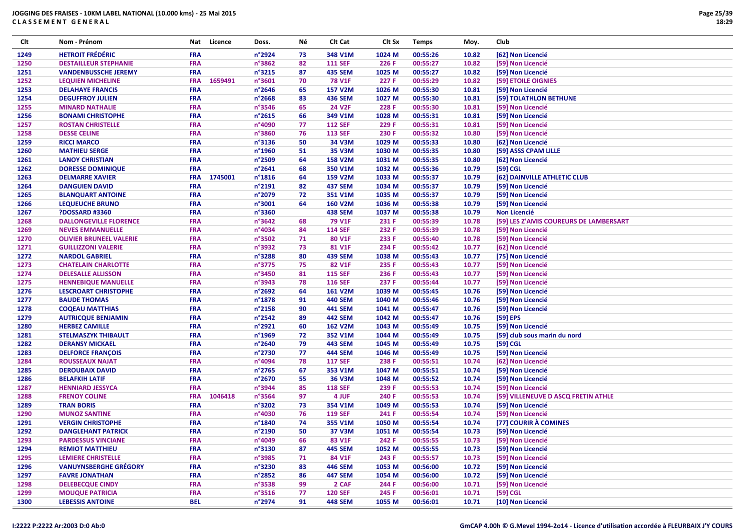| Clt          | Nom - Prénom                   | Nat        | Licence | Doss.           | Νé | Clt Cat        | Clt Sx | <b>Temps</b> | Moy.  | Club                                   |
|--------------|--------------------------------|------------|---------|-----------------|----|----------------|--------|--------------|-------|----------------------------------------|
| 1249         | <b>HETROIT FRÉDÉRIC</b>        | <b>FRA</b> |         | n°2924          | 73 | 348 V1M        | 1024 M | 00:55:26     | 10.82 | [62] Non Licencié                      |
| 1250         | <b>DESTAILLEUR STEPHANIE</b>   | <b>FRA</b> |         | n°3862          | 82 | <b>111 SEF</b> | 226 F  | 00:55:27     | 10.82 | [59] Non Licencié                      |
| 1251         | <b>VANDENBUSSCHE JEREMY</b>    | <b>FRA</b> |         | n°3215          | 87 | <b>435 SEM</b> | 1025 M | 00:55:27     | 10.82 | [59] Non Licencié                      |
| 1252         | <b>LEQUIEN MICHELINE</b>       | <b>FRA</b> | 1659491 | n°3601          | 70 | <b>78 V1F</b>  | 227 F  | 00:55:29     | 10.82 | [59] ETOILE OIGNIES                    |
| 1253         | <b>DELAHAYE FRANCIS</b>        | <b>FRA</b> |         | n°2646          | 65 | <b>157 V2M</b> | 1026 M | 00:55:30     | 10.81 | [59] Non Licencié                      |
| 1254         | <b>DEGUFFROY JULIEN</b>        | <b>FRA</b> |         | n°2668          | 83 | <b>436 SEM</b> | 1027 M | 00:55:30     | 10.81 | [59] TOLATHLON BETHUNE                 |
| 1255         | <b>MINARD NATHALIE</b>         | <b>FRA</b> |         | n°3546          | 65 | <b>24 V2F</b>  | 228 F  | 00:55:30     | 10.81 | [59] Non Licencié                      |
| 1256         | <b>BONAMI CHRISTOPHE</b>       | <b>FRA</b> |         | n°2615          | 66 | 349 V1M        | 1028 M | 00:55:31     | 10.81 | [59] Non Licencié                      |
| 1257         | <b>ROSTAN CHRISTELLE</b>       | <b>FRA</b> |         | n°4090          | 77 | <b>112 SEF</b> | 229 F  | 00:55:31     | 10.81 | [59] Non Licencié                      |
| 1258         | <b>DESSE CELINE</b>            | <b>FRA</b> |         | n°3860          | 76 | <b>113 SEF</b> | 230 F  | 00:55:32     | 10.80 | [59] Non Licencié                      |
| 1259         | <b>RICCI MARCO</b>             | <b>FRA</b> |         | n°3136          | 50 | 34 V3M         | 1029 M | 00:55:33     | 10.80 | [62] Non Licencié                      |
| 1260         | <b>MATHIEU SERGE</b>           | <b>FRA</b> |         | n°1960          | 51 | <b>35 V3M</b>  | 1030 M | 00:55:35     | 10.80 | [59] ASSS CPAM LILLE                   |
| 1261         | <b>LANOY CHRISTIAN</b>         | <b>FRA</b> |         | n°2509          | 64 | <b>158 V2M</b> | 1031 M | 00:55:35     | 10.80 | [62] Non Licencié                      |
| 1262         | <b>DORESSE DOMINIQUE</b>       | <b>FRA</b> |         | n°2641          | 68 | 350 V1M        | 1032 M | 00:55:36     | 10.79 | $[59]$ CGL                             |
| 1263         | <b>DELMARRE XAVIER</b>         | <b>FRA</b> | 1745001 | n°1816          | 64 | 159 V2M        | 1033 M | 00:55:37     | 10.79 | [62] DAINVILLE ATHLETIC CLUB           |
| 1264         | <b>DANGUIEN DAVID</b>          | <b>FRA</b> |         | n°2191          | 82 | <b>437 SEM</b> | 1034 M | 00:55:37     | 10.79 | [59] Non Licencié                      |
| 1265         | <b>BLANQUART ANTOINE</b>       | <b>FRA</b> |         | n°2079          | 72 | 351 V1M        | 1035 M | 00:55:37     | 10.79 | [59] Non Licencié                      |
| 1266         | <b>LEQUEUCHE BRUNO</b>         | <b>FRA</b> |         | n°3001          | 64 | <b>160 V2M</b> | 1036 M | 00:55:38     | 10.79 | [59] Non Licencié                      |
| 1267         | <b>PDOSSARD #3360</b>          | <b>FRA</b> |         | n°3360          |    | <b>438 SEM</b> | 1037 M | 00:55:38     | 10.79 | <b>Non Licencié</b>                    |
|              | <b>DALLONGEVILLE FLORENCE</b>  | <b>FRA</b> |         | n°3642          | 68 | <b>79 V1F</b>  | 231 F  | 00:55:39     | 10.78 | [59] LES Z'AMIS COUREURS DE LAMBERSART |
| 1268         | <b>NEVES EMMANUELLE</b>        | <b>FRA</b> |         | n°4034          | 84 | <b>114 SEF</b> | 232 F  | 00:55:39     | 10.78 | [59] Non Licencié                      |
| 1269<br>1270 | <b>OLIVIER BRUNEEL VALERIE</b> | <b>FRA</b> |         | n°3502          | 71 | 80 V1F         | 233 F  | 00:55:40     | 10.78 | [59] Non Licencié                      |
|              |                                | <b>FRA</b> |         | n°3932          | 73 | 81 V1F         | 234 F  | 00:55:42     | 10.77 |                                        |
| 1271         | <b>GUILLIZZONI VALERIE</b>     | <b>FRA</b> |         | n°3288          |    |                |        |              |       | [62] Non Licencié                      |
| 1272         | <b>NARDOL GABRIEL</b>          |            |         |                 | 80 | <b>439 SEM</b> | 1038 M | 00:55:43     | 10.77 | [75] Non Licencié                      |
| 1273         | <b>CHATELAIN CHARLOTTE</b>     | <b>FRA</b> |         | n°3775          | 75 | 82 V1F         | 235 F  | 00:55:43     | 10.77 | [59] Non Licencié                      |
| 1274         | <b>DELESALLE ALLISSON</b>      | <b>FRA</b> |         | n°3450          | 81 | <b>115 SEF</b> | 236 F  | 00:55:43     | 10.77 | [59] Non Licencié                      |
| 1275         | <b>HENNEBIQUE MANUELLE</b>     | <b>FRA</b> |         | n°3943          | 78 | <b>116 SEF</b> | 237 F  | 00:55:44     | 10.77 | [59] Non Licencié                      |
| 1276         | <b>LESCROART CHRISTOPHE</b>    | <b>FRA</b> |         | n°2692          | 64 | 161 V2M        | 1039 M | 00:55:45     | 10.76 | [59] Non Licencié                      |
| 1277         | <b>BAUDE THOMAS</b>            | <b>FRA</b> |         | n°1878          | 91 | <b>440 SEM</b> | 1040 M | 00:55:46     | 10.76 | [59] Non Licencié                      |
| 1278         | <b>COQEAU MATTHIAS</b>         | <b>FRA</b> |         | n°2158          | 90 | <b>441 SEM</b> | 1041 M | 00:55:47     | 10.76 | [59] Non Licencié                      |
| 1279         | <b>AUTRICQUE BENJAMIN</b>      | <b>FRA</b> |         | n°2542          | 89 | <b>442 SEM</b> | 1042 M | 00:55:47     | 10.76 | [59] EPS                               |
| 1280         | <b>HERBEZ CAMILLE</b>          | <b>FRA</b> |         | n°2921          | 60 | <b>162 V2M</b> | 1043 M | 00:55:49     | 10.75 | [59] Non Licencié                      |
| 1281         | <b>STELMASZYK THIBAULT</b>     | <b>FRA</b> |         | n°1969          | 72 | 352 V1M        | 1044 M | 00:55:49     | 10.75 | [59] club sous marin du nord           |
| 1282         | <b>DERANSY MICKAEL</b>         | <b>FRA</b> |         | n°2640          | 79 | <b>443 SEM</b> | 1045 M | 00:55:49     | 10.75 | [59] CGL                               |
| 1283         | <b>DELFORCE FRANÇOIS</b>       | <b>FRA</b> |         | n°2730          | 77 | <b>444 SEM</b> | 1046 M | 00:55:49     | 10.75 | [59] Non Licencié                      |
| 1284         | <b>ROUSSEAUX NAJAT</b>         | <b>FRA</b> |         | n°4094          | 78 | <b>117 SEF</b> | 238 F  | 00:55:51     | 10.74 | [62] Non Licencié                      |
| 1285         | <b>DEROUBAIX DAVID</b>         | <b>FRA</b> |         | n°2765          | 67 | 353 V1M        | 1047 M | 00:55:51     | 10.74 | [59] Non Licencié                      |
| 1286         | <b>BELAFKIH LATIF</b>          | <b>FRA</b> |         | n°2670          | 55 | <b>36 V3M</b>  | 1048 M | 00:55:52     | 10.74 | [59] Non Licencié                      |
| 1287         | <b>HENNIARD JESSYCA</b>        | <b>FRA</b> |         | n°3944          | 85 | <b>118 SEF</b> | 239 F  | 00:55:53     | 10.74 | [59] Non Licencié                      |
| 1288         | <b>FRENOY COLINE</b>           | <b>FRA</b> | 1046418 | n°3564          | 97 | 4 JUF          | 240 F  | 00:55:53     | 10.74 | [59] VILLENEUVE D ASCQ FRETIN ATHLE    |
| 1289         | <b>TRAN BORIS</b>              | <b>FRA</b> |         | n°3202          | 73 | 354 V1M        | 1049 M | 00:55:53     | 10.74 | [59] Non Licencié                      |
| 1290         | <b>MUNOZ SANTINE</b>           | <b>FRA</b> |         | n°4030          | 76 | <b>119 SEF</b> | 241 F  | 00:55:54     | 10.74 | [59] Non Licencié                      |
| 1291         | <b>VERGIN CHRISTOPHE</b>       | <b>FRA</b> |         | n°1840          | 74 | 355 V1M        | 1050 M | 00:55:54     | 10.74 | [77] COURIR À COMINES                  |
| 1292         | <b>DANGLEHANT PATRICK</b>      | <b>FRA</b> |         | n°2190          | 50 | <b>37 V3M</b>  | 1051 M | 00:55:54     | 10.73 | [59] Non Licencié                      |
| 1293         | <b>PARDESSUS VINCIANE</b>      | <b>FRA</b> |         | n°4049          | 66 | 83 V1F         | 242 F  | 00:55:55     | 10.73 | [59] Non Licencié                      |
| 1294         | <b>REMIOT MATTHIEU</b>         | <b>FRA</b> |         | n°3130          | 87 | <b>445 SEM</b> | 1052 M | 00:55:55     | 10.73 | [59] Non Licencié                      |
| 1295         | <b>LEMIERE CHRISTELLE</b>      | <b>FRA</b> |         | n°3985          | 71 | 84 V1F         | 243 F  | 00:55:57     | 10.73 | [59] Non Licencié                      |
| 1296         | <b>VANUYNSBERGHE GRÉGORY</b>   | <b>FRA</b> |         | n°3230          | 83 | 446 SEM        | 1053 M | 00:56:00     | 10.72 | [59] Non Licencié                      |
| 1297         | <b>FAVRE JONATHAN</b>          | <b>FRA</b> |         | n°2852          | 86 | <b>447 SEM</b> | 1054 M | 00:56:00     | 10.72 | [59] Non Licencié                      |
| 1298         | <b>DELEBECQUE CINDY</b>        | <b>FRA</b> |         | n°3538          | 99 | 2 CAF          | 244 F  | 00:56:00     | 10.71 | [59] Non Licencié                      |
| 1299         | <b>MOUQUE PATRICIA</b>         | <b>FRA</b> |         | $n^{\circ}3516$ | 77 | <b>120 SEF</b> | 245 F  | 00:56:01     | 10.71 | [59] CGL                               |
| 1300         | <b>LEBESSIS ANTOINE</b>        | <b>BEL</b> |         | n°2974          | 91 | <b>448 SEM</b> | 1055 M | 00:56:01     | 10.71 | [10] Non Licencié                      |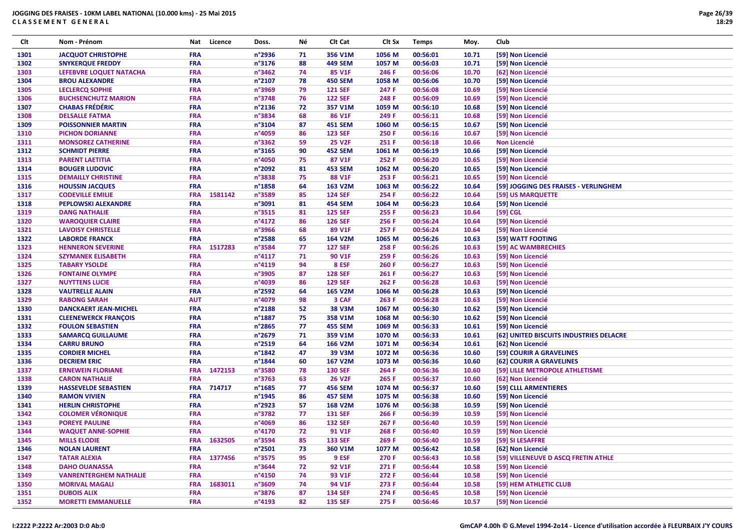| Clt  | Nom - Prénom                                       | Nat        | Licence | Doss.  | Νé | CIt Cat        | CIt Sx | <b>Temps</b> | Moy.           | <b>Club</b>                             |
|------|----------------------------------------------------|------------|---------|--------|----|----------------|--------|--------------|----------------|-----------------------------------------|
| 1301 | <b>JACQUOT CHRISTOPHE</b>                          | <b>FRA</b> |         | n°2936 | 71 | 356 V1M        | 1056 M | 00:56:01     | 10.71          | [59] Non Licencié                       |
| 1302 | <b>SNYKERQUE FREDDY</b>                            | <b>FRA</b> |         | n°3176 | 88 | <b>449 SEM</b> | 1057 M | 00:56:03     | 10.71          | [59] Non Licencié                       |
| 1303 | LEFEBVRE LOQUET NATACHA                            | <b>FRA</b> |         | n°3462 | 74 | 85 V1F         | 246 F  | 00:56:06     | 10.70          | [62] Non Licencié                       |
| 1304 | <b>BROU ALEXANDRE</b>                              | <b>FRA</b> |         | n°2107 | 78 | <b>450 SEM</b> | 1058 M | 00:56:06     | 10.70          | [59] Non Licencié                       |
| 1305 | <b>LECLERCQ SOPHIE</b>                             | <b>FRA</b> |         | n°3969 | 79 | <b>121 SEF</b> | 247 F  | 00:56:08     | 10.69          | [59] Non Licencié                       |
| 1306 | <b>BUCHSENCHUTZ MARION</b>                         | <b>FRA</b> |         | n°3748 | 76 | <b>122 SEF</b> | 248 F  | 00:56:09     | 10.69          | [59] Non Licencié                       |
| 1307 | <b>CHABAS FRÉDÉRIC</b>                             | <b>FRA</b> |         | n°2136 | 72 | 357 V1M        | 1059 M | 00:56:10     | 10.68          | [59] Non Licencié                       |
| 1308 | <b>DELSALLE FATMA</b>                              | <b>FRA</b> |         | n°3834 | 68 | 86 V1F         | 249 F  | 00:56:11     | 10.68          | [59] Non Licencié                       |
| 1309 | <b>POISSONNIER MARTIN</b>                          | <b>FRA</b> |         | n°3104 | 87 | <b>451 SEM</b> | 1060 M | 00:56:15     | 10.67          | [59] Non Licencié                       |
| 1310 | <b>PICHON DORIANNE</b>                             | <b>FRA</b> |         | n°4059 | 86 | <b>123 SEF</b> | 250 F  | 00:56:16     | 10.67          | [59] Non Licencié                       |
| 1311 | <b>MONSOREZ CATHERINE</b>                          | <b>FRA</b> |         | n°3362 | 59 | <b>25 V2F</b>  | 251 F  | 00:56:18     | 10.66          | Non Licencié                            |
| 1312 | <b>SCHMIDT PIERRE</b>                              | <b>FRA</b> |         | n°3165 | 90 | <b>452 SEM</b> | 1061 M | 00:56:19     | 10.66          | [59] Non Licencié                       |
| 1313 | <b>PARENT LAETITIA</b>                             | <b>FRA</b> |         | n°4050 | 75 | 87 V1F         | 252 F  | 00:56:20     | 10.65          | [59] Non Licencié                       |
| 1314 | <b>BOUGER LUDOVIC</b>                              | <b>FRA</b> |         | n°2092 | 81 | <b>453 SEM</b> | 1062 M | 00:56:20     | 10.65          | [59] Non Licencié                       |
| 1315 | <b>DEMAILLY CHRISTINE</b>                          | <b>FRA</b> |         | n°3838 | 75 | 88 V1F         | 253 F  | 00:56:21     | 10.65          | [59] Non Licencié                       |
| 1316 | <b>HOUSSIN JACQUES</b>                             | <b>FRA</b> |         | n°1858 | 64 | 163 V2M        | 1063 M | 00:56:22     | 10.64          | [59] JOGGING DES FRAISES - VERLINGHEM   |
| 1317 | <b>CODEVILLE EMILIE</b>                            | <b>FRA</b> | 1581142 | n°3589 | 85 | <b>124 SEF</b> | 254 F  | 00:56:22     | 10.64          | [59] US MARQUETTE                       |
| 1318 | PEPLOWSKI ALEXANDRE                                | <b>FRA</b> |         | n°3091 | 81 | <b>454 SEM</b> | 1064 M | 00:56:23     | 10.64          | [59] Non Licencié                       |
| 1319 | <b>DANG NATHALIE</b>                               | <b>FRA</b> |         | n°3515 | 81 | <b>125 SEF</b> | 255 F  | 00:56:23     | 10.64          | [59] CGL                                |
| 1320 | <b>WAROQUIER CLAIRE</b>                            | <b>FRA</b> |         | n°4172 | 86 | <b>126 SEF</b> | 256 F  | 00:56:24     | 10.64          |                                         |
| 1321 |                                                    | <b>FRA</b> |         | n°3966 | 68 | 89 V1F         | 257 F  | 00:56:24     |                | [59] Non Licencié                       |
| 1322 | <b>LAVOISY CHRISTELLE</b><br><b>LABORDE FRANCK</b> | <b>FRA</b> |         | n°2588 | 65 | 164 V2M        | 1065 M | 00:56:26     | 10.64<br>10.63 | [59] Non Licencié<br>[59] WATT FOOTING  |
|      |                                                    |            |         |        |    |                |        |              |                |                                         |
| 1323 | <b>HENNERON SEVERINE</b>                           | <b>FRA</b> | 1517283 | n°3584 | 77 | <b>127 SEF</b> | 258 F  | 00:56:26     | 10.63          | [59] AC WAMBRECHIES                     |
| 1324 | <b>SZYMANEK ELISABETH</b>                          | <b>FRA</b> |         | n°4117 | 71 | <b>90 V1F</b>  | 259 F  | 00:56:26     | 10.63          | [59] Non Licencié                       |
| 1325 | <b>TABARY YSOLDE</b>                               | <b>FRA</b> |         | n°4119 | 94 | 8 ESF          | 260 F  | 00:56:27     | 10.63          | [59] Non Licencié                       |
| 1326 | <b>FONTAINE OLYMPE</b>                             | <b>FRA</b> |         | n°3905 | 87 | <b>128 SEF</b> | 261 F  | 00:56:27     | 10.63          | [59] Non Licencié                       |
| 1327 | <b>NUYTTENS LUCIE</b>                              | <b>FRA</b> |         | n°4039 | 86 | <b>129 SEF</b> | 262 F  | 00:56:28     | 10.63          | [59] Non Licencié                       |
| 1328 | <b>VAUTRELLE ALAIN</b>                             | <b>FRA</b> |         | n°2592 | 64 | <b>165 V2M</b> | 1066 M | 00:56:28     | 10.63          | [59] Non Licencié                       |
| 1329 | <b>RABONG SARAH</b>                                | <b>AUT</b> |         | n°4079 | 98 | 3 CAF          | 263 F  | 00:56:28     | 10.63          | [59] Non Licencié                       |
| 1330 | <b>DANCKAERT JEAN-MICHEL</b>                       | <b>FRA</b> |         | n°2188 | 52 | <b>38 V3M</b>  | 1067 M | 00:56:30     | 10.62          | [59] Non Licencié                       |
| 1331 | <b>CLEENEWERCK FRANÇOIS</b>                        | <b>FRA</b> |         | n°1887 | 75 | 358 V1M        | 1068 M | 00:56:30     | 10.62          | [59] Non Licencié                       |
| 1332 | <b>FOULON SEBASTIEN</b>                            | <b>FRA</b> |         | n°2865 | 77 | <b>455 SEM</b> | 1069 M | 00:56:33     | 10.61          | [59] Non Licencié                       |
| 1333 | <b>SAMARCQ GUILLAUME</b>                           | <b>FRA</b> |         | n°2679 | 71 | 359 V1M        | 1070 M | 00:56:33     | 10.61          | [62] UNITED BISCUITS INDUSTRIES DELACRE |
| 1334 | <b>CARRU BRUNO</b>                                 | <b>FRA</b> |         | n°2519 | 64 | 166 V2M        | 1071 M | 00:56:34     | 10.61          | [62] Non Licencié                       |
| 1335 | <b>CORDIER MICHEL</b>                              | <b>FRA</b> |         | n°1842 | 47 | 39 V3M         | 1072 M | 00:56:36     | 10.60          | [59] COURIR A GRAVELINES                |
| 1336 | <b>DECRIEM ERIC</b>                                | <b>FRA</b> |         | n°1844 | 60 | <b>167 V2M</b> | 1073 M | 00:56:36     | 10.60          | [62] COURIR A GRAVELINES                |
| 1337 | <b>ERNEWEIN FLORIANE</b>                           | <b>FRA</b> | 1472153 | n°3580 | 78 | <b>130 SEF</b> | 264 F  | 00:56:36     | 10.60          | [59] LILLE METROPOLE ATHLETISME         |
| 1338 | <b>CARON NATHALIE</b>                              | <b>FRA</b> |         | n°3763 | 63 | <b>26 V2F</b>  | 265 F  | 00:56:37     | 10.60          | [62] Non Licencié                       |
| 1339 | <b>HASSEVELDE SEBASTIEN</b>                        | <b>FRA</b> | 714717  | n°1685 | 77 | <b>456 SEM</b> | 1074 M | 00:56:37     | 10.60          | [59] CLLL ARMENTIERES                   |
| 1340 | <b>RAMON VIVIEN</b>                                | <b>FRA</b> |         | n°1945 | 86 | <b>457 SEM</b> | 1075 M | 00:56:38     | 10.60          | [59] Non Licencié                       |
| 1341 | <b>HERLIN CHRISTOPHE</b>                           | <b>FRA</b> |         | n°2923 | 57 | <b>168 V2M</b> | 1076 M | 00:56:38     | 10.59          | [59] Non Licencié                       |
| 1342 | <b>COLOMER VÉRONIQUE</b>                           | <b>FRA</b> |         | n°3782 | 77 | <b>131 SEF</b> | 266 F  | 00:56:39     | 10.59          | [59] Non Licencié                       |
| 1343 | <b>POREYE PAULINE</b>                              | <b>FRA</b> |         | n°4069 | 86 | <b>132 SEF</b> | 267 F  | 00:56:40     | 10.59          | [59] Non Licencié                       |
| 1344 | <b>WAQUET ANNE-SOPHIE</b>                          | <b>FRA</b> |         | n°4170 | 72 | 91 V1F         | 268 F  | 00:56:40     | 10.59          | [59] Non Licencié                       |
| 1345 | <b>MILLS ELODIE</b>                                | <b>FRA</b> | 1632505 | n°3594 | 85 | <b>133 SEF</b> | 269 F  | 00:56:40     | 10.59          | [59] SI LESAFFRE                        |
| 1346 | <b>NOLAN LAURENT</b>                               | <b>FRA</b> |         | n°2501 | 73 | 360 V1M        | 1077 M | 00:56:42     | 10.58          | [62] Non Licencié                       |
| 1347 | <b>TATAR ALEXIA</b>                                | <b>FRA</b> | 1377456 | n°3575 | 95 | 9 ESF          | 270 F  | 00:56:43     | 10.58          | [59] VILLENEUVE D ASCQ FRETIN ATHLE     |
| 1348 | <b>DAHO OUANASSA</b>                               | <b>FRA</b> |         | n°3644 | 72 | 92 V1F         | 271 F  | 00:56:44     | 10.58          | [59] Non Licencié                       |
| 1349 | <b>VANRENTERGHEM NATHALIE</b>                      | <b>FRA</b> |         | n°4150 | 74 | 93 V1F         | 272 F  | 00:56:44     | 10.58          | [59] Non Licencié                       |
| 1350 | <b>MORIVAL MAGALI</b>                              | <b>FRA</b> | 1683011 | n°3609 | 74 | 94 V1F         | 273 F  | 00:56:44     | 10.58          | [59] HEM ATHLETIC CLUB                  |
| 1351 | <b>DUBOIS ALIX</b>                                 | <b>FRA</b> |         | n°3876 | 87 | <b>134 SEF</b> | 274 F  | 00:56:45     | 10.58          | [59] Non Licencié                       |
| 1352 | <b>MORETTI EMMANUELLE</b>                          | <b>FRA</b> |         | n°4193 | 82 | <b>135 SEF</b> | 275 F  | 00:56:46     | 10.57          | [59] Non Licencié                       |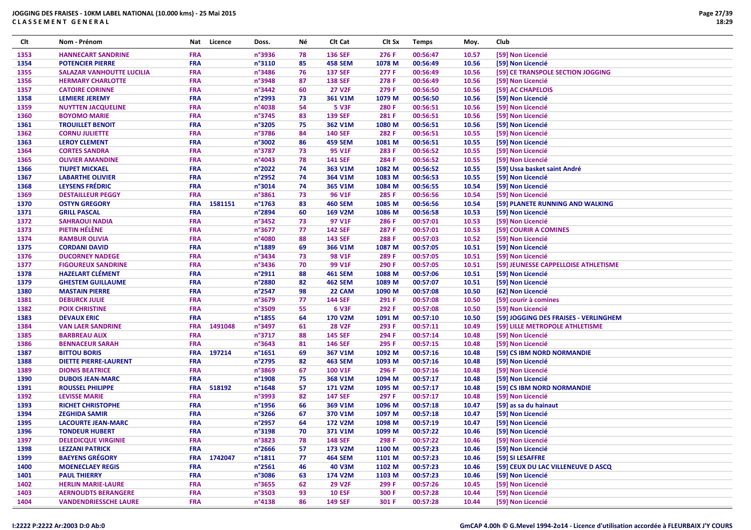| Clt  | Nom - Prénom                     | Nat        | Licence | Doss.            | Νé | Clt Cat        | Clt Sx | <b>Temps</b> | Moy.  | Club                                  |
|------|----------------------------------|------------|---------|------------------|----|----------------|--------|--------------|-------|---------------------------------------|
| 1353 | <b>HANNECART SANDRINE</b>        | <b>FRA</b> |         | n°3936           | 78 | <b>136 SEF</b> | 276 F  | 00:56:47     | 10.57 | [59] Non Licencié                     |
| 1354 | <b>POTENCIER PIERRE</b>          | <b>FRA</b> |         | n°3110           | 85 | <b>458 SEM</b> | 1078 M | 00:56:49     | 10.56 | [59] Non Licencié                     |
| 1355 | <b>SALAZAR VANHOUTTE LUCILIA</b> | FRA        |         | n°3486           | 76 | <b>137 SEF</b> | 277 F  | 00:56:49     | 10.56 | [59] CE TRANSPOLE SECTION JOGGING     |
| 1356 | <b>HERMARY CHARLOTTE</b>         | FRA        |         | n°3948           | 87 | <b>138 SEF</b> | 278 F  | 00:56:49     | 10.56 | [59] Non Licencié                     |
| 1357 | <b>CATOIRE CORINNE</b>           | <b>FRA</b> |         | n°3442           | 60 | <b>27 V2F</b>  | 279 F  | 00:56:50     | 10.56 | [59] AC CHAPELOIS                     |
| 1358 | <b>LEMIERE JEREMY</b>            | <b>FRA</b> |         | n°2993           | 73 | 361 V1M        | 1079 M | 00:56:50     | 10.56 | [59] Non Licencié                     |
| 1359 | <b>NUYTTEN JACQUELINE</b>        | FRA        |         | n°4038           | 54 | <b>5 V3F</b>   | 280 F  | 00:56:51     | 10.56 | [59] Non Licencié                     |
| 1360 | <b>BOYOMO MARIE</b>              | <b>FRA</b> |         | n°3745           | 83 | <b>139 SEF</b> | 281 F  | 00:56:51     | 10.56 | [59] Non Licencié                     |
| 1361 | <b>TROUILLET BENOIT</b>          | <b>FRA</b> |         | n°3205           | 75 | 362 V1M        | 1080 M | 00:56:51     | 10.56 | [59] Non Licencié                     |
| 1362 | <b>CORNU JULIETTE</b>            | FRA        |         | n°3786           | 84 | <b>140 SEF</b> | 282 F  | 00:56:51     | 10.55 | [59] Non Licencié                     |
| 1363 | <b>LEROY CLEMENT</b>             | FRA        |         | n°3002           | 86 | <b>459 SEM</b> | 1081 M | 00:56:51     | 10.55 | [59] Non Licencié                     |
| 1364 | <b>CORTES SANDRA</b>             | <b>FRA</b> |         | n°3787           | 73 | 95 V1F         | 283 F  | 00:56:52     | 10.55 | [59] Non Licencié                     |
| 1365 | <b>OLIVIER AMANDINE</b>          | FRA        |         | n°4043           | 78 | <b>141 SEF</b> | 284 F  | 00:56:52     | 10.55 | [59] Non Licencié                     |
| 1366 | <b>TIUPET MICKAEL</b>            | <b>FRA</b> |         | n°2022           | 74 | 363 V1M        | 1082 M | 00:56:52     | 10.55 | [59] Ussa basket saint André          |
| 1367 | <b>LABARTHE OLIVIER</b>          | <b>FRA</b> |         | n°2952           | 74 | 364 V1M        | 1083 M | 00:56:53     | 10.55 | [59] Non Licencié                     |
| 1368 | <b>LEYSENS FRÉDRIC</b>           | <b>FRA</b> |         | n°3014           | 74 | 365 V1M        | 1084 M | 00:56:55     | 10.54 | [59] Non Licencié                     |
| 1369 | <b>DESTAILLEUR PEGGY</b>         | <b>FRA</b> |         | n°3861           | 73 | 96 V1F         | 285 F  | 00:56:56     | 10.54 | [59] Non Licencié                     |
| 1370 | <b>OSTYN GREGORY</b>             | <b>FRA</b> | 1581151 | n°1763           | 83 | <b>460 SEM</b> | 1085 M | 00:56:56     | 10.54 | [59] PLANETE RUNNING AND WALKING      |
| 1371 | <b>GRILL PASCAL</b>              | <b>FRA</b> |         | n°2894           | 60 | 169 V2M        | 1086 M | 00:56:58     | 10.53 | [59] Non Licencié                     |
| 1372 | <b>SAHRAOUI NADIA</b>            | <b>FRA</b> |         | n°3452           | 73 | 97 V1F         | 286 F  | 00:57:01     | 10.53 | [59] Non Licencié                     |
| 1373 | PIETIN HÉLÈNE                    | FRA        |         | n°3677           | 77 | <b>142 SEF</b> | 287 F  | 00:57:01     | 10.53 | [59] COURIR A COMINES                 |
| 1374 | <b>RAMBUR OLIVIA</b>             | <b>FRA</b> |         | n°4080           | 88 | <b>143 SEF</b> | 288 F  | 00:57:03     | 10.52 | [59] Non Licencié                     |
| 1375 | <b>CORDANI DAVID</b>             | <b>FRA</b> |         | n°1889           | 69 | 366 V1M        | 1087 M | 00:57:05     | 10.51 | [59] Non Licencié                     |
| 1376 | <b>DUCORNEY NADEGE</b>           | FRA        |         | n°3434           | 73 | 98 V1F         | 289 F  | 00:57:05     | 10.51 | [59] Non Licencié                     |
| 1377 | <b>FIGOUREUX SANDRINE</b>        | FRA        |         | n°3436           | 70 | 99 V1F         | 290 F  | 00:57:05     | 10.51 | [59] JEUNESSE CAPPELLOISE ATHLETISME  |
| 1378 | <b>HAZELART CLÉMENT</b>          | <b>FRA</b> |         | n°2911           | 88 | <b>461 SEM</b> | 1088 M | 00:57:06     | 10.51 | [59] Non Licencié                     |
| 1379 | <b>GHESTEM GUILLAUME</b>         | <b>FRA</b> |         | n°2880           | 82 | <b>462 SEM</b> | 1089 M | 00:57:07     | 10.51 | [59] Non Licencié                     |
| 1380 | <b>MASTAIN PIERRE</b>            | <b>FRA</b> |         | n°2547           | 98 | 22 CAM         | 1090 M | 00:57:08     | 10.50 | [62] Non Licencié                     |
| 1381 | <b>DEBURCK JULIE</b>             | FRA        |         | n°3679           | 77 | <b>144 SEF</b> | 291 F  | 00:57:08     | 10.50 | [59] courir à comines                 |
| 1382 | <b>POIX CHRISTINE</b>            | <b>FRA</b> |         | n°3509           | 55 | 6 V3F          | 292 F  | 00:57:08     | 10.50 | [59] Non Licencié                     |
| 1383 | <b>DEVAUX ERIC</b>               | <b>FRA</b> |         | n°1855           | 64 | <b>170 V2M</b> | 1091 M | 00:57:10     | 10.50 | [59] JOGGING DES FRAISES - VERLINGHEM |
| 1384 | <b>VAN LAER SANDRINE</b>         | <b>FRA</b> | 1491048 | n°3497           | 61 | <b>28 V2F</b>  | 293 F  | 00:57:11     | 10.49 | [59] LILLE METROPOLE ATHLETISME       |
| 1385 | <b>BARBREAU ALIX</b>             | <b>FRA</b> |         | n°3717           | 88 | <b>145 SEF</b> | 294 F  | 00:57:14     | 10.48 | [59] Non Licencié                     |
| 1386 | <b>BENNACEUR SARAH</b>           | <b>FRA</b> |         | n°3643           | 81 | <b>146 SEF</b> | 295 F  | 00:57:15     | 10.48 | [59] Non Licencié                     |
| 1387 | <b>BITTOU BORIS</b>              | <b>FRA</b> | 197214  | n°1651           | 69 | 367 V1M        | 1092 M | 00:57:16     | 10.48 | [59] CS IBM NORD NORMANDIE            |
| 1388 | <b>DIETTE PIERRE-LAURENT</b>     | <b>FRA</b> |         | n°2795           | 82 | <b>463 SEM</b> | 1093 M | 00:57:16     | 10.48 | [59] Non Licencié                     |
| 1389 | <b>DIONIS BEATRICE</b>           | <b>FRA</b> |         | n°3869           | 67 | <b>100 V1F</b> | 296 F  | 00:57:16     | 10.48 | [59] Non Licencié                     |
| 1390 | <b>DUBOIS JEAN-MARC</b>          | <b>FRA</b> |         | n°1908           | 75 | 368 V1M        | 1094 M | 00:57:17     | 10.48 | [59] Non Licencié                     |
| 1391 | <b>ROUSSEL PHILIPPE</b>          | <b>FRA</b> | 518192  | $n^{\circ}$ 1648 | 57 | 171 V2M        | 1095 M | 00:57:17     | 10.48 | [59] CS IBM NORD NORMANDIE            |
| 1392 | <b>LEVISSE MARIE</b>             | <b>FRA</b> |         | n°3993           | 82 | <b>147 SEF</b> | 297 F  | 00:57:17     | 10.48 | [59] Non Licencié                     |
| 1393 | <b>RICHET CHRISTOPHE</b>         | <b>FRA</b> |         | n°1956           | 66 | 369 V1M        | 1096 M | 00:57:18     | 10.47 | [59] as sa du hainaut                 |
| 1394 | <b>ZEGHIDA SAMIR</b>             | <b>FRA</b> |         | n°3266           | 67 | 370 V1M        | 1097 M | 00:57:18     | 10.47 | [59] Non Licencié                     |
| 1395 | <b>LACOURTE JEAN-MARC</b>        | <b>FRA</b> |         | n°2957           | 64 | 172 V2M        | 1098 M | 00:57:19     | 10.47 | [59] Non Licencié                     |
| 1396 | <b>TONDEUR HUBERT</b>            | <b>FRA</b> |         | n°3198           | 70 | 371 V1M        | 1099 M | 00:57:22     | 10.46 | [59] Non Licencié                     |
| 1397 | <b>DELEDICQUE VIRGINIE</b>       | <b>FRA</b> |         | n°3823           | 78 | <b>148 SEF</b> | 298 F  | 00:57:22     | 10.46 | [59] Non Licencié                     |
| 1398 | <b>LEZZANI PATRICK</b>           | <b>FRA</b> |         | n°2666           | 57 | 173 V2M        | 1100 M | 00:57:23     | 10.46 | [59] Non Licencié                     |
| 1399 | <b>BAEYENS GRÉGORY</b>           | <b>FRA</b> | 1742047 | $n^{\circ}1811$  | 77 | <b>464 SEM</b> | 1101 M | 00:57:23     | 10.46 | [59] SI LESAFFRE                      |
| 1400 | <b>MOENECLAEY REGIS</b>          | <b>FRA</b> |         | $n^{\circ}$ 2561 | 46 | <b>40 V3M</b>  | 1102 M | 00:57:23     | 10.46 | [59] CEUX DU LAC VILLENEUVE D ASCQ    |
| 1401 | <b>PAUL THIERRY</b>              | <b>FRA</b> |         | n°3086           | 63 | 174 V2M        | 1103 M | 00:57:23     | 10.46 | [59] Non Licencié                     |
| 1402 | <b>HERLIN MARIE-LAURE</b>        | <b>FRA</b> |         | n°3655           | 62 | <b>29 V2F</b>  | 299 F  | 00:57:26     | 10.45 | [59] Non Licencié                     |
| 1403 | <b>AERNOUDTS BERANGERE</b>       | <b>FRA</b> |         | n°3503           | 93 | <b>10 ESF</b>  | 300 F  | 00:57:28     | 10.44 | [59] Non Licencié                     |
| 1404 | <b>VANDENDRIESSCHE LAURE</b>     | <b>FRA</b> |         | n°4138           | 86 | <b>149 SEF</b> | 301 F  | 00:57:28     | 10.44 | [59] Non Licencié                     |
|      |                                  |            |         |                  |    |                |        |              |       |                                       |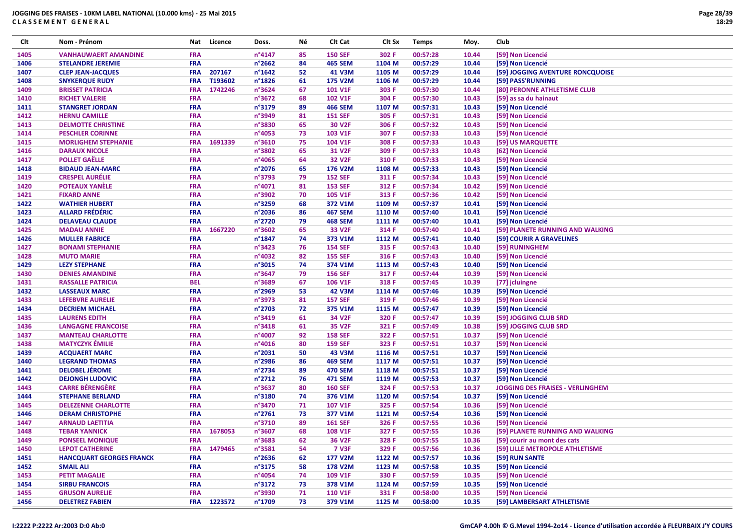| Clt  | Nom - Prénom                    | Nat        | Licence     | Doss.            | Νé | Clt Cat            | Clt Sx | <b>Temps</b> | Moy.  | Club                                    |
|------|---------------------------------|------------|-------------|------------------|----|--------------------|--------|--------------|-------|-----------------------------------------|
| 1405 | <b>VANHAUWAERT AMANDINE</b>     | <b>FRA</b> |             | n°4147           | 85 | <b>150 SEF</b>     | 302 F  | 00:57:28     | 10.44 | [59] Non Licencié                       |
| 1406 | <b>STELANDRE JEREMIE</b>        | <b>FRA</b> |             | n°2662           | 84 | <b>465 SEM</b>     | 1104 M | 00:57:29     | 10.44 | [59] Non Licencié                       |
| 1407 | <b>CLEP JEAN-JACQUES</b>        | <b>FRA</b> | 207167      | $n^{\circ}$ 1642 | 52 | 41 V3M             | 1105 M | 00:57:29     | 10.44 | [59] JOGGING AVENTURE RONCQUOISE        |
| 1408 | <b>SNYKERQUE RUDY</b>           | <b>FRA</b> | T193602     | $n^{\circ}$ 1826 | 61 | <b>175 V2M</b>     | 1106 M | 00:57:29     | 10.44 | [59] PASS'RUNNING                       |
| 1409 | <b>BRISSET PATRICIA</b>         | <b>FRA</b> | 1742246     | n°3624           | 67 | 101 V1F            | 303 F  | 00:57:30     | 10.44 | [80] PERONNE ATHLETISME CLUB            |
| 1410 | <b>RICHET VALERIE</b>           | <b>FRA</b> |             | n°3672           | 68 | <b>102 V1F</b>     | 304 F  | 00:57:30     | 10.43 | [59] as sa du hainaut                   |
| 1411 | <b>STANGRET JORDAN</b>          | <b>FRA</b> |             | n°3179           | 89 | <b>466 SEM</b>     | 1107 M | 00:57:31     | 10.43 | [59] Non Licencié                       |
| 1412 | <b>HERNU CAMILLE</b>            | <b>FRA</b> |             | n°3949           | 81 | <b>151 SEF</b>     | 305 F  | 00:57:31     | 10.43 | [59] Non Licencié                       |
| 1413 | <b>DELMOTTE CHRISTINE</b>       | <b>FRA</b> |             | n°3830           | 65 | <b>30 V2F</b>      | 306 F  | 00:57:32     | 10.43 | [59] Non Licencié                       |
| 1414 | <b>PESCHLER CORINNE</b>         | <b>FRA</b> |             | n°4053           | 73 | 103 V1F            | 307 F  | 00:57:33     | 10.43 | [59] Non Licencié                       |
| 1415 | <b>MORLIGHEM STEPHANIE</b>      | <b>FRA</b> | 1691339     | n°3610           | 75 | 104 V1F            | 308 F  | 00:57:33     | 10.43 | [59] US MARQUETTE                       |
| 1416 | <b>DARAUX NICOLE</b>            | <b>FRA</b> |             | n°3802           | 65 | 31 V2F             | 309 F  | 00:57:33     | 10.43 | [62] Non Licencié                       |
| 1417 | <b>POLLET GAËLLE</b>            | <b>FRA</b> |             | n°4065           | 64 | <b>32 V2F</b>      | 310 F  | 00:57:33     | 10.43 | [59] Non Licencié                       |
| 1418 | <b>BIDAUD JEAN-MARC</b>         | <b>FRA</b> |             | n°2076           | 65 | 176 V2M            | 1108 M | 00:57:33     | 10.43 | [59] Non Licencié                       |
| 1419 | <b>CRESPEL AURÉLIE</b>          | <b>FRA</b> |             | n°3793           | 79 | <b>152 SEF</b>     | 311 F  | 00:57:34     | 10.43 | [59] Non Licencié                       |
| 1420 | <b>POTEAUX YANÈLE</b>           | <b>FRA</b> |             | n°4071           | 81 | <b>153 SEF</b>     | 312 F  | 00:57:34     | 10.42 | [59] Non Licencié                       |
| 1421 | <b>FIXARD ANNE</b>              | <b>FRA</b> |             | n°3902           | 70 | 105 V1F            | 313 F  | 00:57:36     | 10.42 | [59] Non Licencié                       |
| 1422 | <b>WATHIER HUBERT</b>           | <b>FRA</b> |             | n°3259           | 68 | 372 V1M            | 1109 M | 00:57:37     | 10.41 | [59] Non Licencié                       |
| 1423 | <b>ALLARD FRÉDÉRIC</b>          | <b>FRA</b> |             | n°2036           | 86 | <b>467 SEM</b>     | 1110 M | 00:57:40     | 10.41 | [59] Non Licencié                       |
| 1424 | <b>DELAVEAU CLAUDE</b>          | <b>FRA</b> |             | n°2720           | 79 | <b>468 SEM</b>     | 1111 M | 00:57:40     | 10.41 | [59] Non Licencié                       |
| 1425 | <b>MADAU ANNIE</b>              | <b>FRA</b> | 1667220     | n°3602           | 65 | 33 V2F             | 314 F  | 00:57:40     | 10.41 | [59] PLANETE RUNNING AND WALKING        |
| 1426 | <b>MULLER FABRICE</b>           | <b>FRA</b> |             | n°1847           | 74 | 373 V1M            | 1112 M | 00:57:41     | 10.40 | [59] COURIR A GRAVELINES                |
| 1427 | <b>BONAMI STEPHANIE</b>         | <b>FRA</b> |             | n°3423           | 76 | <b>154 SEF</b>     | 315 F  | 00:57:43     | 10.40 | [59] RUNINGHEM                          |
| 1428 | <b>MUTO MARIE</b>               | <b>FRA</b> |             | n°4032           | 82 | <b>155 SEF</b>     | 316 F  | 00:57:43     | 10.40 |                                         |
|      |                                 | <b>FRA</b> |             | n°3015           |    |                    |        |              |       | [59] Non Licencié                       |
| 1429 | <b>LEZY STEPHANE</b>            | <b>FRA</b> |             |                  | 74 | 374 V1M            | 1113 M | 00:57:43     | 10.40 | [59] Non Licencié                       |
| 1430 | <b>DENIES AMANDINE</b>          | <b>BEL</b> |             | n°3647<br>n°3689 | 79 | <b>156 SEF</b>     | 317 F  | 00:57:44     | 10.39 | [59] Non Licencié                       |
| 1431 | <b>RASSALLE PATRICIA</b>        |            |             |                  | 67 | 106 V1F            | 318 F  | 00:57:45     | 10.39 | [77] jcluingne                          |
| 1432 | <b>LASSEAUX MARC</b>            | <b>FRA</b> |             | n°2969           | 53 | <b>42 V3M</b>      | 1114 M | 00:57:46     | 10.39 | [59] Non Licencié                       |
| 1433 | <b>LEFEBVRE AURELIE</b>         | <b>FRA</b> |             | n°3973           | 81 | <b>157 SEF</b>     | 319 F  | 00:57:46     | 10.39 | [59] Non Licencié                       |
| 1434 | <b>DECRIEM MICHAEL</b>          | <b>FRA</b> |             | n°2703           | 72 | 375 V1M            | 1115 M | 00:57:47     | 10.39 | [59] Non Licencié                       |
| 1435 | <b>LAURENS EDITH</b>            | <b>FRA</b> |             | n°3419           | 61 | 34 V2F             | 320 F  | 00:57:47     | 10.39 | [59] JOGGING CLUB SRD                   |
| 1436 | <b>LANGAGNE FRANCOISE</b>       | <b>FRA</b> |             | n°3418           | 61 | 35 V2F             | 321 F  | 00:57:49     | 10.38 | [59] JOGGING CLUB SRD                   |
| 1437 | <b>MANTEAU CHARLOTTE</b>        | <b>FRA</b> |             | n°4007           | 92 | <b>158 SEF</b>     | 322 F  | 00:57:51     | 10.37 | [59] Non Licencié                       |
| 1438 | <b>MATYCZYK ÉMILIE</b>          | <b>FRA</b> |             | $n^{\circ}4016$  | 80 | <b>159 SEF</b>     | 323 F  | 00:57:51     | 10.37 | [59] Non Licencié                       |
| 1439 | <b>ACQUAERT MARC</b>            | <b>FRA</b> |             | n°2031           | 50 | 43 V3M             | 1116 M | 00:57:51     | 10.37 | [59] Non Licencié                       |
| 1440 | <b>LEGRAND THOMAS</b>           | <b>FRA</b> |             | n°2986           | 86 | <b>469 SEM</b>     | 1117 M | 00:57:51     | 10.37 | [59] Non Licencié                       |
| 1441 | <b>DELOBEL JÉROME</b>           | <b>FRA</b> |             | n°2734           | 89 | <b>470 SEM</b>     | 1118 M | 00:57:51     | 10.37 | [59] Non Licencié                       |
| 1442 | <b>DEJONGH LUDOVIC</b>          | <b>FRA</b> |             | $n^{\circ}2712$  | 76 | <b>471 SEM</b>     | 1119 M | 00:57:53     | 10.37 | [59] Non Licencié                       |
| 1443 | <b>CARRE BÉRENGÈRE</b>          | <b>FRA</b> |             | n°3637           | 80 | <b>160 SEF</b>     | 324 F  | 00:57:53     | 10.37 | <b>JOGGING DES FRAISES - VERLINGHEM</b> |
| 1444 | <b>STEPHANE BERLAND</b>         | <b>FRA</b> |             | n°3180           | 74 | 376 V1M            | 1120 M | 00:57:54     | 10.37 | [59] Non Licencié                       |
| 1445 | <b>DELEZENNE CHARLOTTE</b>      | <b>FRA</b> |             | n°3470           | 71 | <b>107 V1F</b>     | 325 F  | 00:57:54     | 10.36 | [59] Non Licencié                       |
| 1446 | <b>DERAM CHRISTOPHE</b>         | <b>FRA</b> |             | n°2761           | 73 | 377 V1M            | 1121 M | 00:57:54     | 10.36 | [59] Non Licencié                       |
| 1447 | <b>ARNAUD LAETITIA</b>          | <b>FRA</b> |             | n°3710           | 89 | <b>161 SEF</b>     | 326 F  | 00:57:55     | 10.36 | [59] Non Licencié                       |
| 1448 | <b>TEBAR YANNICK</b>            | <b>FRA</b> | 1678053     | n°3607           | 68 | 108 V1F            | 327 F  | 00:57:55     | 10.36 | [59] PLANETE RUNNING AND WALKING        |
| 1449 | <b>PONSEEL MONIQUE</b>          | <b>FRA</b> |             | n°3683           | 62 | 36 V <sub>2F</sub> | 328 F  | 00:57:55     | 10.36 | [59] courir au mont des cats            |
| 1450 | <b>LEPOT CATHERINE</b>          | <b>FRA</b> | 1479465     | n°3581           | 54 | <b>7 V3F</b>       | 329 F  | 00:57:56     | 10.36 | [59] LILLE METROPOLE ATHLETISME         |
| 1451 | <b>HANCQUART GEORGES FRANCK</b> | <b>FRA</b> |             | $n^{\circ}$ 2636 | 62 | 177 V2M            | 1122 M | 00:57:57     | 10.36 | [59] RUN SANTE                          |
| 1452 | <b>SMAIL ALI</b>                | <b>FRA</b> |             | n°3175           | 58 | <b>178 V2M</b>     | 1123 M | 00:57:58     | 10.35 | [59] Non Licencié                       |
| 1453 | <b>PETIT MAGALIE</b>            | <b>FRA</b> |             | n°4054           | 74 | 109 V1F            | 330 F  | 00:57:59     | 10.35 | [59] Non Licencié                       |
| 1454 | <b>SIRBU FRANCOIS</b>           | <b>FRA</b> |             | n°3172           | 73 | 378 V1M            | 1124 M | 00:57:59     | 10.35 | [59] Non Licencié                       |
| 1455 | <b>GRUSON AURELIE</b>           | <b>FRA</b> |             | n°3930           | 71 | <b>110 V1F</b>     | 331 F  | 00:58:00     | 10.35 | [59] Non Licencié                       |
| 1456 | <b>DELETREZ FABIEN</b>          |            | FRA 1223572 | n°1709           | 73 | 379 V1M            | 1125 M | 00:58:00     | 10.35 | [59] LAMBERSART ATHLETISME              |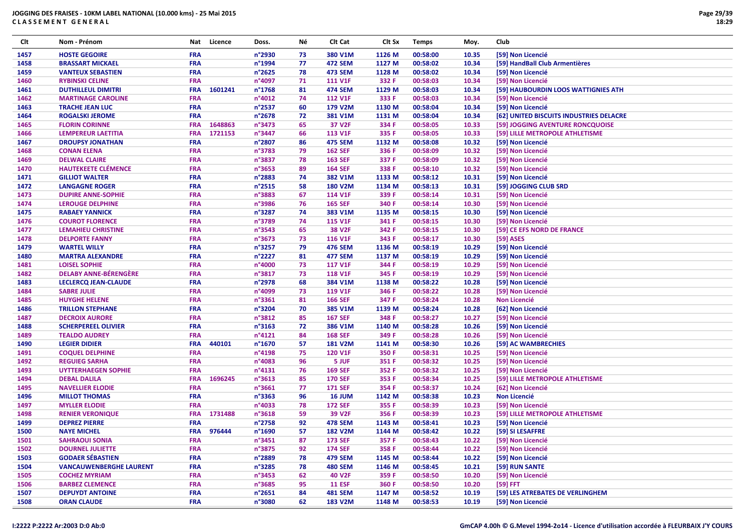| Clt  | Nom - Prénom                   | Nat        | Licence | Doss.            | Νé | Clt Cat            | Clt Sx | <b>Temps</b> | Moy.  | Club                                    |
|------|--------------------------------|------------|---------|------------------|----|--------------------|--------|--------------|-------|-----------------------------------------|
| 1457 | <b>HOSTE GEGOIRE</b>           | <b>FRA</b> |         | n°2930           | 73 | 380 V1M            | 1126 M | 00:58:00     | 10.35 | [59] Non Licencié                       |
| 1458 | <b>BRASSART MICKAEL</b>        | <b>FRA</b> |         | n°1994           | 77 | <b>472 SEM</b>     | 1127 M | 00:58:02     | 10.34 | [59] HandBall Club Armentières          |
| 1459 | <b>VANTEUX SEBASTIEN</b>       | <b>FRA</b> |         | n°2625           | 78 | <b>473 SEM</b>     | 1128 M | 00:58:02     | 10.34 | [59] Non Licencié                       |
| 1460 | <b>RYBINSKI CELINE</b>         | FRA        |         | n°4097           | 71 | <b>111 V1F</b>     | 332 F  | 00:58:03     | 10.34 | [59] Non Licencié                       |
| 1461 | <b>DUTHILLEUL DIMITRI</b>      | <b>FRA</b> | 1601241 | n°1768           | 81 | <b>474 SEM</b>     | 1129 M | 00:58:03     | 10.34 | [59] HAUBOURDIN LOOS WATTIGNIES ATH     |
| 1462 | <b>MARTINAGE CAROLINE</b>      | <b>FRA</b> |         | $n^{\circ}4012$  | 74 | <b>112 V1F</b>     | 333 F  | 00:58:03     | 10.34 | [59] Non Licencié                       |
| 1463 | <b>TRACHE JEAN LUC</b>         | <b>FRA</b> |         | n°2537           | 60 | 179 V2M            | 1130 M | 00:58:04     | 10.34 | [59] Non Licencié                       |
| 1464 | <b>ROGALSKI JEROME</b>         | <b>FRA</b> |         | n°2678           | 72 | 381 V1M            | 1131 M | 00:58:04     | 10.34 | [62] UNITED BISCUITS INDUSTRIES DELACRE |
| 1465 | <b>FLORIN CORINNE</b>          | <b>FRA</b> | 1648863 | n°3473           | 65 | 37 V2F             | 334 F  | 00:58:05     | 10.33 | [59] JOGGING AVENTURE RONCQUOISE        |
| 1466 | LEMPEREUR LAETITIA             | <b>FRA</b> | 1721153 | n°3447           | 66 | <b>113 V1F</b>     | 335 F  | 00:58:05     | 10.33 | [59] LILLE METROPOLE ATHLETISME         |
| 1467 | <b>DROUPSY JONATHAN</b>        | <b>FRA</b> |         | n°2807           | 86 | <b>475 SEM</b>     | 1132 M | 00:58:08     | 10.32 | [59] Non Licencié                       |
| 1468 | <b>CONAN ELENA</b>             | <b>FRA</b> |         | n°3783           | 79 | <b>162 SEF</b>     | 336 F  | 00:58:09     | 10.32 | [59] Non Licencié                       |
| 1469 | <b>DELWAL CLAIRE</b>           | <b>FRA</b> |         | n°3837           | 78 | <b>163 SEF</b>     | 337 F  | 00:58:09     | 10.32 | [59] Non Licencié                       |
| 1470 | <b>HAUTEKEETE CLÉMENCE</b>     | <b>FRA</b> |         | n°3653           | 89 | <b>164 SEF</b>     | 338 F  | 00:58:10     | 10.32 | [59] Non Licencié                       |
| 1471 | <b>GILLIOT WALTER</b>          | FRA        |         | n°2883           | 74 | 382 V1M            | 1133 M | 00:58:12     | 10.31 | [59] Non Licencié                       |
| 1472 | <b>LANGAGNE ROGER</b>          | <b>FRA</b> |         | n°2515           | 58 | <b>180 V2M</b>     | 1134 M | 00:58:13     | 10.31 | [59] JOGGING CLUB SRD                   |
| 1473 | <b>DUPIRE ANNE-SOPHIE</b>      | <b>FRA</b> |         | n°3883           | 67 | <b>114 V1F</b>     | 339 F  | 00:58:14     | 10.31 | [59] Non Licencié                       |
| 1474 | <b>LEROUGE DELPHINE</b>        | <b>FRA</b> |         | n°3986           | 76 | <b>165 SEF</b>     | 340 F  | 00:58:14     | 10.30 | [59] Non Licencié                       |
| 1475 | <b>RABAEY YANNICK</b>          | FRA        |         | n°3287           | 74 | 383 V1M            | 1135 M | 00:58:15     | 10.30 | [59] Non Licencié                       |
| 1476 | <b>COUROT FLORENCE</b>         | <b>FRA</b> |         | n°3789           | 74 | <b>115 V1F</b>     | 341 F  | 00:58:15     | 10.30 | [59] Non Licencié                       |
| 1477 | <b>LEMAHIEU CHRISTINE</b>      | <b>FRA</b> |         | n°3543           | 65 | <b>38 V2F</b>      | 342 F  | 00:58:15     | 10.30 | [59] CE EFS NORD DE FRANCE              |
| 1478 | <b>DELPORTE FANNY</b>          | FRA        |         | n°3673           | 73 | <b>116 V1F</b>     | 343 F  | 00:58:17     | 10.30 | [59] ASES                               |
| 1479 | <b>WARTEL WILLY</b>            | <b>FRA</b> |         | n°3257           | 79 | <b>476 SEM</b>     | 1136 M | 00:58:19     | 10.29 | [59] Non Licencié                       |
| 1480 | <b>MARTRA ALEXANDRE</b>        | <b>FRA</b> |         | n°2227           | 81 | <b>477 SEM</b>     | 1137 M | 00:58:19     | 10.29 | [59] Non Licencié                       |
| 1481 | <b>LOISEL SOPHIE</b>           | FRA        |         | n°4000           | 73 | <b>117 V1F</b>     | 344 F  | 00:58:19     | 10.29 | [59] Non Licencié                       |
| 1482 | <b>DELABY ANNE-BÉRENGÈRE</b>   | <b>FRA</b> |         | n°3817           | 73 | <b>118 V1F</b>     | 345 F  | 00:58:19     | 10.29 | [59] Non Licencié                       |
| 1483 | <b>LECLERCQ JEAN-CLAUDE</b>    | FRA        |         | n°2978           | 68 | 384 V1M            | 1138 M | 00:58:22     | 10.28 | [59] Non Licencié                       |
| 1484 | <b>SABRE JULIE</b>             | FRA        |         | n°4099           | 73 | <b>119 V1F</b>     | 346 F  | 00:58:22     | 10.28 | [59] Non Licencié                       |
| 1485 | <b>HUYGHE HELENE</b>           | FRA        |         | n°3361           | 81 | <b>166 SEF</b>     | 347 F  | 00:58:24     | 10.28 | <b>Non Licencié</b>                     |
| 1486 | <b>TRILLON STEPHANE</b>        | FRA        |         | n°3204           | 70 | 385 V1M            | 1139 M | 00:58:24     | 10.28 | [62] Non Licencié                       |
| 1487 | <b>DECROIX AURORE</b>          | <b>FRA</b> |         | n°3812           | 85 | <b>167 SEF</b>     | 348 F  | 00:58:27     | 10.27 | [59] Non Licencié                       |
| 1488 | <b>SCHERPEREEL OLIVIER</b>     | <b>FRA</b> |         | n°3163           | 72 | 386 V1M            | 1140 M | 00:58:28     | 10.26 | [59] Non Licencié                       |
| 1489 | <b>TEALDO AUDREY</b>           | <b>FRA</b> |         | n°4121           | 84 | <b>168 SEF</b>     | 349 F  | 00:58:28     | 10.26 | [59] Non Licencié                       |
| 1490 | <b>LEGIER DIDIER</b>           | <b>FRA</b> | 440101  | n°1670           | 57 | <b>181 V2M</b>     | 1141 M | 00:58:30     | 10.26 | [59] AC WAMBRECHIES                     |
| 1491 | <b>COQUEL DELPHINE</b>         | FRA        |         | n°4198           | 75 | 120 V1F            | 350 F  | 00:58:31     | 10.25 | [59] Non Licencié                       |
| 1492 | <b>REGUIEG SARHA</b>           | <b>FRA</b> |         | n°4083           | 96 | 5 JUF              | 351 F  | 00:58:32     | 10.25 | [59] Non Licencié                       |
| 1493 | <b>UYTTERHAEGEN SOPHIE</b>     | <b>FRA</b> |         | n°4131           | 76 | <b>169 SEF</b>     | 352 F  | 00:58:32     | 10.25 | [59] Non Licencié                       |
| 1494 | <b>DEBAL DALILA</b>            | <b>FRA</b> | 1696245 | n°3613           | 85 | <b>170 SEF</b>     | 353 F  | 00:58:34     | 10.25 | [59] LILLE METROPOLE ATHLETISME         |
| 1495 | <b>NAVELLIER ELODIE</b>        | <b>FRA</b> |         | n°3661           | 77 | <b>171 SEF</b>     | 354 F  | 00:58:37     | 10.24 | [62] Non Licencié                       |
| 1496 | <b>MILLOT THOMAS</b>           | <b>FRA</b> |         | n°3363           | 96 | <b>16 JUM</b>      | 1142 M | 00:58:38     | 10.23 | <b>Non Licencié</b>                     |
| 1497 | <b>MYLLER ELODIE</b>           | <b>FRA</b> |         | n°4033           | 78 | <b>172 SEF</b>     | 355 F  | 00:58:39     | 10.23 | [59] Non Licencié                       |
| 1498 | <b>RENIER VERONIQUE</b>        | <b>FRA</b> | 1731488 | n°3618           | 59 | 39 V <sub>2F</sub> | 356 F  | 00:58:39     | 10.23 | [59] LILLE METROPOLE ATHLETISME         |
| 1499 | <b>DEPREZ PIERRE</b>           | <b>FRA</b> |         | n°2758           | 92 | <b>478 SEM</b>     | 1143 M | 00:58:41     | 10.23 | [59] Non Licencié                       |
| 1500 | <b>NAYE MICHEL</b>             | <b>FRA</b> | 976444  | n°1690           | 57 | <b>182 V2M</b>     | 1144 M | 00:58:42     | 10.22 | [59] SI LESAFFRE                        |
| 1501 | <b>SAHRAOUI SONIA</b>          | <b>FRA</b> |         | n°3451           | 87 | <b>173 SEF</b>     | 357 F  | 00:58:43     | 10.22 | [59] Non Licencié                       |
| 1502 | <b>DOURNEL JULIETTE</b>        | <b>FRA</b> |         | n°3875           | 92 | <b>174 SEF</b>     | 358 F  | 00:58:44     | 10.22 | [59] Non Licencié                       |
| 1503 | <b>GODAER SÉBASTIEN</b>        | <b>FRA</b> |         | n°2889           | 78 | 479 SEM            | 1145 M | 00:58:44     | 10.22 | [59] Non Licencié                       |
| 1504 | <b>VANCAUWENBERGHE LAURENT</b> | <b>FRA</b> |         | n°3285           | 78 | <b>480 SEM</b>     | 1146 M | 00:58:45     | 10.21 | [59] RUN SANTE                          |
| 1505 | <b>COCHEZ MYRIAM</b>           | <b>FRA</b> |         | n°3453           | 62 | <b>40 V2F</b>      | 359 F  | 00:58:50     | 10.20 | [59] Non Licencié                       |
| 1506 | <b>BARBEZ CLEMENCE</b>         | <b>FRA</b> |         | n°3685           | 95 | <b>11 ESF</b>      | 360 F  | 00:58:50     | 10.20 | $[59]$ FFT                              |
| 1507 | <b>DEPUYDT ANTOINE</b>         | <b>FRA</b> |         | $n^{\circ}$ 2651 | 84 | <b>481 SEM</b>     | 1147 M | 00:58:52     | 10.19 | [59] LES ATREBATES DE VERLINGHEM        |
| 1508 | <b>ORAN CLAUDE</b>             | <b>FRA</b> |         | n°3080           | 62 | 183 V2M            | 1148 M | 00:58:53     | 10.19 | [59] Non Licencié                       |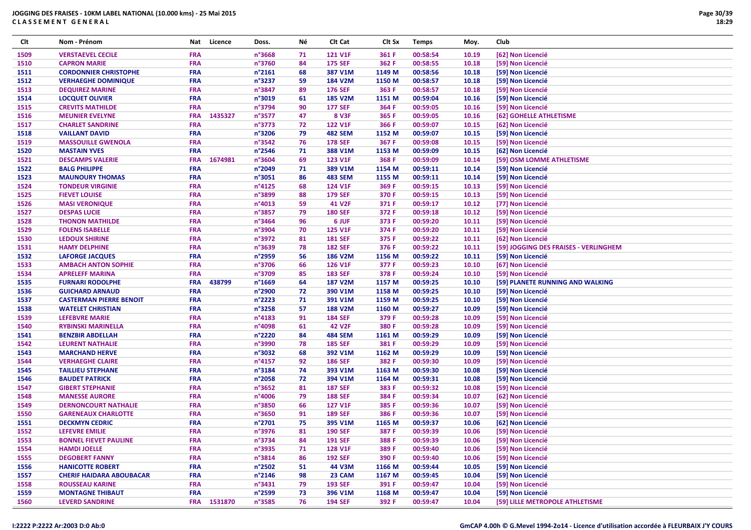| Clt  | Nom - Prénom                    | Nat        | Licence     | Doss.            | Νé | Clt Cat        | Clt Sx | <b>Temps</b> | Moy.  | Club                                  |
|------|---------------------------------|------------|-------------|------------------|----|----------------|--------|--------------|-------|---------------------------------------|
| 1509 | <b>VERSTAEVEL CECILE</b>        | <b>FRA</b> |             | n°3668           | 71 | <b>121 V1F</b> | 361 F  | 00:58:54     | 10.19 | [62] Non Licencié                     |
| 1510 | <b>CAPRON MARIE</b>             | <b>FRA</b> |             | n°3760           | 84 | <b>175 SEF</b> | 362 F  | 00:58:55     | 10.18 | [59] Non Licencié                     |
| 1511 | <b>CORDONNIER CHRISTOPHE</b>    | <b>FRA</b> |             | $n^{\circ}2161$  | 68 | 387 V1M        | 1149 M | 00:58:56     | 10.18 | [59] Non Licencié                     |
| 1512 | <b>VERHAEGHE DOMINIQUE</b>      | <b>FRA</b> |             | n°3237           | 59 | <b>184 V2M</b> | 1150 M | 00:58:57     | 10.18 | [59] Non Licencié                     |
| 1513 | <b>DEQUIREZ MARINE</b>          | <b>FRA</b> |             | n°3847           | 89 | <b>176 SEF</b> | 363 F  | 00:58:57     | 10.18 | [59] Non Licencié                     |
| 1514 | <b>LOCQUET OLIVIER</b>          | <b>FRA</b> |             | n°3019           | 61 | <b>185 V2M</b> | 1151 M | 00:59:04     | 10.16 | [59] Non Licencié                     |
| 1515 | <b>CREVITS MATHILDE</b>         | <b>FRA</b> |             | n°3794           | 90 | <b>177 SEF</b> | 364 F  | 00:59:05     | 10.16 | [59] Non Licencié                     |
| 1516 | <b>MEUNIER EVELYNE</b>          | <b>FRA</b> | 1435327     | n°3577           | 47 | <b>8 V3F</b>   | 365 F  | 00:59:05     | 10.16 | [62] GOHELLE ATHLETISME               |
| 1517 | <b>CHARLET SANDRINE</b>         | <b>FRA</b> |             | n°3773           | 72 | <b>122 V1F</b> | 366 F  | 00:59:07     | 10.15 | [62] Non Licencié                     |
| 1518 | <b>VAILLANT DAVID</b>           | <b>FRA</b> |             | n°3206           | 79 | <b>482 SEM</b> | 1152 M | 00:59:07     | 10.15 | [59] Non Licencié                     |
| 1519 | <b>MASSOUILLE GWENOLA</b>       | <b>FRA</b> |             | n°3542           | 76 | <b>178 SEF</b> | 367 F  | 00:59:08     | 10.15 | [59] Non Licencié                     |
| 1520 | <b>MASTAIN YVES</b>             | <b>FRA</b> |             | $n^{\circ}$ 2546 | 71 | 388 V1M        | 1153 M | 00:59:09     | 10.15 | [62] Non Licencié                     |
| 1521 | <b>DESCAMPS VALERIE</b>         | <b>FRA</b> | 1674981     | n°3604           | 69 | <b>123 V1F</b> | 368 F  | 00:59:09     | 10.14 | [59] OSM LOMME ATHLETISME             |
| 1522 | <b>BALG PHILIPPE</b>            | <b>FRA</b> |             | n°2049           | 71 | 389 V1M        | 1154 M | 00:59:11     | 10.14 | [59] Non Licencié                     |
| 1523 | <b>MAUNOURY THOMAS</b>          | <b>FRA</b> |             | n°3051           | 86 | <b>483 SEM</b> | 1155 M | 00:59:11     | 10.14 | [59] Non Licencié                     |
| 1524 | <b>TONDEUR VIRGINIE</b>         | <b>FRA</b> |             | $n^{\circ}4125$  | 68 | <b>124 V1F</b> | 369 F  | 00:59:15     | 10.13 | [59] Non Licencié                     |
| 1525 | <b>FIEVET LOUISE</b>            | <b>FRA</b> |             | n°3899           | 88 | <b>179 SEF</b> | 370 F  | 00:59:15     | 10.13 | [59] Non Licencié                     |
| 1526 | <b>MASI VERONIQUE</b>           | <b>FRA</b> |             | $n^{\circ}4013$  | 59 | 41 V2F         | 371 F  | 00:59:17     | 10.12 | [77] Non Licencié                     |
| 1527 | <b>DESPAS LUCIE</b>             | <b>FRA</b> |             | n°3857           | 79 | <b>180 SEF</b> | 372 F  | 00:59:18     | 10.12 | [59] Non Licencié                     |
| 1528 | <b>THONON MATHILDE</b>          | <b>FRA</b> |             | n°3464           | 96 | 6 JUF          | 373 F  | 00:59:20     | 10.11 | [59] Non Licencié                     |
| 1529 | <b>FOLENS ISABELLE</b>          | <b>FRA</b> |             | n°3904           | 70 | <b>125 V1F</b> | 374 F  | 00:59:20     | 10.11 | [59] Non Licencié                     |
| 1530 | <b>LEDOUX SHIRINE</b>           | <b>FRA</b> |             | n°3972           | 81 | <b>181 SEF</b> | 375 F  | 00:59:22     | 10.11 | [62] Non Licencié                     |
| 1531 | <b>HAMY DELPHINE</b>            | <b>FRA</b> |             | n°3639           | 78 | <b>182 SEF</b> | 376 F  | 00:59:22     | 10.11 | [59] JOGGING DES FRAISES - VERLINGHEM |
| 1532 | <b>LAFORGE JACQUES</b>          | <b>FRA</b> |             | n°2959           | 56 | <b>186 V2M</b> | 1156 M | 00:59:22     | 10.11 | [59] Non Licencié                     |
| 1533 | <b>AMBACH ANTON SOPHIE</b>      | <b>FRA</b> |             | n°3706           | 66 | <b>126 V1F</b> | 377 F  | 00:59:23     | 10.10 | [67] Non Licencié                     |
| 1534 | <b>APRELEFF MARINA</b>          | <b>FRA</b> |             | n°3709           | 85 | <b>183 SEF</b> | 378 F  | 00:59:24     | 10.10 | [59] Non Licencié                     |
| 1535 | <b>FURNARI RODOLPHE</b>         | <b>FRA</b> | 438799      | $n^{\circ}$ 1669 | 64 | <b>187 V2M</b> | 1157 M | 00:59:25     | 10.10 | [59] PLANETE RUNNING AND WALKING      |
| 1536 | <b>GUICHARD ARNAUD</b>          | <b>FRA</b> |             | n°2900           | 72 | 390 V1M        | 1158 M | 00:59:25     | 10.10 | [59] Non Licencié                     |
| 1537 | <b>CASTERMAN PIERRE BENOIT</b>  | <b>FRA</b> |             | n°2223           | 71 | 391 V1M        | 1159 M | 00:59:25     | 10.10 | [59] Non Licencié                     |
| 1538 | <b>WATELET CHRISTIAN</b>        | <b>FRA</b> |             | n°3258           | 57 | <b>188 V2M</b> | 1160 M | 00:59:27     | 10.09 | [59] Non Licencié                     |
| 1539 | <b>LEFEBVRE MARIE</b>           | <b>FRA</b> |             | n°4183           | 91 | <b>184 SEF</b> | 379 F  | 00:59:28     | 10.09 | [59] Non Licencié                     |
| 1540 | <b>RYBINSKI MARINELLA</b>       | <b>FRA</b> |             | n°4098           | 61 | <b>42 V2F</b>  | 380 F  | 00:59:28     | 10.09 | [59] Non Licencié                     |
| 1541 | <b>BENZBIR ABDELLAH</b>         | <b>FRA</b> |             | n°2220           | 84 | <b>484 SEM</b> | 1161 M | 00:59:29     | 10.09 | [59] Non Licencié                     |
| 1542 | <b>LEURENT NATHALIE</b>         | <b>FRA</b> |             | n°3990           | 78 | <b>185 SEF</b> | 381 F  | 00:59:29     | 10.09 | [59] Non Licencié                     |
| 1543 | <b>MARCHAND HERVE</b>           | <b>FRA</b> |             | n°3032           | 68 | 392 V1M        | 1162 M | 00:59:29     | 10.09 | [59] Non Licencié                     |
| 1544 | <b>VERHAEGHE CLAIRE</b>         | <b>FRA</b> |             | n°4157           | 92 | <b>186 SEF</b> | 382 F  | 00:59:30     | 10.09 | [59] Non Licencié                     |
| 1545 | <b>TAILLIEU STEPHANE</b>        | <b>FRA</b> |             | n°3184           | 74 | 393 V1M        | 1163 M | 00:59:30     | 10.08 | [59] Non Licencié                     |
| 1546 | <b>BAUDET PATRICK</b>           | <b>FRA</b> |             | n°2058           | 72 | 394 V1M        | 1164 M | 00:59:31     | 10.08 | [59] Non Licencié                     |
| 1547 | <b>GIBERT STEPHANIE</b>         | <b>FRA</b> |             | n°3652           | 81 | <b>187 SEF</b> | 383 F  | 00:59:32     | 10.08 | [59] Non Licencié                     |
| 1548 | <b>MANESSE AURORE</b>           | <b>FRA</b> |             | n°4006           | 79 | <b>188 SEF</b> | 384 F  | 00:59:34     | 10.07 | [62] Non Licencié                     |
| 1549 | <b>DERNONCOURT NATHALIE</b>     | <b>FRA</b> |             | n°3850           | 66 | <b>127 V1F</b> | 385 F  | 00:59:36     | 10.07 | [59] Non Licencié                     |
| 1550 | <b>GARENEAUX CHARLOTTE</b>      | <b>FRA</b> |             | n°3650           | 91 | <b>189 SEF</b> | 386 F  | 00:59:36     | 10.07 | [59] Non Licencié                     |
| 1551 | <b>DECKMYN CEDRIC</b>           | <b>FRA</b> |             | n°2701           | 75 | 395 V1M        | 1165 M | 00:59:37     | 10.06 | [62] Non Licencié                     |
| 1552 | <b>LEFEVRE EMILIE</b>           | <b>FRA</b> |             | n°3976           | 81 | <b>190 SEF</b> | 387 F  | 00:59:39     | 10.06 | [59] Non Licencié                     |
| 1553 | <b>BONNEL FIEVET PAULINE</b>    | <b>FRA</b> |             | n°3734           | 84 | <b>191 SEF</b> | 388 F  | 00:59:39     | 10.06 | [59] Non Licencié                     |
| 1554 | <b>HAMDI JOELLE</b>             | <b>FRA</b> |             | n°3935           | 71 | <b>128 V1F</b> | 389 F  | 00:59:40     | 10.06 | [59] Non Licencié                     |
| 1555 | <b>DEGOBERT FANNY</b>           | <b>FRA</b> |             | n°3814           | 86 | <b>192 SEF</b> | 390 F  | 00:59:40     | 10.06 | [59] Non Licencié                     |
| 1556 | <b>HANICOTTE ROBERT</b>         | <b>FRA</b> |             | n°2502           | 51 | 44 V3M         | 1166 M | 00:59:44     | 10.05 | [59] Non Licencié                     |
| 1557 | <b>CHERIF HAIDARA ABOUBACAR</b> | <b>FRA</b> |             | $n^{\circ}$ 2146 | 98 | 23 CAM         | 1167 M | 00:59:45     | 10.04 | [59] Non Licencié                     |
| 1558 | <b>ROUSSEAU KARINE</b>          | <b>FRA</b> |             | n°3431           | 79 | <b>193 SEF</b> | 391 F  | 00:59:47     | 10.04 | [59] Non Licencié                     |
| 1559 | <b>MONTAGNE THIBAUT</b>         | <b>FRA</b> |             | n°2599           | 73 | 396 V1M        | 1168 M | 00:59:47     | 10.04 | [59] Non Licencié                     |
| 1560 | <b>LEVERD SANDRINE</b>          |            | FRA 1531870 | n°3585           | 76 | <b>194 SEF</b> | 392 F  | 00:59:47     | 10.04 | [59] LILLE METROPOLE ATHLETISME       |
|      |                                 |            |             |                  |    |                |        |              |       |                                       |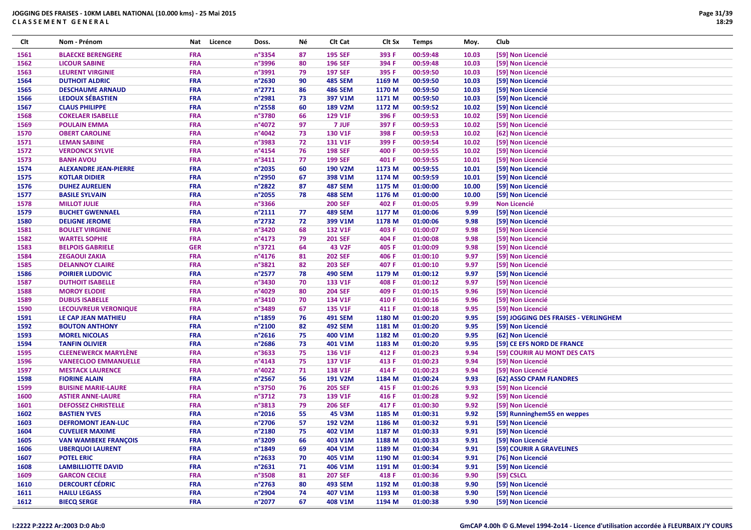| Clt  | Nom - Prénom                 | Nat        | Licence | Doss.            | Νé | Clt Cat        | Clt Sx | <b>Temps</b> | Moy.  | Club                                  |
|------|------------------------------|------------|---------|------------------|----|----------------|--------|--------------|-------|---------------------------------------|
| 1561 | <b>BLAECKE BERENGERE</b>     | <b>FRA</b> |         | n°3354           | 87 | <b>195 SEF</b> | 393 F  | 00:59:48     | 10.03 | [59] Non Licencié                     |
| 1562 | <b>LICOUR SABINE</b>         | <b>FRA</b> |         | n°3996           | 80 | <b>196 SEF</b> | 394 F  | 00:59:48     | 10.03 | [59] Non Licencié                     |
| 1563 | <b>LEURENT VIRGINIE</b>      | <b>FRA</b> |         | n°3991           | 79 | <b>197 SEF</b> | 395 F  | 00:59:50     | 10.03 | [59] Non Licencié                     |
| 1564 | <b>DUTHOIT ALDRIC</b>        | <b>FRA</b> |         | n°2630           | 90 | <b>485 SEM</b> | 1169 M | 00:59:50     | 10.03 | [59] Non Licencié                     |
| 1565 | <b>DESCHAUME ARNAUD</b>      | <b>FRA</b> |         | n°2771           | 86 | <b>486 SEM</b> | 1170 M | 00:59:50     | 10.03 | [59] Non Licencié                     |
| 1566 | <b>LEDOUX SÉBASTIEN</b>      | <b>FRA</b> |         | n°2981           | 73 | 397 V1M        | 1171 M | 00:59:50     | 10.03 | [59] Non Licencié                     |
| 1567 | <b>CLAUS PHILIPPE</b>        | <b>FRA</b> |         | n°2558           | 60 | <b>189 V2M</b> | 1172 M | 00:59:52     | 10.02 | [59] Non Licencié                     |
| 1568 | <b>COKELAER ISABELLE</b>     | <b>FRA</b> |         | n°3780           | 66 | <b>129 V1F</b> | 396 F  | 00:59:53     | 10.02 | [59] Non Licencié                     |
| 1569 | <b>POULAIN EMMA</b>          | FRA        |         | n°4072           | 97 | 7 JUF          | 397 F  | 00:59:53     | 10.02 | [59] Non Licencié                     |
| 1570 | <b>OBERT CAROLINE</b>        | <b>FRA</b> |         | n°4042           | 73 | <b>130 V1F</b> | 398 F  | 00:59:53     | 10.02 | [62] Non Licencié                     |
| 1571 | <b>LEMAN SABINE</b>          | <b>FRA</b> |         | n°3983           | 72 | <b>131 V1F</b> | 399 F  | 00:59:54     | 10.02 | [59] Non Licencié                     |
| 1572 | <b>VERDONCK SYLVIE</b>       | FRA        |         | n°4154           | 76 | <b>198 SEF</b> | 400 F  | 00:59:55     | 10.02 | [59] Non Licencié                     |
| 1573 | <b>BANH AVOU</b>             | <b>FRA</b> |         | n°3411           | 77 | <b>199 SEF</b> | 401 F  | 00:59:55     | 10.01 | [59] Non Licencié                     |
| 1574 | <b>ALEXANDRE JEAN-PIERRE</b> | <b>FRA</b> |         | n°2035           | 60 | 190 V2M        | 1173 M | 00:59:55     | 10.01 | [59] Non Licencié                     |
| 1575 | <b>KOTLAR DIDIER</b>         | <b>FRA</b> |         | n°2950           | 67 | 398 V1M        | 1174 M | 00:59:59     | 10.01 | [59] Non Licencié                     |
|      |                              |            |         |                  |    |                |        |              |       |                                       |
| 1576 | <b>DUHEZ AURELIEN</b>        | <b>FRA</b> |         | n°2822           | 87 | <b>487 SEM</b> | 1175 M | 01:00:00     | 10.00 | [59] Non Licencié                     |
| 1577 | <b>BASILE SYLVAIN</b>        | <b>FRA</b> |         | n°2055           | 78 | <b>488 SEM</b> | 1176 M | 01:00:00     | 10.00 | [59] Non Licencié                     |
| 1578 | <b>MILLOT JULIE</b>          | FRA        |         | n°3366           |    | <b>200 SEF</b> | 402 F  | 01:00:05     | 9.99  | <b>Non Licencié</b>                   |
| 1579 | <b>BUCHET GWENNAEL</b>       | FRA        |         | n°2111           | 77 | <b>489 SEM</b> | 1177 M | 01:00:06     | 9.99  | [59] Non Licencié                     |
| 1580 | <b>DELIGNE JEROME</b>        | <b>FRA</b> |         | n°2732           | 72 | 399 V1M        | 1178 M | 01:00:06     | 9.98  | [59] Non Licencié                     |
| 1581 | <b>BOULET VIRGINIE</b>       | <b>FRA</b> |         | n°3420           | 68 | <b>132 V1F</b> | 403 F  | 01:00:07     | 9.98  | [59] Non Licencié                     |
| 1582 | <b>WARTEL SOPHIE</b>         | <b>FRA</b> |         | $n^{\circ}4173$  | 79 | <b>201 SEF</b> | 404 F  | 01:00:08     | 9.98  | [59] Non Licencié                     |
| 1583 | <b>BELPOIS GABRIELE</b>      | <b>GER</b> |         | n°3721           | 64 | <b>43 V2F</b>  | 405 F  | 01:00:09     | 9.98  | [59] Non Licencié                     |
| 1584 | <b>ZEGAOUI ZAKIA</b>         | <b>FRA</b> |         | n°4176           | 81 | <b>202 SEF</b> | 406 F  | 01:00:10     | 9.97  | [59] Non Licencié                     |
| 1585 | <b>DELANNOY CLAIRE</b>       | <b>FRA</b> |         | n°3821           | 82 | <b>203 SEF</b> | 407 F  | 01:00:10     | 9.97  | [59] Non Licencié                     |
| 1586 | <b>POIRIER LUDOVIC</b>       | <b>FRA</b> |         | n°2577           | 78 | <b>490 SEM</b> | 1179 M | 01:00:12     | 9.97  | [59] Non Licencié                     |
| 1587 | <b>DUTHOIT ISABELLE</b>      | <b>FRA</b> |         | n°3430           | 70 | 133 V1F        | 408 F  | 01:00:12     | 9.97  | [59] Non Licencié                     |
| 1588 | <b>MOROY ELODIE</b>          | <b>FRA</b> |         | n°4029           | 80 | <b>204 SEF</b> | 409 F  | 01:00:15     | 9.96  | [59] Non Licencié                     |
| 1589 | <b>DUBUS ISABELLE</b>        | FRA        |         | n°3410           | 70 | 134 V1F        | 410 F  | 01:00:16     | 9.96  | [59] Non Licencié                     |
| 1590 | <b>LECOUVREUR VERONIQUE</b>  | <b>FRA</b> |         | n°3489           | 67 | <b>135 V1F</b> | 411 F  | 01:00:18     | 9.95  | [59] Non Licencié                     |
| 1591 | LE CAP JEAN MATHIEU          | <b>FRA</b> |         | n°1859           | 76 | <b>491 SEM</b> | 1180 M | 01:00:20     | 9.95  | [59] JOGGING DES FRAISES - VERLINGHEM |
| 1592 | <b>BOUTON ANTHONY</b>        | <b>FRA</b> |         | n°2100           | 82 | <b>492 SEM</b> | 1181 M | 01:00:20     | 9.95  | [59] Non Licencié                     |
| 1593 | <b>MOREL NICOLAS</b>         | <b>FRA</b> |         | n°2616           | 75 | 400 V1M        | 1182 M | 01:00:20     | 9.95  | [62] Non Licencié                     |
| 1594 | <b>TANFIN OLIVIER</b>        | <b>FRA</b> |         | n°2686           | 73 | 401 V1M        | 1183 M | 01:00:20     | 9.95  | [59] CE EFS NORD DE FRANCE            |
| 1595 | <b>CLEENEWERCK MARYLÈNE</b>  | <b>FRA</b> |         | n°3633           | 75 | 136 V1F        | 412 F  | 01:00:23     | 9.94  | [59] COURIR AU MONT DES CATS          |
| 1596 | <b>VANEECLOO EMMANUELLE</b>  | <b>FRA</b> |         | n°4143           | 75 | <b>137 V1F</b> | 413 F  | 01:00:23     | 9.94  | [59] Non Licencié                     |
| 1597 | <b>MESTACK LAURENCE</b>      | FRA        |         | n°4022           | 71 | <b>138 V1F</b> | 414 F  | 01:00:23     | 9.94  | [59] Non Licencié                     |
| 1598 | <b>FIORINE ALAIN</b>         | <b>FRA</b> |         | $n^{\circ}$ 2567 | 56 | 191 V2M        | 1184 M | 01:00:24     | 9.93  | [62] ASSO CPAM FLANDRES               |
| 1599 | <b>BUISINE MARIE-LAURE</b>   | <b>FRA</b> |         | n°3750           | 76 | <b>205 SEF</b> | 415 F  | 01:00:26     | 9.93  | [59] Non Licencié                     |
| 1600 | <b>ASTIER ANNE-LAURE</b>     | FRA        |         | n°3712           | 73 | 139 V1F        | 416 F  | 01:00:28     | 9.92  | [59] Non Licencié                     |
| 1601 | <b>DEFOSSEZ CHRISTELLE</b>   | <b>FRA</b> |         | n°3813           | 79 | <b>206 SEF</b> | 417 F  | 01:00:30     | 9.92  | [59] Non Licencié                     |
| 1602 | <b>BASTIEN YVES</b>          | <b>FRA</b> |         | n°2016           | 55 | <b>45 V3M</b>  | 1185 M | 01:00:31     | 9.92  | [59] Runninghem55 en weppes           |
| 1603 | <b>DEFROMONT JEAN-LUC</b>    | <b>FRA</b> |         | n°2706           | 57 | 192 V2M        | 1186 M | 01:00:32     | 9.91  | [59] Non Licencié                     |
| 1604 | <b>CUVELIER MAXIME</b>       | <b>FRA</b> |         | n°2180           | 75 | 402 V1M        | 1187 M | 01:00:33     | 9.91  | [59] Non Licencié                     |
| 1605 | <b>VAN WAMBEKE FRANÇOIS</b>  | <b>FRA</b> |         | n°3209           | 66 | 403 V1M        | 1188 M | 01:00:33     | 9.91  | [59] Non Licencié                     |
| 1606 | <b>UBERQUOI LAURENT</b>      | <b>FRA</b> |         | $n^{\circ}$ 1849 | 69 | 404 V1M        | 1189 M | 01:00:34     | 9.91  | [59] COURIR A GRAVELINES              |
| 1607 | <b>POTEL ERIC</b>            | <b>FRA</b> |         | $n^{\circ}$ 2633 | 70 | 405 V1M        | 1190 M | 01:00:34     | 9.91  | [76] Non Licencié                     |
| 1608 | <b>LAMBILLIOTTE DAVID</b>    | <b>FRA</b> |         | n°2631           | 71 | 406 V1M        | 1191 M | 01:00:34     | 9.91  | [59] Non Licencié                     |
| 1609 | <b>GARCON CECILE</b>         | <b>FRA</b> |         | n°3508           | 81 | <b>207 SEF</b> | 418 F  | 01:00:36     | 9.90  | [59] CSLCL                            |
| 1610 | <b>DERCOURT CÉDRIC</b>       | <b>FRA</b> |         | $n^{\circ}$ 2763 | 80 | <b>493 SEM</b> | 1192 M | 01:00:38     | 9.90  | [59] Non Licencié                     |
| 1611 | <b>HAILU LEGASS</b>          | <b>FRA</b> |         | n°2904           | 74 | 407 V1M        | 1193 M | 01:00:38     | 9.90  | [59] Non Licencié                     |
| 1612 | <b>BIECQ SERGE</b>           | <b>FRA</b> |         | n°2077           | 67 | 408 V1M        | 1194 M | 01:00:38     | 9.90  | [59] Non Licencié                     |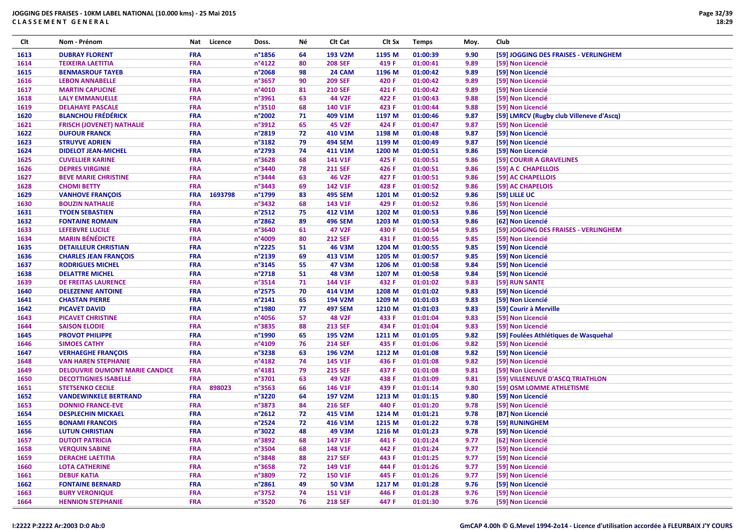| Clt  | Nom - Prénom                          | Nat        | Licence | Doss.            | Νé | CIt Cat        | Clt Sx | <b>Temps</b> | Moy. | Club                                     |
|------|---------------------------------------|------------|---------|------------------|----|----------------|--------|--------------|------|------------------------------------------|
| 1613 | <b>DUBRAY FLORENT</b>                 | <b>FRA</b> |         | n°1856           | 64 | 193 V2M        | 1195 M | 01:00:39     | 9.90 | [59] JOGGING DES FRAISES - VERLINGHEM    |
| 1614 | <b>TEIXEIRA LAETITIA</b>              | <b>FRA</b> |         | n°4122           | 80 | <b>208 SEF</b> | 419 F  | 01:00:41     | 9.89 | [59] Non Licencié                        |
| 1615 | <b>BENMASROUF TAYEB</b>               | <b>FRA</b> |         | n°2068           | 98 | 24 CAM         | 1196 M | 01:00:42     | 9.89 | [59] Non Licencié                        |
| 1616 | <b>LEBON ANNABELLE</b>                | <b>FRA</b> |         | n°3657           | 90 | <b>209 SEF</b> | 420 F  | 01:00:42     | 9.89 | [59] Non Licencié                        |
| 1617 | <b>MARTIN CAPUCINE</b>                | <b>FRA</b> |         | n°4010           | 81 | <b>210 SEF</b> | 421 F  | 01:00:42     | 9.89 | [59] Non Licencié                        |
| 1618 | <b>LALY EMMANUELLE</b>                | <b>FRA</b> |         | n°3961           | 63 | 44 V2F         | 422 F  | 01:00:43     | 9.88 | [59] Non Licencié                        |
| 1619 | <b>DELAHAYE PASCALE</b>               | <b>FRA</b> |         | n°3510           | 68 | 140 V1F        | 423 F  | 01:00:44     | 9.88 | [59] Non Licencié                        |
| 1620 | <b>BLANCHOU FRÉDÉRICK</b>             | <b>FRA</b> |         | n°2002           | 71 | 409 V1M        | 1197 M | 01:00:46     | 9.87 | [59] LMRCV (Rugby club Villeneve d'Ascq) |
| 1621 | <b>FRISCH (JOVENET) NATHALIE</b>      | <b>FRA</b> |         | n°3912           | 65 | <b>45 V2F</b>  | 424 F  | 01:00:47     | 9.87 | [59] Non Licencié                        |
| 1622 | <b>DUFOUR FRANCK</b>                  | <b>FRA</b> |         | n°2819           | 72 | 410 V1M        | 1198 M | 01:00:48     | 9.87 | [59] Non Licencié                        |
| 1623 | <b>STRUYVE ADRIEN</b>                 | <b>FRA</b> |         | n°3182           | 79 | <b>494 SEM</b> | 1199 M | 01:00:49     | 9.87 | [59] Non Licencié                        |
| 1624 | <b>DIDELOT JEAN-MICHEL</b>            | <b>FRA</b> |         | n°2793           | 74 | 411 V1M        | 1200 M | 01:00:51     | 9.86 | [59] Non Licencié                        |
| 1625 | <b>CUVELLIER KARINE</b>               | <b>FRA</b> |         | n°3628           | 68 | 141 V1F        | 425 F  | 01:00:51     | 9.86 | [59] COURIR A GRAVELINES                 |
| 1626 | <b>DEPRES VIRGINIE</b>                | <b>FRA</b> |         | n°3440           | 78 | <b>211 SEF</b> | 426 F  | 01:00:51     | 9.86 | [59] A C CHAPELLOIS                      |
| 1627 | <b>BEVE MARIE CHRISTINE</b>           | <b>FRA</b> |         | n°3444           | 63 | <b>46 V2F</b>  | 427 F  | 01:00:51     | 9.86 | [59] AC CHAPELLOIS                       |
| 1628 | <b>CHOMI BETTY</b>                    | <b>FRA</b> |         | n°3443           | 69 | 142 V1F        | 428 F  | 01:00:52     | 9.86 | [59] AC CHAPELOIS                        |
| 1629 | <b>VANHOVE FRANÇOIS</b>               | <b>FRA</b> | 1693798 | n°1799           | 83 | <b>495 SEM</b> | 1201 M | 01:00:52     | 9.86 | [59] LILLE UC                            |
| 1630 | <b>BOUZIN NATHALIE</b>                | <b>FRA</b> |         | n°3432           | 68 | 143 V1F        | 429 F  | 01:00:52     | 9.86 | [59] Non Licencié                        |
| 1631 | <b>TYOEN SEBASTIEN</b>                | <b>FRA</b> |         | n°2512           | 75 | 412 V1M        | 1202 M | 01:00:53     | 9.86 | [59] Non Licencié                        |
| 1632 | <b>FONTAINE ROMAIN</b>                | <b>FRA</b> |         | n°2862           | 89 | <b>496 SEM</b> | 1203 M | 01:00:53     | 9.86 | [62] Non Licencié                        |
| 1633 | <b>LEFEBVRE LUCILE</b>                | <b>FRA</b> |         | n°3640           | 61 | <b>47 V2F</b>  | 430 F  | 01:00:54     | 9.85 | [59] JOGGING DES FRAISES - VERLINGHEM    |
| 1634 | <b>MARIN BÉNÉDICTE</b>                | <b>FRA</b> |         | n°4009           | 80 | <b>212 SEF</b> | 431 F  | 01:00:55     | 9.85 | [59] Non Licencié                        |
| 1635 | <b>DETAILLEUR CHRISTIAN</b>           | <b>FRA</b> |         | $n^{\circ}$ 2225 | 51 | <b>46 V3M</b>  | 1204 M | 01:00:55     | 9.85 | [59] Non Licencié                        |
| 1636 | <b>CHARLES JEAN FRANÇOIS</b>          | <b>FRA</b> |         | n°2139           | 69 | 413 V1M        | 1205 M | 01:00:57     | 9.85 | [59] Non Licencié                        |
| 1637 | <b>RODRIGUES MICHEL</b>               | <b>FRA</b> |         | n°3145           | 55 | <b>47 V3M</b>  | 1206 M | 01:00:58     | 9.84 | [59] Non Licencié                        |
| 1638 | <b>DELATTRE MICHEL</b>                | <b>FRA</b> |         | n°2718           | 51 | <b>48 V3M</b>  | 1207 M | 01:00:58     | 9.84 | [59] Non Licencié                        |
| 1639 | DE FREITAS LAURENCE                   | <b>FRA</b> |         | n°3514           | 71 | 144 V1F        | 432 F  | 01:01:02     | 9.83 | [59] RUN SANTE                           |
| 1640 | <b>DELEZENNE ANTOINE</b>              | <b>FRA</b> |         | n°2575           | 70 | 414 V1M        | 1208 M | 01:01:02     | 9.83 | [59] Non Licencié                        |
| 1641 | <b>CHASTAN PIERRE</b>                 | <b>FRA</b> |         | $n^{\circ}2141$  | 65 | 194 V2M        | 1209 M | 01:01:03     | 9.83 | [59] Non Licencié                        |
| 1642 | <b>PICAVET DAVID</b>                  | <b>FRA</b> |         | n°1980           | 77 | <b>497 SEM</b> | 1210 M | 01:01:03     | 9.83 | [59] Courir à Merville                   |
| 1643 | <b>PICAVET CHRISTINE</b>              | <b>FRA</b> |         | n°4056           | 57 | <b>48 V2F</b>  | 433 F  | 01:01:04     | 9.83 | [59] Non Licencié                        |
| 1644 | <b>SAISON ELODIE</b>                  | <b>FRA</b> |         | n°3835           | 88 | <b>213 SEF</b> | 434 F  | 01:01:04     | 9.83 | [59] Non Licencié                        |
| 1645 | <b>PROVOT PHILIPPE</b>                | <b>FRA</b> |         | n°1990           | 65 | 195 V2M        | 1211 M | 01:01:05     | 9.82 | [59] Foulées Athlétiques de Wasquehal    |
| 1646 | <b>SIMOES CATHY</b>                   | <b>FRA</b> |         | n°4109           | 76 | <b>214 SEF</b> | 435 F  | 01:01:06     | 9.82 | [59] Non Licencié                        |
| 1647 | <b>VERHAEGHE FRANÇOIS</b>             | <b>FRA</b> |         | n°3238           | 63 | 196 V2M        | 1212 M | 01:01:08     | 9.82 | [59] Non Licencié                        |
| 1648 | <b>VAN HAREN STEPHANIE</b>            | <b>FRA</b> |         | n°4182           | 74 | <b>145 V1F</b> | 436 F  | 01:01:08     | 9.82 | [59] Non Licencié                        |
| 1649 | <b>DELOUVRIE DUMONT MARIE CANDICE</b> | <b>FRA</b> |         | n°4181           | 79 | <b>215 SEF</b> | 437 F  | 01:01:08     | 9.81 | [59] Non Licencié                        |
| 1650 | <b>DECOTTIGNIES ISABELLE</b>          | <b>FRA</b> |         | n°3701           | 63 | 49 V2F         | 438 F  | 01:01:09     | 9.81 | [59] VILLENEUVE D'ASCQ TRIATHLON         |
| 1651 | <b>STETSENKO CECILE</b>               | <b>FRA</b> | 898023  | n°3563           | 66 | 146 V1F        | 439 F  | 01:01:14     | 9.80 | [59] OSM LOMME ATHLETISME                |
| 1652 | <b>VANDEWINKELE BERTRAND</b>          | <b>FRA</b> |         | n°3220           | 64 | 197 V2M        | 1213 M | 01:01:15     | 9.80 | [59] Non Licencié                        |
| 1653 | <b>DONNIO FRANCE-EVE</b>              | <b>FRA</b> |         | n°3873           | 84 | <b>216 SEF</b> | 440 F  | 01:01:20     | 9.78 | [59] Non Licencié                        |
| 1654 | <b>DESPLECHIN MICKAEL</b>             | <b>FRA</b> |         | $n^{\circ}2612$  | 72 | 415 V1M        | 1214 M | 01:01:21     | 9.78 | [B7] Non Licencié                        |
| 1655 | <b>BONAMI FRANCOIS</b>                | <b>FRA</b> |         | n°2524           | 72 | 416 V1M        | 1215 M | 01:01:22     | 9.78 | [59] RUNINGHEM                           |
| 1656 | <b>LUTUN CHRISTIAN</b>                | <b>FRA</b> |         | n°3022           | 48 | <b>49 V3M</b>  | 1216 M | 01:01:23     | 9.78 | [59] Non Licencié                        |
| 1657 | <b>DUTOIT PATRICIA</b>                | <b>FRA</b> |         | n°3892           | 68 | 147 V1F        | 441 F  | 01:01:24     | 9.77 | [62] Non Licencié                        |
| 1658 | <b>VERQUIN SABINE</b>                 | <b>FRA</b> |         | n°3504           | 68 | <b>148 V1F</b> | 442 F  | 01:01:24     | 9.77 | [59] Non Licencié                        |
| 1659 | <b>DERACHE LAETITIA</b>               | <b>FRA</b> |         | n°3848           | 88 | <b>217 SEF</b> | 443 F  | 01:01:25     | 9.77 | [59] Non Licencié                        |
| 1660 | <b>LOTA CATHERINE</b>                 | <b>FRA</b> |         | $n^{\circ}3658$  | 72 | 149 V1F        | 444 F  | 01:01:26     | 9.77 | [59] Non Licencié                        |
| 1661 | <b>DEBUF KATIA</b>                    | <b>FRA</b> |         | n°3809           | 72 | <b>150 V1F</b> | 445 F  | 01:01:26     | 9.77 | [59] Non Licencié                        |
| 1662 | <b>FONTAINE BERNARD</b>               | <b>FRA</b> |         | n°2861           | 49 | <b>50 V3M</b>  | 1217 M | 01:01:28     | 9.76 | [59] Non Licencié                        |
| 1663 | <b>BURY VERONIQUE</b>                 | <b>FRA</b> |         | n°3752           | 74 | <b>151 V1F</b> | 446 F  | 01:01:28     | 9.76 | [59] Non Licencié                        |
| 1664 | <b>HENNION STEPHANIE</b>              | <b>FRA</b> |         | n°3520           | 76 | <b>218 SEF</b> | 447 F  | 01:01:30     | 9.76 | [59] Non Licencié                        |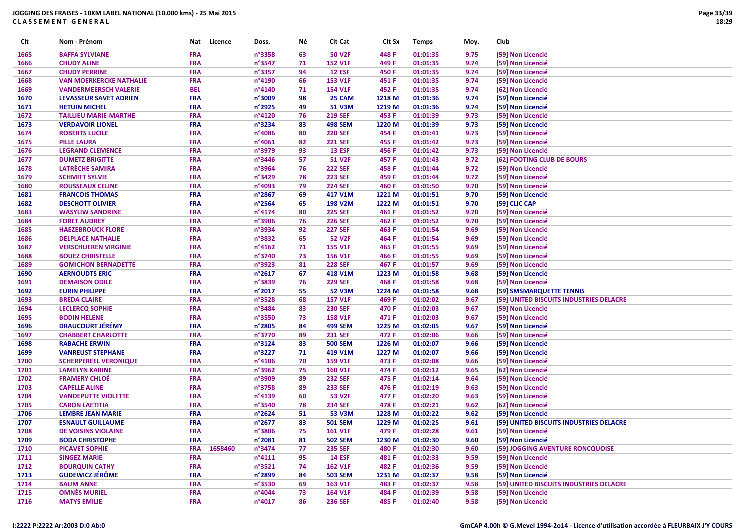| Clt  | Nom - Prénom                   | Nat        | Licence | Doss.           | Νé | CIt Cat        | Clt Sx | <b>Temps</b> | Moy. | Club                                    |
|------|--------------------------------|------------|---------|-----------------|----|----------------|--------|--------------|------|-----------------------------------------|
| 1665 | <b>BAFFA SYLVIANE</b>          | FRA        |         | n°3358          | 63 | <b>50 V2F</b>  | 448 F  | 01:01:35     | 9.75 | [59] Non Licencié                       |
| 1666 | <b>CHUDY ALINE</b>             | <b>FRA</b> |         | n°3547          | 71 | <b>152 V1F</b> | 449 F  | 01:01:35     | 9.74 | [59] Non Licencié                       |
| 1667 | <b>CHUDY PERRINE</b>           | <b>FRA</b> |         | n°3357          | 94 | <b>12 ESF</b>  | 450 F  | 01:01:35     | 9.74 | [59] Non Licencié                       |
| 1668 | <b>VAN MOERKERCKE NATHALIE</b> | FRA        |         | n°4190          | 66 | 153 V1F        | 451 F  | 01:01:35     | 9.74 | [59] Non Licencié                       |
| 1669 | <b>VANDERMEERSCH VALERIE</b>   | <b>BEL</b> |         | n°4140          | 71 | 154 V1F        | 452 F  | 01:01:35     | 9.74 | [62] Non Licencié                       |
| 1670 | <b>LEVASSEUR SAVET ADRIEN</b>  | <b>FRA</b> |         | n°3009          | 98 | 25 CAM         | 1218 M | 01:01:36     | 9.74 | [59] Non Licencié                       |
| 1671 | <b>HETUIN MICHEL</b>           | FRA        |         | n°2925          | 49 | <b>51 V3M</b>  | 1219 M | 01:01:36     | 9.74 | [59] Non Licencié                       |
| 1672 | <b>TAILLIEU MARIE-MARTHE</b>   | FRA        |         | n°4120          | 76 | <b>219 SEF</b> | 453 F  | 01:01:39     | 9.73 | [59] Non Licencié                       |
| 1673 | <b>VERDAVOIR LIONEL</b>        | <b>FRA</b> |         | n°3234          | 83 | <b>498 SEM</b> | 1220 M | 01:01:39     | 9.73 | [59] Non Licencié                       |
| 1674 | <b>ROBERTS LUCILE</b>          | FRA        |         | n°4086          | 80 | <b>220 SEF</b> | 454 F  | 01:01:41     | 9.73 | [59] Non Licencié                       |
| 1675 | <b>PILLE LAURA</b>             | FRA        |         | n°4061          | 82 | <b>221 SEF</b> | 455 F  | 01:01:42     | 9.73 | [59] Non Licencié                       |
| 1676 | <b>LEGRAND CLEMENCE</b>        | FRA        |         | n°3979          | 93 | <b>13 ESF</b>  | 456 F  | 01:01:42     | 9.73 | [59] Non Licencié                       |
| 1677 | <b>DUMETZ BRIGITTE</b>         | <b>FRA</b> |         | n°3446          | 57 | <b>51 V2F</b>  | 457 F  | 01:01:43     | 9.72 | [62] FOOTING CLUB DE BOURS              |
| 1678 | LATRÈCHE SAMIRA                | FRA        |         | n°3964          | 76 | <b>222 SEF</b> | 458 F  | 01:01:44     | 9.72 | [59] Non Licencié                       |
| 1679 | <b>SCHMITT SYLVIE</b>          | FRA        |         | n°3429          | 78 | <b>223 SEF</b> | 459 F  | 01:01:44     | 9.72 | [59] Non Licencié                       |
| 1680 | <b>ROUSSEAUX CELINE</b>        | <b>FRA</b> |         | n°4093          | 79 | <b>224 SEF</b> | 460 F  | 01:01:50     | 9.70 | [59] Non Licencié                       |
| 1681 | <b>FRANCOIS THOMAS</b>         | <b>FRA</b> |         | n°2867          | 69 | 417 V1M        | 1221 M | 01:01:51     | 9.70 | [59] Non Licencié                       |
| 1682 | <b>DESCHOTT OLIVIER</b>        | FRA        |         | n°2564          | 65 | <b>198 V2M</b> | 1222 M | 01:01:51     | 9.70 | [59] CLIC CAP                           |
| 1683 | <b>WASYLIW SANDRINE</b>        | FRA        |         | n°4174          | 80 | <b>225 SEF</b> | 461 F  | 01:01:52     | 9.70 | [59] Non Licencié                       |
| 1684 | <b>FORET AUDREY</b>            | <b>FRA</b> |         | n°3906          | 76 | <b>226 SEF</b> | 462 F  | 01:01:52     | 9.70 | [59] Non Licencié                       |
| 1685 | <b>HAEZEBROUCK FLORE</b>       | FRA        |         | n°3934          | 92 | <b>227 SEF</b> | 463 F  | 01:01:54     | 9.69 | [59] Non Licencié                       |
| 1686 | <b>DELPLACE NATHALIE</b>       | FRA        |         | n°3832          | 65 | <b>52 V2F</b>  | 464 F  | 01:01:54     | 9.69 | [59] Non Licencié                       |
| 1687 | <b>VERSCHUEREN VIRGINIE</b>    | FRA        |         | $n^{\circ}4162$ | 71 | <b>155 V1F</b> | 465 F  | 01:01:55     | 9.69 | [59] Non Licencié                       |
| 1688 | <b>BOUEZ CHRISTELLE</b>        | <b>FRA</b> |         | n°3740          | 73 | 156 V1F        | 466 F  | 01:01:55     | 9.69 | [59] Non Licencié                       |
| 1689 | <b>GOMICHON BERNADETTE</b>     | FRA        |         | n°3923          | 81 | <b>228 SEF</b> | 467 F  | 01:01:57     | 9.69 | [59] Non Licencié                       |
| 1690 | <b>AERNOUDTS ERIC</b>          | FRA        |         | n°2617          | 67 | 418 V1M        | 1223 M | 01:01:58     | 9.68 | [59] Non Licencié                       |
| 1691 | <b>DEMAISON ODILE</b>          | FRA        |         | n°3839          | 76 | <b>229 SEF</b> | 468 F  | 01:01:58     | 9.68 | [59] Non Licencié                       |
| 1692 | <b>EURIN PHILIPPE</b>          | <b>FRA</b> |         | n°2017          | 55 | <b>52 V3M</b>  | 1224 M | 01:01:58     | 9.68 | [59] SMSMARQUETTE TENNIS                |
| 1693 | <b>BREDA CLAIRE</b>            | FRA        |         | n°3528          | 68 | <b>157 V1F</b> | 469 F  | 01:02:02     | 9.67 | [59] UNITED BISCUITS INDUSTRIES DELACRE |
| 1694 | <b>LECLERCQ SOPHIE</b>         | FRA        |         | n°3484          | 83 | <b>230 SEF</b> | 470 F  | 01:02:03     | 9.67 | [59] Non Licencié                       |
| 1695 | <b>BODIN HELENE</b>            | <b>FRA</b> |         | n°3550          | 73 | <b>158 V1F</b> | 471 F  | 01:02:03     | 9.67 | [59] Non Licencié                       |
| 1696 | <b>DRAUCOURT JÉRÉMY</b>        | FRA        |         | n°2805          | 84 | <b>499 SEM</b> | 1225 M | 01:02:05     | 9.67 | [59] Non Licencié                       |
| 1697 | <b>CHABBERT CHARLOTTE</b>      | FRA        |         | n°3770          | 89 | <b>231 SEF</b> | 472 F  | 01:02:06     | 9.66 | [59] Non Licencié                       |
| 1698 | <b>RABACHE ERWIN</b>           | <b>FRA</b> |         | n°3124          | 83 | <b>500 SEM</b> | 1226 M | 01:02:07     | 9.66 | [59] Non Licencié                       |
| 1699 | <b>VANREUST STEPHANE</b>       | FRA        |         | n°3227          | 71 | 419 V1M        | 1227 M | 01:02:07     | 9.66 | [59] Non Licencié                       |
| 1700 | <b>SCHERPEREEL VERONIQUE</b>   | FRA        |         | n°4106          | 70 | <b>159 V1F</b> | 473 F  | 01:02:08     | 9.66 | [59] Non Licencié                       |
| 1701 | <b>LAMELYN KARINE</b>          | FRA        |         | n°3962          | 75 | <b>160 V1F</b> | 474 F  | 01:02:12     | 9.65 | [62] Non Licencié                       |
| 1702 | <b>FRAMERY CHLOÉ</b>           | <b>FRA</b> |         | n°3909          | 89 | <b>232 SEF</b> | 475 F  | 01:02:14     | 9.64 | [59] Non Licencié                       |
| 1703 | <b>CAPELLE ALINE</b>           | <b>FRA</b> |         | n°3758          | 89 | <b>233 SEF</b> | 476 F  | 01:02:19     | 9.63 | [59] Non Licencié                       |
| 1704 | <b>VANDEPUTTE VIOLETTE</b>     | FRA        |         | n°4139          | 60 | <b>53 V2F</b>  | 477 F  | 01:02:20     | 9.63 | [59] Non Licencié                       |
| 1705 | <b>CARON LAETITIA</b>          | <b>FRA</b> |         | n°3540          | 78 | <b>234 SEF</b> | 478 F  | 01:02:21     | 9.62 | [62] Non Licencié                       |
| 1706 | <b>LEMBRE JEAN MARIE</b>       | <b>FRA</b> |         | n°2624          | 51 | 53 V3M         | 1228 M | 01:02:22     | 9.62 | [59] Non Licencié                       |
| 1707 | <b>ESNAULT GUILLAUME</b>       | FRA        |         | n°2677          | 83 | <b>501 SEM</b> | 1229 M | 01:02:25     | 9.61 | [59] UNITED BISCUITS INDUSTRIES DELACRE |
| 1708 | DE VOISINS VIOLAINE            | <b>FRA</b> |         | n°3806          | 75 | <b>161 V1F</b> | 479 F  | 01:02:28     | 9.61 | [59] Non Licencié                       |
| 1709 | <b>BODA CHRISTOPHE</b>         | <b>FRA</b> |         | n°2081          | 81 | <b>502 SEM</b> | 1230 M | 01:02:30     | 9.60 | [59] Non Licencié                       |
| 1710 | PICAVET SOPHIE                 | <b>FRA</b> | 1658460 | n°3474          | 77 | <b>235 SEF</b> | 480 F  | 01:02:30     | 9.60 | [59] JOGGING AVENTURE RONCQUOISE        |
| 1711 | <b>SINGEZ MARIE</b>            | <b>FRA</b> |         | $n^{\circ}4111$ | 95 | <b>14 ESF</b>  | 481 F  | 01:02:33     | 9.59 | [59] Non Licencié                       |
| 1712 | <b>BOURQUIN CATHY</b>          | <b>FRA</b> |         | n°3521          | 74 | <b>162 V1F</b> | 482 F  | 01:02:36     | 9.59 | [59] Non Licencié                       |
| 1713 | <b>GUDEWICZ JÉRÔME</b>         | <b>FRA</b> |         | n°2899          | 84 | <b>503 SEM</b> | 1231 M | 01:02:37     | 9.58 | [59] Non Licencié                       |
| 1714 | <b>BAUM ANNE</b>               | <b>FRA</b> |         | n°3530          | 69 | 163 V1F        | 483 F  | 01:02:37     | 9.58 | [59] UNITED BISCUITS INDUSTRIES DELACRE |
| 1715 | <b>OMNÈS MURIEL</b>            | <b>FRA</b> |         | n°4044          | 73 | 164 V1F        | 484 F  | 01:02:39     | 9.58 | [59] Non Licencié                       |
| 1716 | <b>MATYS EMILIE</b>            | <b>FRA</b> |         | n°4017          | 86 | <b>236 SEF</b> | 485 F  | 01:02:40     | 9.58 | [59] Non Licencié                       |
|      |                                |            |         |                 |    |                |        |              |      |                                         |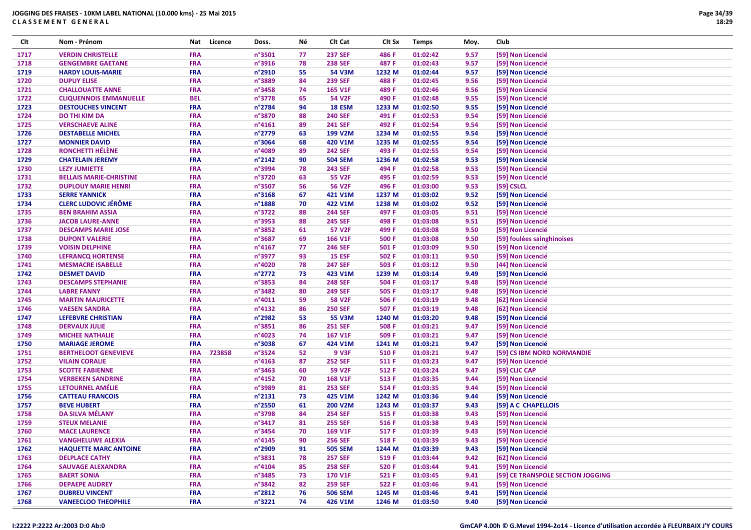| Clt  | Nom - Prénom                   | Nat        | Licence | Doss.           | Νé | Clt Cat        | Clt Sx | <b>Temps</b> | Moy. | Club                              |
|------|--------------------------------|------------|---------|-----------------|----|----------------|--------|--------------|------|-----------------------------------|
| 1717 | <b>VERDIN CHRISTELLE</b>       | <b>FRA</b> |         | n°3501          | 77 | <b>237 SEF</b> | 486 F  | 01:02:42     | 9.57 | [59] Non Licencié                 |
| 1718 | <b>GENGEMBRE GAETANE</b>       | <b>FRA</b> |         | n°3916          | 78 | <b>238 SEF</b> | 487 F  | 01:02:43     | 9.57 | [59] Non Licencié                 |
| 1719 | <b>HARDY LOUIS-MARIE</b>       | <b>FRA</b> |         | n°2910          | 55 | 54 V3M         | 1232 M | 01:02:44     | 9.57 | [59] Non Licencié                 |
| 1720 | <b>DUPUY ELISE</b>             | <b>FRA</b> |         | n°3889          | 84 | <b>239 SEF</b> | 488 F  | 01:02:45     | 9.56 | [59] Non Licencié                 |
| 1721 | <b>CHALLOUATTE ANNE</b>        | <b>FRA</b> |         | n°3458          | 74 | 165 V1F        | 489 F  | 01:02:46     | 9.56 | [59] Non Licencié                 |
| 1722 | <b>CLIQUENNOIS EMMANUELLE</b>  | <b>BEL</b> |         | n°3778          | 65 | 54 V2F         | 490 F  | 01:02:48     | 9.55 | [59] Non Licencié                 |
| 1723 | <b>DESTOUCHES VINCENT</b>      | <b>FRA</b> |         | n°2784          | 94 | 18 ESM         | 1233 M | 01:02:50     | 9.55 | [59] Non Licencié                 |
| 1724 | <b>DO THI KIM DA</b>           | <b>FRA</b> |         | n°3870          | 88 | <b>240 SEF</b> | 491 F  | 01:02:53     | 9.54 | [59] Non Licencié                 |
| 1725 | <b>VERSCHAEVE ALINE</b>        | <b>FRA</b> |         | $n^{\circ}4161$ | 89 | <b>241 SEF</b> | 492 F  | 01:02:54     | 9.54 | [59] Non Licencié                 |
| 1726 | <b>DESTABELLE MICHEL</b>       | <b>FRA</b> |         | n°2779          | 63 | 199 V2M        | 1234 M | 01:02:55     | 9.54 | [59] Non Licencié                 |
| 1727 | <b>MONNIER DAVID</b>           | <b>FRA</b> |         | n°3064          | 68 | 420 V1M        | 1235 M | 01:02:55     | 9.54 | [59] Non Licencié                 |
| 1728 | <b>RONCHETTI HÉLÈNE</b>        | <b>FRA</b> |         | n°4089          | 89 | <b>242 SEF</b> | 493 F  | 01:02:55     | 9.54 | [59] Non Licencié                 |
| 1729 | <b>CHATELAIN JEREMY</b>        | <b>FRA</b> |         | n°2142          | 90 | <b>504 SEM</b> | 1236 M | 01:02:58     | 9.53 | [59] Non Licencié                 |
| 1730 | <b>LEZY JUMIETTE</b>           | <b>FRA</b> |         | n°3994          | 78 | <b>243 SEF</b> | 494 F  | 01:02:58     | 9.53 | [59] Non Licencié                 |
| 1731 | <b>BELLAIS MARIE-CHRISTINE</b> | <b>FRA</b> |         | n°3720          | 63 | <b>55 V2F</b>  | 495 F  | 01:02:59     | 9.53 | [59] Non Licencié                 |
| 1732 | <b>DUPLOUY MARIE HENRI</b>     | <b>FRA</b> |         | n°3507          | 56 | <b>56 V2F</b>  | 496 F  | 01:03:00     | 9.53 | [59] CSLCL                        |
| 1733 | <b>SERRE YANNICK</b>           | <b>FRA</b> |         | n°3168          | 67 | 421 V1M        | 1237 M | 01:03:02     | 9.52 | [59] Non Licencié                 |
| 1734 | <b>CLERC LUDOVIC JÉRÔME</b>    | <b>FRA</b> |         | n°1888          | 70 | 422 V1M        | 1238 M | 01:03:02     | 9.52 | [59] Non Licencié                 |
| 1735 | <b>BEN BRAHIM ASSIA</b>        | <b>FRA</b> |         | n°3722          | 88 | <b>244 SEF</b> | 497 F  | 01:03:05     | 9.51 | [59] Non Licencié                 |
| 1736 | <b>JACOB LAURE-ANNE</b>        | <b>FRA</b> |         | n°3953          | 88 | <b>245 SEF</b> | 498 F  | 01:03:08     | 9.51 | [59] Non Licencié                 |
| 1737 | <b>DESCAMPS MARIE JOSE</b>     | <b>FRA</b> |         | n°3852          | 61 | <b>57 V2F</b>  | 499 F  | 01:03:08     | 9.50 | [59] Non Licencié                 |
| 1738 | <b>DUPONT VALERIE</b>          | <b>FRA</b> |         | n°3687          | 69 | 166 V1F        | 500 F  | 01:03:08     | 9.50 | [59] foulées sainghinoises        |
|      |                                |            |         |                 | 77 |                |        |              |      |                                   |
| 1739 | <b>VOISIN DELPHINE</b>         | <b>FRA</b> |         | $n^{\circ}4167$ |    | <b>246 SEF</b> | 501 F  | 01:03:09     | 9.50 | [59] Non Licencié                 |
| 1740 | <b>LEFRANCQ HORTENSE</b>       | <b>FRA</b> |         | n°3977          | 93 | <b>15 ESF</b>  | 502 F  | 01:03:11     | 9.50 | [59] Non Licencié                 |
| 1741 | <b>MESMACRE ISABELLE</b>       | <b>FRA</b> |         | n°4020          | 78 | <b>247 SEF</b> | 503 F  | 01:03:12     | 9.50 | [44] Non Licencié                 |
| 1742 | <b>DESMET DAVID</b>            | <b>FRA</b> |         | n°2772          | 73 | 423 V1M        | 1239 M | 01:03:14     | 9.49 | [59] Non Licencié                 |
| 1743 | <b>DESCAMPS STEPHANIE</b>      | <b>FRA</b> |         | n°3853          | 84 | <b>248 SEF</b> | 504 F  | 01:03:17     | 9.48 | [59] Non Licencié                 |
| 1744 | <b>LABRE FANNY</b>             | <b>FRA</b> |         | n°3482          | 80 | <b>249 SEF</b> | 505 F  | 01:03:17     | 9.48 | [59] Non Licencié                 |
| 1745 | <b>MARTIN MAURICETTE</b>       | <b>FRA</b> |         | n°4011          | 59 | <b>58 V2F</b>  | 506 F  | 01:03:19     | 9.48 | [62] Non Licencié                 |
| 1746 | <b>VAESEN SANDRA</b>           | <b>FRA</b> |         | n°4132          | 86 | <b>250 SEF</b> | 507 F  | 01:03:19     | 9.48 | [62] Non Licencié                 |
| 1747 | <b>LEFEBVRE CHRISTIAN</b>      | <b>FRA</b> |         | n°2982          | 53 | 55 V3M         | 1240 M | 01:03:20     | 9.48 | [59] Non Licencié                 |
| 1748 | <b>DERVAUX JULIE</b>           | <b>FRA</b> |         | n°3851          | 86 | <b>251 SEF</b> | 508 F  | 01:03:21     | 9.47 | [59] Non Licencié                 |
| 1749 | <b>MICHEE NATHALIE</b>         | <b>FRA</b> |         | n°4023          | 74 | <b>167 V1F</b> | 509 F  | 01:03:21     | 9.47 | [59] Non Licencié                 |
| 1750 | <b>MARIAGE JEROME</b>          | <b>FRA</b> |         | n°3038          | 67 | 424 V1M        | 1241 M | 01:03:21     | 9.47 | [59] Non Licencié                 |
| 1751 | <b>BERTHELOOT GENEVIEVE</b>    | <b>FRA</b> | 723858  | n°3524          | 52 | <b>9 V3F</b>   | 510 F  | 01:03:21     | 9.47 | [59] CS IBM NORD NORMANDIE        |
| 1752 | <b>VILAIN CORALIE</b>          | <b>FRA</b> |         | n°4163          | 87 | <b>252 SEF</b> | 511 F  | 01:03:23     | 9.47 | [59] Non Licencié                 |
| 1753 | <b>SCOTTE FABIENNE</b>         | <b>FRA</b> |         | $n^{\circ}3463$ | 60 | <b>59 V2F</b>  | 512 F  | 01:03:24     | 9.47 | [59] CLIC CAP                     |
| 1754 | <b>VERBEKEN SANDRINE</b>       | <b>FRA</b> |         | n°4152          | 70 | 168 V1F        | 513 F  | 01:03:35     | 9.44 | [59] Non Licencié                 |
| 1755 | LETOURNEL AMÉLIE               | <b>FRA</b> |         | n°3989          | 81 | <b>253 SEF</b> | 514 F  | 01:03:35     | 9.44 | [59] Non Licencié                 |
| 1756 | <b>CATTEAU FRANCOIS</b>        | <b>FRA</b> |         | n°2131          | 73 | 425 V1M        | 1242 M | 01:03:36     | 9.44 | [59] Non Licencié                 |
| 1757 | <b>BEVE HUBERT</b>             | <b>FRA</b> |         | n°2550          | 61 | <b>200 V2M</b> | 1243 M | 01:03:37     | 9.43 | [59] A C CHAPELLOIS               |
| 1758 | <b>DA SILVA MÉLANY</b>         | <b>FRA</b> |         | n°3798          | 84 | <b>254 SEF</b> | 515 F  | 01:03:38     | 9.43 | [59] Non Licencié                 |
| 1759 | <b>STEUX MELANIE</b>           | <b>FRA</b> |         | n°3417          | 81 | <b>255 SEF</b> | 516 F  | 01:03:38     | 9.43 | [59] Non Licencié                 |
| 1760 | <b>MACE LAURENCE</b>           | <b>FRA</b> |         | n°3454          | 70 | 169 V1F        | 517 F  | 01:03:39     | 9.43 | [59] Non Licencié                 |
| 1761 | <b>VANGHELUWE ALEXIA</b>       | <b>FRA</b> |         | $n^{\circ}4145$ | 90 | <b>256 SEF</b> | 518 F  | 01:03:39     | 9.43 | [59] Non Licencié                 |
| 1762 | <b>HAQUETTE MARC ANTOINE</b>   | <b>FRA</b> |         | n°2909          | 91 | <b>505 SEM</b> | 1244 M | 01:03:39     | 9.43 | [59] Non Licencié                 |
| 1763 | <b>DELPLACE CATHY</b>          | <b>FRA</b> |         | n°3831          | 78 | <b>257 SEF</b> | 519 F  | 01:03:44     | 9.42 | [62] Non Licencié                 |
| 1764 | <b>SAUVAGE ALEXANDRA</b>       | <b>FRA</b> |         | n°4104          | 85 | <b>258 SEF</b> | 520 F  | 01:03:44     | 9.41 | [59] Non Licencié                 |
| 1765 | <b>BAERT SONIA</b>             | <b>FRA</b> |         | n°3485          | 73 | 170 V1F        | 521 F  | 01:03:45     | 9.41 | [59] CE TRANSPOLE SECTION JOGGING |
| 1766 | <b>DEPAEPE AUDREY</b>          | <b>FRA</b> |         | n°3842          | 82 | <b>259 SEF</b> | 522 F  | 01:03:46     | 9.41 | [59] Non Licencié                 |
| 1767 | <b>DUBREU VINCENT</b>          | <b>FRA</b> |         | n°2812          | 76 | <b>506 SEM</b> | 1245 M | 01:03:46     | 9.41 | [59] Non Licencié                 |
| 1768 | <b>VANEECLOO THEOPHILE</b>     | <b>FRA</b> |         | n°3221          | 74 | 426 V1M        | 1246 M | 01:03:50     | 9.40 | [59] Non Licencié                 |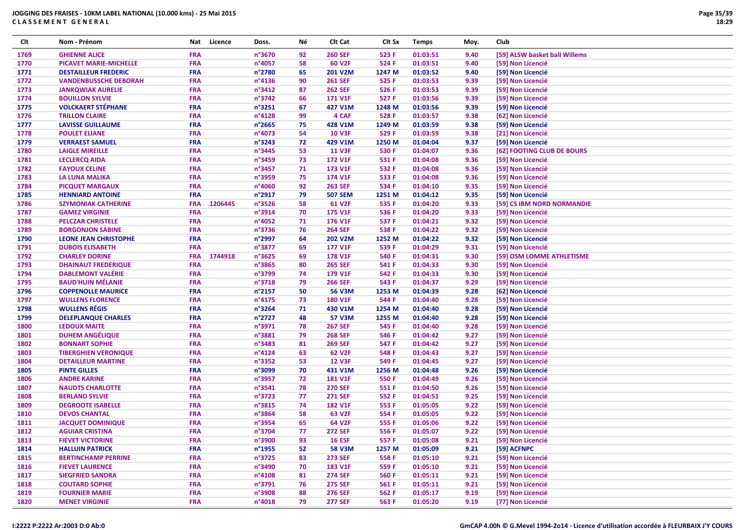| Clt  | Nom - Prénom                  | Nat        | Licence | Doss.            | Νé | CIt Cat        | Clt Sx | <b>Temps</b> | Moy. | Club                          |
|------|-------------------------------|------------|---------|------------------|----|----------------|--------|--------------|------|-------------------------------|
| 1769 | <b>GHIENNE ALICE</b>          | FRA        |         | n°3670           | 92 | <b>260 SEF</b> | 523 F  | 01:03:51     | 9.40 | [59] ALSW basket ball Willems |
| 1770 | <b>PICAVET MARIE-MICHELLE</b> | FRA        |         | n°4057           | 58 | 60 V2F         | 524 F  | 01:03:51     | 9.40 | [59] Non Licencié             |
| 1771 | <b>DESTAILLEUR FREDERIC</b>   | <b>FRA</b> |         | n°2780           | 65 | <b>201 V2M</b> | 1247 M | 01:03:52     | 9.40 | [59] Non Licencié             |
| 1772 | <b>VANDENBUSSCHE DEBORAH</b>  | FRA        |         | n°4136           | 90 | <b>261 SEF</b> | 525 F  | 01:03:53     | 9.39 | [59] Non Licencié             |
| 1773 | <b>JANKQWIAK AURELIE</b>      | FRA        |         | n°3412           | 87 | <b>262 SEF</b> | 526 F  | 01:03:53     | 9.39 | [59] Non Licencié             |
| 1774 | <b>BOUILLON SYLVIE</b>        | <b>FRA</b> |         | n°3742           | 66 | <b>171 V1F</b> | 527 F  | 01:03:56     | 9.39 | [59] Non Licencié             |
| 1775 | <b>VOLCKAERT STÉPHANE</b>     | FRA        |         | n°3251           | 67 | 427 V1M        | 1248 M | 01:03:56     | 9.39 | [59] Non Licencié             |
| 1776 | <b>TRILLON CLAIRE</b>         | FRA        |         | n°4128           | 99 | 4 CAF          | 528 F  | 01:03:57     | 9.38 | [62] Non Licencié             |
| 1777 | <b>LAVISSE GUILLAUME</b>      | FRA        |         | $n^{\circ}$ 2665 | 75 | 428 V1M        | 1249 M | 01:03:59     | 9.38 | [59] Non Licencié             |
| 1778 | <b>POULET ELIANE</b>          | <b>FRA</b> |         | n°4073           | 54 | <b>10 V3F</b>  | 529 F  | 01:03:59     | 9.38 | [21] Non Licencié             |
| 1779 | <b>VERRAEST SAMUEL</b>        | <b>FRA</b> |         | n°3243           | 72 | 429 V1M        | 1250 M | 01:04:04     | 9.37 | [59] Non Licencié             |
| 1780 | <b>LAIGLE MIREILLE</b>        | FRA        |         | n°3445           | 53 | <b>11 V3F</b>  | 530 F  | 01:04:07     | 9.36 | [62] FOOTING CLUB DE BOURS    |
| 1781 | <b>LECLERCQ AIDA</b>          | <b>FRA</b> |         | n°3459           | 73 | <b>172 V1F</b> | 531 F  | 01:04:08     | 9.36 | [59] Non Licencié             |
| 1782 | <b>FAYOUX CELINE</b>          | <b>FRA</b> |         | n°3457           | 71 | 173 V1F        | 532 F  | 01:04:08     | 9.36 | [59] Non Licencié             |
| 1783 | <b>LA LUNA MALIKA</b>         | FRA        |         | n°3959           | 75 | 174 V1F        | 533 F  | 01:04:08     | 9.36 | [59] Non Licencié             |
| 1784 | <b>PICQUET MARGAUX</b>        | <b>FRA</b> |         | n°4060           | 92 | <b>263 SEF</b> | 534 F  | 01:04:10     | 9.35 | [59] Non Licencié             |
| 1785 | <b>HENNIARD ANTOINE</b>       | <b>FRA</b> |         | n°2917           | 79 | <b>507 SEM</b> | 1251 M | 01:04:12     | 9.35 | [59] Non Licencié             |
| 1786 | <b>SZYMONIAK CATHERINE</b>    | <b>FRA</b> | 1206445 | n°3526           | 58 | 61 V2F         | 535 F  | 01:04:20     | 9.33 | [59] CS IBM NORD NORMANDIE    |
| 1787 | <b>GAMEZ VIRGINIE</b>         | FRA        |         | n°3914           | 70 | <b>175 V1F</b> | 536 F  | 01:04:20     | 9.33 | [59] Non Licencié             |
| 1788 | <b>PELCZAR CHRISTELE</b>      | FRA        |         | n°4052           | 71 | <b>176 V1F</b> | 537 F  | 01:04:21     | 9.32 | [59] Non Licencié             |
| 1789 | <b>BORGONJON SABINE</b>       | FRA        |         | n°3736           | 76 | <b>264 SEF</b> | 538 F  | 01:04:22     | 9.32 | [59] Non Licencié             |
| 1790 | <b>LEONE JEAN CHRISTOPHE</b>  | <b>FRA</b> |         | n°2997           | 64 | <b>202 V2M</b> | 1252 M | 01:04:22     | 9.32 | [59] Non Licencié             |
| 1791 | <b>DUBOIS ELISABETH</b>       | <b>FRA</b> |         | n°3877           | 69 | 177 V1F        | 539 F  | 01:04:29     | 9.31 | [59] Non Licencié             |
| 1792 | <b>CHARLEY DORINE</b>         | <b>FRA</b> | 1744918 | n°3625           | 69 | <b>178 V1F</b> | 540 F  | 01:04:31     | 9.30 | [59] OSM LOMME ATHLETISME     |
| 1793 | <b>DHAINAUT FREDERIQUE</b>    | <b>FRA</b> |         | n°3865           | 80 | <b>265 SEF</b> | 541 F  | 01:04:33     | 9.30 | [59] Non Licencié             |
| 1794 | <b>DABLEMONT VALÉRIE</b>      | FRA        |         | n°3799           | 74 | 179 V1F        | 542 F  | 01:04:33     | 9.30 | [59] Non Licencié             |
| 1795 | <b>BAUD'HUIN MÉLANIE</b>      | FRA        |         | n°3718           | 79 | <b>266 SEF</b> | 543 F  | 01:04:37     | 9.29 | [59] Non Licencié             |
| 1796 | <b>COPPENOLLE MAURICE</b>     | <b>FRA</b> |         | n°2157           | 50 | <b>56 V3M</b>  | 1253 M | 01:04:39     | 9.28 | [62] Non Licencié             |
| 1797 | <b>WULLENS FLORENCE</b>       | FRA        |         | n°4175           | 73 | <b>180 V1F</b> | 544 F  | 01:04:40     | 9.28 | [59] Non Licencié             |
| 1798 | <b>WULLENS RÉGIS</b>          | FRA        |         | n°3264           | 71 | 430 V1M        | 1254 M | 01:04:40     | 9.28 | [59] Non Licencié             |
| 1799 | <b>DELEPLANQUE CHARLES</b>    | FRA        |         | n°2727           | 48 | <b>57 V3M</b>  | 1255 M | 01:04:40     | 9.28 | [59] Non Licencié             |
| 1800 | <b>LEDOUX MAITE</b>           | FRA        |         | n°3971           | 78 | <b>267 SEF</b> | 545 F  | 01:04:40     | 9.28 | [59] Non Licencié             |
| 1801 | <b>DUHEM ANGÉLIQUE</b>        | FRA        |         | n°3881           | 79 | <b>268 SEF</b> | 546 F  | 01:04:42     | 9.27 | [59] Non Licencié             |
| 1802 | <b>BONNART SOPHIE</b>         | FRA        |         | n°3483           | 81 | <b>269 SEF</b> | 547 F  | 01:04:42     | 9.27 | [59] Non Licencié             |
| 1803 | <b>TIBERGHIEN VERONIQUE</b>   | <b>FRA</b> |         | n°4124           | 63 | 62 V2F         | 548 F  | 01:04:43     | 9.27 | [59] Non Licencié             |
| 1804 | <b>DETAILLEUR MARTINE</b>     | FRA        |         | n°3352           | 53 | <b>12 V3F</b>  | 549 F  | 01:04:45     | 9.27 | [59] Non Licencié             |
| 1805 | <b>PINTE GILLES</b>           | FRA        |         | n°3099           | 70 | 431 V1M        | 1256 M | 01:04:48     | 9.26 | [59] Non Licencié             |
| 1806 | <b>ANDRE KARINE</b>           | <b>FRA</b> |         | n°3957           | 72 | <b>181 V1F</b> | 550 F  | 01:04:49     | 9.26 | [59] Non Licencié             |
| 1807 | <b>NAUDTS CHARLOTTE</b>       | <b>FRA</b> |         | n°3541           | 78 | <b>270 SEF</b> | 551 F  | 01:04:50     | 9.26 | [59] Non Licencié             |
| 1808 | <b>BERLAND SYLVIE</b>         | FRA        |         | n°3723           | 77 | <b>271 SEF</b> | 552 F  | 01:04:51     | 9.25 | [59] Non Licencié             |
| 1809 | <b>DEGROOTE ISABELLE</b>      | <b>FRA</b> |         | n°3815           | 74 | <b>182 V1F</b> | 553 F  | 01:05:05     | 9.22 | [59] Non Licencié             |
| 1810 | <b>DEVOS CHANTAL</b>          | <b>FRA</b> |         | n°3864           | 58 | 63 V2F         | 554 F  | 01:05:05     | 9.22 | [59] Non Licencié             |
| 1811 | <b>JACQUET DOMINIQUE</b>      | FRA        |         | n°3954           | 65 | 64 V2F         | 555 F  | 01:05:06     | 9.22 | [59] Non Licencié             |
| 1812 | <b>AGUIAR CRISTINA</b>        | <b>FRA</b> |         | n°3704           | 77 | <b>272 SEF</b> | 556 F  | 01:05:07     | 9.22 | [59] Non Licencié             |
| 1813 | <b>FIEVET VICTORINE</b>       | <b>FRA</b> |         | n°3900           | 93 | <b>16 ESF</b>  | 557 F  | 01:05:08     | 9.21 | [59] Non Licencié             |
| 1814 | <b>HALLUIN PATRICK</b>        | <b>FRA</b> |         | n°1955           | 52 | <b>58 V3M</b>  | 1257 M | 01:05:09     | 9.21 | [59] ACFNPC                   |
| 1815 | <b>BERTINCHAMP PERRINE</b>    | <b>FRA</b> |         | n°3725           | 83 | <b>273 SEF</b> | 558 F  | 01:05:10     | 9.21 | [59] Non Licencié             |
| 1816 | <b>FIEVET LAURENCE</b>        | <b>FRA</b> |         | n°3490           | 70 | 183 V1F        | 559 F  | 01:05:10     | 9.21 | [59] Non Licencié             |
| 1817 | <b>SIEGFRIED SANDRA</b>       | <b>FRA</b> |         | $n^{\circ}4108$  | 81 | <b>274 SEF</b> | 560 F  | 01:05:11     | 9.21 | [59] Non Licencié             |
| 1818 | <b>COUTARD SOPHIE</b>         | <b>FRA</b> |         | n°3791           | 76 | <b>275 SEF</b> | 561 F  | 01:05:11     | 9.21 | [59] Non Licencié             |
| 1819 | <b>FOURNIER MARIE</b>         | <b>FRA</b> |         | n°3908           | 88 | <b>276 SEF</b> | 562 F  | 01:05:17     | 9.19 | [59] Non Licencié             |
| 1820 | <b>MENET VIRGINIE</b>         | <b>FRA</b> |         | $n^{\circ}4018$  | 79 | <b>277 SEF</b> | 563 F  | 01:05:20     | 9.19 | [77] Non Licencié             |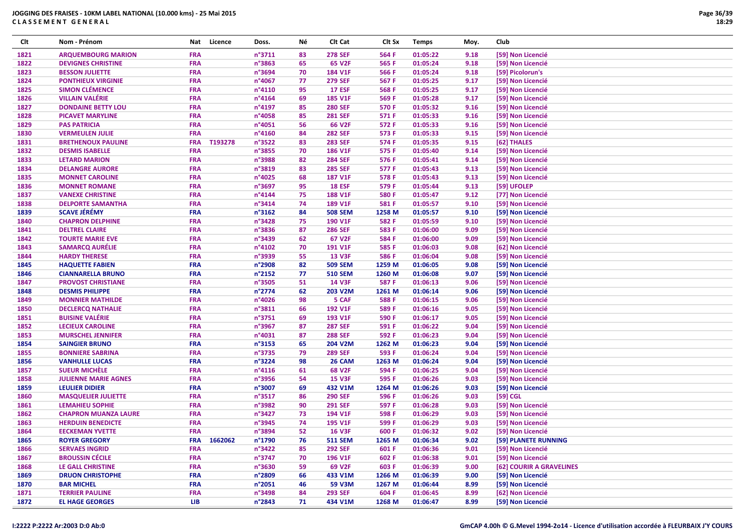| Clt  | Nom - Prénom                |                          | Nat Licence | Doss.           | Νé       | Clt Cat        | Clt Sx | <b>Temps</b> | Moy. | Club                     |
|------|-----------------------------|--------------------------|-------------|-----------------|----------|----------------|--------|--------------|------|--------------------------|
| 1821 | <b>ARQUEMBOURG MARION</b>   | <b>FRA</b>               |             | n°3711          | 83       | <b>278 SEF</b> | 564 F  | 01:05:22     | 9.18 | [59] Non Licencié        |
| 1822 | <b>DEVIGNES CHRISTINE</b>   | <b>FRA</b>               |             | n°3863          | 65       | 65 V2F         | 565 F  | 01:05:24     | 9.18 | [59] Non Licencié        |
| 1823 | <b>BESSON JULIETTE</b>      | <b>FRA</b>               |             | n°3694          | 70       | <b>184 V1F</b> | 566 F  | 01:05:24     | 9.18 | [59] Picolorun's         |
| 1824 | <b>PONTHIEUX VIRGINIE</b>   | <b>FRA</b>               |             | n°4067          | 77       | <b>279 SEF</b> | 567 F  | 01:05:25     | 9.17 | [59] Non Licencié        |
| 1825 | <b>SIMON CLÉMENCE</b>       | <b>FRA</b>               |             | n°4110          | 95       | <b>17 ESF</b>  | 568 F  | 01:05:25     | 9.17 | [59] Non Licencié        |
| 1826 | <b>VILLAIN VALÉRIE</b>      | <b>FRA</b>               |             | n°4164          | 69       | <b>185 V1F</b> | 569 F  | 01:05:28     | 9.17 | [59] Non Licencié        |
| 1827 | <b>DONDAINE BETTY LOU</b>   | <b>FRA</b>               |             | n°4197          | 85       | <b>280 SEF</b> | 570 F  | 01:05:32     | 9.16 | [59] Non Licencié        |
| 1828 | <b>PICAVET MARYLINE</b>     | <b>FRA</b>               |             | n°4058          | 85       | <b>281 SEF</b> | 571 F  | 01:05:33     | 9.16 | [59] Non Licencié        |
| 1829 | <b>PAS PATRICIA</b>         | <b>FRA</b>               |             | n°4051          | 56       | 66 V2F         | 572 F  | 01:05:33     | 9.16 | [59] Non Licencié        |
| 1830 | <b>VERMEULEN JULIE</b>      | <b>FRA</b>               |             | n°4160          | 84       | <b>282 SEF</b> | 573 F  | 01:05:33     | 9.15 | [59] Non Licencié        |
| 1831 | <b>BRETHENOUX PAULINE</b>   | <b>FRA</b>               | T193278     | n°3522          | 83       | <b>283 SEF</b> | 574 F  | 01:05:35     | 9.15 | [62] THALES              |
| 1832 | <b>DESMIS ISABELLE</b>      | <b>FRA</b>               |             | n°3855          | 70       | <b>186 V1F</b> | 575 F  | 01:05:40     | 9.14 | [59] Non Licencié        |
| 1833 | <b>LETARD MARION</b>        | <b>FRA</b>               |             | n°3988          | 82       | <b>284 SEF</b> | 576 F  | 01:05:41     | 9.14 | [59] Non Licencié        |
| 1834 | <b>DELANGRE AURORE</b>      | <b>FRA</b>               |             | n°3819          | 83       | <b>285 SEF</b> | 577 F  | 01:05:43     | 9.13 | [59] Non Licencié        |
| 1835 | <b>MONNET CAROLINE</b>      | <b>FRA</b>               |             | n°4025          | 68       | <b>187 V1F</b> | 578 F  | 01:05:43     | 9.13 | [59] Non Licencié        |
| 1836 | <b>MONNET ROMANE</b>        | <b>FRA</b>               |             | n°3697          | 95       | <b>18 ESF</b>  | 579 F  | 01:05:44     | 9.13 | [59] UFOLEP              |
| 1837 | <b>VANEXE CHRISTINE</b>     | <b>FRA</b>               |             | n°4144          | 75       | <b>188 V1F</b> | 580 F  | 01:05:47     | 9.12 | [77] Non Licencié        |
| 1838 | <b>DELPORTE SAMANTHA</b>    | <b>FRA</b>               |             | n°3414          | 74       | <b>189 V1F</b> | 581 F  | 01:05:57     | 9.10 | [59] Non Licencié        |
| 1839 | <b>SCAVE JÉRÉMY</b>         | <b>FRA</b>               |             | n°3162          | 84       | <b>508 SEM</b> | 1258 M | 01:05:57     | 9.10 | [59] Non Licencié        |
| 1840 | <b>CHAPRON DELPHINE</b>     | <b>FRA</b>               |             | n°3428          | 75       | 190 V1F        | 582 F  | 01:05:59     | 9.10 | [59] Non Licencié        |
| 1841 | <b>DELTREL CLAIRE</b>       | <b>FRA</b>               |             | n°3836          | 87       | <b>286 SEF</b> | 583 F  | 01:06:00     | 9.09 | [59] Non Licencié        |
|      |                             |                          |             | n°3439          |          | 67 V2F         |        | 01:06:00     | 9.09 |                          |
| 1842 | <b>TOURTE MARIE EVE</b>     | <b>FRA</b><br><b>FRA</b> |             | n°4102          | 62<br>70 | 191 V1F        | 584 F  | 01:06:03     | 9.08 | [59] Non Licencié        |
| 1843 | <b>SAMARCQ AURÉLIE</b>      |                          |             |                 | 55       |                | 585 F  |              |      | [62] Non Licencié        |
| 1844 | <b>HARDY THERESE</b>        | <b>FRA</b>               |             | n°3939          |          | <b>13 V3F</b>  | 586 F  | 01:06:04     | 9.08 | [59] Non Licencié        |
| 1845 | <b>HAQUETTE FABIEN</b>      | <b>FRA</b>               |             | n°2908          | 82       | <b>509 SEM</b> | 1259 M | 01:06:05     | 9.08 | [59] Non Licencié        |
| 1846 | <b>CIANNARELLA BRUNO</b>    | <b>FRA</b>               |             | n°2152          | 77       | <b>510 SEM</b> | 1260 M | 01:06:08     | 9.07 | [59] Non Licencié        |
| 1847 | <b>PROVOST CHRISTIANE</b>   | <b>FRA</b>               |             | n°3505          | 51       | <b>14 V3F</b>  | 587 F  | 01:06:13     | 9.06 | [59] Non Licencié        |
| 1848 | <b>DESMIS PHILIPPE</b>      | <b>FRA</b>               |             | n°2774          | 62       | 203 V2M        | 1261 M | 01:06:14     | 9.06 | [59] Non Licencié        |
| 1849 | <b>MONNIER MATHILDE</b>     | <b>FRA</b>               |             | n°4026          | 98       | 5 CAF          | 588 F  | 01:06:15     | 9.06 | [59] Non Licencié        |
| 1850 | <b>DECLERCQ NATHALIE</b>    | <b>FRA</b>               |             | n°3811          | 66       | 192 V1F        | 589 F  | 01:06:16     | 9.05 | [59] Non Licencié        |
| 1851 | <b>BUISINE VALÉRIE</b>      | <b>FRA</b>               |             | n°3751          | 69       | 193 V1F        | 590 F  | 01:06:17     | 9.05 | [59] Non Licencié        |
| 1852 | <b>LECIEUX CAROLINE</b>     | <b>FRA</b>               |             | n°3967          | 87       | <b>287 SEF</b> | 591 F  | 01:06:22     | 9.04 | [59] Non Licencié        |
| 1853 | <b>MURSCHEL JENNIFER</b>    | <b>FRA</b>               |             | n°4031          | 87       | <b>288 SEF</b> | 592 F  | 01:06:23     | 9.04 | [59] Non Licencié        |
| 1854 | <b>SAINGIER BRUNO</b>       | <b>FRA</b>               |             | n°3153          | 65       | 204 V2M        | 1262 M | 01:06:23     | 9.04 | [59] Non Licencié        |
| 1855 | <b>BONNIERE SABRINA</b>     | <b>FRA</b>               |             | n°3735          | 79       | <b>289 SEF</b> | 593 F  | 01:06:24     | 9.04 | [59] Non Licencié        |
| 1856 | <b>VANHULLE LUCAS</b>       | <b>FRA</b>               |             | n°3224          | 98       | 26 CAM         | 1263 M | 01:06:24     | 9.04 | [59] Non Licencié        |
| 1857 | <b>SUEUR MICHÈLE</b>        | <b>FRA</b>               |             | n°4116          | 61       | <b>68 V2F</b>  | 594 F  | 01:06:25     | 9.04 | [59] Non Licencié        |
| 1858 | <b>JULIENNE MARIE AGNES</b> | <b>FRA</b>               |             | n°3956          | 54       | <b>15 V3F</b>  | 595 F  | 01:06:26     | 9.03 | [59] Non Licencié        |
| 1859 | <b>LEULIER DIDIER</b>       | <b>FRA</b>               |             | n°3007          | 69       | 432 V1M        | 1264 M | 01:06:26     | 9.03 | [59] Non Licencié        |
| 1860 | <b>MASQUELIER JULIETTE</b>  | <b>FRA</b>               |             | n°3517          | 86       | <b>290 SEF</b> | 596 F  | 01:06:26     | 9.03 | $[59]$ CGL               |
| 1861 | <b>LEMAHIEU SOPHIE</b>      | <b>FRA</b>               |             | n°3982          | 90       | <b>291 SEF</b> | 597 F  | 01:06:28     | 9.03 | [59] Non Licencié        |
| 1862 | <b>CHAPRON MUANZA LAURE</b> | <b>FRA</b>               |             | n°3427          | 73       | 194 V1F        | 598 F  | 01:06:29     | 9.03 | [59] Non Licencié        |
| 1863 | <b>HERDUIN BENEDICTE</b>    | <b>FRA</b>               |             | n°3945          | 74       | 195 V1F        | 599 F  | 01:06:29     | 9.03 | [59] Non Licencié        |
| 1864 | <b>EECKEMAN YVETTE</b>      | <b>FRA</b>               |             | n°3894          | 52       | <b>16 V3F</b>  | 600 F  | 01:06:32     | 9.02 | [59] Non Licencié        |
| 1865 | <b>ROYER GREGORY</b>        | <b>FRA</b>               | 1662062     | n°1790          | 76       | <b>511 SEM</b> | 1265 M | 01:06:34     | 9.02 | [59] PLANETE RUNNING     |
| 1866 | <b>SERVAES INGRID</b>       | <b>FRA</b>               |             | $n^{\circ}3422$ | 85       | <b>292 SEF</b> | 601 F  | 01:06:36     | 9.01 | [59] Non Licencié        |
| 1867 | <b>BROUSSIN CÉCILE</b>      | <b>FRA</b>               |             | n°3747          | 70       | 196 V1F        | 602 F  | 01:06:38     | 9.01 | [59] Non Licencié        |
| 1868 | LE GALL CHRISTINE           | <b>FRA</b>               |             | n°3630          | 59       | 69 V2F         | 603 F  | 01:06:39     | 9.00 | [62] COURIR A GRAVELINES |
| 1869 | <b>DRUON CHRISTOPHE</b>     | <b>FRA</b>               |             | n°2809          | 66       | 433 V1M        | 1266 M | 01:06:39     | 9.00 | [59] Non Licencié        |
| 1870 | <b>BAR MICHEL</b>           | <b>FRA</b>               |             | n°2051          | 46       | 59 V3M         | 1267 M | 01:06:44     | 8.99 | [59] Non Licencié        |
| 1871 | <b>TERRIER PAULINE</b>      | <b>FRA</b>               |             | n°3498          | 84       | <b>293 SEF</b> | 604 F  | 01:06:45     | 8.99 | [62] Non Licencié        |
| 1872 | <b>EL HAGE GEORGES</b>      | <b>LIB</b>               |             | n°2843          | 71       | 434 V1M        | 1268 M | 01:06:47     | 8.99 | [59] Non Licencié        |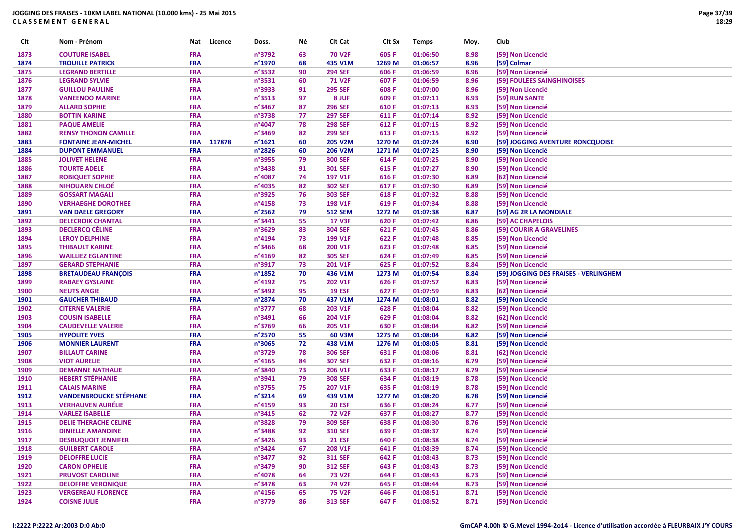| Clt          | Nom - Prénom                  | Nat                      | Licence | Doss.            | Νé       | Clt Cat        | Clt Sx | <b>Temps</b> | Moy.         | Club                                  |
|--------------|-------------------------------|--------------------------|---------|------------------|----------|----------------|--------|--------------|--------------|---------------------------------------|
| 1873         | <b>COUTURE ISABEL</b>         | <b>FRA</b>               |         | n°3792           | 63       | <b>70 V2F</b>  | 605 F  | 01:06:50     | 8.98         | [59] Non Licencié                     |
| 1874         | <b>TROUILLE PATRICK</b>       | <b>FRA</b>               |         | n°1970           | 68       | 435 V1M        | 1269 M | 01:06:57     | 8.96         | [59] Colmar                           |
| 1875         | <b>LEGRAND BERTILLE</b>       | <b>FRA</b>               |         | n°3532           | 90       | <b>294 SEF</b> | 606 F  | 01:06:59     | 8.96         | [59] Non Licencié                     |
| 1876         | <b>LEGRAND SYLVIE</b>         | <b>FRA</b>               |         | n°3531           | 60       | <b>71 V2F</b>  | 607 F  | 01:06:59     | 8.96         | [59] FOULEES SAINGHINOISES            |
| 1877         | <b>GUILLOU PAULINE</b>        | <b>FRA</b>               |         | n°3933           | 91       | <b>295 SEF</b> | 608 F  | 01:07:00     | 8.96         | [59] Non Licencié                     |
| 1878         | <b>VANEENOO MARINE</b>        | <b>FRA</b>               |         | n°3513           | 97       | 8 JUF          | 609 F  | 01:07:11     | 8.93         | [59] RUN SANTE                        |
| 1879         | <b>ALLARD SOPHIE</b>          | <b>FRA</b>               |         | n°3467           | 87       | <b>296 SEF</b> | 610 F  | 01:07:13     | 8.93         | [59] Non Licencié                     |
| 1880         | <b>BOTTIN KARINE</b>          | <b>FRA</b>               |         | n°3738           | 77       | <b>297 SEF</b> | 611 F  | 01:07:14     | 8.92         | [59] Non Licencié                     |
| 1881         | <b>PAQUE AMELIE</b>           | <b>FRA</b>               |         | n°4047           | 78       | <b>298 SEF</b> | 612 F  | 01:07:15     | 8.92         | [59] Non Licencié                     |
| 1882         | <b>RENSY THONON CAMILLE</b>   | <b>FRA</b>               |         | n°3469           | 82       | <b>299 SEF</b> | 613 F  | 01:07:15     | 8.92         | [59] Non Licencié                     |
| 1883         | <b>FONTAINE JEAN-MICHEL</b>   | <b>FRA</b>               | 117878  | n°1621           | 60       | 205 V2M        | 1270 M | 01:07:24     | 8.90         | [59] JOGGING AVENTURE RONCQUOISE      |
| 1884         | <b>DUPONT EMMANUEL</b>        | <b>FRA</b>               |         | n°2826           | 60       | 206 V2M        | 1271 M | 01:07:25     | 8.90         | [59] Non Licencié                     |
| 1885         | <b>JOLIVET HELENE</b>         | <b>FRA</b>               |         | n°3955           | 79       | <b>300 SEF</b> | 614 F  | 01:07:25     | 8.90         | [59] Non Licencié                     |
| 1886         | <b>TOURTE ADELE</b>           | <b>FRA</b>               |         | n°3438           | 91       | <b>301 SEF</b> | 615 F  | 01:07:27     | 8.90         | [59] Non Licencié                     |
| 1887         | <b>ROBIQUET SOPHIE</b>        | <b>FRA</b>               |         | n°4087           | 74       | 197 V1F        | 616 F  | 01:07:30     | 8.89         | [62] Non Licencié                     |
| 1888         | <b>NIHOUARN CHLOÉ</b>         | <b>FRA</b>               |         | n°4035           | 82       | <b>302 SEF</b> | 617 F  | 01:07:30     | 8.89         | [59] Non Licencié                     |
| 1889         | <b>GOSSART MAGALI</b>         | <b>FRA</b>               |         | n°3925           | 76       | <b>303 SEF</b> | 618 F  | 01:07:32     | 8.88         | [59] Non Licencié                     |
| 1890         | <b>VERHAEGHE DOROTHEE</b>     | <b>FRA</b>               |         | n°4158           | 73       | <b>198 V1F</b> | 619 F  | 01:07:34     | 8.88         | [59] Non Licencié                     |
| 1891         | <b>VAN DAELE GREGORY</b>      | <b>FRA</b>               |         | n°2562           | 79       | <b>512 SEM</b> | 1272 M | 01:07:38     | 8.87         | [59] AG 2R LA MONDIALE                |
| 1892         | <b>DELECROIX CHANTAL</b>      | <b>FRA</b>               |         | n°3441           | 55       | <b>17 V3F</b>  | 620 F  | 01:07:42     | 8.86         | [59] AC CHAPELOIS                     |
| 1893         | <b>DECLERCQ CÉLINE</b>        | <b>FRA</b>               |         | n°3629           | 83       | <b>304 SEF</b> | 621 F  | 01:07:45     | 8.86         | [59] COURIR A GRAVELINES              |
| 1894         | <b>LEROY DELPHINE</b>         | <b>FRA</b>               |         | n°4194           | 73       | 199 V1F        | 622 F  | 01:07:48     | 8.85         | [59] Non Licencié                     |
| 1895         | <b>THIBAULT KARINE</b>        | <b>FRA</b>               |         | n°3466           | 68       | 200 V1F        | 623 F  | 01:07:48     | 8.85         | [59] Non Licencié                     |
| 1896         | <b>WAILLIEZ EGLANTINE</b>     | <b>FRA</b>               |         | n°4169           | 82       | <b>305 SEF</b> | 624 F  | 01:07:49     | 8.85         | [59] Non Licencié                     |
| 1897         | <b>GERARD STEPHANIE</b>       | <b>FRA</b>               |         | n°3917           | 73       | 201 V1F        | 625 F  | 01:07:52     | 8.84         | [59] Non Licencié                     |
|              | <b>BRETAUDEAU FRANÇOIS</b>    | <b>FRA</b>               |         | n°1852           | 70       | 436 V1M        | 1273 M | 01:07:54     | 8.84         | [59] JOGGING DES FRAISES - VERLINGHEM |
| 1898<br>1899 | <b>RABAEY GYSLAINE</b>        | <b>FRA</b>               |         | n°4192           | 75       | 202 V1F        | 626 F  | 01:07:57     | 8.83         | [59] Non Licencié                     |
|              |                               |                          |         | n°3492           | 95       |                |        |              |              |                                       |
| 1900         | <b>NEUTS ANGIE</b>            | <b>FRA</b>               |         | n°2874           |          | <b>19 ESF</b>  | 627 F  | 01:07:59     | 8.83<br>8.82 | [62] Non Licencié                     |
| 1901         | <b>GAUCHER THIBAUD</b>        | <b>FRA</b><br><b>FRA</b> |         | n°3777           | 70<br>68 | 437 V1M        | 1274 M | 01:08:01     | 8.82         | [59] Non Licencié                     |
| 1902         | <b>CITERNE VALERIE</b>        |                          |         |                  |          | 203 V1F        | 628 F  | 01:08:04     |              | [59] Non Licencié                     |
| 1903         | <b>COUSIN ISABELLE</b>        | <b>FRA</b>               |         | n°3491           | 66       | 204 V1F        | 629 F  | 01:08:04     | 8.82         | [62] Non Licencié                     |
| 1904         | <b>CAUDEVELLE VALERIE</b>     | <b>FRA</b>               |         | n°3769           | 66       | <b>205 V1F</b> | 630 F  | 01:08:04     | 8.82         | [59] Non Licencié                     |
| 1905         | <b>HYPOLITE YVES</b>          | <b>FRA</b>               |         | n°2570           | 55       | 60 V3M         | 1275 M | 01:08:04     | 8.82         | [59] Non Licencié                     |
| 1906         | <b>MONNIER LAURENT</b>        | <b>FRA</b>               |         | n°3065           | 72       | 438 V1M        | 1276 M | 01:08:05     | 8.81         | [59] Non Licencié                     |
| 1907         | <b>BILLAUT CARINE</b>         | <b>FRA</b>               |         | n°3729           | 78       | <b>306 SEF</b> | 631 F  | 01:08:06     | 8.81         | [62] Non Licencié                     |
| 1908         | <b>VIOT AURELIE</b>           | <b>FRA</b>               |         | n°4165           | 84       | <b>307 SEF</b> | 632 F  | 01:08:16     | 8.79         | [59] Non Licencié                     |
| 1909         | <b>DEMANNE NATHALIE</b>       | <b>FRA</b>               |         | n°3840           | 73       | 206 V1F        | 633 F  | 01:08:17     | 8.79         | [59] Non Licencié                     |
| 1910         | <b>HEBERT STÉPHANIE</b>       | <b>FRA</b>               |         | n°3941           | 79       | <b>308 SEF</b> | 634 F  | 01:08:19     | 8.78         | [59] Non Licencié                     |
| 1911         | <b>CALAIS MARINE</b>          | <b>FRA</b>               |         | n°3755           | 75       | 207 V1F        | 635 F  | 01:08:19     | 8.78         | [59] Non Licencié                     |
| 1912         | <b>VANDENBROUCKE STÉPHANE</b> | <b>FRA</b>               |         | n°3214           | 69       | 439 V1M        | 1277 M | 01:08:20     | 8.78         | [59] Non Licencié                     |
| 1913         | <b>VERHAUVEN AURÉLIE</b>      | <b>FRA</b>               |         | n°4159           | 93       | <b>20 ESF</b>  | 636 F  | 01:08:24     | 8.77         | [59] Non Licencié                     |
| 1914         | <b>VARLEZ ISABELLE</b>        | <b>FRA</b>               |         | n°3415           | 62       | <b>72 V2F</b>  | 637 F  | 01:08:27     | 8.77         | [59] Non Licencié                     |
| 1915         | <b>DELIE THERACHE CELINE</b>  | <b>FRA</b>               |         | n°3828           | 79       | <b>309 SEF</b> | 638 F  | 01:08:30     | 8.76         | [59] Non Licencié                     |
| 1916         | <b>DINIELLE AMANDINE</b>      | <b>FRA</b>               |         | n°3488           | 92       | <b>310 SEF</b> | 639 F  | 01:08:37     | 8.74         | [59] Non Licencié                     |
| 1917         | <b>DESBUQUOIT JENNIFER</b>    | <b>FRA</b>               |         | $n^{\circ}$ 3426 | 93       | <b>21 ESF</b>  | 640 F  | 01:08:38     | 8.74         | [59] Non Licencié                     |
| 1918         | <b>GUILBERT CAROLE</b>        | <b>FRA</b>               |         | n°3424           | 67       | 208 V1F        | 641 F  | 01:08:39     | 8.74         | [59] Non Licencié                     |
| 1919         | <b>DELOFFRE LUCIE</b>         | <b>FRA</b>               |         | n°3477           | 92       | <b>311 SEF</b> | 642 F  | 01:08:43     | 8.73         | [59] Non Licencié                     |
| 1920         | <b>CARON OPHELIE</b>          | <b>FRA</b>               |         | n°3479           | 90       | <b>312 SEF</b> | 643 F  | 01:08:43     | 8.73         | [59] Non Licencié                     |
| 1921         | <b>PRUVOST CAROLINE</b>       | <b>FRA</b>               |         | n°4078           | 64       | <b>73 V2F</b>  | 644 F  | 01:08:43     | 8.73         | [59] Non Licencié                     |
| 1922         | <b>DELOFFRE VERONIQUE</b>     | <b>FRA</b>               |         | n°3478           | 63       | <b>74 V2F</b>  | 645 F  | 01:08:44     | 8.73         | [59] Non Licencié                     |
| 1923         | <b>VERGEREAU FLORENCE</b>     | <b>FRA</b>               |         | $n^{\circ}$ 4156 | 65       | <b>75 V2F</b>  | 646 F  | 01:08:51     | 8.71         | [59] Non Licencié                     |
| 1924         | <b>COISNE JULIE</b>           | <b>FRA</b>               |         | n°3779           | 86       | <b>313 SEF</b> | 647 F  | 01:08:52     | 8.71         | [59] Non Licencié                     |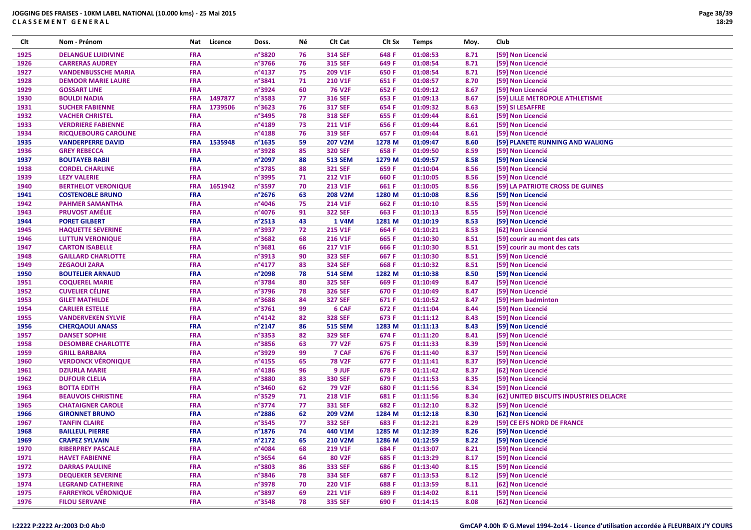| Clt          | Nom - Prénom                                      | Nat                      | Licence | Doss.            | Νé       | Clt Cat                          | Clt Sx         | <b>Temps</b>         | Moy.         | <b>Club</b>                             |
|--------------|---------------------------------------------------|--------------------------|---------|------------------|----------|----------------------------------|----------------|----------------------|--------------|-----------------------------------------|
| 1925         | <b>DELANGUE LUIDIVINE</b>                         | <b>FRA</b>               |         | n°3820           | 76       | <b>314 SEF</b>                   | 648 F          | 01:08:53             | 8.71         | [59] Non Licencié                       |
| 1926         | <b>CARRERAS AUDREY</b>                            | <b>FRA</b>               |         | n°3766           | 76       | <b>315 SEF</b>                   | 649 F          | 01:08:54             | 8.71         | [59] Non Licencié                       |
| 1927         | <b>VANDENBUSSCHE MARIA</b>                        | <b>FRA</b>               |         | n°4137           | 75       | 209 V1F                          | 650 F          | 01:08:54             | 8.71         | [59] Non Licencié                       |
| 1928         | <b>DEMOOR MARIE LAURE</b>                         | <b>FRA</b>               |         | n°3841           | 71       | 210 V1F                          | 651 F          | 01:08:57             | 8.70         | [59] Non Licencié                       |
| 1929         | <b>GOSSART LINE</b>                               | <b>FRA</b>               |         | n°3924           | 60       | <b>76 V2F</b>                    | 652 F          | 01:09:12             | 8.67         | [59] Non Licencié                       |
| 1930         | <b>BOULDI NADIA</b>                               | <b>FRA</b>               | 1497877 | n°3583           | 77       | <b>316 SEF</b>                   | 653 F          | 01:09:13             | 8.67         | [59] LILLE METROPOLE ATHLETISME         |
| 1931         | <b>SUCHER FABIENNE</b>                            | <b>FRA</b>               | 1739506 | n°3623           | 76       | <b>317 SEF</b>                   | 654 F          | 01:09:32             | 8.63         | [59] SI LESAFFRE                        |
| 1932         | <b>VACHER CHRISTEL</b>                            | <b>FRA</b>               |         | n°3495           | 78       | <b>318 SEF</b>                   | 655 F          | 01:09:44             | 8.61         | [59] Non Licencié                       |
| 1933         | <b>VERDRIERE FABIENNE</b>                         | <b>FRA</b>               |         | n°4189           | 73       | <b>211 V1F</b>                   | 656 F          | 01:09:44             | 8.61         | [59] Non Licencié                       |
| 1934         | <b>RICQUEBOURG CAROLINE</b>                       | <b>FRA</b>               |         | n°4188           | 76       | <b>319 SEF</b>                   | 657 F          | 01:09:44             | 8.61         | [59] Non Licencié                       |
| 1935         | <b>VANDERPERRE DAVID</b>                          | <b>FRA</b>               | 1535948 | $n^{\circ}$ 1635 | 59       | 207 V2M                          | 1278 M         | 01:09:47             | 8.60         | [59] PLANETE RUNNING AND WALKING        |
| 1936         | <b>GREY REBECCA</b>                               | <b>FRA</b>               |         | n°3928           | 85       | <b>320 SEF</b>                   | 658 F          | 01:09:50             | 8.59         | [59] Non Licencié                       |
| 1937         | <b>BOUTAYEB RABII</b>                             | <b>FRA</b>               |         | n°2097           | 88       | <b>513 SEM</b>                   | 1279 M         | 01:09:57             | 8.58         | [59] Non Licencié                       |
| 1938         | <b>CORDEL CHARLINE</b>                            | <b>FRA</b>               |         | n°3785           | 88       | <b>321 SEF</b>                   | 659 F          | 01:10:04             | 8.56         | [59] Non Licencié                       |
| 1939         | <b>LEZY VALERIE</b>                               | <b>FRA</b>               |         | n°3995           | 71       | <b>212 V1F</b>                   | 660 F          | 01:10:05             | 8.56         | [59] Non Licencié                       |
| 1940         | <b>BERTHELOT VERONIQUE</b>                        | <b>FRA</b>               | 1651942 | n°3597           | 70       | <b>213 V1F</b>                   | 661 F          | 01:10:05             | 8.56         | [59] LA PATRIOTE CROSS DE GUINES        |
| 1941         | <b>COSTENOBLE BRUNO</b>                           | <b>FRA</b>               |         | n°2676           | 63       | <b>208 V2M</b>                   | 1280 M         | 01:10:08             | 8.56         | [59] Non Licencié                       |
| 1942         | <b>PAHMER SAMANTHA</b>                            | <b>FRA</b>               |         | n°4046           | 75       | 214 V1F                          | 662 F          | 01:10:10             | 8.55         | [59] Non Licencié                       |
| 1943         | <b>PRUVOST AMÉLIE</b>                             | <b>FRA</b>               |         | n°4076           | 91       | <b>322 SEF</b>                   | 663 F          | 01:10:13             | 8.55         | [59] Non Licencié                       |
| 1944         | <b>PORET GILBERT</b>                              | <b>FRA</b>               |         | n°2513           | 43       | 1 V4M                            | 1281 M         | 01:10:19             | 8.53         | [59] Non Licencié                       |
| 1945         | <b>HAQUETTE SEVERINE</b>                          | <b>FRA</b>               |         | n°3937           | 72       | 215 V1F                          | 664 F          | 01:10:21             | 8.53         | [62] Non Licencié                       |
| 1946         | <b>LUTTUN VERONIQUE</b>                           | <b>FRA</b>               |         | n°3682           | 68       | <b>216 V1F</b>                   | 665 F          | 01:10:30             | 8.51         | [59] courir au mont des cats            |
| 1947         | <b>CARTON ISABELLE</b>                            | <b>FRA</b>               |         | n°3681           | 66       | 217 V1F                          | 666 F          | 01:10:30             | 8.51         | [59] courir au mont des cats            |
|              |                                                   | <b>FRA</b>               |         | n°3913           | 90       |                                  |                |                      |              |                                         |
| 1948<br>1949 | <b>GAILLARD CHARLOTTE</b><br><b>ZEGAOUI ZARA</b>  | <b>FRA</b>               |         | n°4177           | 83       | <b>323 SEF</b><br><b>324 SEF</b> | 667 F<br>668 F | 01:10:30<br>01:10:32 | 8.51         | [59] Non Licencié                       |
|              |                                                   | <b>FRA</b>               |         |                  |          |                                  |                |                      | 8.51         | [59] Non Licencié                       |
| 1950         | <b>BOUTELIER ARNAUD</b>                           | <b>FRA</b>               |         | n°2098           | 78       | <b>514 SEM</b>                   | 1282 M         | 01:10:38             | 8.50         | [59] Non Licencié                       |
| 1951         | <b>COQUEREL MARIE</b>                             |                          |         | n°3784           | 80       | <b>325 SEF</b>                   | 669 F          | 01:10:49             | 8.47         | [59] Non Licencié                       |
| 1952         | <b>CUVELIER CÉLINE</b>                            | <b>FRA</b><br><b>FRA</b> |         | n°3796<br>n°3688 | 78       | <b>326 SEF</b><br><b>327 SEF</b> | 670 F          | 01:10:49             | 8.47         | [59] Non Licencié                       |
| 1953<br>1954 | <b>GILET MATHILDE</b><br><b>CARLIER ESTELLE</b>   | <b>FRA</b>               |         | n°3761           | 84<br>99 | 6 CAF                            | 671 F<br>672 F | 01:10:52<br>01:11:04 | 8.47<br>8.44 | [59] Hem badminton<br>[59] Non Licencié |
| 1955         | <b>VANDERVEKEN SYLVIE</b>                         | <b>FRA</b>               |         | $n^{\circ}4142$  | 82       | <b>328 SEF</b>                   | 673 F          | 01:11:12             | 8.43         | [59] Non Licencié                       |
|              |                                                   | <b>FRA</b>               |         |                  |          |                                  |                |                      |              |                                         |
| 1956         | <b>CHERQAOUI ANASS</b>                            | <b>FRA</b>               |         | n°2147<br>n°3353 | 86       | <b>515 SEM</b><br><b>329 SEF</b> | 1283 M         | 01:11:13             | 8.43         | [59] Non Licencié                       |
| 1957         | <b>DANSET SOPHIE</b>                              | <b>FRA</b>               |         |                  | 82<br>63 |                                  | 674 F          | 01:11:20             | 8.41         | [59] Non Licencié                       |
| 1958         | <b>DESOMBRE CHARLOTTE</b>                         | <b>FRA</b>               |         | n°3856<br>n°3929 | 99       | <b>77 V2F</b><br>7 CAF           | 675 F          | 01:11:33             | 8.39         | [59] Non Licencié                       |
| 1959         | <b>GRILL BARBARA</b>                              |                          |         |                  |          |                                  | 676 F          | 01:11:40             | 8.37         | [59] Non Licencié                       |
| 1960         | <b>VERDONCK VÉRONIQUE</b>                         | <b>FRA</b>               |         | n°4155           | 65       | <b>78 V2F</b>                    | 677 F          | 01:11:41             | 8.37         | [59] Non Licencié                       |
| 1961         | <b>DZIURLA MARIE</b>                              | <b>FRA</b>               |         | n°4186           | 96       | 9 JUF                            | 678 F          | 01:11:42             | 8.37         | [62] Non Licencié                       |
| 1962         | <b>DUFOUR CLELIA</b>                              | <b>FRA</b>               |         | n°3880           | 83       | <b>330 SEF</b>                   | 679 F          | 01:11:53             | 8.35         | [59] Non Licencié                       |
| 1963         | <b>BOTTA EDITH</b>                                | <b>FRA</b><br><b>FRA</b> |         | n°3460           | 62       | <b>79 V2F</b>                    | 680 F          | 01:11:56             | 8.34         | [59] Non Licencié                       |
| 1964         | <b>BEAUVOIS CHRISTINE</b>                         | <b>FRA</b>               |         | n°3529<br>n°3774 | 71<br>77 | 218 V1F<br><b>331 SEF</b>        | 681 F<br>682 F | 01:11:56             | 8.34         | [62] UNITED BISCUITS INDUSTRIES DELACRE |
| 1965         | <b>CHATAIGNER CAROLE</b><br><b>GIRONNET BRUNO</b> | <b>FRA</b>               |         |                  | 62       |                                  |                | 01:12:10             | 8.32         | [59] Non Licencié                       |
| 1966         |                                                   | <b>FRA</b>               |         | n°2886           |          | 209 V2M<br><b>332 SEF</b>        | 1284 M         | 01:12:18             | 8.30         | [62] Non Licencié                       |
| 1967         | <b>TANFIN CLAIRE</b>                              | <b>FRA</b>               |         | n°3545           | 77<br>74 |                                  | 683 F          | 01:12:21             | 8.29<br>8.26 | [59] CE EFS NORD DE FRANCE              |
| 1968         | <b>BAILLEUL PIERRE</b>                            |                          |         | n°1876           |          | 440 V1M                          | 1285 M         | 01:12:39             |              | [59] Non Licencié                       |
| 1969         | <b>CRAPEZ SYLVAIN</b>                             | <b>FRA</b>               |         | n°2172           | 65       | 210 V2M                          | 1286 M         | 01:12:59             | 8.22         | [59] Non Licencié                       |
| 1970         | <b>RIBERPREY PASCALE</b>                          | <b>FRA</b>               |         | n°4084           | 68       | 219 V1F                          | 684 F          | 01:13:07             | 8.21         | [59] Non Licencié                       |
| 1971         | <b>HAVET FABIENNE</b>                             | <b>FRA</b>               |         | n°3654           | 64       | <b>80 V2F</b>                    | 685 F          | 01:13:29             | 8.17         | [59] Non Licencié                       |
| 1972         | <b>DARRAS PAULINE</b>                             | <b>FRA</b>               |         | n°3803           | 86       | <b>333 SEF</b>                   | 686 F          | 01:13:40             | 8.15         | [59] Non Licencié                       |
| 1973         | <b>DEQUEKER SEVERINE</b>                          | <b>FRA</b>               |         | n°3846           | 78       | <b>334 SEF</b>                   | 687 F          | 01:13:53             | 8.12         | [59] Non Licencié                       |
| 1974         | <b>LEGRAND CATHERINE</b>                          | <b>FRA</b>               |         | n°3978           | 70       | 220 V1F                          | 688 F          | 01:13:59             | 8.11         | [62] Non Licencié                       |
| 1975         | <b>FARREYROL VÉRONIQUE</b>                        | <b>FRA</b>               |         | n°3897           | 69       | 221 V1F                          | 689 F          | 01:14:02             | 8.11         | [59] Non Licencié                       |
| 1976         | <b>FILOU SERVANE</b>                              | <b>FRA</b>               |         | $n^{\circ}3548$  | 78       | <b>335 SEF</b>                   | 690 F          | 01:14:15             | 8.08         | [62] Non Licencié                       |